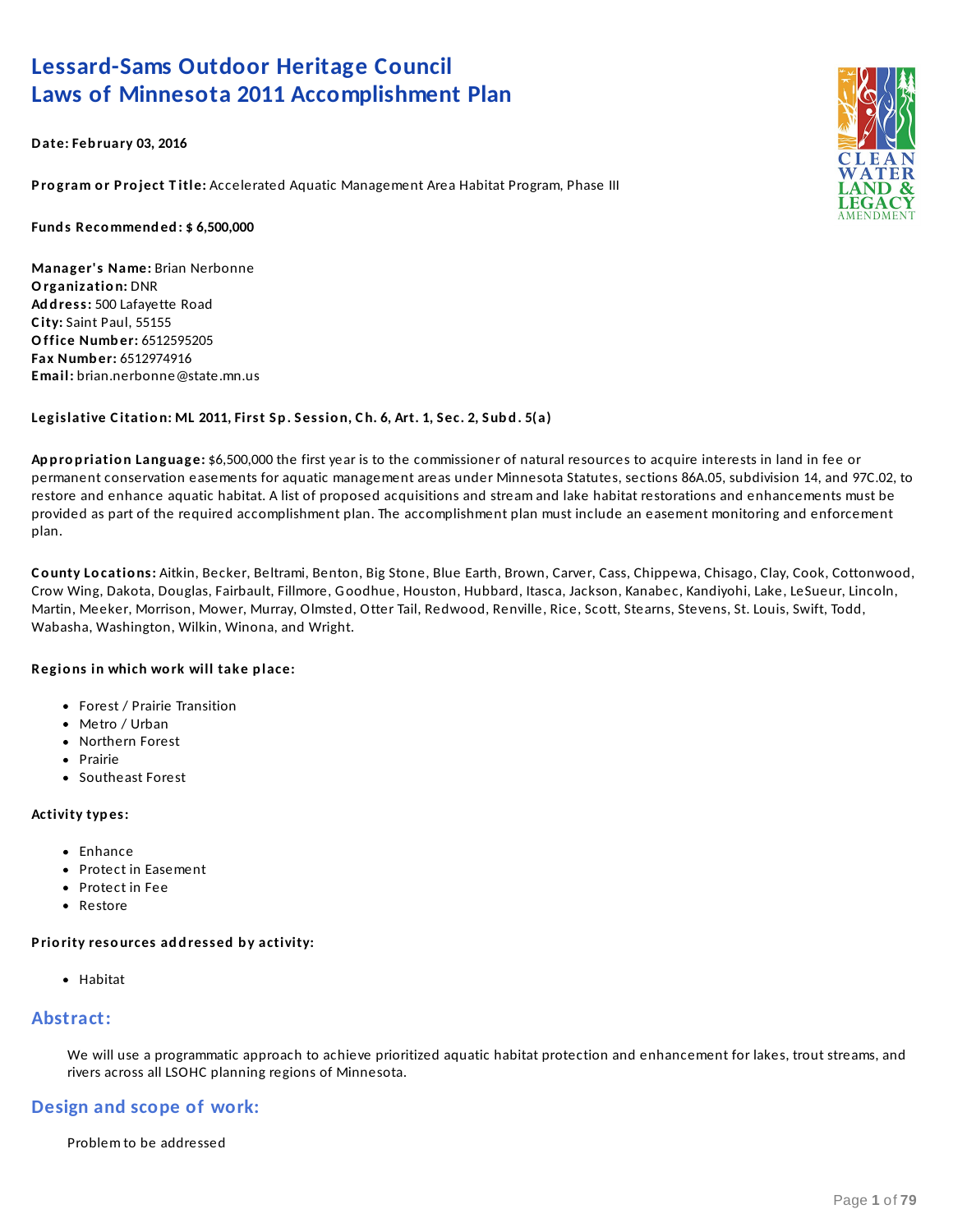## **Lessard-Sams Outdoor Heritage Council Laws of Minnesota 2011 Accomplishment Plan**

**Date: Feb ruary 03, 2016**

**P ro gram o r P ro ject T itle:** Accelerated Aquatic Management Area Habitat Program, Phase III

**Fund s Recommend ed : \$ 6,500,000**

**Manager's Name:** Brian Nerbonne **Organizatio n:** DNR **Ad d ress:** 500 Lafayette Road **C ity:** Saint Paul, 55155 **Office Numb er:** 6512595205 **Fax Numb er:** 6512974916 **Email:** brian.nerbonne@state.mn.us

### Legislative Citation: ML 2011, First Sp. Session, Ch. 6, Art. 1, Sec. 2, Subd. 5(a)

**Ap p ro p riatio n Language:** \$6,500,000 the first year is to the commissioner of natural resources to acquire interests in land in fee or permanent conservation easements for aquatic management areas under Minnesota Statutes, sections 86A.05, subdivision 14, and 97C.02, to restore and enhance aquatic habitat. A list of proposed acquisitions and stream and lake habitat restorations and enhancements must be provided as part of the required accomplishment plan. The accomplishment plan must include an easement monitoring and enforcement plan.

**C o unty Lo catio ns:** Aitkin, Becker, Beltrami, Benton, Big Stone, Blue Earth, Brown, Carver, Cass, Chippewa, Chisago, Clay, Cook, Cottonwood, Crow Wing, Dakota, Douglas, Fairbault, Fillmore, Goodhue, Houston, Hubbard, Itasca, Jackson, Kanabec, Kandiyohi, Lake, LeSueur, Lincoln, Martin, Meeker, Morrison, Mower, Murray, Olmsted, Otter Tail, Redwood, Renville, Rice, Scott, Stearns, Stevens, St. Louis, Swift, Todd, Wabasha, Washington, Wilkin, Winona, and Wright.

### **Regio ns in which wo rk will take p lace:**

- Forest / Prairie Transition
- Metro / Urban
- Northern Forest
- Prairie
- Southeast Forest

#### **Activity typ es:**

- $\bullet$  Enhance
- Protect in Easement
- Protect in Fee
- Restore

### **P rio rity reso urces ad d ressed b y activity:**

• Habitat

## **Abstract:**

We will use a programmatic approach to achieve prioritized aquatic habitat protection and enhancement for lakes, trout streams, and rivers across all LSOHC planning regions of Minnesota.

## **Design and scope of work:**

Problem to be addressed

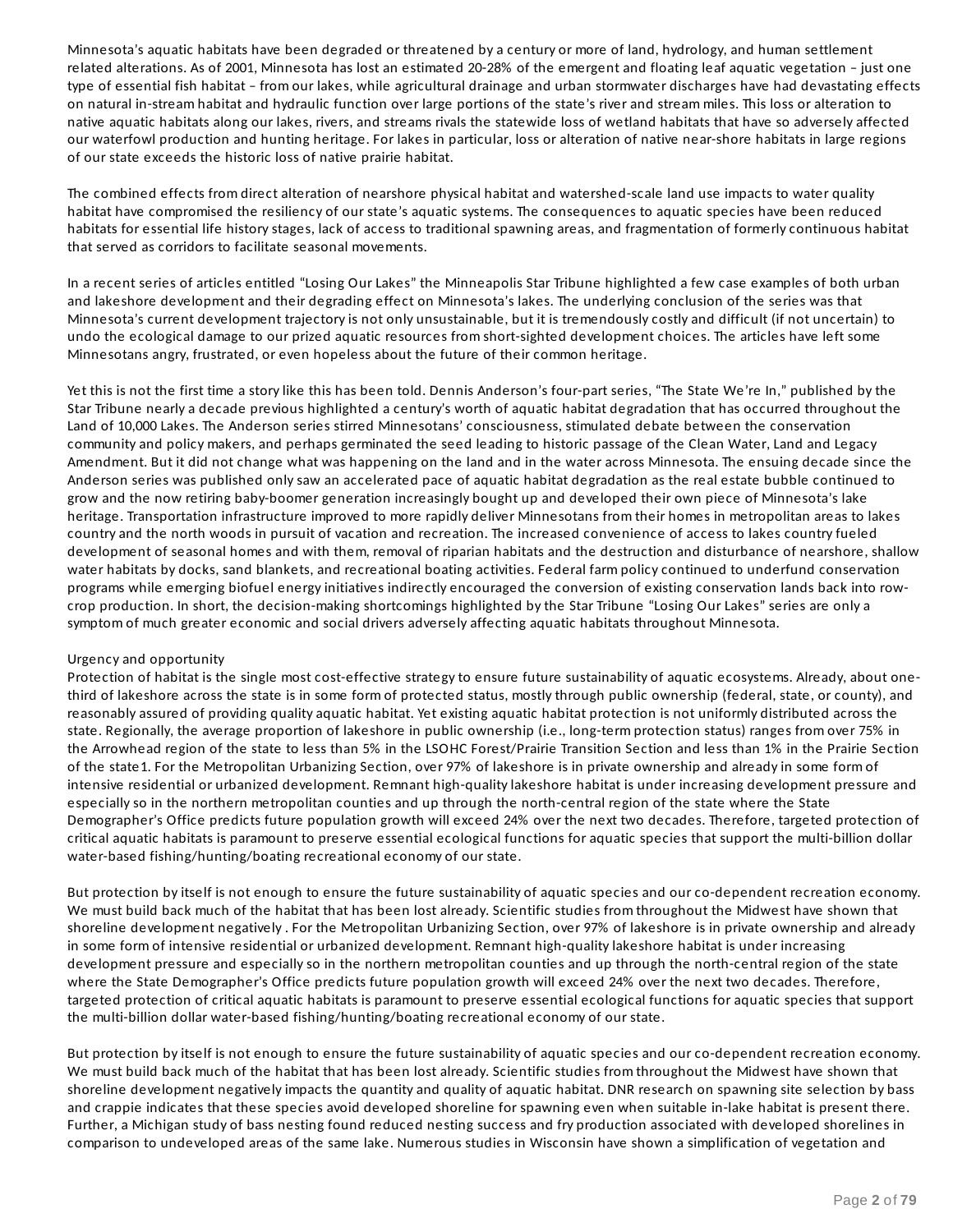Minnesota's aquatic habitats have been degraded or threatened by a century or more of land, hydrology, and human settlement related alterations. As of 2001, Minnesota has lost an estimated 20-28% of the emergent and floating leaf aquatic vegetation – just one type of essential fish habitat – from our lakes, while agricultural drainage and urban stormwater discharges have had devastating effects on natural in-stream habitat and hydraulic function over large portions of the state's river and stream miles. This loss or alteration to native aquatic habitats along our lakes, rivers, and streams rivals the statewide loss of wetland habitats that have so adversely affected our waterfowl production and hunting heritage. For lakes in particular, loss or alteration of native near-shore habitats in large regions of our state exceeds the historic loss of native prairie habitat.

The combined effects from direct alteration of nearshore physical habitat and watershed-scale land use impacts to water quality habitat have compromised the resiliency of our state's aquatic systems. The consequences to aquatic species have been reduced habitats for essential life history stages, lack of access to traditional spawning areas, and fragmentation of formerly continuous habitat that served as corridors to facilitate seasonal movements.

In a recent series of articles entitled "Losing Our Lakes" the Minneapolis Star Tribune highlighted a few case examples of both urban and lakeshore development and their degrading effect on Minnesota's lakes. The underlying conclusion of the series was that Minnesota's current development trajectory is not only unsustainable, but it is tremendously costly and difficult (if not uncertain) to undo the ecological damage to our prized aquatic resources from short-sighted development choices. The articles have left some Minnesotans angry, frustrated, or even hopeless about the future of their common heritage.

Yet this is not the first time a story like this has been told. Dennis Anderson's four-part series, "The State We're In," published by the Star Tribune nearly a decade previous highlighted a century's worth of aquatic habitat degradation that has occurred throughout the Land of 10,000 Lakes. The Anderson series stirred Minnesotans' consciousness, stimulated debate between the conservation community and policy makers, and perhaps germinated the seed leading to historic passage of the Clean Water, Land and Legacy Amendment. But it did not change what was happening on the land and in the water across Minnesota. The ensuing decade since the Anderson series was published only saw an accelerated pace of aquatic habitat degradation as the real estate bubble continued to grow and the now retiring baby-boomer generation increasingly bought up and developed their own piece of Minnesota's lake heritage. Transportation infrastructure improved to more rapidly deliver Minnesotans from their homes in metropolitan areas to lakes country and the north woods in pursuit of vacation and recreation. The increased convenience of access to lakes country fueled development of seasonal homes and with them, removal of riparian habitats and the destruction and disturbance of nearshore, shallow water habitats by docks, sand blankets, and recreational boating activities. Federal farm policy continued to underfund conservation programs while emerging biofuel energy initiatives indirectly encouraged the conversion of existing conservation lands back into rowcrop production. In short, the decision-making shortcomings highlighted by the Star Tribune "Losing Our Lakes" series are only a symptom of much greater economic and social drivers adversely affecting aquatic habitats throughout Minnesota.

#### Urgency and opportunity

Protection of habitat is the single most cost-effective strategy to ensure future sustainability of aquatic ecosystems. Already, about onethird of lakeshore across the state is in some form of protected status, mostly through public ownership (federal, state, or county), and reasonably assured of providing quality aquatic habitat. Yet existing aquatic habitat protection is not uniformly distributed across the state. Regionally, the average proportion of lakeshore in public ownership (i.e., long-term protection status) ranges from over 75% in the Arrowhead region of the state to less than 5% in the LSOHC Forest/Prairie Transition Section and less than 1% in the Prairie Section of the state1. For the Metropolitan Urbanizing Section, over 97% of lakeshore is in private ownership and already in some form of intensive residential or urbanized development. Remnant high-quality lakeshore habitat is under increasing development pressure and especially so in the northern metropolitan counties and up through the north-central region of the state where the State Demographer's Office predicts future population growth will exceed 24% over the next two decades. Therefore, targeted protection of critical aquatic habitats is paramount to preserve essential ecological functions for aquatic species that support the multi-billion dollar water-based fishing/hunting/boating recreational economy of our state.

But protection by itself is not enough to ensure the future sustainability of aquatic species and our co-dependent recreation economy. We must build back much of the habitat that has been lost already. Scientific studies from throughout the Midwest have shown that shoreline development negatively . For the Metropolitan Urbanizing Section, over 97% of lakeshore is in private ownership and already in some form of intensive residential or urbanized development. Remnant high-quality lakeshore habitat is under increasing development pressure and especially so in the northern metropolitan counties and up through the north-central region of the state where the State Demographer's Office predicts future population growth will exceed 24% over the next two decades. Therefore, targeted protection of critical aquatic habitats is paramount to preserve essential ecological functions for aquatic species that support the multi-billion dollar water-based fishing/hunting/boating recreational economy of our state.

But protection by itself is not enough to ensure the future sustainability of aquatic species and our co-dependent recreation economy. We must build back much of the habitat that has been lost already. Scientific studies from throughout the Midwest have shown that shoreline development negatively impacts the quantity and quality of aquatic habitat. DNR research on spawning site selection by bass and crappie indicates that these species avoid developed shoreline for spawning even when suitable in-lake habitat is present there. Further, a Michigan study of bass nesting found reduced nesting success and fry production associated with developed shorelines in comparison to undeveloped areas of the same lake. Numerous studies in Wisconsin have shown a simplification of vegetation and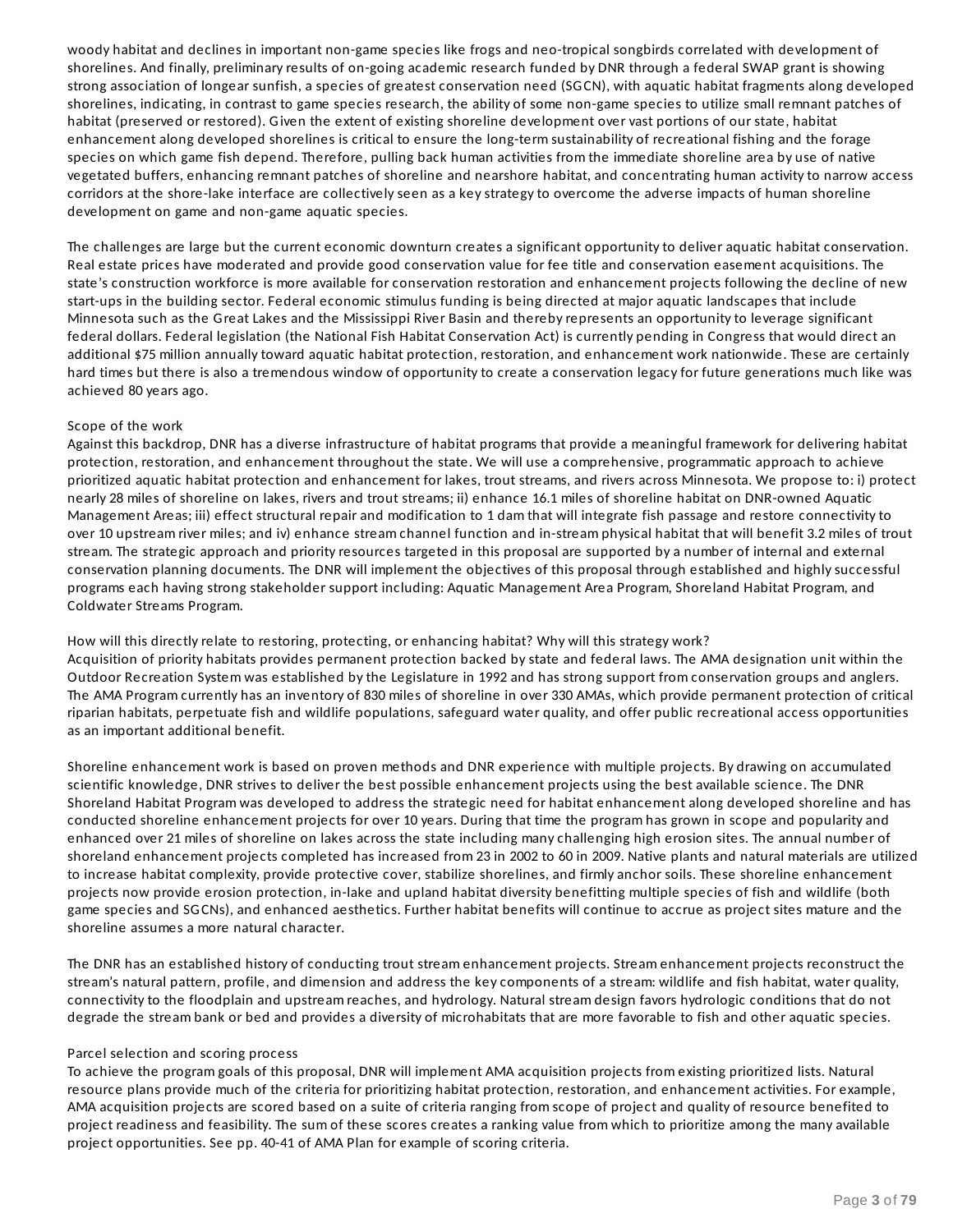woody habitat and declines in important non-game species like frogs and neo-tropical songbirds correlated with development of shorelines. And finally, preliminary results of on-going academic research funded by DNR through a federal SWAP grant is showing strong association of longear sunfish, a species of greatest conservation need (SGCN), with aquatic habitat fragments along developed shorelines, indicating, in contrast to game species research, the ability of some non-game species to utilize small remnant patches of habitat (preserved or restored). Given the extent of existing shoreline development over vast portions of our state, habitat enhancement along developed shorelines is critical to ensure the long-term sustainability of recreational fishing and the forage species on which game fish depend. Therefore, pulling back human activities from the immediate shoreline area by use of native vegetated buffers, enhancing remnant patches of shoreline and nearshore habitat, and concentrating human activity to narrow access corridors at the shore-lake interface are collectively seen as a key strategy to overcome the adverse impacts of human shoreline development on game and non-game aquatic species.

The challenges are large but the current economic downturn creates a significant opportunity to deliver aquatic habitat conservation. Real estate prices have moderated and provide good conservation value for fee title and conservation easement acquisitions. The state's construction workforce is more available for conservation restoration and enhancement projects following the decline of new start-ups in the building sector. Federal economic stimulus funding is being directed at major aquatic landscapes that include Minnesota such as the Great Lakes and the Mississippi River Basin and thereby represents an opportunity to leverage significant federal dollars. Federal legislation (the National Fish Habitat Conservation Act) is currently pending in Congress that would direct an additional \$75 million annually toward aquatic habitat protection, restoration, and enhancement work nationwide. These are certainly hard times but there is also a tremendous window of opportunity to create a conservation legacy for future generations much like was achieved 80 years ago.

#### Scope of the work

Against this backdrop, DNR has a diverse infrastructure of habitat programs that provide a meaningful framework for delivering habitat protection, restoration, and enhancement throughout the state. We will use a comprehensive, programmatic approach to achieve prioritized aquatic habitat protection and enhancement for lakes, trout streams, and rivers across Minnesota. We propose to: i) protect nearly 28 miles of shoreline on lakes, rivers and trout streams; ii) enhance 16.1 miles of shoreline habitat on DNR-owned Aquatic Management Areas; iii) effect structural repair and modification to 1 dam that will integrate fish passage and restore connectivity to over 10 upstream river miles; and iv) enhance stream channel function and in-stream physical habitat that will benefit 3.2 miles of trout stream. The strategic approach and priority resources targeted in this proposal are supported by a number of internal and external conservation planning documents. The DNR will implement the objectives of this proposal through established and highly successful programs each having strong stakeholder support including: Aquatic Management Area Program, Shoreland Habitat Program, and Coldwater Streams Program.

#### How will this directly relate to restoring, protecting, or enhancing habitat? Why will this strategy work?

Acquisition of priority habitats provides permanent protection backed by state and federal laws. The AMA designation unit within the Outdoor Recreation System was established by the Legislature in 1992 and has strong support from conservation groups and anglers. The AMA Program currently has an inventory of 830 miles of shoreline in over 330 AMAs, which provide permanent protection of critical riparian habitats, perpetuate fish and wildlife populations, safeguard water quality, and offer public recreational access opportunities as an important additional benefit.

Shoreline enhancement work is based on proven methods and DNR experience with multiple projects. By drawing on accumulated scientific knowledge, DNR strives to deliver the best possible enhancement projects using the best available science. The DNR Shoreland Habitat Program was developed to address the strategic need for habitat enhancement along developed shoreline and has conducted shoreline enhancement projects for over 10 years. During that time the program has grown in scope and popularity and enhanced over 21 miles of shoreline on lakes across the state including many challenging high erosion sites. The annual number of shoreland enhancement projects completed has increased from 23 in 2002 to 60 in 2009. Native plants and natural materials are utilized to increase habitat complexity, provide protective cover, stabilize shorelines, and firmly anchor soils. These shoreline enhancement projects now provide erosion protection, in-lake and upland habitat diversity benefitting multiple species of fish and wildlife (both game species and SGCNs), and enhanced aesthetics. Further habitat benefits will continue to accrue as project sites mature and the shoreline assumes a more natural character.

The DNR has an established history of conducting trout stream enhancement projects. Stream enhancement projects reconstruct the stream's natural pattern, profile, and dimension and address the key components of a stream: wildlife and fish habitat, water quality, connectivity to the floodplain and upstream reaches, and hydrology. Natural stream design favors hydrologic conditions that do not degrade the stream bank or bed and provides a diversity of microhabitats that are more favorable to fish and other aquatic species.

#### Parcel selection and scoring process

To achieve the program goals of this proposal, DNR will implement AMA acquisition projects from existing prioritized lists. Natural resource plans provide much of the criteria for prioritizing habitat protection, restoration, and enhancement activities. For example, AMA acquisition projects are scored based on a suite of criteria ranging from scope of project and quality of resource benefited to project readiness and feasibility. The sum of these scores creates a ranking value from which to prioritize among the many available project opportunities. See pp. 40-41 of AMA Plan for example of scoring criteria.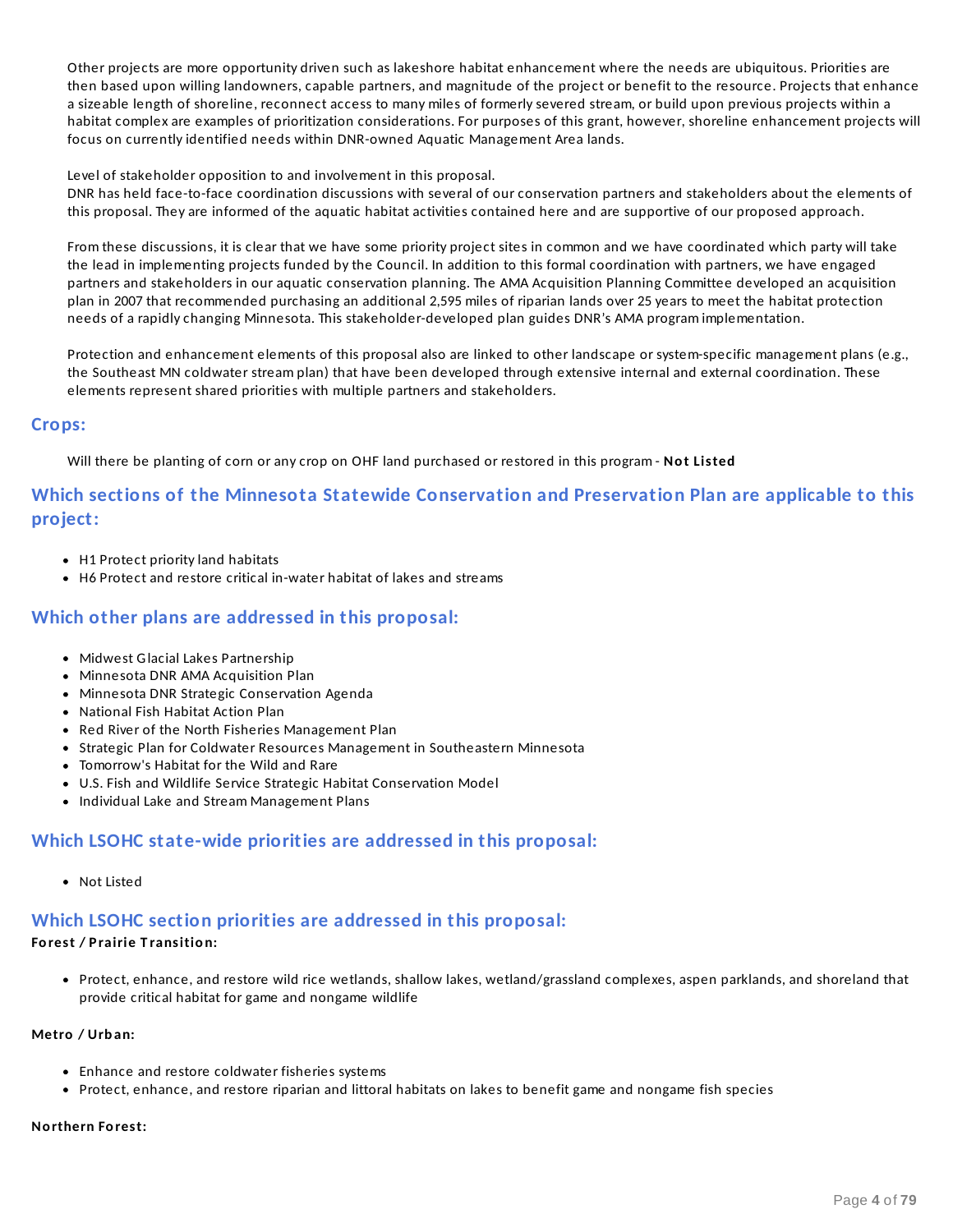Other projects are more opportunity driven such as lakeshore habitat enhancement where the needs are ubiquitous. Priorities are then based upon willing landowners, capable partners, and magnitude of the project or benefit to the resource. Projects that enhance a sizeable length of shoreline, reconnect access to many miles of formerly severed stream, or build upon previous projects within a habitat complex are examples of prioritization considerations. For purposes of this grant, however, shoreline enhancement projects will focus on currently identified needs within DNR-owned Aquatic Management Area lands.

Level of stakeholder opposition to and involvement in this proposal.

DNR has held face-to-face coordination discussions with several of our conservation partners and stakeholders about the elements of this proposal. They are informed of the aquatic habitat activities contained here and are supportive of our proposed approach.

From these discussions, it is clear that we have some priority project sites in common and we have coordinated which party will take the lead in implementing projects funded by the Council. In addition to this formal coordination with partners, we have engaged partners and stakeholders in our aquatic conservation planning. The AMA Acquisition Planning Committee developed an acquisition plan in 2007 that recommended purchasing an additional 2,595 miles of riparian lands over 25 years to meet the habitat protection needs of a rapidly changing Minnesota. This stakeholder-developed plan guides DNR's AMA program implementation.

Protection and enhancement elements of this proposal also are linked to other landscape or system-specific management plans (e.g., the Southeast MN coldwater stream plan) that have been developed through extensive internal and external coordination. These elements represent shared priorities with multiple partners and stakeholders.

### **Crops:**

Will there be planting of corn or any crop on OHF land purchased or restored in this program - **No t Listed**

## **Which sections of the Minnesota Statewide Conservation and Preservation Plan are applicable to this project:**

- H1 Protect priority land habitats
- H6 Protect and restore critical in-water habitat of lakes and streams

## **Which other plans are addressed in this proposal:**

- Midwest Glacial Lakes Partnership
- Minnesota DNR AMA Acquisition Plan
- Minnesota DNR Strategic Conservation Agenda
- National Fish Habitat Action Plan
- Red River of the North Fisheries Management Plan
- Strategic Plan for Coldwater Resources Management in Southeastern Minnesota
- Tomorrow's Habitat for the Wild and Rare
- U.S. Fish and Wildlife Service Strategic Habitat Conservation Model
- Individual Lake and Stream Management Plans

## **Which LSOHC state-wide priorities are addressed in this proposal:**

Not Listed

## **Which LSOHC section priorities are addressed in this proposal:**

### **Fo rest / P rairie T ransitio n:**

Protect, enhance, and restore wild rice wetlands, shallow lakes, wetland/grassland complexes, aspen parklands, and shoreland that provide critical habitat for game and nongame wildlife

#### **Metro / Urb an:**

- Enhance and restore coldwater fisheries systems
- Protect, enhance, and restore riparian and littoral habitats on lakes to benefit game and nongame fish species

#### **No rthern Fo rest:**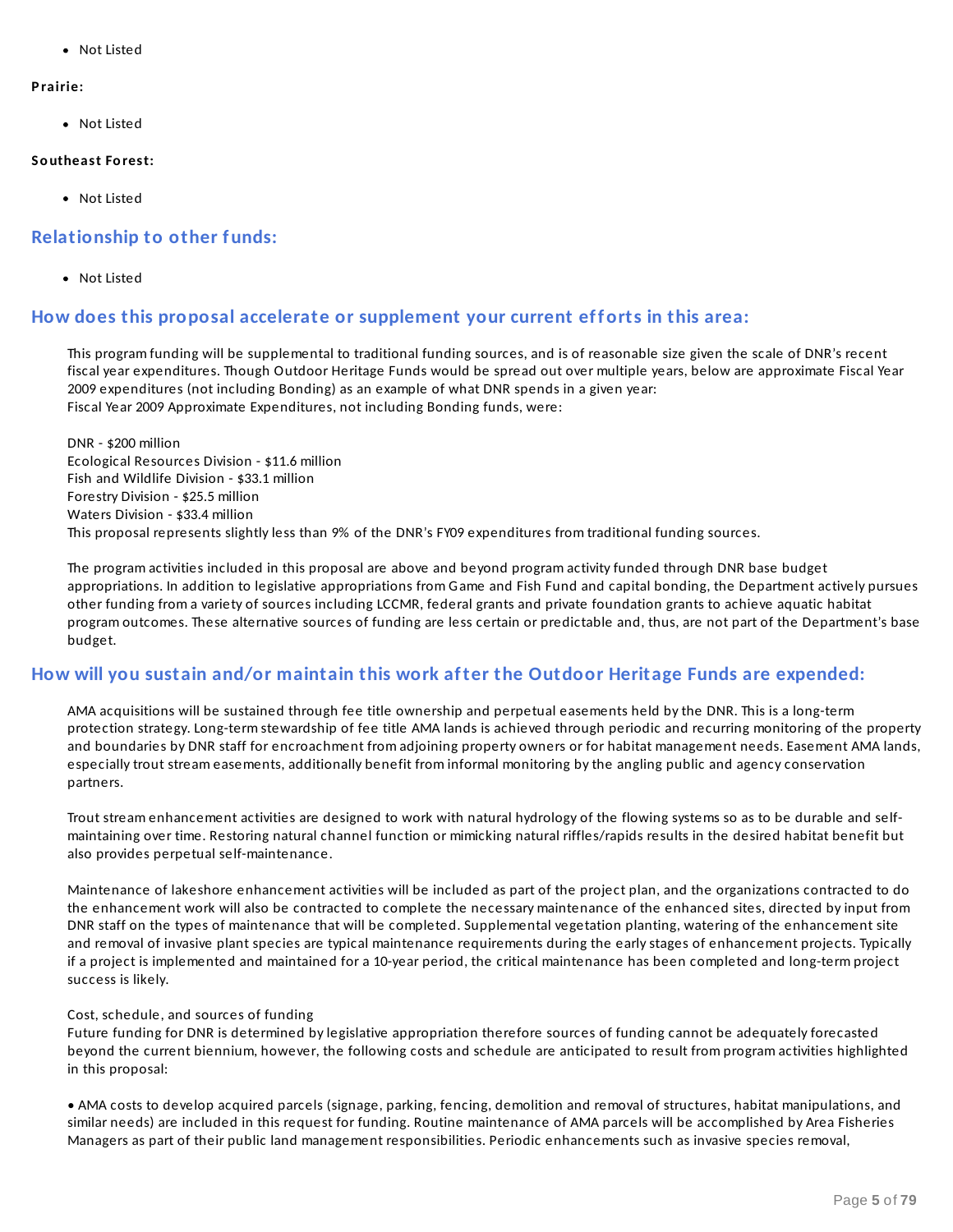Not Listed

### **P rairie:**

Not Listed

### **So utheast Fo rest:**

• Not Listed

## **Relationship to other funds:**

Not Listed

## **How does this proposal accelerate or supplement your current efforts in this area:**

This program funding will be supplemental to traditional funding sources, and is of reasonable size given the scale of DNR's recent fiscal year expenditures. Though Outdoor Heritage Funds would be spread out over multiple years, below are approximate Fiscal Year 2009 expenditures (not including Bonding) as an example of what DNR spends in a given year: Fiscal Year 2009 Approximate Expenditures, not including Bonding funds, were:

DNR - \$200 million Ecological Resources Division - \$11.6 million Fish and Wildlife Division - \$33.1 million Forestry Division - \$25.5 million Waters Division - \$33.4 million This proposal represents slightly less than 9% of the DNR's FY09 expenditures from traditional funding sources.

The program activities included in this proposal are above and beyond program activity funded through DNR base budget appropriations. In addition to legislative appropriations from Game and Fish Fund and capital bonding, the Department actively pursues other funding from a variety of sources including LCCMR, federal grants and private foundation grants to achieve aquatic habitat program outcomes. These alternative sources of funding are less certain or predictable and, thus, are not part of the Department's base budget.

## **How will you sustain and/or maintain this work after the Outdoor Heritage Funds are expended:**

AMA acquisitions will be sustained through fee title ownership and perpetual easements held by the DNR. This is a long-term protection strategy. Long-term stewardship of fee title AMA lands is achieved through periodic and recurring monitoring of the property and boundaries by DNR staff for encroachment from adjoining property owners or for habitat management needs. Easement AMA lands, especially trout stream easements, additionally benefit from informal monitoring by the angling public and agency conservation partners.

Trout stream enhancement activities are designed to work with natural hydrology of the flowing systems so as to be durable and selfmaintaining over time. Restoring natural channel function or mimicking natural riffles/rapids results in the desired habitat benefit but also provides perpetual self-maintenance.

Maintenance of lakeshore enhancement activities will be included as part of the project plan, and the organizations contracted to do the enhancement work will also be contracted to complete the necessary maintenance of the enhanced sites, directed by input from DNR staff on the types of maintenance that will be completed. Supplemental vegetation planting, watering of the enhancement site and removal of invasive plant species are typical maintenance requirements during the early stages of enhancement projects. Typically if a project is implemented and maintained for a 10-year period, the critical maintenance has been completed and long-term project success is likely.

### Cost, schedule, and sources of funding

Future funding for DNR is determined by legislative appropriation therefore sources of funding cannot be adequately forecasted beyond the current biennium, however, the following costs and schedule are anticipated to result from program activities highlighted in this proposal:

• AMA costs to develop acquired parcels (signage, parking, fencing, demolition and removal of structures, habitat manipulations, and similar needs) are included in this request for funding. Routine maintenance of AMA parcels will be accomplished by Area Fisheries Managers as part of their public land management responsibilities. Periodic enhancements such as invasive species removal,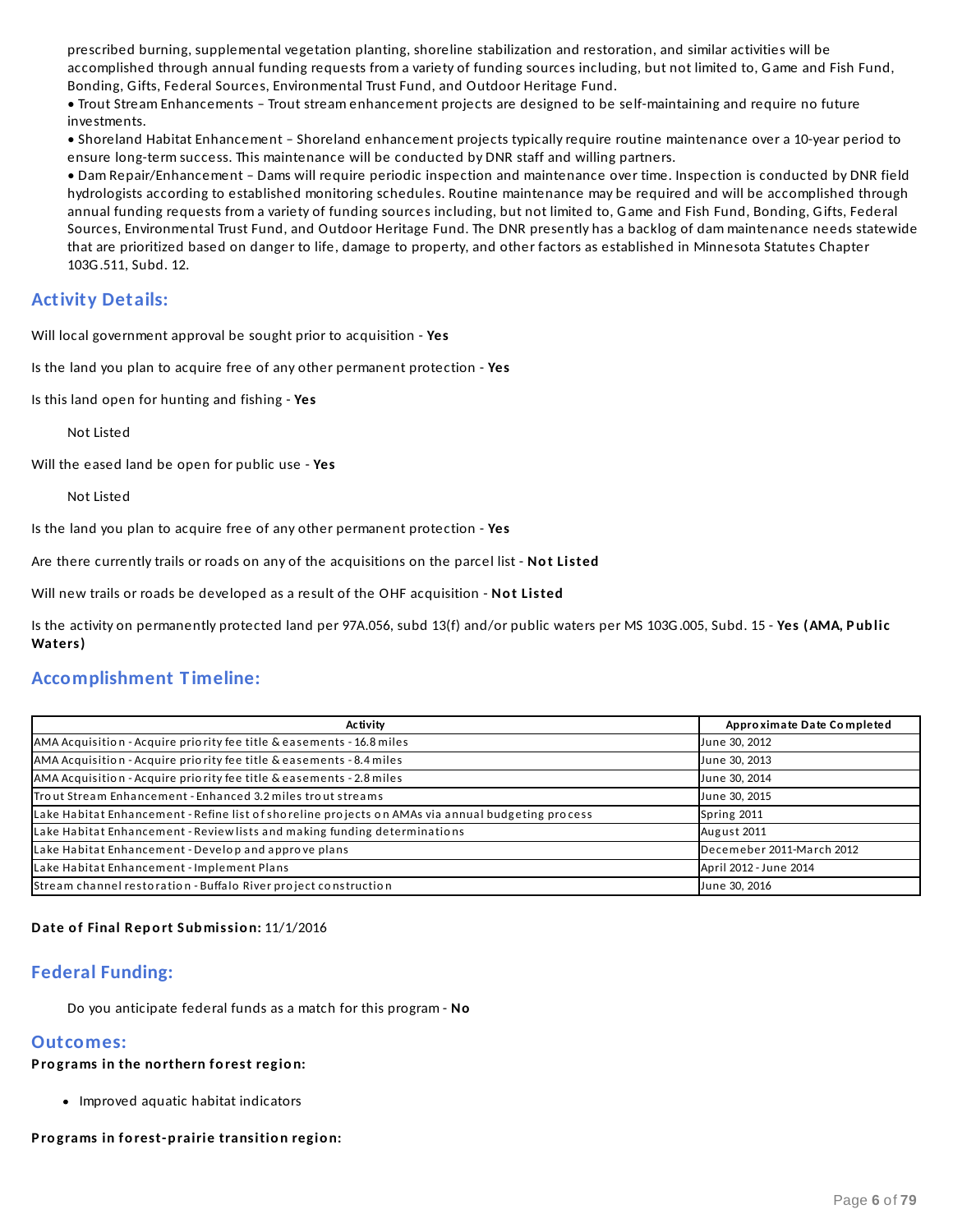prescribed burning, supplemental vegetation planting, shoreline stabilization and restoration, and similar activities will be accomplished through annual funding requests from a variety of funding sources including, but not limited to, Game and Fish Fund, Bonding, Gifts, Federal Sources, Environmental Trust Fund, and Outdoor Heritage Fund.

• Trout Stream Enhancements – Trout stream enhancement projects are designed to be self-maintaining and require no future investments.

• Shoreland Habitat Enhancement – Shoreland enhancement projects typically require routine maintenance over a 10-year period to ensure long-term success. This maintenance will be conducted by DNR staff and willing partners.

• Dam Repair/Enhancement – Dams will require periodic inspection and maintenance over time. Inspection is conducted by DNR field hydrologists according to established monitoring schedules. Routine maintenance may be required and will be accomplished through annual funding requests from a variety of funding sources including, but not limited to, Game and Fish Fund, Bonding, Gifts, Federal Sources, Environmental Trust Fund, and Outdoor Heritage Fund. The DNR presently has a backlog of dam maintenance needs statewide that are prioritized based on danger to life, damage to property, and other factors as established in Minnesota Statutes Chapter 103G.511, Subd. 12.

## **Activity Details:**

Will local government approval be sought prior to acquisition - **Yes**

Is the land you plan to acquire free of any other permanent protection - **Yes**

Is this land open for hunting and fishing - **Yes**

Not Listed

Will the eased land be open for public use - **Yes**

Not Listed

Is the land you plan to acquire free of any other permanent protection - **Yes**

Are there currently trails or roads on any of the acquisitions on the parcel list - **No t Listed**

Will new trails or roads be developed as a result of the OHF acquisition - **No t Listed**

Is the activity on permanently protected land per 97A.056, subd 13(f) and/or public waters per MS 103G.005, Subd. 15 - **Yes (AMA, P ub lic Waters)**

### **Accomplishment T imeline:**

| Activity                                                                                          | Approximate Date Completed |
|---------------------------------------------------------------------------------------------------|----------------------------|
| AMA Acquisition - Acquire priority fee title & easements - 16.8 miles                             | June 30, 2012              |
| AMA Acquisition - Acquire priority fee title & easements - 8.4 miles                              | June 30, 2013              |
| AMA Acquisition - Acquire priority fee title & easements - 2.8 miles                              | June 30, 2014              |
| Trout Stream Enhancement - Enhanced 3.2 miles trout streams                                       | June 30, 2015              |
| Lake Habitat Enhancement - Refine list of shoreline projects on AMAs via annual budgeting process | Spring 2011                |
| Lake Habitat Enhancement - Review lists and making funding determinations                         | August 2011                |
| Lake Habitat Enhancement - Develop and approve plans                                              | Decemeber 2011-March 2012  |
| Lake Habitat Enhancement - Implement Plans                                                        | April 2012 - June 2014     |
| Stream channel restoration - Buffalo River project construction                                   | June 30, 2016              |

#### **Date o f Final Rep o rt Sub missio n:** 11/1/2016

### **Federal Funding:**

Do you anticipate federal funds as a match for this program - **No**

### **Outcomes:**

**P ro grams in the no rthern fo rest regio n:**

• Improved aquatic habitat indicators

**P ro grams in fo rest-p rairie transitio n regio n:**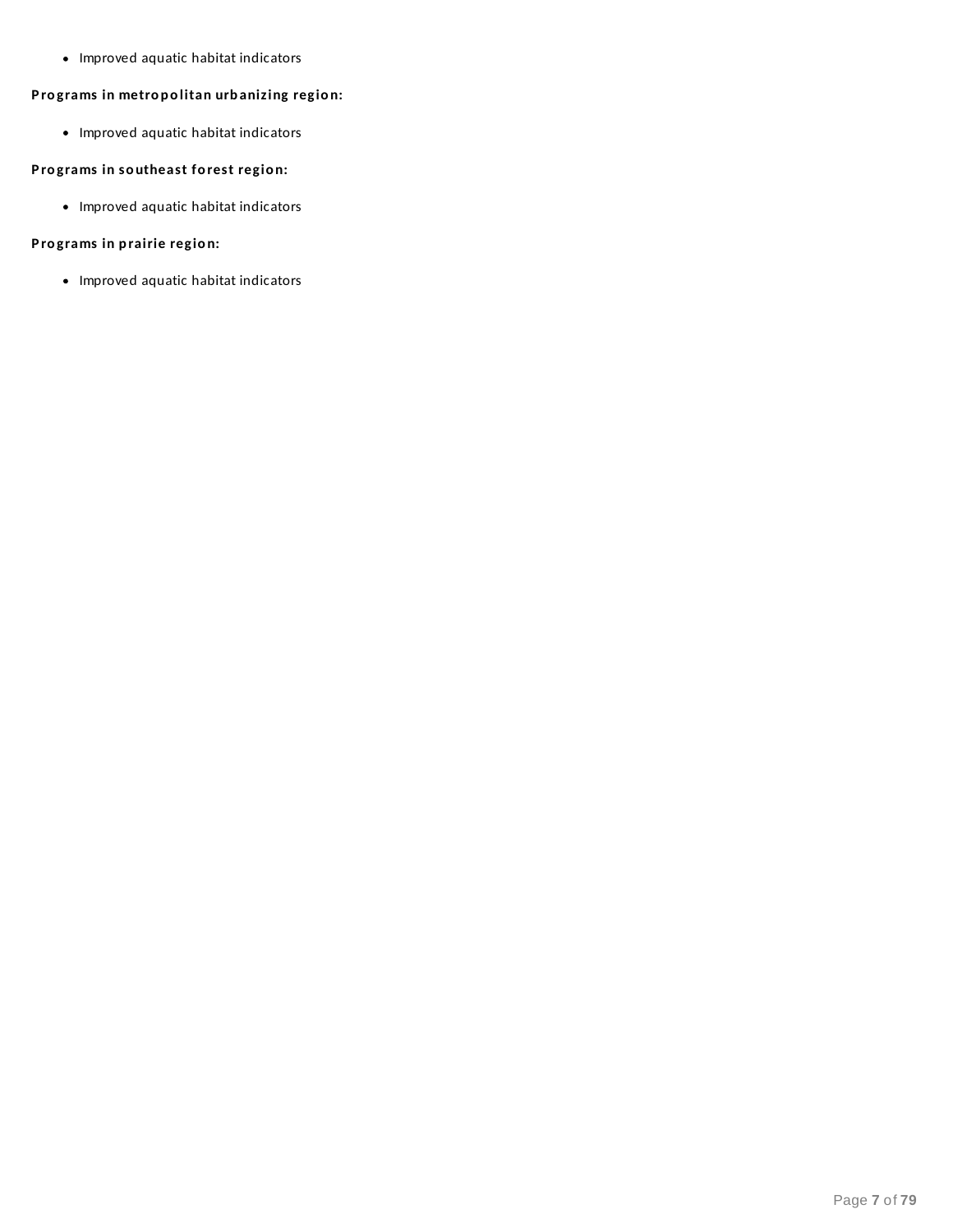• Improved aquatic habitat indicators

### **P ro grams in metro p o litan urb anizing regio n:**

• Improved aquatic habitat indicators

### **P ro grams in so utheast fo rest regio n:**

• Improved aquatic habitat indicators

### **P ro grams in p rairie regio n:**

• Improved aquatic habitat indicators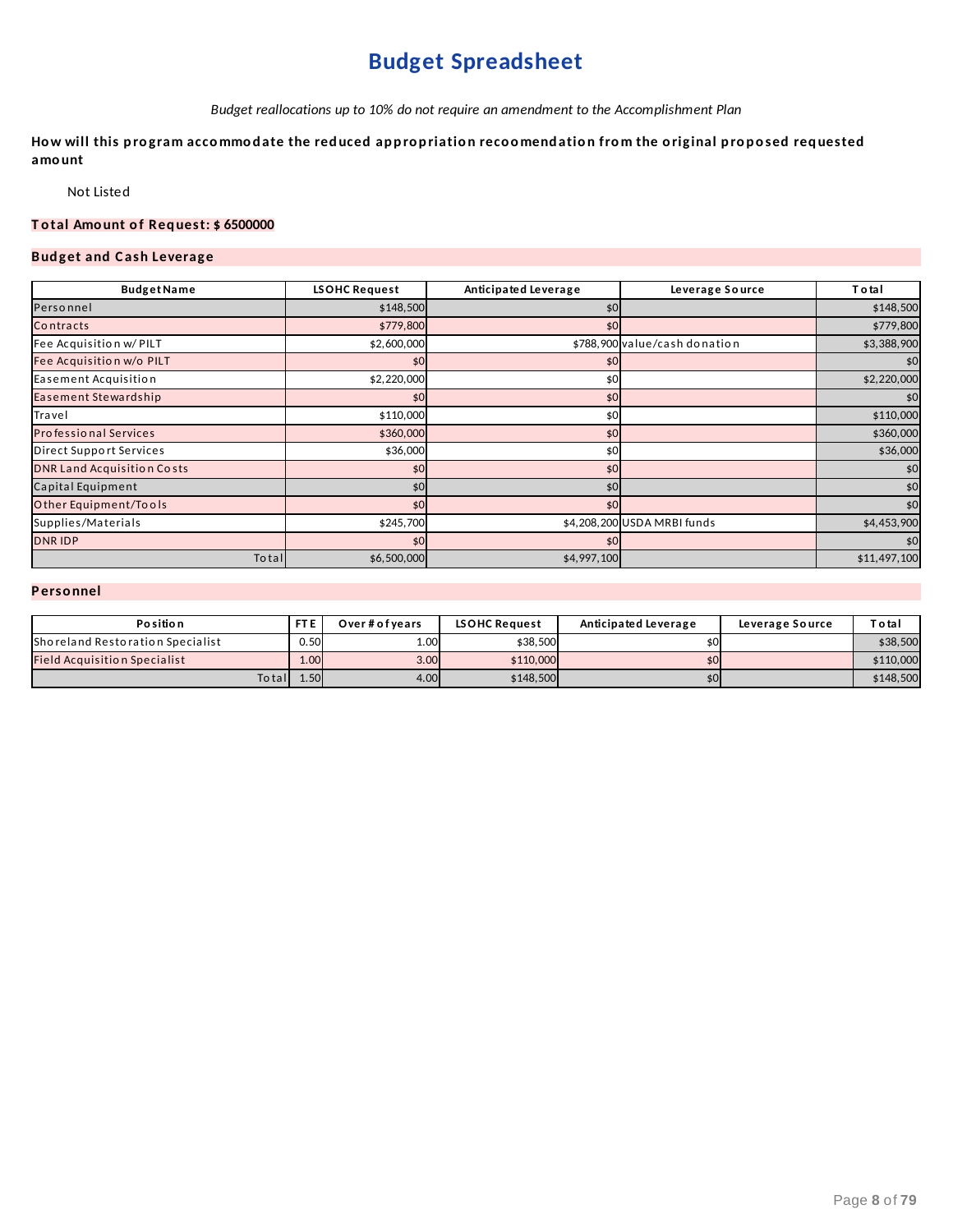# **Budget Spreadsheet**

*Budget reallocations up to 10% do not require an amendment to the Accomplishment Plan*

How will this program accommodate the reduced appropriation recoomendation from the original proposed requested **amo unt**

Not Listed

### **T o tal Amo unt o f Req uest: \$ 6500000**

### **Bud get and C ash Leverage**

| <b>Budget Name</b>                | LSOHC Request | Anticipated Leverage | Leverage Source               | <b>Total</b> |
|-----------------------------------|---------------|----------------------|-------------------------------|--------------|
| Personnel                         | \$148,500     | \$0                  |                               | \$148,500    |
| Contracts                         | \$779,800     | \$0                  |                               | \$779,800    |
| Fee Acquisition w/ PILT           | \$2,600,000   |                      | \$788,900 value/cash donation | \$3,388,900  |
| Fee Acquisition w/o PILT          | \$0           | \$0                  |                               | \$0          |
| Easement Acquisition              | \$2,220,000   | \$0                  |                               | \$2,220,000  |
| Easement Stewardship              | \$0           | \$0                  |                               | \$0          |
| Travel                            | \$110,000     | \$0                  |                               | \$110,000    |
| Professional Services             | \$360,000     | \$0                  |                               | \$360,000    |
| Direct Support Services           | \$36,000      | \$0                  |                               | \$36,000     |
| <b>DNR Land Acquisition Costs</b> | \$0           | \$0                  |                               | \$0          |
| Capital Equipment                 | \$0           | \$0                  |                               | \$0          |
| Other Equipment/Tools             | \$0           | \$0                  |                               | \$0          |
| Supplies/Materials                | \$245,700     |                      | \$4,208,200 USDA MRBI funds   | \$4,453,900  |
| <b>DNRIDP</b>                     | \$0           | \$0                  |                               | \$0          |
| Total                             | \$6,500,000   | \$4,997,100          |                               | \$11,497,100 |

### **P erso nnel**

| <b>Position</b>                     | FT <sub>E</sub> | Over#ofvears      | <b>LSOHC Request</b> | Anticipated Leverage | Leverage Source | Total     |
|-------------------------------------|-----------------|-------------------|----------------------|----------------------|-----------------|-----------|
| Shoreland Restoration Specialist    | 0.50            | 1.00 <sub>l</sub> | \$38,500             |                      |                 | \$38,500  |
| <b>Field Acquisition Specialist</b> | 1.00            | 3.00              | \$110,000            |                      |                 | \$110,000 |
| Totall                              | 1.50            | 4.00              | \$148,500            | \$0                  |                 | \$148,500 |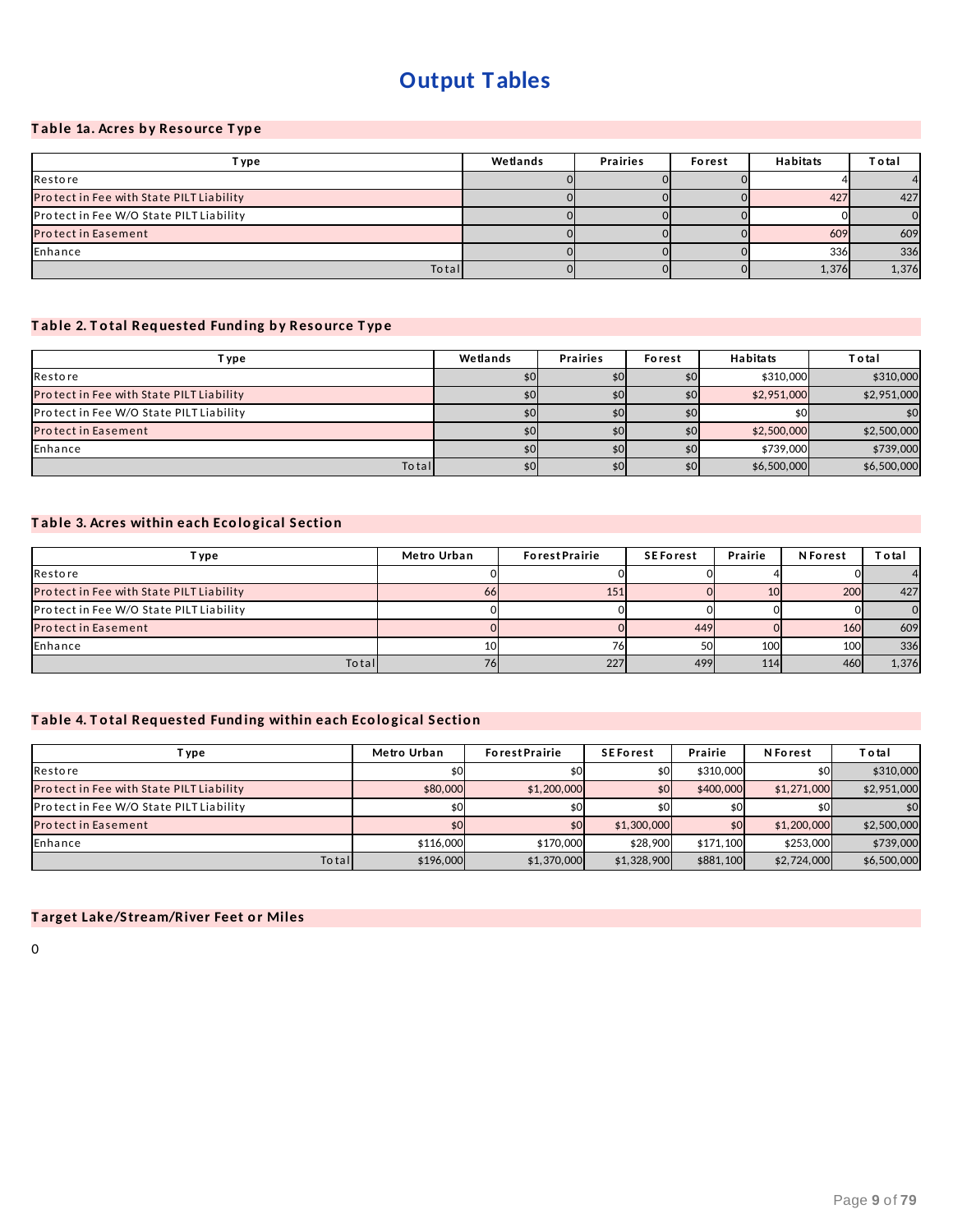# **Output Tables**

### **T ab le 1a. Acres b y Reso urce T yp e**

| T ype                                    | Wetlands | <b>Prairies</b> | Forest | <b>Habitats</b> | Total    |
|------------------------------------------|----------|-----------------|--------|-----------------|----------|
| Restore                                  |          |                 |        |                 | 4        |
| Protect in Fee with State PILT Liability |          |                 |        | 427             | 427      |
| Protect in Fee W/O State PILT Liability  |          |                 |        |                 | $\Omega$ |
| <b>Protect in Easement</b>               |          |                 |        | 609             | 609      |
| Enhance                                  |          |                 |        | 336             | 336      |
| Total                                    |          |                 |        | 1,376           | 1,376    |

### **T ab le 2. T o tal Req uested Fund ing b y Reso urce T yp e**

| T ype                                    | Wetlands | <b>Prairies</b> | Forest | <b>Habitats</b> | T o tal     |
|------------------------------------------|----------|-----------------|--------|-----------------|-------------|
| Restore                                  | \$0      | \$0             |        | \$310,000       | \$310,000   |
| Protect in Fee with State PILT Liability | \$0.     | \$0             |        | \$2,951,000     | \$2,951,000 |
| Protect in Fee W/O State PILT Liability  | \$0      | \$0             |        |                 | \$0         |
| <b>Protect in Easement</b>               | \$0      | \$0             |        | \$2,500,000     | \$2,500,000 |
| Enhance                                  | \$0      | \$0             |        | \$739,000       | \$739,000   |
| Total                                    | \$0      | \$0             | \$0    | \$6,500,000     | \$6,500,000 |

### **T ab le 3. Acres within each Eco lo gical Sectio n**

| T ype                                    | Metro Urban | <b>ForestPrairie</b> | <b>SEForest</b> | Prairie    | <b>N</b> Forest  | Total          |
|------------------------------------------|-------------|----------------------|-----------------|------------|------------------|----------------|
| Restore                                  |             |                      |                 |            |                  | 4              |
| Protect in Fee with State PILT Liability | oo          | 151                  |                 | 10         | 200              | 427            |
| Protect in Fee W/O State PILT Liability  |             |                      |                 |            |                  | $\overline{0}$ |
| <b>Protect in Easement</b>               |             |                      | 449             |            | <b>160</b>       | 609            |
| Enhance                                  | 10          | 76                   | 50              | 100        | 100 <sup>I</sup> | 336            |
| Total                                    |             | 227                  | 499             | <b>114</b> | 460              | 1,376          |

### **T ab le 4. T o tal Req uested Fund ing within each Eco lo gical Sectio n**

| i ype                                           | Metro Urban | <b>ForestPrairie</b> | <b>SEForest</b> | Prairie   | <b>N</b> Forest | Total       |
|-------------------------------------------------|-------------|----------------------|-----------------|-----------|-----------------|-------------|
| Restore                                         |             | \$0                  |                 | \$310,000 |                 | \$310,000   |
| <b>Protect in Fee with State PILT Liability</b> | \$80,000    | \$1,200,000          | \$OI            | \$400,000 | \$1,271,000     | \$2,951,000 |
| <b>Protect in Fee W/O State PILT Liability</b>  | \$0         | \$0                  |                 |           |                 | \$0         |
| <b>Protect in Easement</b>                      | \$O         | \$0                  | \$1,300,000     | \$0       | \$1,200,000     | \$2,500,000 |
| Enhance                                         | \$116,000   | \$170,000            | \$28,900        | \$171.100 | \$253,000       | \$739,000   |
| Totall                                          | \$196,000   | \$1,370,000          | \$1,328,900     | \$881,100 | \$2,724,000     | \$6,500,000 |

### **T arget Lake/Stream/River Feet o r Miles**

0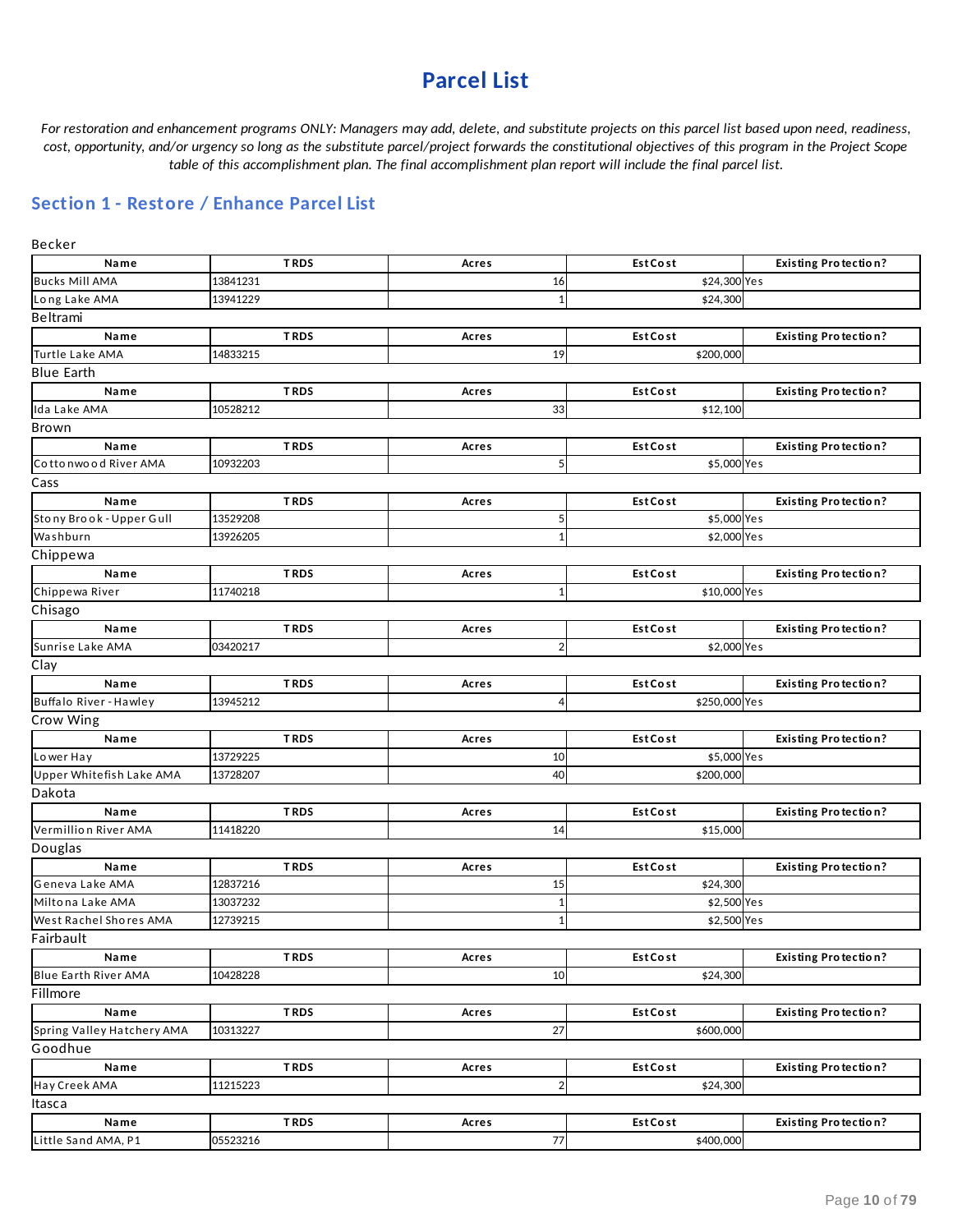## **Parcel List**

For restoration and enhancement programs ONLY: Managers may add, delete, and substitute projects on this parcel list based upon need, readiness, cost, opportunity, and/or urgency so long as the substitute parcel/project forwards the constitutional objectives of this program in the Project Scope *table of this accomplishment plan. The final accomplishment plan report will include the final parcel list.*

## **Section 1 - Restore / Enhance Parcel List**

| Becker                     |             |                  |                 |                             |  |  |  |
|----------------------------|-------------|------------------|-----------------|-----------------------------|--|--|--|
| Name                       | <b>TRDS</b> | Acres            | <b>Est Cost</b> | <b>Existing Protection?</b> |  |  |  |
| <b>Bucks Mill AMA</b>      | 13841231    | 16               | \$24,300 Yes    |                             |  |  |  |
| Long Lake AMA              | 13941229    | $\mathbf{1}$     | \$24,300        |                             |  |  |  |
| Beltrami                   |             |                  |                 |                             |  |  |  |
| Name                       | <b>TRDS</b> | Acres            | <b>Est Cost</b> | <b>Existing Protection?</b> |  |  |  |
| Turtle Lake AMA            | 14833215    | 19               | \$200,000       |                             |  |  |  |
| <b>Blue Earth</b>          |             |                  |                 |                             |  |  |  |
| Name                       | <b>TRDS</b> | Acres            | <b>Est Cost</b> | <b>Existing Protection?</b> |  |  |  |
| Ida Lake AMA               | 10528212    | 33               | \$12,100        |                             |  |  |  |
| Brown                      |             |                  |                 |                             |  |  |  |
| Name                       | <b>TRDS</b> | Acres            | <b>Est Cost</b> | <b>Existing Protection?</b> |  |  |  |
| Cottonwood River AMA       | 10932203    | 5                | \$5,000 Yes     |                             |  |  |  |
| Cass                       |             |                  |                 |                             |  |  |  |
| Name                       | <b>TRDS</b> | Acres            | <b>Est Cost</b> | <b>Existing Protection?</b> |  |  |  |
| Stony Brook - Upper Gull   | 13529208    | 5                | \$5,000 Yes     |                             |  |  |  |
| Washburn                   | 13926205    | $\mathbf{1}$     | \$2,000 Yes     |                             |  |  |  |
| Chippewa                   |             |                  |                 |                             |  |  |  |
| Name                       | <b>TRDS</b> | Acres            | <b>Est Cost</b> | <b>Existing Protection?</b> |  |  |  |
| Chippewa River             | 11740218    | 1                | \$10,000 Yes    |                             |  |  |  |
| Chisago                    |             |                  |                 |                             |  |  |  |
|                            | <b>TRDS</b> |                  |                 |                             |  |  |  |
| Name                       |             | Acres            | <b>Est Cost</b> | <b>Existing Protection?</b> |  |  |  |
| Sunrise Lake AMA           | 03420217    | $\overline{2}$   | \$2,000 Yes     |                             |  |  |  |
| Clay                       |             |                  |                 |                             |  |  |  |
| Name                       | <b>TRDS</b> | Acres            | <b>Est Cost</b> | <b>Existing Protection?</b> |  |  |  |
| Buffalo River - Hawley     | 13945212    | 4                | \$250,000 Yes   |                             |  |  |  |
| Crow Wing                  |             |                  |                 |                             |  |  |  |
| Name                       | <b>TRDS</b> | Acres            | <b>Est Cost</b> | <b>Existing Protection?</b> |  |  |  |
| Lower Hay                  | 13729225    | 10               | \$5,000 Yes     |                             |  |  |  |
| Upper Whitefish Lake AMA   | 13728207    | 40               | \$200,000       |                             |  |  |  |
| Dakota                     |             |                  |                 |                             |  |  |  |
| Name                       | <b>TRDS</b> | Acres            | <b>Est Cost</b> | <b>Existing Protection?</b> |  |  |  |
| Vermillion River AMA       | 11418220    | 14               | \$15,000        |                             |  |  |  |
| Douglas                    |             |                  |                 |                             |  |  |  |
| Name                       | <b>TRDS</b> | Acres            | <b>Est Cost</b> | <b>Existing Protection?</b> |  |  |  |
| Geneva Lake AMA            | 12837216    | 15               | \$24,300        |                             |  |  |  |
| Miltona Lake AMA           | 13037232    | $\mathbf 1$      | \$2,500 Yes     |                             |  |  |  |
| West Rachel Shores AMA     | 12739215    | $\mathbf{1}$     | \$2,500 Yes     |                             |  |  |  |
| Fairbault                  |             |                  |                 |                             |  |  |  |
| Name                       | <b>TRDS</b> | Acres            | <b>Est Cost</b> | <b>Existing Protection?</b> |  |  |  |
| Blue Earth River AMA       | 10428228    | 10               | \$24,300        |                             |  |  |  |
| Fillmore                   |             |                  |                 |                             |  |  |  |
| Name                       | <b>TRDS</b> | Acres            | <b>Est Cost</b> | <b>Existing Protection?</b> |  |  |  |
| Spring Valley Hatchery AMA | 10313227    | 27               | \$600,000       |                             |  |  |  |
| Goodhue                    |             |                  |                 |                             |  |  |  |
| Name                       | <b>TRDS</b> | Acres            | <b>Est Cost</b> | <b>Existing Protection?</b> |  |  |  |
| Hay Creek AMA              | 11215223    | $\boldsymbol{2}$ | \$24,300        |                             |  |  |  |
| Itasca                     |             |                  |                 |                             |  |  |  |
| Name                       | <b>TRDS</b> | Acres            | <b>Est Cost</b> | <b>Existing Protection?</b> |  |  |  |
| Little Sand AMA, P1        | 05523216    | 77               | \$400,000       |                             |  |  |  |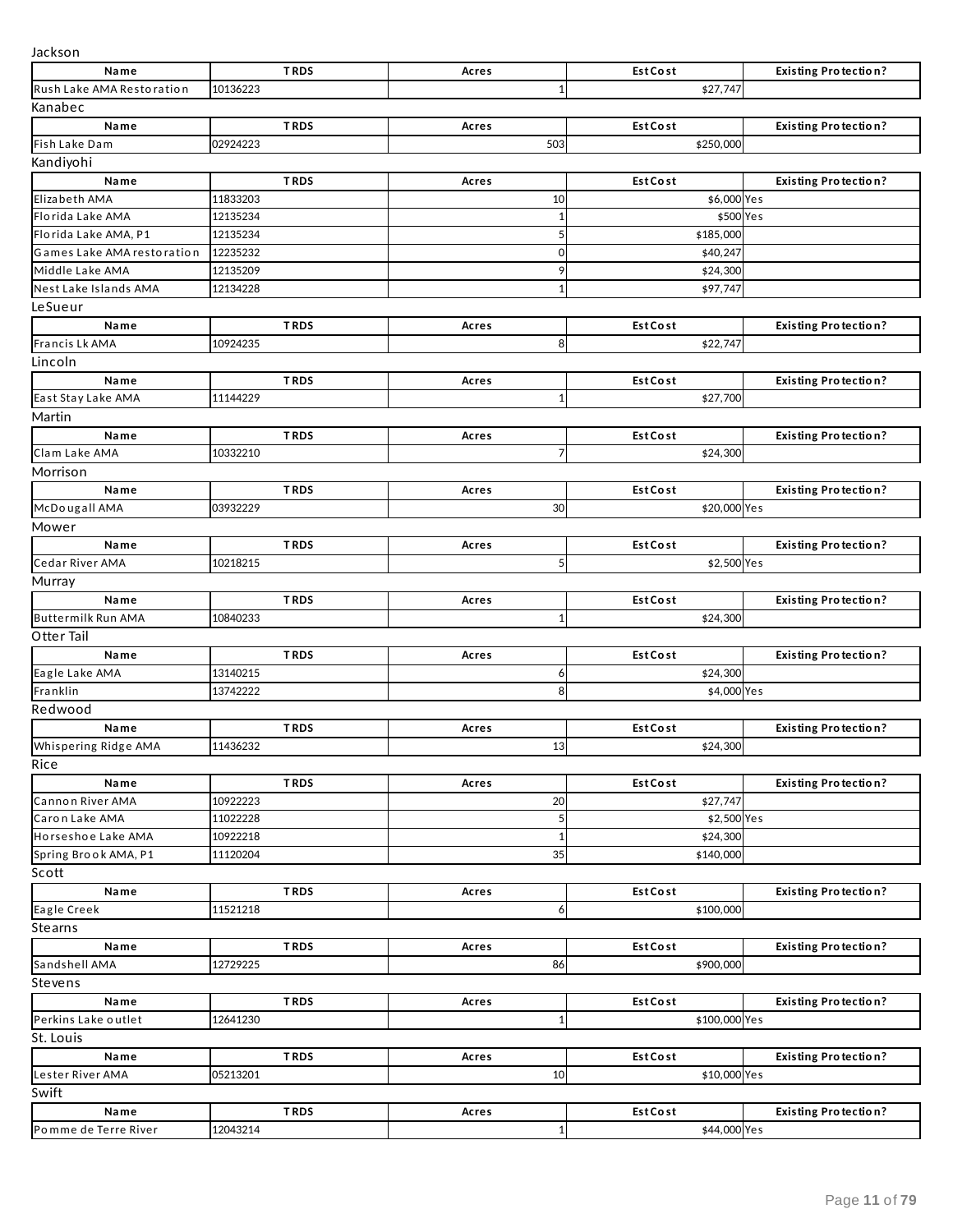| Jackson                    |          |             |              |             |                 |               |                             |
|----------------------------|----------|-------------|--------------|-------------|-----------------|---------------|-----------------------------|
| Name                       |          | <b>TRDS</b> | Acres        |             | <b>Est Cost</b> |               | <b>Existing Protection?</b> |
| Rush Lake AMA Restoration  | 10136223 |             |              |             |                 | \$27,747      |                             |
| Kanabec                    |          |             |              |             |                 |               |                             |
| Name                       |          | <b>TRDS</b> | Acres        |             | <b>Est Cost</b> |               | <b>Existing Protection?</b> |
| Fish Lake Dam              | 02924223 |             |              | 503         |                 | \$250,000     |                             |
| Kandiyohi                  |          |             |              |             |                 |               |                             |
| Name                       |          | <b>TRDS</b> | Acres        |             | <b>Est Cost</b> |               | <b>Existing Protection?</b> |
| Elizabeth AMA              | 11833203 |             |              | 10          |                 | \$6,000 Yes   |                             |
| Florida Lake AMA           | 12135234 |             |              | 1           |                 | \$500 Yes     |                             |
| Florida Lake AMA, P1       | 12135234 |             |              |             |                 | \$185,000     |                             |
| Games Lake AMA restoration | 12235232 |             |              | $\mathbf 0$ |                 | \$40,247      |                             |
| Middle Lake AMA            | 12135209 |             |              | 9           |                 | \$24,300      |                             |
| Nest Lake Islands AMA      | 12134228 |             |              |             |                 | \$97,747      |                             |
| LeSueur                    |          |             |              |             |                 |               |                             |
| Name                       |          | <b>TRDS</b> | Acres        |             | <b>Est Cost</b> |               | <b>Existing Protection?</b> |
| Francis Lk AMA             | 10924235 |             |              | 8           |                 | \$22,747      |                             |
| Lincoln                    |          |             |              |             |                 |               |                             |
| Name                       |          | <b>TRDS</b> | Acres        |             | <b>Est Cost</b> |               | <b>Existing Protection?</b> |
| East Stay Lake AMA         | 11144229 |             |              | 1           |                 | \$27,700      |                             |
| Martin                     |          |             |              |             |                 |               |                             |
| Name                       |          | <b>TRDS</b> | Acres        |             | <b>Est Cost</b> |               | <b>Existing Protection?</b> |
| Clam Lake AMA              | 10332210 |             |              |             |                 | \$24,300      |                             |
| Morrison                   |          |             |              |             |                 |               |                             |
| Name                       |          | <b>TRDS</b> | Acres        |             | <b>Est Cost</b> |               | <b>Existing Protection?</b> |
| McDougall AMA              | 03932229 |             |              | 30          |                 | \$20,000 Yes  |                             |
| Mower                      |          |             |              |             |                 |               |                             |
| Name                       |          | <b>TRDS</b> | Acres        |             | <b>Est Cost</b> |               | <b>Existing Protection?</b> |
| Cedar River AMA            | 10218215 |             |              | 5           |                 | \$2,500 Yes   |                             |
| Murray                     |          |             |              |             |                 |               |                             |
| Name                       |          | <b>TRDS</b> | Acres        |             | <b>Est Cost</b> |               | <b>Existing Protection?</b> |
| Buttermilk Run AMA         | 10840233 |             |              |             |                 | \$24,300      |                             |
| Otter Tail                 |          |             |              |             |                 |               |                             |
| Name                       |          | <b>TRDS</b> | Acres        |             | <b>Est Cost</b> |               | <b>Existing Protection?</b> |
| Eagle Lake AMA             | 13140215 |             |              | 6           |                 | \$24,300      |                             |
| Franklin                   | 13742222 |             |              | 8           |                 | \$4,000 Yes   |                             |
| Redwood                    |          |             |              |             |                 |               |                             |
| Name                       |          | <b>TRDS</b> | Acres        |             | <b>Est Cost</b> |               | <b>Existing Protection?</b> |
| Whispering Ridge AMA       | 11436232 |             |              | 13          |                 | \$24,300      |                             |
| Rice                       |          |             |              |             |                 |               |                             |
| Name                       |          | <b>TRDS</b> | <b>Acres</b> |             | <b>Est Cost</b> |               | <b>Existing Protection?</b> |
| Cannon River AMA           | 10922223 |             |              | 20          |                 | \$27,747      |                             |
| Caron Lake AMA             | 11022228 |             |              | 5           |                 | \$2,500 Yes   |                             |
| Horseshoe Lake AMA         | 10922218 |             |              | 1           |                 | \$24,300      |                             |
| Spring Brook AMA, P1       | 11120204 |             |              | 35          |                 | \$140,000     |                             |
| Scott                      |          |             |              |             |                 |               |                             |
| Name                       |          | <b>TRDS</b> | Acres        |             | <b>Est Cost</b> |               | <b>Existing Protection?</b> |
| Eagle Creek                | 11521218 |             |              | 6           |                 | \$100,000     |                             |
| Stearns                    |          |             |              |             |                 |               |                             |
| Name                       |          | <b>TRDS</b> | Acres        |             | <b>Est Cost</b> |               | <b>Existing Protection?</b> |
| Sandshell AMA              | 12729225 |             |              | 86          |                 | \$900,000     |                             |
| Stevens                    |          |             |              |             |                 |               |                             |
| Name                       |          | <b>TRDS</b> |              |             | <b>Est Cost</b> |               | <b>Existing Protection?</b> |
| Perkins Lake outlet        | 12641230 |             | Acres        | 1           |                 | \$100,000 Yes |                             |
|                            |          |             |              |             |                 |               |                             |
| St. Louis                  |          |             |              |             |                 |               |                             |
| Name                       |          | <b>TRDS</b> | Acres        |             | <b>Est Cost</b> | \$10,000 Yes  | <b>Existing Protection?</b> |
| Lester River AMA           | 05213201 |             |              | 10          |                 |               |                             |
| Swift                      |          |             |              |             |                 |               |                             |
| Name                       |          | <b>TRDS</b> | Acres        |             | <b>Est Cost</b> |               | <b>Existing Protection?</b> |
| Pomme de Terre River       | 12043214 |             |              |             |                 | \$44,000 Yes  |                             |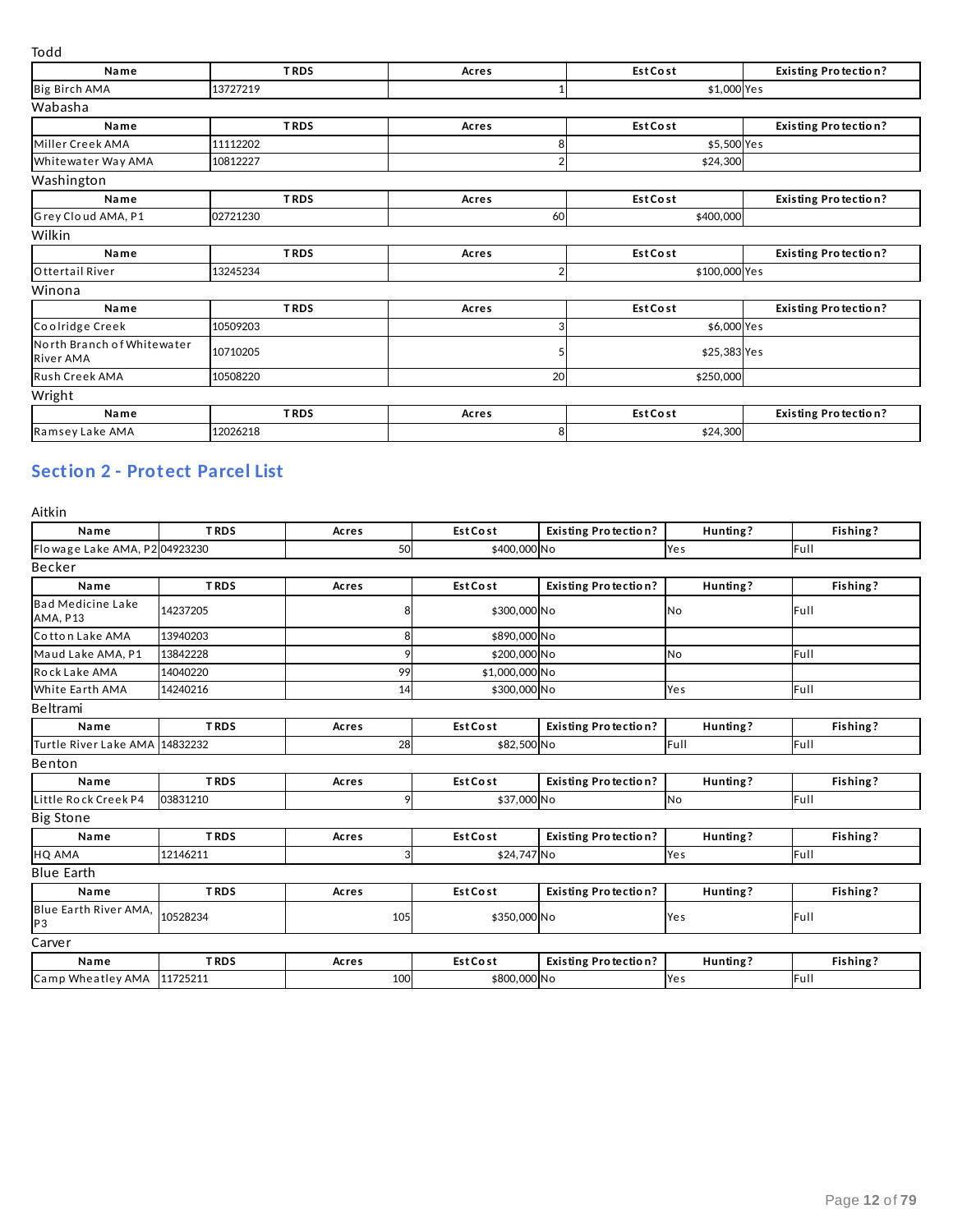| .                                       |             |                |                 |                             |  |  |  |
|-----------------------------------------|-------------|----------------|-----------------|-----------------------------|--|--|--|
| Name                                    | <b>TRDS</b> | Acres          | <b>Est Cost</b> | <b>Existing Protection?</b> |  |  |  |
| Big Birch AMA                           | 13727219    |                | \$1,000 Yes     |                             |  |  |  |
| Wabasha                                 |             |                |                 |                             |  |  |  |
| Name                                    | <b>TRDS</b> | Acres          | <b>Est Cost</b> | <b>Existing Protection?</b> |  |  |  |
| Miller Creek AMA                        | 11112202    | 8              | \$5,500 Yes     |                             |  |  |  |
| Whitewater Way AMA                      | 10812227    |                | \$24,300        |                             |  |  |  |
| Washington                              |             |                |                 |                             |  |  |  |
| Name                                    | <b>TRDS</b> | Acres          | <b>Est Cost</b> | <b>Existing Protection?</b> |  |  |  |
| Grey Cloud AMA, P1                      | 02721230    | 60             | \$400,000       |                             |  |  |  |
| Wilkin                                  |             |                |                 |                             |  |  |  |
| Name                                    | <b>TRDS</b> | Acres          | <b>Est Cost</b> | <b>Existing Protection?</b> |  |  |  |
| Ottertail River                         | 13245234    | $\overline{2}$ | \$100,000 Yes   |                             |  |  |  |
| Winona                                  |             |                |                 |                             |  |  |  |
| Name                                    | <b>TRDS</b> | Acres          | <b>Est Cost</b> | <b>Existing Protection?</b> |  |  |  |
| Coolridge Creek                         | 10509203    | З              | \$6,000 Yes     |                             |  |  |  |
| North Branch of Whitewater<br>River AMA | 10710205    | 5              | \$25,383 Yes    |                             |  |  |  |
| Rush Creek AMA                          | 10508220    | 20             | \$250,000       |                             |  |  |  |
| Wright                                  |             |                |                 |                             |  |  |  |
| Name                                    | <b>TRDS</b> | Acres          | <b>Est Cost</b> | <b>Existing Protection?</b> |  |  |  |
| Ramsey Lake AMA                         | 12026218    | 8              | \$24,300        |                             |  |  |  |

## **Section 2 - Protect Parcel List**

| Aitkin                                  |             |              |                 |                             |           |          |  |  |  |
|-----------------------------------------|-------------|--------------|-----------------|-----------------------------|-----------|----------|--|--|--|
| Name                                    | <b>TRDS</b> | Acres        | <b>Est Cost</b> | <b>Existing Protection?</b> | Hunting?  | Fishing? |  |  |  |
| Flowage Lake AMA, P2 04923230           |             | 50           | \$400,000 No    |                             | Yes       | Full     |  |  |  |
| Becker                                  |             |              |                 |                             |           |          |  |  |  |
| Name                                    | <b>TRDS</b> | <b>Acres</b> | <b>Est Cost</b> | <b>Existing Protection?</b> | Hunting?  | Fishing? |  |  |  |
| <b>Bad Medicine Lake</b><br>AMA, P13    | 14237205    |              | \$300,000 No    |                             | No        | Full     |  |  |  |
| Cotton Lake AMA                         | 13940203    | 8            | \$890,000 No    |                             |           |          |  |  |  |
| Maud Lake AMA, P1                       | 13842228    |              | \$200,000 No    |                             | <b>No</b> | Full     |  |  |  |
| Rock Lake AMA                           | 14040220    | 99           | \$1,000,000 No  |                             |           |          |  |  |  |
| White Earth AMA                         | 14240216    | 14           | \$300,000 No    |                             | Yes       | Full     |  |  |  |
| <b>Beltrami</b>                         |             |              |                 |                             |           |          |  |  |  |
| Name                                    | <b>TRDS</b> | Acres        | <b>Est Cost</b> | <b>Existing Protection?</b> | Hunting?  | Fishing? |  |  |  |
| Turtle River Lake AMA 14832232          |             | 28           | \$82,500 No     |                             | Full      | Full     |  |  |  |
| Benton                                  |             |              |                 |                             |           |          |  |  |  |
| Name                                    | <b>TRDS</b> | Acres        | <b>Est Cost</b> | <b>Existing Protection?</b> | Hunting?  | Fishing? |  |  |  |
| Little Rock Creek P4                    | 03831210    | 9            | \$37,000 No     |                             | <b>No</b> | Full     |  |  |  |
| <b>Big Stone</b>                        |             |              |                 |                             |           |          |  |  |  |
| Name                                    | <b>TRDS</b> | Acres        | <b>Est Cost</b> | <b>Existing Protection?</b> | Hunting?  | Fishing? |  |  |  |
| <b>HQ AMA</b>                           | 12146211    | 3            | \$24,747 No     |                             | Yes       | Full     |  |  |  |
| <b>Blue Earth</b>                       |             |              |                 |                             |           |          |  |  |  |
| Name                                    | <b>TRDS</b> | Acres        | <b>Est Cost</b> | <b>Existing Protection?</b> | Hunting?  | Fishing? |  |  |  |
| Blue Earth River AMA,<br>P <sub>3</sub> | 10528234    | 105          | \$350,000 No    |                             | Yes       | Full     |  |  |  |
| Carver                                  |             |              |                 |                             |           |          |  |  |  |
| Name                                    | <b>TRDS</b> | Acres        | <b>Est Cost</b> | <b>Existing Protection?</b> | Hunting?  | Fishing? |  |  |  |
| Camp Wheatley AMA                       | 11725211    | 100          | \$800,000 No    |                             | Yes       | Full     |  |  |  |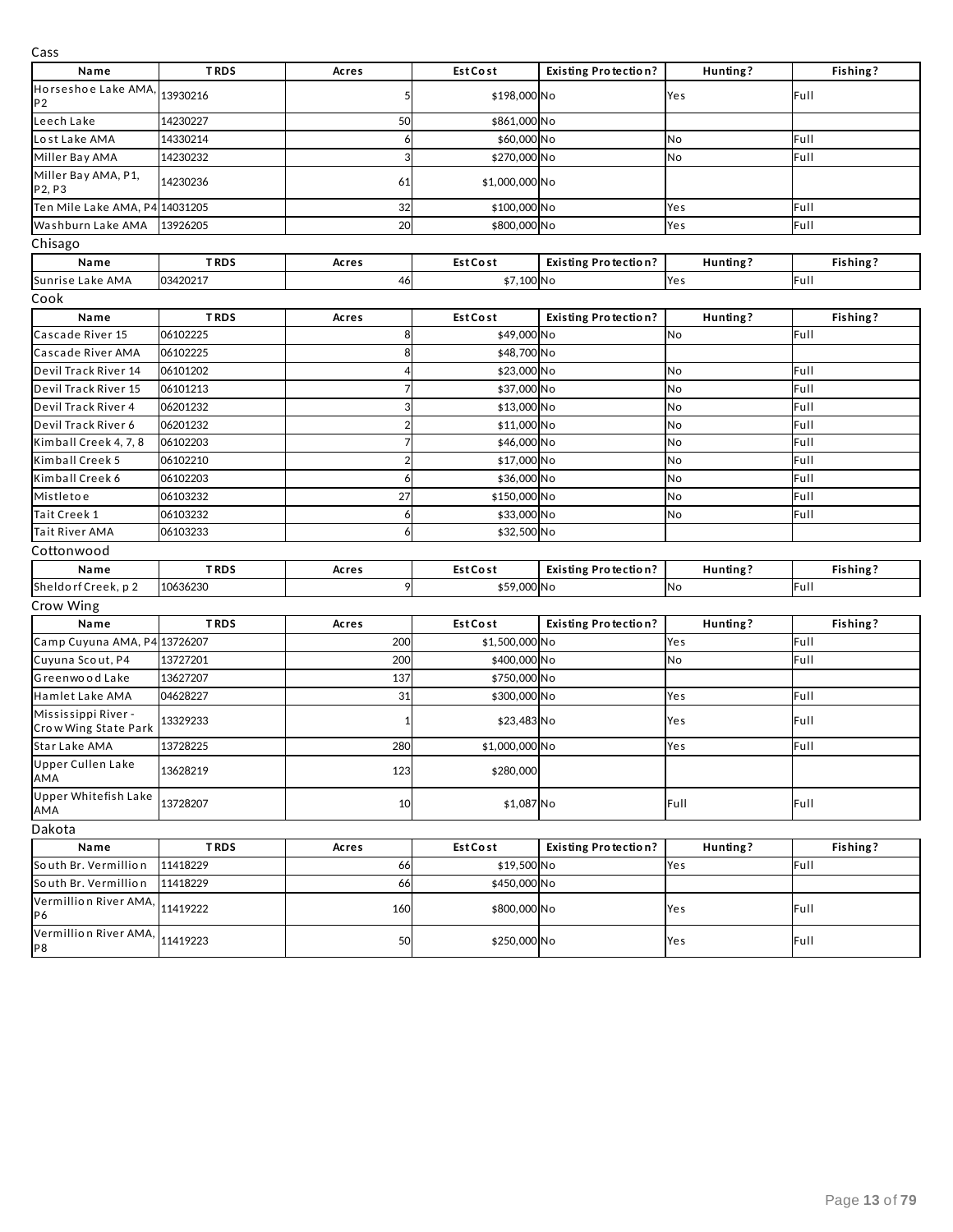| Cass                                        |             |       |                 |                             |          |          |
|---------------------------------------------|-------------|-------|-----------------|-----------------------------|----------|----------|
| Name                                        | <b>TRDS</b> | Acres | <b>Est Cost</b> | <b>Existing Protection?</b> | Hunting? | Fishing? |
| Horseshoe Lake AMA,<br>P <sub>2</sub>       | 13930216    |       | \$198,000 No    |                             | Yes      | Full     |
| Leech Lake                                  | 14230227    | 50    | \$861,000 No    |                             |          |          |
| Lost Lake AMA                               | 14330214    | 6     | \$60,000 No     |                             | No       | Full     |
| Miller Bay AMA                              | 14230232    | 3     | \$270,000 No    |                             | No       | Full     |
| Miller Bay AMA, P1,<br>P2, P3               | 14230236    | 61    | \$1,000,000 No  |                             |          |          |
| Ten Mile Lake AMA, P4 14031205              |             | 32    | \$100,000 No    |                             | Yes      | Full     |
| Washburn Lake AMA                           | 13926205    | 20    | \$800,000 No    |                             | Yes      | Full     |
| Chisago                                     |             |       |                 |                             |          |          |
| Name                                        | <b>TRDS</b> | Acres | <b>Est Cost</b> | <b>Existing Protection?</b> | Hunting? | Fishing? |
| Sunrise Lake AMA                            | 03420217    | 46    | \$7,100 No      |                             | Yes      | Full     |
| Cook                                        |             |       |                 |                             |          |          |
| Name                                        | <b>TRDS</b> | Acres | <b>Est Cost</b> | <b>Existing Protection?</b> | Hunting? | Fishing? |
| Cascade River 15                            | 06102225    | 8     | \$49,000 No     |                             | No       | Full     |
| Cascade River AMA                           | 06102225    | 8     | \$48,700 No     |                             |          |          |
| Devil Track River 14                        | 06101202    |       | \$23,000 No     |                             | No       | Full     |
| Devil Track River 15                        | 06101213    |       | \$37,000 No     |                             | No       | Full     |
| Devil Track River 4                         | 06201232    | 3     | \$13,000 No     |                             | No       | Full     |
| Devil Track River 6                         | 06201232    |       | \$11,000 No     |                             | No       | Full     |
| Kimball Creek 4, 7, 8                       | 06102203    |       | \$46,000 No     |                             | No       | Full     |
| Kimball Creek 5                             | 06102210    |       | \$17,000 No     |                             | No       | Full     |
| Kimball Creek 6                             | 06102203    | 6     | \$36,000 No     |                             | No       | Full     |
| Mistletoe                                   | 06103232    | 27    | \$150,000 No    |                             | No       | Full     |
| Tait Creek 1                                | 06103232    | 6     | \$33,000 No     |                             | No       | Full     |
| Tait River AMA                              | 06103233    | 6     | \$32,500 No     |                             |          |          |
| Cottonwood                                  |             |       |                 |                             |          |          |
| Name                                        | <b>TRDS</b> | Acres | <b>Est Cost</b> | <b>Existing Protection?</b> | Hunting? | Fishing? |
| Sheldorf Creek, p2                          | 10636230    | 9     | \$59,000 No     |                             | No       | Full     |
| Crow Wing                                   |             |       |                 |                             |          |          |
| Name                                        | <b>TRDS</b> | Acres | <b>Est Cost</b> | <b>Existing Protection?</b> | Hunting? | Fishing? |
| Camp Cuyuna AMA, P4 13726207                |             | 200   | \$1,500,000 No  |                             | Yes      | Full     |
| Cuyuna Scout, P4                            | 13727201    | 200   | \$400,000 No    |                             | No       | Full     |
| Greenwood Lake                              | 13627207    | 137   | \$750,000 No    |                             |          |          |
| Hamlet Lake AMA                             | 04628227    | 31    | \$300,000 No    |                             | Yes      | Full     |
| Mississippi River -<br>Crow Wing State Park | 13329233    |       | \$23,483 No     |                             | Yes      | Full     |
| Star Lake AMA                               | 13728225    | 280   | \$1,000,000 No  |                             | Yes      | Full     |
| <b>Upper Cullen Lake</b><br>AMA             | 13628219    | 123   | \$280,000       |                             |          |          |
| <b>Upper Whitefish Lake</b><br>AMA          | 13728207    | 10    | \$1,087 No      |                             | Full     | Full     |
| Dakota                                      |             |       |                 |                             |          |          |
| Name                                        | <b>TRDS</b> | Acres | EstCost         | <b>Existing Protection?</b> | Hunting? | Fishing? |
| South Br. Vermillion                        | 11418229    | 66    | \$19,500 No     |                             | Yes      | Full     |
| South Br. Vermillion                        | 11418229    | 66    | \$450,000 No    |                             |          |          |
| Vermillion River AMA,<br>P6                 | 11419222    | 160   | \$800,000 No    |                             | Yes      | Full     |
| Vermillion River AMA,<br>P <sub>8</sub>     | 11419223    | 50    | \$250,000 No    |                             | Yes      | Full     |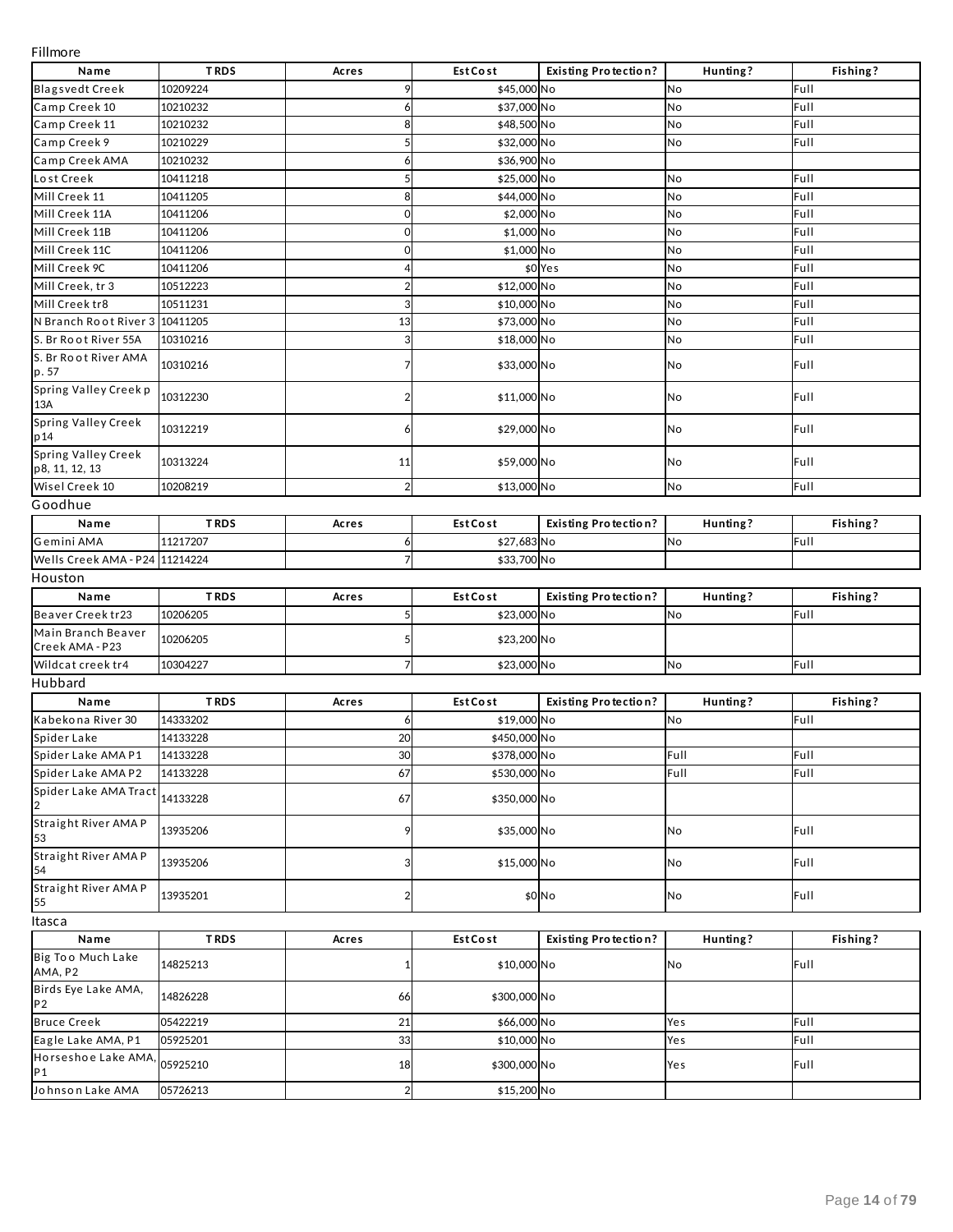Fillmore

| סושוווויו                             |             |                         |                 |                             |          |          |
|---------------------------------------|-------------|-------------------------|-----------------|-----------------------------|----------|----------|
| Name                                  | <b>TRDS</b> | Acres                   | EstCost         | <b>Existing Protection?</b> | Hunting? | Fishing? |
| <b>Blagsvedt Creek</b>                | 10209224    | 9                       | \$45,000 No     |                             | No       | Full     |
| Camp Creek 10                         | 10210232    | 6                       | \$37,000 No     |                             | No       | Full     |
| Camp Creek 11                         | 10210232    | 8                       | \$48,500 No     |                             | No       | Full     |
| Camp Creek 9                          | 10210229    | 5                       | \$32,000 No     |                             | No       | Full     |
| Camp Creek AMA                        | 10210232    | 6                       | \$36,900 No     |                             |          |          |
| Lost Creek                            | 10411218    | 5                       | \$25,000 No     |                             | No       | Full     |
| Mill Creek 11                         | 10411205    | 8                       | \$44,000 No     |                             | No       | Full     |
| Mill Creek 11A                        | 10411206    | 0                       | \$2,000 No      |                             | No       | Full     |
| Mill Creek 11B                        | 10411206    | 0                       | \$1,000 No      |                             | No       | Full     |
| Mill Creek 11C                        | 10411206    | 0                       | \$1,000 No      |                             | No       | Full     |
| Mill Creek 9C                         | 10411206    |                         |                 | \$0 Yes                     | No       | Full     |
| Mill Creek, tr 3                      | 10512223    | $\overline{2}$          | \$12,000 No     |                             | No       | Full     |
| Mill Creek tr8                        | 10511231    | 3                       | \$10,000 No     |                             | No       | Full     |
| N Branch Root River 3                 | 10411205    | 13                      | \$73,000 No     |                             | No       | Full     |
| S. Br Root River 55A                  | 10310216    | 3                       | \$18,000 No     |                             | No       | Full     |
| S. Br Root River AMA<br>p. 57         | 10310216    | 7                       | \$33,000 No     |                             | No       | Full     |
| Spring Valley Creek p<br>13A          | 10312230    | $\overline{\mathbf{c}}$ | \$11,000 No     |                             | No       | Full     |
| Spring Valley Creek<br>p 14           | 10312219    | 6                       | \$29,000 No     |                             | No       | Full     |
| Spring Valley Creek<br>p8, 11, 12, 13 | 10313224    | 11                      | \$59,000 No     |                             | No       | Full     |
| Wisel Creek 10                        | 10208219    | $\overline{2}$          | \$13,000 No     |                             | No       | Full     |
| Goodhue                               |             |                         |                 |                             |          |          |
| Name                                  | <b>TRDS</b> | Acres                   | EstCost         | <b>Existing Protection?</b> | Hunting? | Fishing? |
| Gemini AMA                            | 11217207    | 6                       | \$27,683 No     |                             | No       | Full     |
| Wells Creek AMA - P24 11214224        |             | $\overline{7}$          | \$33,700 No     |                             |          |          |
| Houston                               |             |                         |                 |                             |          |          |
| Name                                  | <b>TRDS</b> | Acres                   | <b>Est Cost</b> | <b>Existing Protection?</b> | Hunting? | Fishing? |
| Beaver Creek tr23                     | 10206205    | 5                       | \$23,000 No     |                             | No       | Full     |
| Main Branch Beaver<br>Creek AMA - P23 | 10206205    | 5                       | \$23,200 No     |                             |          |          |
| Wildcat creek tr4                     | 10304227    | 7                       | \$23,000 No     |                             | No       | Full     |
| Hubbard                               |             |                         |                 |                             |          |          |
| Name                                  | <b>TRDS</b> | Acres                   | <b>Est Cost</b> | <b>Existing Protection?</b> | Hunting? | Fishing? |
| Kabekona River 30                     | 14333202    | 6                       | \$19,000 No     |                             | No       | Full     |
| Spider Lake                           | 14133228    | 20                      | \$450,000 No    |                             |          |          |
| Spider Lake AMA P1                    | 14133228    | 30                      | \$378,000 No    |                             | Full     | Full     |
| Spider Lake AMA P2                    | 14133228    | 67                      | \$530,000 No    |                             | Full     | Full     |
| Spider Lake AMA Tract                 | 14133228    | 67                      | \$350,000 No    |                             |          |          |
| Straight River AMA P<br>53            | 13935206    | 9                       | \$35,000 No     |                             | No       | Full     |
| Straight River AMA P<br>54            | 13935206    | 3                       | \$15,000 No     |                             | No       | Full     |
| Straight River AMA P<br>55            | 13935201    | $\overline{\mathbf{c}}$ |                 | \$0 No                      | No       | Full     |
| Itasca                                |             |                         |                 |                             |          |          |
| Name                                  | <b>TRDS</b> | Acres                   | <b>Est Cost</b> | <b>Existing Protection?</b> | Hunting? | Fishing? |
| Big Too Much Lake<br>AMA, P2          | 14825213    | 1                       | \$10,000 No     |                             | No       | Full     |
| Birds Eye Lake AMA,<br>P <sub>2</sub> | 14826228    | 66                      | \$300,000 No    |                             |          |          |
| <b>Bruce Creek</b>                    | 05422219    | 21                      | \$66,000 No     |                             | Yes      | Full     |
| Eagle Lake AMA, P1                    | 05925201    | 33                      | \$10,000 No     |                             | Yes      | Full     |
| Horseshoe Lake AMA<br>P1              | 05925210    | 18                      | \$300,000 No    |                             | Yes      | Full     |
| Johnson Lake AMA                      | 05726213    | $\overline{2}$          | \$15,200 No     |                             |          |          |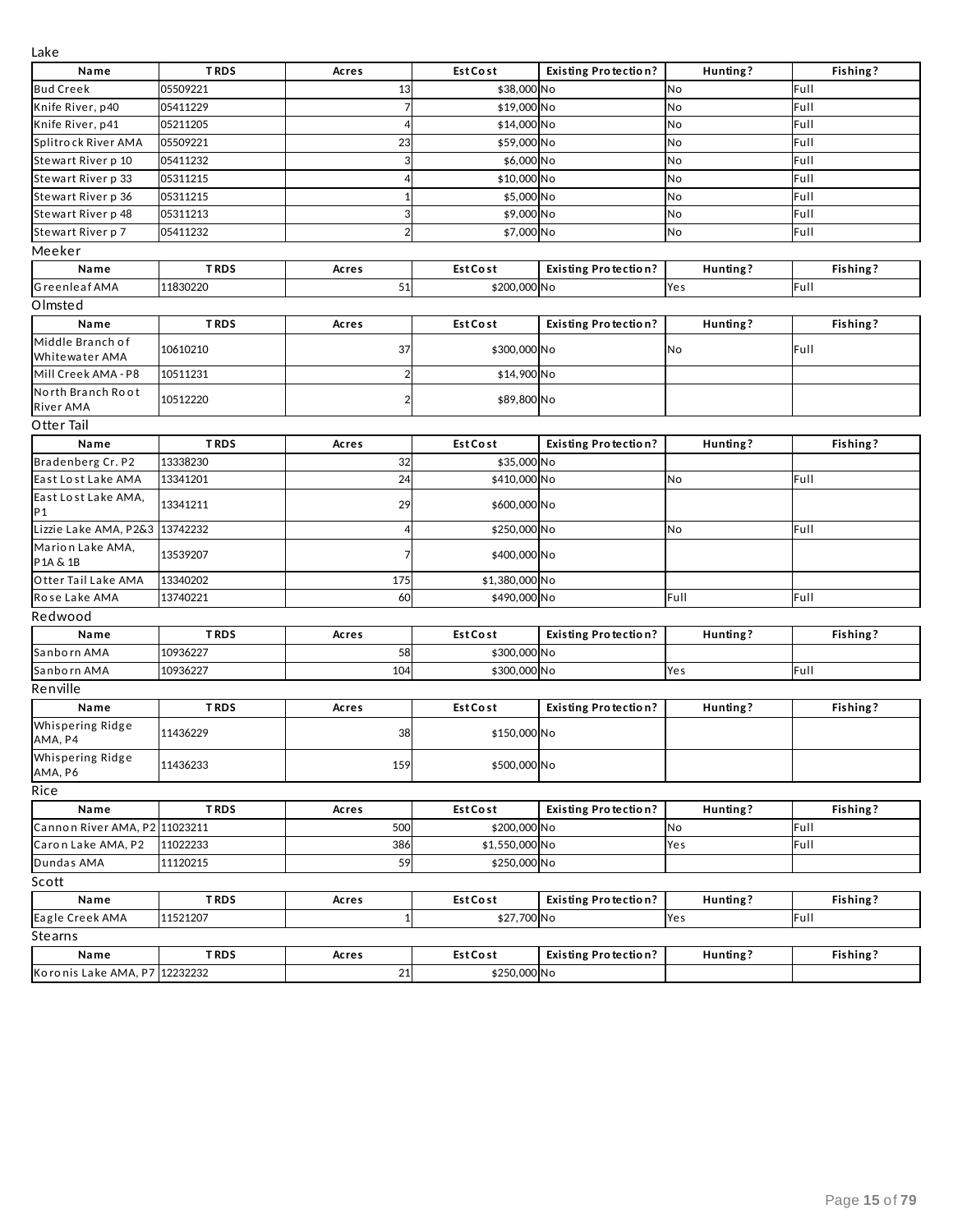| Lаке                               |             |                         |                 |                             |          |          |
|------------------------------------|-------------|-------------------------|-----------------|-----------------------------|----------|----------|
| Name                               | <b>TRDS</b> | Acres                   | <b>Est Cost</b> | <b>Existing Protection?</b> | Hunting? | Fishing? |
| <b>Bud Creek</b>                   | 05509221    | 13                      | \$38,000 No     |                             | No       | Full     |
| Knife River, p40                   | 05411229    | $\overline{7}$          | \$19,000 No     |                             | No       | Full     |
| Knife River, p41                   | 05211205    | 4                       | \$14,000 No     |                             | No       | Full     |
| Splitrock River AMA                | 05509221    | 23                      | \$59,000 No     |                             | No       | Full     |
| Stewart River p 10                 | 05411232    | 3                       | \$6,000 No      |                             | No       | Full     |
| Stewart River p 33                 | 05311215    | 4                       | \$10,000 No     |                             | No       | Full     |
| Stewart River p 36                 | 05311215    | 1                       | \$5,000 No      |                             | No       | Full     |
| Stewart River p 48                 | 05311213    | 3                       | \$9,000 No      |                             | No       | Full     |
| Stewart River p 7                  | 05411232    | $\overline{2}$          | \$7,000 No      |                             | No       | Full     |
| Meeker                             |             |                         |                 |                             |          |          |
| Name                               | <b>TRDS</b> | Acres                   | <b>Est Cost</b> | <b>Existing Protection?</b> | Hunting? | Fishing? |
| <b>Greenleaf AMA</b>               | 11830220    | 51                      | \$200,000 No    |                             | Yes      | Full     |
| Olmsted                            |             |                         |                 |                             |          |          |
| Name                               | <b>TRDS</b> | Acres                   | <b>Est Cost</b> | <b>Existing Protection?</b> | Hunting? | Fishing? |
| Middle Branch of<br>Whitewater AMA | 10610210    | 37                      | \$300,000 No    |                             | No       | Full     |
| Mill Creek AMA - P8                | 10511231    | $\overline{2}$          | \$14,900 No     |                             |          |          |
| North Branch Root<br>River AMA     | 10512220    | $\overline{\mathbf{c}}$ | \$89,800 No     |                             |          |          |
| Otter Tail                         |             |                         |                 |                             |          |          |
| Name                               | <b>TRDS</b> | Acres                   | <b>Est Cost</b> | <b>Existing Protection?</b> | Hunting? | Fishing? |
| Bradenberg Cr. P2                  | 13338230    | 32                      | \$35,000 No     |                             |          |          |
| East Lost Lake AMA                 | 13341201    | 24                      | \$410,000 No    |                             | No       | Full     |
| East Lost Lake AMA,                |             |                         |                 |                             |          |          |
| P1                                 | 13341211    | 29                      | \$600,000 No    |                             |          |          |
| Lizzie Lake AMA, P2&3              | 13742232    | 4                       | \$250,000 No    |                             | No       | Full     |
| Marion Lake AMA,<br>P1A & 1B       | 13539207    | 7                       | \$400,000 No    |                             |          |          |
| Otter Tail Lake AMA                | 13340202    | 175                     | \$1,380,000 No  |                             |          |          |
| Rose Lake AMA                      | 13740221    | 60                      | \$490,000 No    |                             | Full     | Full     |
| Redwood                            |             |                         |                 |                             |          |          |
| Name                               | <b>TRDS</b> | Acres                   | <b>Est Cost</b> | <b>Existing Protection?</b> | Hunting? | Fishing? |
| Sanborn AMA                        | 10936227    | 58                      | \$300,000 No    |                             |          |          |
| Sanborn AMA                        | 10936227    | 104                     | \$300,000 No    |                             | Yes      | Full     |
| Renville                           |             |                         |                 |                             |          |          |
| Name                               | <b>TRDS</b> | Acres                   | <b>Est Cost</b> | <b>Existing Protection?</b> | Hunting? | Fishing? |
| Whispering Ridge<br>AMA, P4        | 11436229    | 38                      | \$150,000 No    |                             |          |          |
| Whispering Ridge<br>AMA, P6        | 11436233    | 159                     | \$500,000 No    |                             |          |          |
| Rice                               |             |                         |                 |                             |          |          |
| Name                               | <b>TRDS</b> | Acres                   | EstCost         | <b>Existing Protection?</b> | Hunting? | Fishing? |
| Cannon River AMA, P2 11023211      |             | 500                     | \$200,000 No    |                             | No       | Full     |
| Caron Lake AMA, P2                 | 11022233    | 386                     | \$1,550,000 No  |                             | Yes      | Full     |
| Dundas AMA                         | 11120215    | 59                      | \$250,000 No    |                             |          |          |
| Scott                              |             |                         |                 |                             |          |          |
| Name                               | <b>TRDS</b> | Acres                   | EstCost         | <b>Existing Protection?</b> | Hunting? | Fishing? |
| Eagle Creek AMA                    | 11521207    | $\mathbf{1}$            | \$27,700 No     |                             | Yes      | Full     |
| Stearns                            |             |                         |                 |                             |          |          |
| Name                               | <b>TRDS</b> | Acres                   | EstCost         | <b>Existing Protection?</b> | Hunting? | Fishing? |
| Koronis Lake AMA, P7 12232232      |             | 21                      | \$250,000 No    |                             |          |          |
|                                    |             |                         |                 |                             |          |          |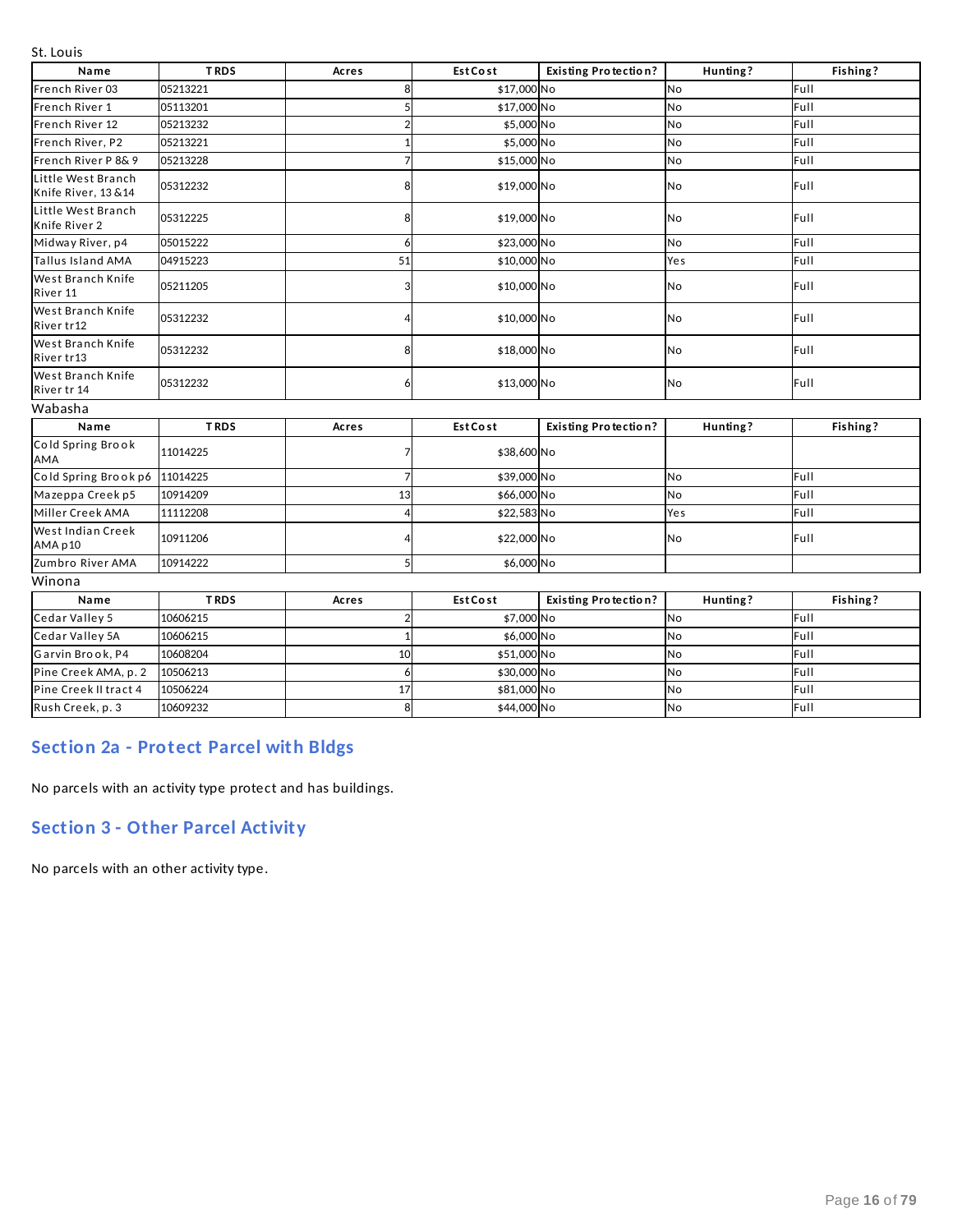St. Louis

| Name                                     | <b>TRDS</b> | Acres          | <b>Est Cost</b> | <b>Existing Protection?</b> | Hunting?  | Fishing? |
|------------------------------------------|-------------|----------------|-----------------|-----------------------------|-----------|----------|
| French River 03                          | 05213221    | 8              | \$17,000 No     |                             | No        | Full     |
| French River 1                           | 05113201    | 5              | \$17,000 No     |                             | No        | Full     |
| French River 12                          | 05213232    |                | \$5,000 No      |                             | No        | Full     |
| French River, P2                         | 05213221    | $\mathbf{1}$   | \$5,000 No      |                             | No        | Full     |
| French River P 8& 9                      | 05213228    | 7              | \$15,000 No     |                             | No        | Full     |
| Little West Branch<br>Knife River, 13&14 | 05312232    | 8              | \$19,000 No     |                             | No        | Full     |
| Little West Branch<br>Knife River 2      | 05312225    | 8              | \$19,000 No     |                             | No        | Full     |
| Midway River, p4                         | 05015222    | 6              | \$23,000 No     |                             | No        | Full     |
| Tallus Island AMA                        | 04915223    | 51             | \$10,000 No     |                             | Yes       | Full     |
| West Branch Knife<br>River 11            | 05211205    | 3              | \$10,000 No     |                             | No        | Full     |
| West Branch Knife<br>River tr12          | 05312232    | 4              | \$10,000 No     |                             | No        | Full     |
| West Branch Knife<br>River tr13          | 05312232    | 8              | \$18,000 No     |                             | <b>No</b> | Full     |
| West Branch Knife<br>River tr 14         | 05312232    | 6              | \$13,000 No     |                             | No        | Full     |
| Wabasha                                  |             |                |                 |                             |           |          |
| Name                                     | <b>TRDS</b> | Acres          | <b>Est Cost</b> | <b>Existing Protection?</b> | Hunting?  | Fishing? |
| Cold Spring Brook<br>AMA                 | 11014225    | 7              | \$38,600 No     |                             |           |          |
| Cold Spring Brook p6                     | 11014225    | 7              | \$39,000 No     |                             | <b>No</b> | Full     |
| Mazeppa Creek p5                         | 10914209    | 13             | \$66,000 No     |                             | No        | Full     |
| Miller Creek AMA                         | 11112208    |                | \$22,583 No     |                             | Yes       | Full     |
| West Indian Creek<br>AMA p10             | 10911206    | 4              | \$22,000 No     |                             | No        | Full     |
| Zumbro River AMA                         | 10914222    | 5              | \$6,000 No      |                             |           |          |
| Winona                                   |             |                |                 |                             |           |          |
| Name                                     | <b>TRDS</b> | Acres          | <b>Est Cost</b> | <b>Existing Protection?</b> | Hunting?  | Fishing? |
| Cedar Valley 5                           | 10606215    | $\overline{2}$ | \$7,000 No      |                             | No        | Full     |
| Cedar Valley 5A                          | 10606215    | $\mathbf{1}$   | \$6,000 No      |                             | No        | Full     |
| Garvin Brook, P4                         | 10608204    | 10             | \$51,000 No     |                             | No        | Full     |
| Pine Creek AMA, p. 2                     | 10506213    | 6              | \$30,000 No     |                             | No        | Full     |
| Pine Creek II tract 4                    | 10506224    | 17             | \$81,000 No     |                             | No        | Full     |
| Rush Creek, p. 3                         | 10609232    | 8              | \$44,000 No     |                             | No        | Full     |

## **Section 2a - Protect Parcel with Bldgs**

No parcels with an activity type protect and has buildings.

## **Section 3 - Other Parcel Activity**

No parcels with an other activity type.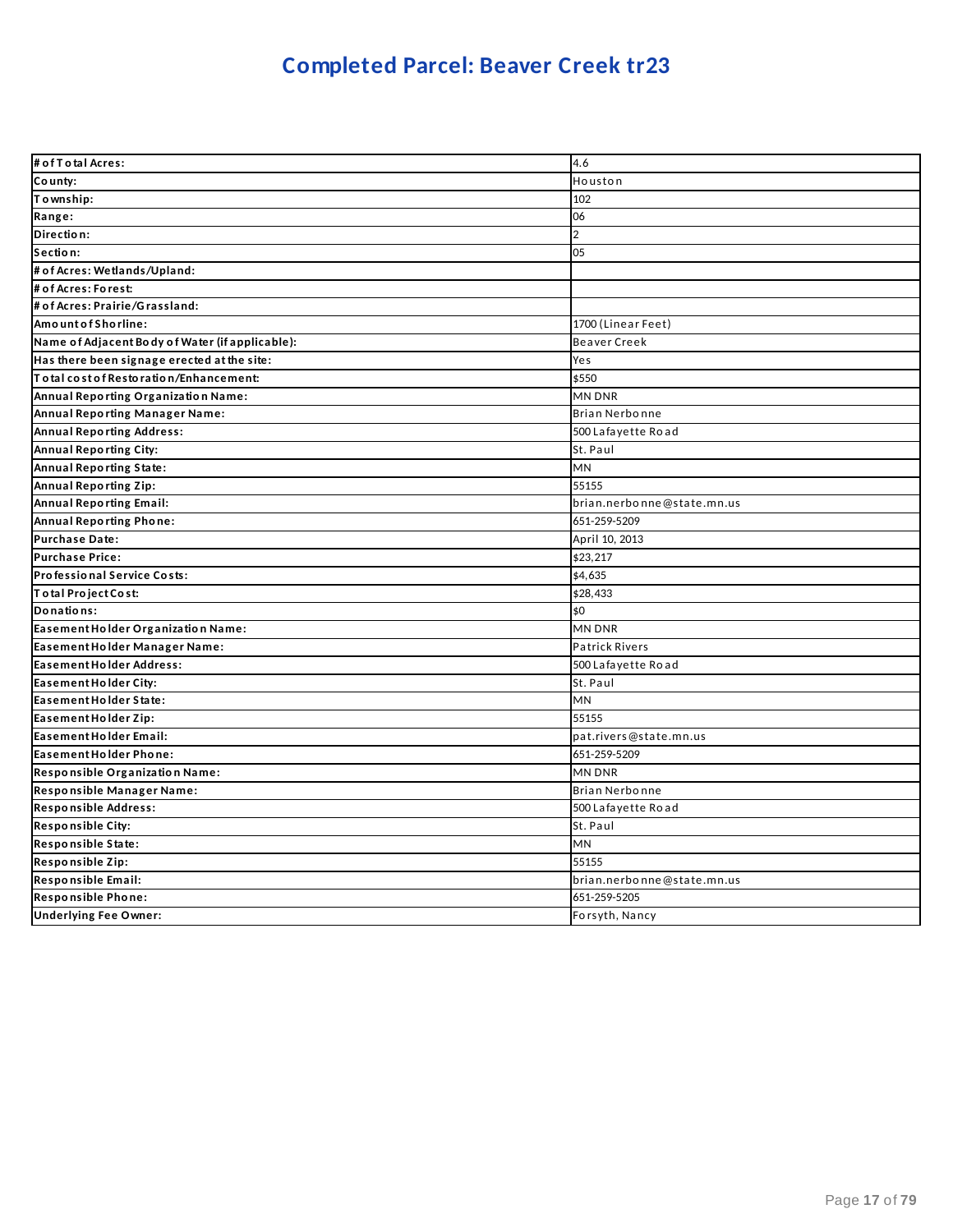# **Completed Parcel: Beaver Creek tr23**

| # of T o tal Acres:                             | 4.6                        |
|-------------------------------------------------|----------------------------|
| County:                                         | Houston                    |
| Township:                                       | 102                        |
| Range:                                          | 06                         |
| Direction:                                      | $\overline{2}$             |
| Section:                                        | 05                         |
| # of Acres: Wetlands/Upland:                    |                            |
| # of Acres: Forest:                             |                            |
| # of Acres: Prairie/Grassland:                  |                            |
| AmountofShorline:                               | 1700 (Linear Feet)         |
| Name of Adjacent Body of Water (if applicable): | Beaver Creek               |
| Has there been signage erected at the site:     | Yes                        |
| To tal cost of Restoration/Enhancement:         | \$550                      |
| Annual Reporting Organization Name:             | MN DNR                     |
| Annual Reporting Manager Name:                  | <b>Brian Nerbonne</b>      |
| <b>Annual Reporting Address:</b>                | 500 Lafayette Road         |
| Annual Reporting City:                          | St. Paul                   |
| Annual Reporting State:                         | <b>MN</b>                  |
| Annual Reporting Zip:                           | 55155                      |
| Annual Reporting Email:                         | brian.nerbonne@state.mn.us |
| Annual Reporting Phone:                         | 651-259-5209               |
| Purchase Date:                                  | April 10, 2013             |
| <b>Purchase Price:</b>                          | \$23,217                   |
| Professional Service Costs:                     | \$4,635                    |
| Total Project Cost:                             | \$28,433                   |
| Donations:                                      | \$0                        |
| Easement Holder Organization Name:              | <b>MN DNR</b>              |
| Easement Holder Manager Name:                   | <b>Patrick Rivers</b>      |
| Easement Holder Address:                        | 500 Lafayette Road         |
| Easement Holder City:                           | St. Paul                   |
| Easement Holder State:                          | <b>MN</b>                  |
| Easement Holder Zip:                            | 55155                      |
| Easement Holder Email:                          | pat.rivers@state.mn.us     |
| Easement Holder Phone:                          | 651-259-5209               |
| Responsible Organization Name:                  | MN DNR                     |
| Responsible Manager Name:                       | Brian Nerbonne             |
| Responsible Address:                            | 500 Lafayette Road         |
| <b>Responsible City:</b>                        | St. Paul                   |
| Responsible State:                              | MN                         |
| Responsible Zip:                                | 55155                      |
| Responsible Email:                              | brian.nerbonne@state.mn.us |
| Responsible Phone:                              | 651-259-5205               |
| <b>Underlying Fee Owner:</b>                    | Forsyth, Nancy             |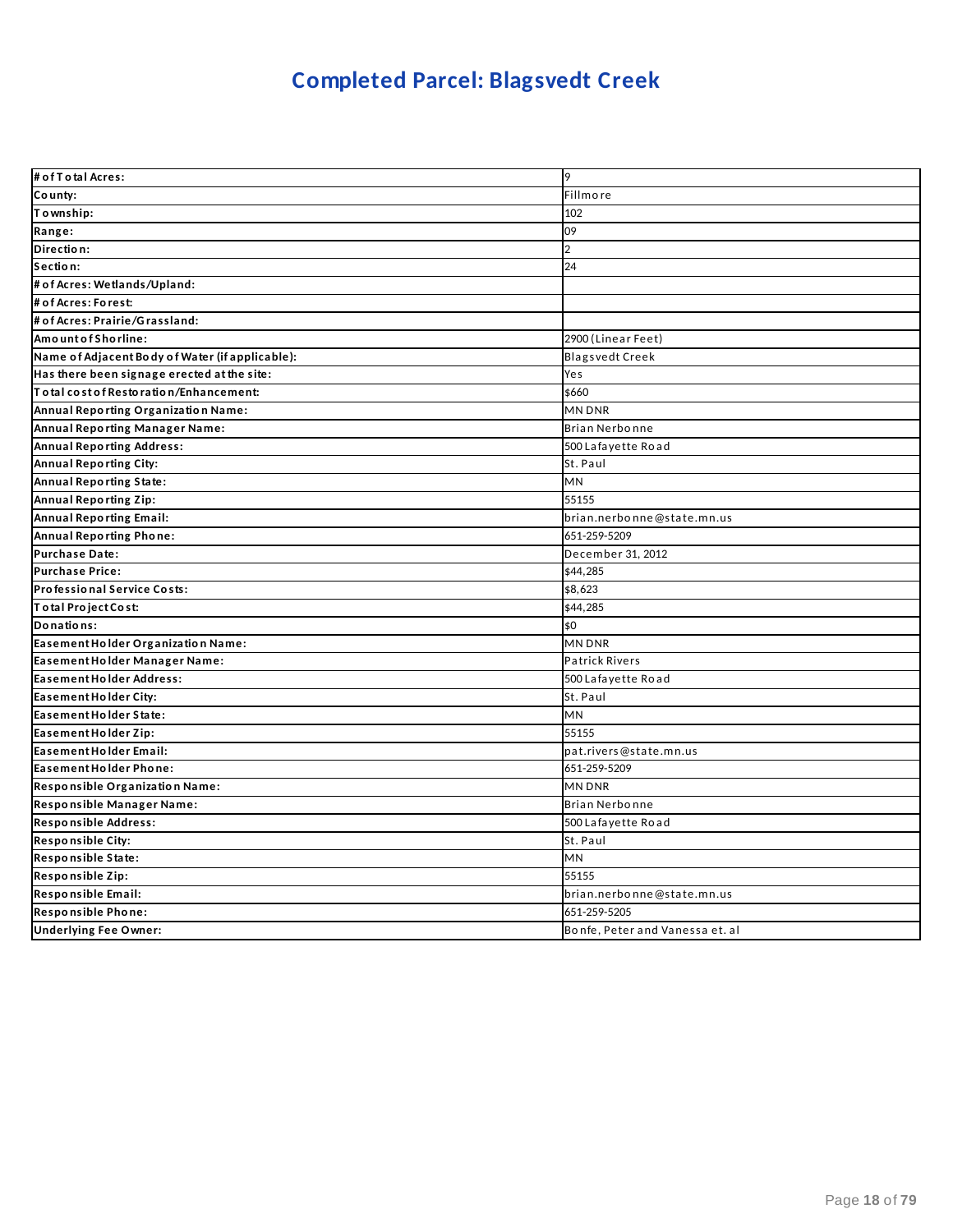# **Completed Parcel: Blagsvedt Creek**

| # of T o tal Acres:                             | 9                               |
|-------------------------------------------------|---------------------------------|
| County:                                         | Fillmore                        |
| Township:                                       | 102                             |
| Range:                                          | 09                              |
| Direction:                                      | $\overline{2}$                  |
| Section:                                        | 24                              |
| # of Acres: Wetlands/Upland:                    |                                 |
| # of Acres: Forest:                             |                                 |
| # of Acres: Prairie/Grassland:                  |                                 |
| Amount of Shorline:                             | 2900 (Linear Feet)              |
| Name of Adjacent Body of Water (if applicable): | <b>Blagsvedt Creek</b>          |
| Has there been signage erected at the site:     | Yes                             |
| Total cost of Restoration/Enhancement:          | \$660                           |
| Annual Reporting Organization Name:             | MN DNR                          |
| Annual Reporting Manager Name:                  | Brian Nerbonne                  |
| <b>Annual Reporting Address:</b>                | 500 Lafayette Road              |
| Annual Reporting City:                          | St. Paul                        |
| Annual Reporting State:                         | MN                              |
| Annual Reporting Zip:                           | 55155                           |
| <b>Annual Reporting Email:</b>                  | brian.nerbonne@state.mn.us      |
| Annual Reporting Phone:                         | 651-259-5209                    |
| <b>Purchase Date:</b>                           | December 31, 2012               |
| Purchase Price:                                 | \$44,285                        |
| Professional Service Costs:                     | \$8,623                         |
| Total Project Cost:                             | \$44,285                        |
| Donations:                                      | \$0                             |
| Easement Holder Organization Name:              | MN DNR                          |
| Easement Holder Manager Name:                   | <b>Patrick Rivers</b>           |
| Easement Holder Address:                        | 500 Lafayette Road              |
| Easement Holder City:                           | St. Paul                        |
| Easement Holder State:                          | MN                              |
| Easement Holder Zip:                            | 55155                           |
| Easement Holder Email:                          | pat.rivers@state.mn.us          |
| Easement Holder Phone:                          | 651-259-5209                    |
| Responsible Organization Name:                  | MN DNR                          |
| Responsible Manager Name:                       | Brian Nerbonne                  |
| Responsible Address:                            | 500 Lafayette Road              |
| <b>Responsible City:</b>                        | St. Paul                        |
| Responsible State:                              | <b>MN</b>                       |
| Responsible Zip:                                | 55155                           |
| Responsible Email:                              | brian.nerbonne@state.mn.us      |
| Responsible Phone:                              | 651-259-5205                    |
| <b>Underlying Fee Owner:</b>                    | Bonfe, Peter and Vanessa et. al |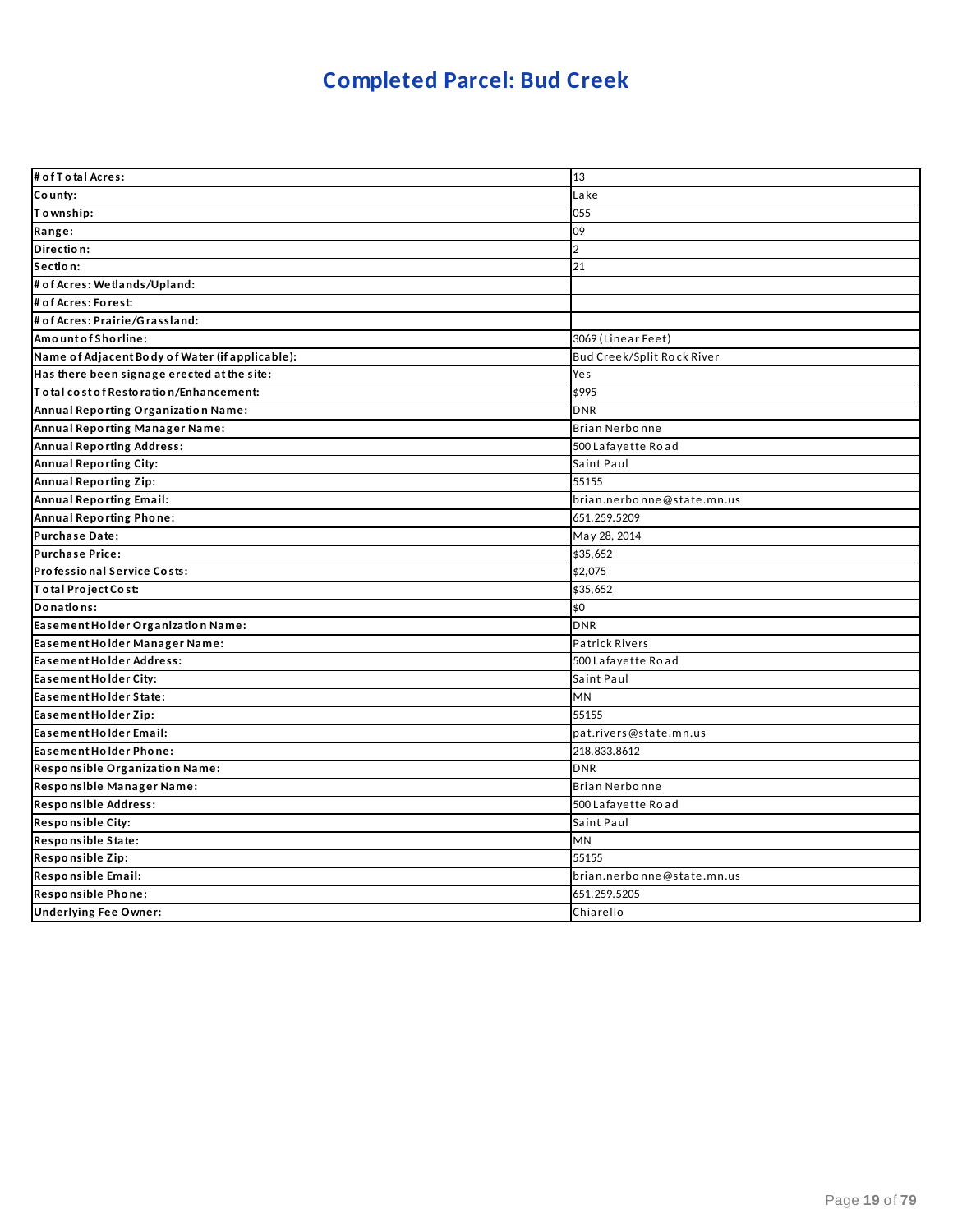# **Completed Parcel: Bud Creek**

| # of T o tal Acres:                             | 13                         |
|-------------------------------------------------|----------------------------|
| County:                                         | Lake                       |
| Township:                                       | 055                        |
| Range:                                          | 09                         |
| Direction:                                      | $\overline{2}$             |
| Section:                                        | 21                         |
| # of Acres: Wetlands/Upland:                    |                            |
| # of Acres: Forest:                             |                            |
| # of Acres: Prairie/Grassland:                  |                            |
| Amount of Shorline:                             | 3069 (Linear Feet)         |
| Name of Adjacent Body of Water (if applicable): | Bud Creek/Split Rock River |
| Has there been signage erected at the site:     | Yes                        |
| Total cost of Restoration/Enhancement:          | \$995                      |
| Annual Reporting Organization Name:             | <b>DNR</b>                 |
| Annual Reporting Manager Name:                  | Brian Nerbonne             |
| <b>Annual Reporting Address:</b>                | 500 Lafayette Road         |
| <b>Annual Reporting City:</b>                   | Saint Paul                 |
| Annual Reporting Zip:                           | 55155                      |
| <b>Annual Reporting Email:</b>                  | brian.nerbonne@state.mn.us |
| Annual Reporting Phone:                         | 651.259.5209               |
| Purchase Date:                                  | May 28, 2014               |
| <b>Purchase Price:</b>                          | \$35,652                   |
| Professional Service Costs:                     | \$2,075                    |
| Total Project Cost:                             | \$35,652                   |
| Donations:                                      | \$0                        |
| Easement Holder Organization Name:              | <b>DNR</b>                 |
| Easement Holder Manager Name:                   | <b>Patrick Rivers</b>      |
| Easement Holder Address:                        | 500 Lafayette Road         |
| Easement Holder City:                           | Saint Paul                 |
| Easement Holder State:                          | MN                         |
| Easement Holder Zip:                            | 55155                      |
| Easement Holder Email:                          | pat.rivers@state.mn.us     |
| Easement Holder Phone:                          | 218.833.8612               |
| Responsible Organization Name:                  | <b>DNR</b>                 |
| Responsible Manager Name:                       | Brian Nerbonne             |
| Responsible Address:                            | 500 Lafayette Road         |
| <b>Responsible City:</b>                        | Saint Paul                 |
| Responsible State:                              | MN                         |
| Responsible Zip:                                | 55155                      |
| Responsible Email:                              | brian.nerbonne@state.mn.us |
| Responsible Phone:                              | 651.259.5205               |
| <b>Underlying Fee Owner:</b>                    | Chiarello                  |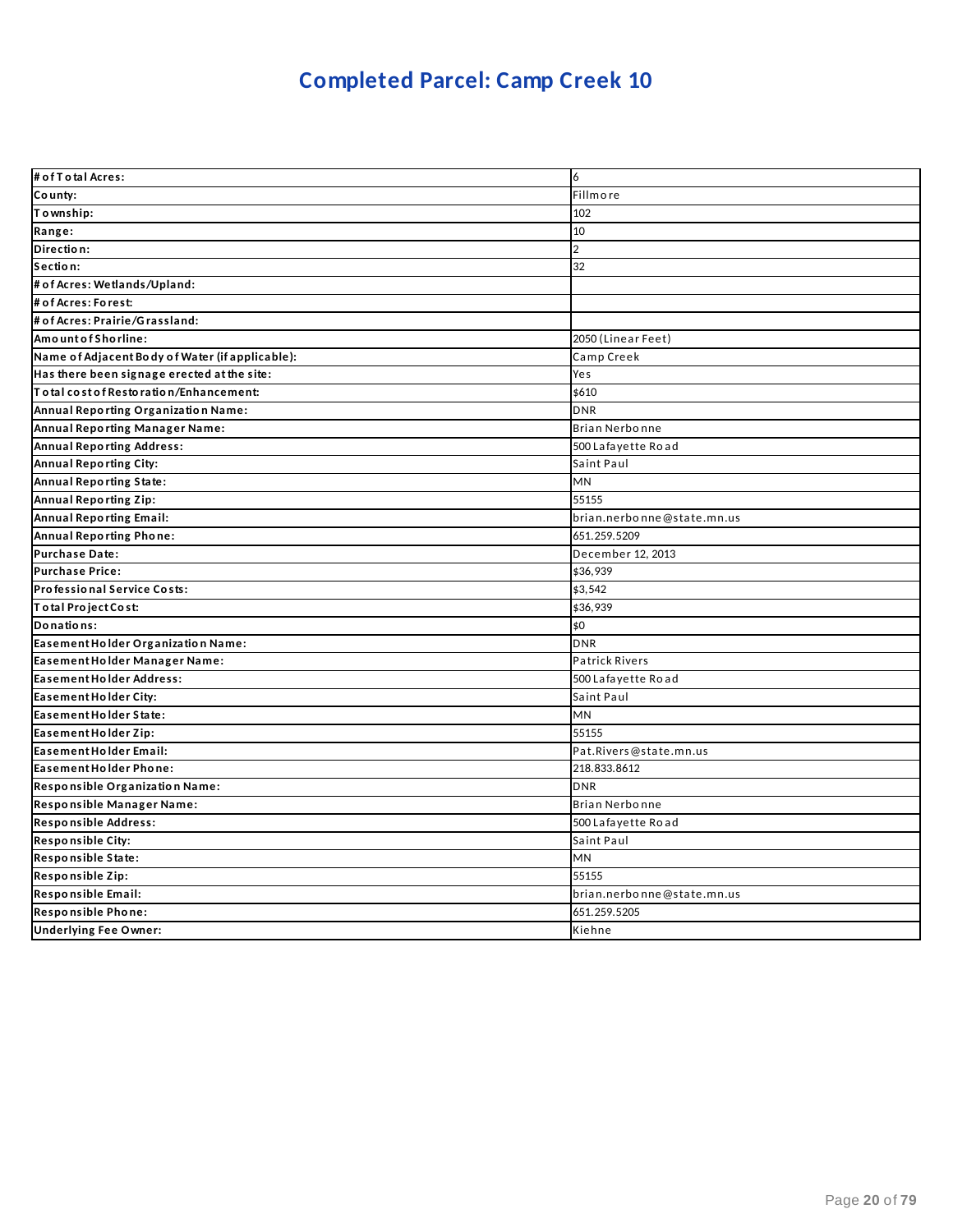# **Completed Parcel: Camp Creek 10**

| # of T o tal Acres:                             | 6                          |
|-------------------------------------------------|----------------------------|
| County:                                         | Fillmore                   |
| Township:                                       | 102                        |
| Range:                                          | 10                         |
| Direction:                                      | $\overline{2}$             |
| Section:                                        | 32                         |
| # of Acres: Wetlands/Upland:                    |                            |
| # of Acres: Forest:                             |                            |
| # of Acres: Prairie/Grassland:                  |                            |
| Amount of Shorline:                             | 2050 (Linear Feet)         |
| Name of Adjacent Body of Water (if applicable): | Camp Creek                 |
| Has there been signage erected at the site:     | Yes                        |
| To tal cost of Restoration/Enhancement:         | \$610                      |
| Annual Reporting Organization Name:             | <b>DNR</b>                 |
| Annual Reporting Manager Name:                  | Brian Nerbonne             |
| <b>Annual Reporting Address:</b>                | 500 Lafayette Road         |
| Annual Reporting City:                          | Saint Paul                 |
| Annual Reporting State:                         | <b>MN</b>                  |
| Annual Reporting Zip:                           | 55155                      |
| <b>Annual Reporting Email:</b>                  | brian.nerbonne@state.mn.us |
| Annual Reporting Phone:                         | 651.259.5209               |
| Purchase Date:                                  | December 12, 2013          |
| Purchase Price:                                 | \$36,939                   |
| Professional Service Costs:                     | \$3,542                    |
| Total Project Cost:                             | \$36,939                   |
| Donations:                                      | \$0                        |
| Easement Holder Organization Name:              | <b>DNR</b>                 |
| Easement Holder Manager Name:                   | <b>Patrick Rivers</b>      |
| Easement Holder Address:                        | 500 Lafayette Road         |
| Easement Holder City:                           | Saint Paul                 |
| Easement Holder State:                          | <b>MN</b>                  |
| Easement Holder Zip:                            | 55155                      |
| Easement Holder Email:                          | Pat.Rivers@state.mn.us     |
| Easement Holder Phone:                          | 218.833.8612               |
| Responsible Organization Name:                  | <b>DNR</b>                 |
| Responsible Manager Name:                       | Brian Nerbonne             |
| Responsible Address:                            | 500 Lafayette Road         |
| Responsible City:                               | Saint Paul                 |
| Responsible State:                              | <b>MN</b>                  |
| Responsible Zip:                                | 55155                      |
| Responsible Email:                              | brian.nerbonne@state.mn.us |
| Responsible Phone:                              | 651.259.5205               |
| <b>Underlying Fee Owner:</b>                    | Kiehne                     |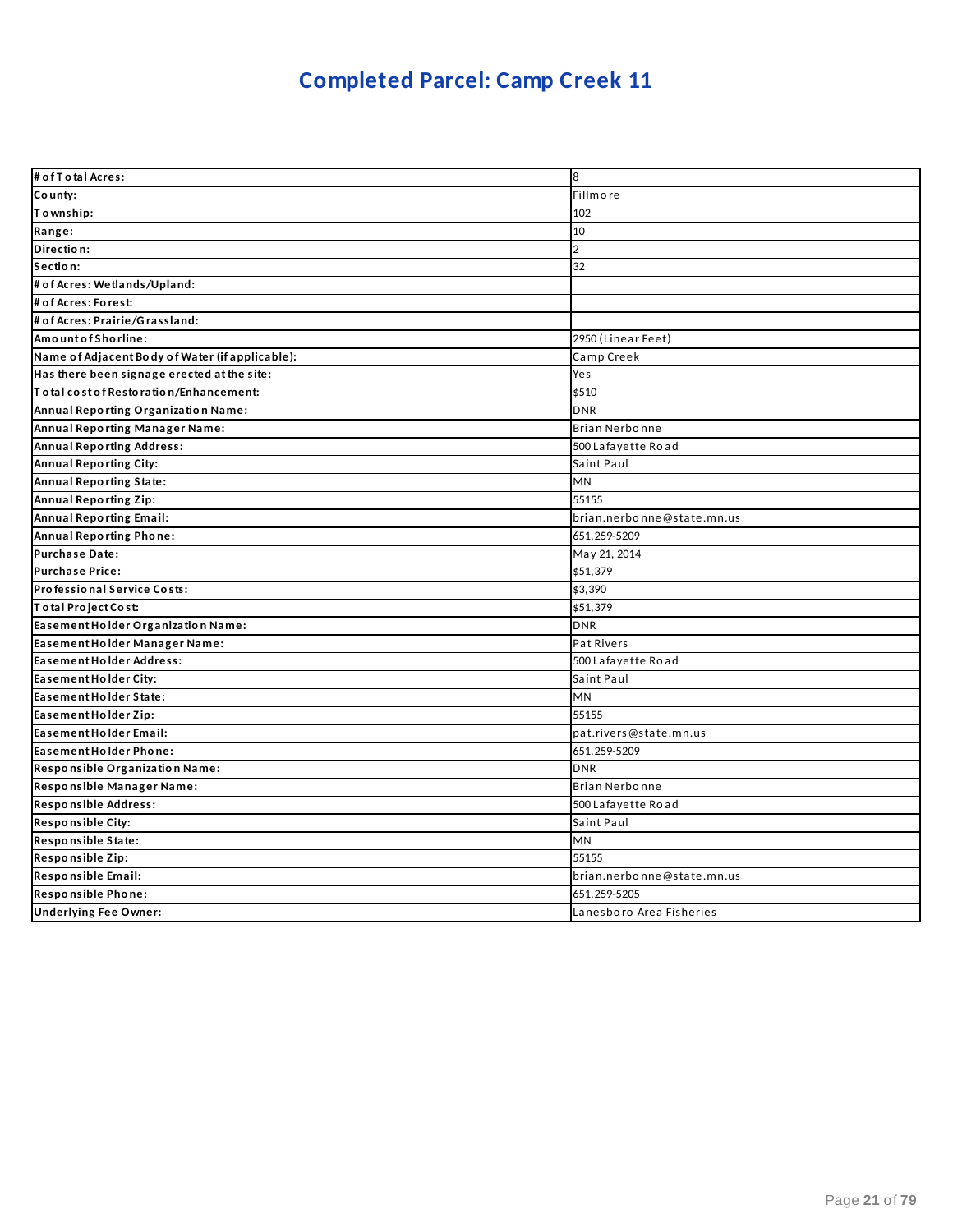# **Completed Parcel: Camp Creek 11**

| # of T o tal Acres:                             | 8                          |
|-------------------------------------------------|----------------------------|
| County:                                         | Fillmore                   |
| Township:                                       | 102                        |
| Range:                                          | 10                         |
| Direction:                                      | $\overline{2}$             |
| Section:                                        | 32                         |
| # of Acres: Wetlands/Upland:                    |                            |
| # of Acres: Forest:                             |                            |
| # of Acres: Prairie/Grassland:                  |                            |
| Amount of Shorline:                             | 2950 (Linear Feet)         |
| Name of Adjacent Body of Water (if applicable): | Camp Creek                 |
| Has there been signage erected at the site:     | Yes                        |
| Total cost of Restoration/Enhancement:          | \$510                      |
| Annual Reporting Organization Name:             | <b>DNR</b>                 |
| Annual Reporting Manager Name:                  | Brian Nerbonne             |
| <b>Annual Reporting Address:</b>                | 500 Lafayette Road         |
| Annual Reporting City:                          | Saint Paul                 |
| Annual Reporting State:                         | <b>MN</b>                  |
| <b>Annual Reporting Zip:</b>                    | 55155                      |
| <b>Annual Reporting Email:</b>                  | brian.nerbonne@state.mn.us |
| Annual Reporting Phone:                         | 651.259-5209               |
| Purchase Date:                                  | May 21, 2014               |
| <b>Purchase Price:</b>                          | \$51,379                   |
| Professional Service Costs:                     | \$3,390                    |
| Total Project Cost:                             | \$51,379                   |
| Easement Holder Organization Name:              | <b>DNR</b>                 |
| Easement Holder Manager Name:                   | Pat Rivers                 |
| Easement Holder Address:                        | 500 Lafayette Road         |
| Easement Holder City:                           | Saint Paul                 |
| Easement Holder State:                          | <b>MN</b>                  |
| Easement Holder Zip:                            | 55155                      |
| Easement Holder Email:                          | pat.rivers@state.mn.us     |
| Easement Holder Phone:                          | 651.259-5209               |
| Responsible Organization Name:                  | <b>DNR</b>                 |
| Responsible Manager Name:                       | Brian Nerbonne             |
| Responsible Address:                            | 500 Lafayette Road         |
| <b>Responsible City:</b>                        | Saint Paul                 |
| Responsible State:                              | <b>MN</b>                  |
| Responsible Zip:                                | 55155                      |
| Responsible Email:                              | brian.nerbonne@state.mn.us |
| Responsible Phone:                              | 651.259-5205               |
| <b>Underlying Fee Owner:</b>                    | Lanesboro Area Fisheries   |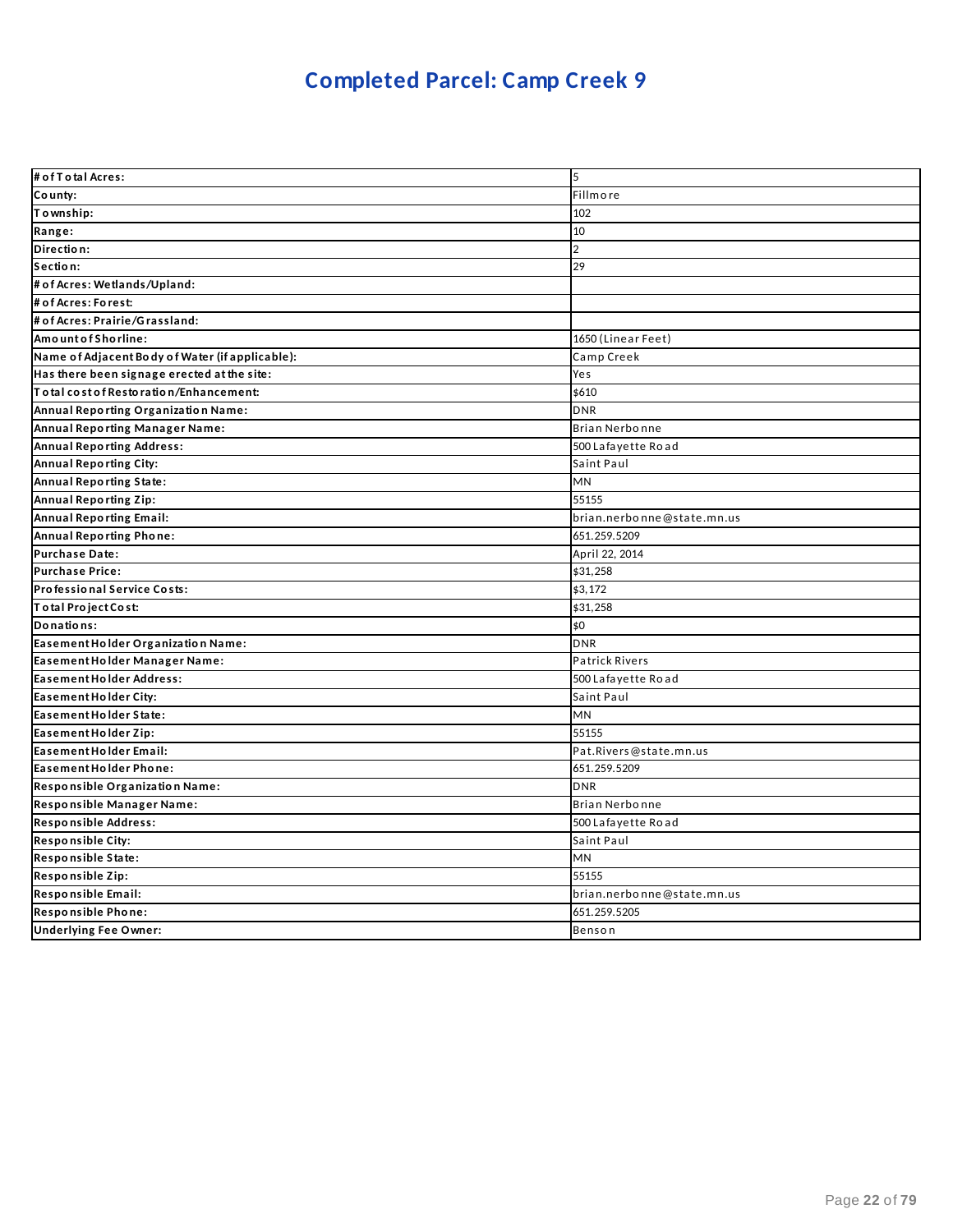# **Completed Parcel: Camp Creek 9**

| # of T o tal Acres:                             | 5                          |
|-------------------------------------------------|----------------------------|
| County:                                         | Fillmore                   |
| Township:                                       | 102                        |
| Range:                                          | 10                         |
| Direction:                                      | $\overline{2}$             |
| Section:                                        | 29                         |
| # of Acres: Wetlands/Upland:                    |                            |
| # of Acres: Forest:                             |                            |
| # of Acres: Prairie/Grassland:                  |                            |
| Amount of Shorline:                             | 1650 (Linear Feet)         |
| Name of Adjacent Body of Water (if applicable): | Camp Creek                 |
| Has there been signage erected at the site:     | Yes                        |
| Total cost of Restoration/Enhancement:          | \$610                      |
| Annual Reporting Organization Name:             | <b>DNR</b>                 |
| Annual Reporting Manager Name:                  | Brian Nerbonne             |
| <b>Annual Reporting Address:</b>                | 500 Lafayette Road         |
| Annual Reporting City:                          | Saint Paul                 |
| Annual Reporting State:                         | <b>MN</b>                  |
| Annual Reporting Zip:                           | 55155                      |
| <b>Annual Reporting Email:</b>                  | brian.nerbonne@state.mn.us |
| Annual Reporting Phone:                         | 651.259.5209               |
| <b>Purchase Date:</b>                           | April 22, 2014             |
| <b>Purchase Price:</b>                          | \$31,258                   |
| Professional Service Costs:                     | \$3,172                    |
| Total Project Cost:                             | \$31,258                   |
| Donations:                                      | \$0                        |
| Easement Holder Organization Name:              | <b>DNR</b>                 |
| Easement Holder Manager Name:                   | <b>Patrick Rivers</b>      |
| Easement Holder Address:                        | 500 Lafayette Road         |
| Easement Holder City:                           | Saint Paul                 |
| Easement Holder State:                          | MN                         |
| Easement Holder Zip:                            | 55155                      |
| Easement Holder Email:                          | Pat.Rivers@state.mn.us     |
| Easement Holder Phone:                          | 651.259.5209               |
| Responsible Organization Name:                  | <b>DNR</b>                 |
| Responsible Manager Name:                       | Brian Nerbonne             |
| Responsible Address:                            | 500 Lafayette Road         |
| Responsible City:                               | Saint Paul                 |
| Responsible State:                              | MN                         |
| Responsible Zip:                                | 55155                      |
| Responsible Email:                              | brian.nerbonne@state.mn.us |
| Responsible Phone:                              | 651.259.5205               |
| <b>Underlying Fee Owner:</b>                    | Benson                     |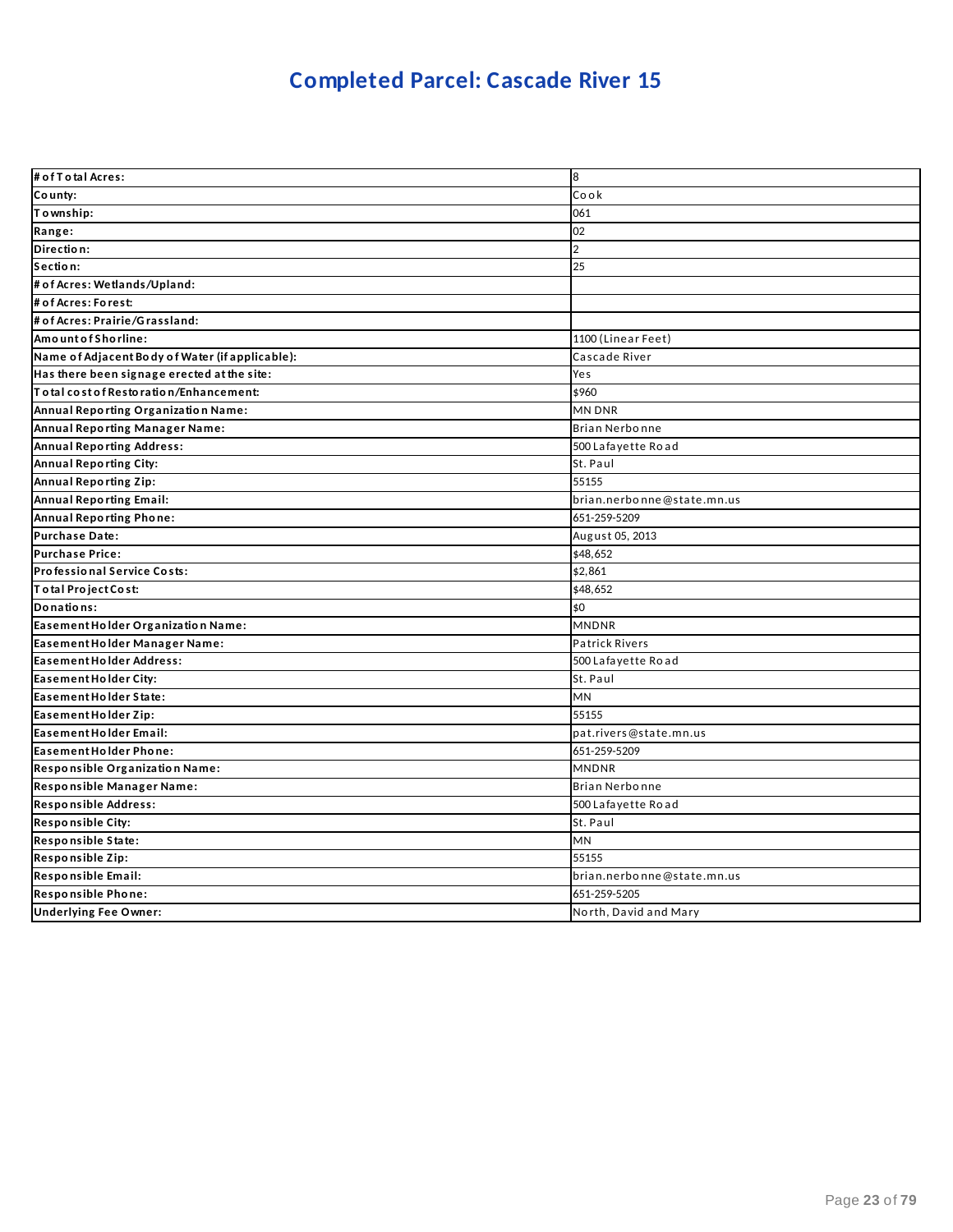# **Completed Parcel: Cascade River 15**

| # of T o tal Acres:                             | 8                          |
|-------------------------------------------------|----------------------------|
| County:                                         | Cook                       |
| Township:                                       | 061                        |
| Range:                                          | 02                         |
| Direction:                                      | $\overline{2}$             |
| Section:                                        | 25                         |
| # of Acres: Wetlands/Upland:                    |                            |
| # of Acres: Forest:                             |                            |
| # of Acres: Prairie/Grassland:                  |                            |
| Amount of Shorline:                             | 1100 (Linear Feet)         |
| Name of Adjacent Body of Water (if applicable): | Cascade River              |
| Has there been signage erected at the site:     | Yes                        |
| Total cost of Restoration/Enhancement:          | \$960                      |
| Annual Reporting Organization Name:             | <b>MN DNR</b>              |
| Annual Reporting Manager Name:                  | Brian Nerbonne             |
| <b>Annual Reporting Address:</b>                | 500 Lafayette Road         |
| Annual Reporting City:                          | St. Paul                   |
| <b>Annual Reporting Zip:</b>                    | 55155                      |
| Annual Reporting Email:                         | brian.nerbonne@state.mn.us |
| Annual Reporting Phone:                         | 651-259-5209               |
| <b>Purchase Date:</b>                           | August 05, 2013            |
| <b>Purchase Price:</b>                          | \$48,652                   |
| Professional Service Costs:                     | \$2,861                    |
| Total Project Cost:                             | \$48,652                   |
| Donations:                                      | \$0                        |
| Easement Holder Organization Name:              | <b>MNDNR</b>               |
| Easement Holder Manager Name:                   | <b>Patrick Rivers</b>      |
| Easement Holder Address:                        | 500 Lafayette Road         |
| Easement Holder City:                           | St. Paul                   |
| Easement Holder State:                          | MN                         |
| Easement Holder Zip:                            | 55155                      |
| Easement Holder Email:                          | pat.rivers@state.mn.us     |
| Easement Holder Phone:                          | 651-259-5209               |
| Responsible Organization Name:                  | <b>MNDNR</b>               |
| Responsible Manager Name:                       | Brian Nerbonne             |
| Responsible Address:                            | 500 Lafayette Road         |
| Responsible City:                               | St. Paul                   |
| Responsible State:                              | <b>MN</b>                  |
| Responsible Zip:                                | 55155                      |
| Responsible Email:                              | brian.nerbonne@state.mn.us |
| Responsible Phone:                              | 651-259-5205               |
| <b>Underlying Fee Owner:</b>                    | North, David and Mary      |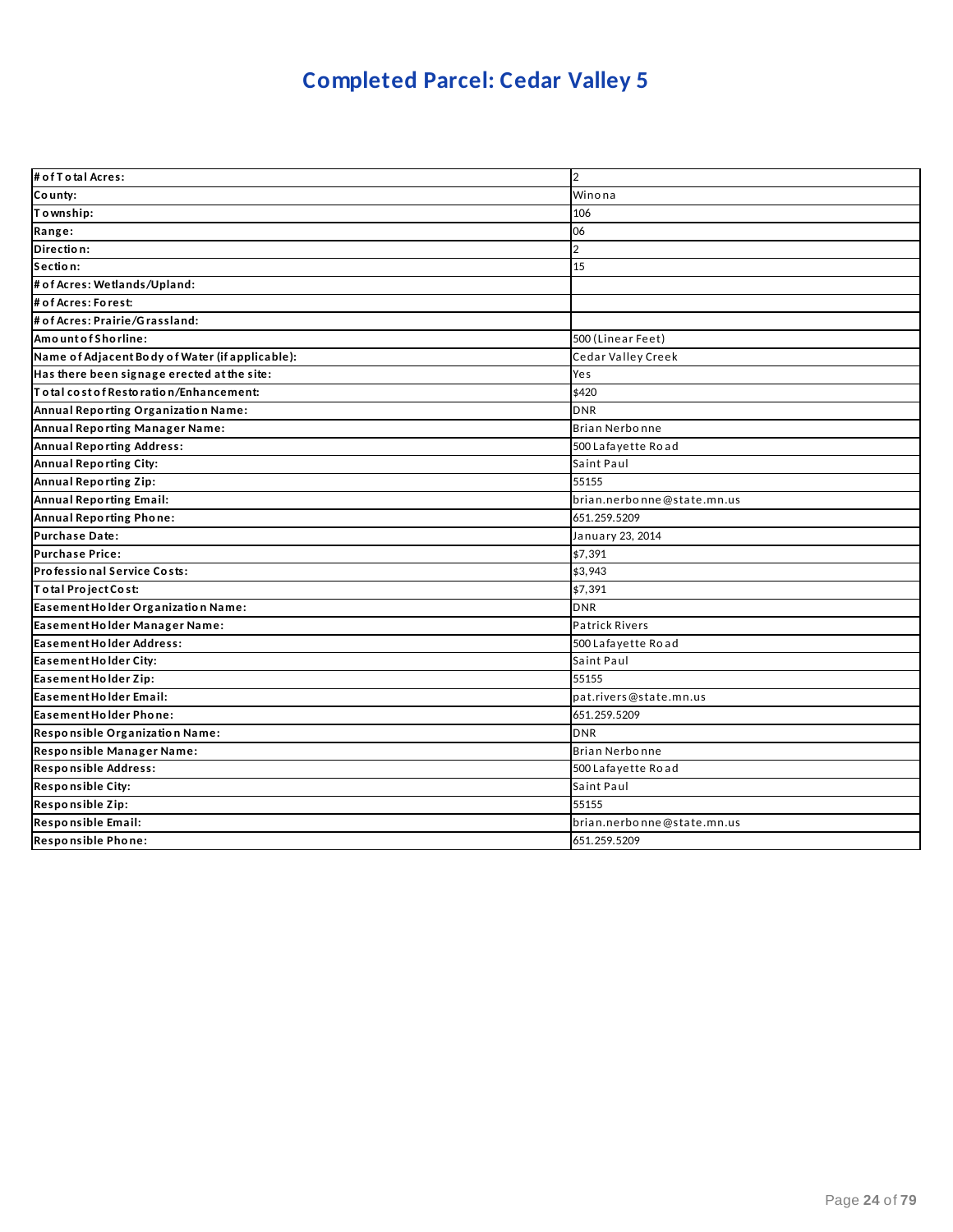# **Completed Parcel: Cedar Valley 5**

| # of T o tal Acres:                             | $\overline{2}$             |
|-------------------------------------------------|----------------------------|
| County:                                         | Winona                     |
| Township:                                       | 106                        |
| Range:                                          | 06                         |
| Direction:                                      | $\overline{2}$             |
| Section:                                        | 15                         |
| # of Acres: Wetlands/Upland:                    |                            |
| # of Acres: Forest:                             |                            |
| # of Acres: Prairie/Grassland:                  |                            |
| Amount of Shorline:                             | 500 (Linear Feet)          |
| Name of Adjacent Body of Water (if applicable): | Cedar Valley Creek         |
| Has there been signage erected at the site:     | Yes                        |
| To tal cost of Restoration/Enhancement:         | \$420                      |
| Annual Reporting Organization Name:             | <b>DNR</b>                 |
| Annual Reporting Manager Name:                  | Brian Nerbonne             |
| <b>Annual Reporting Address:</b>                | 500 Lafayette Road         |
| Annual Reporting City:                          | Saint Paul                 |
| Annual Reporting Zip:                           | 55155                      |
| Annual Reporting Email:                         | brian.nerbonne@state.mn.us |
| Annual Reporting Phone:                         | 651.259.5209               |
| <b>Purchase Date:</b>                           | January 23, 2014           |
| <b>Purchase Price:</b>                          | \$7,391                    |
| Professional Service Costs:                     | \$3,943                    |
| Total Project Cost:                             | \$7,391                    |
| Easement Holder Organization Name:              | <b>DNR</b>                 |
| Easement Holder Manager Name:                   | Patrick Rivers             |
| Easement Holder Address:                        | 500 Lafayette Road         |
| Easement Holder City:                           | Saint Paul                 |
| Easement Holder Zip:                            | 55155                      |
| Easement Holder Email:                          | pat.rivers@state.mn.us     |
| Easement Holder Phone:                          | 651.259.5209               |
| Responsible Organization Name:                  | <b>DNR</b>                 |
| Responsible Manager Name:                       | Brian Nerbonne             |
| Responsible Address:                            | 500 Lafayette Road         |
| Responsible City:                               | Saint Paul                 |
| Responsible Zip:                                | 55155                      |
| Responsible Email:                              | brian.nerbonne@state.mn.us |
| Responsible Phone:                              | 651.259.5209               |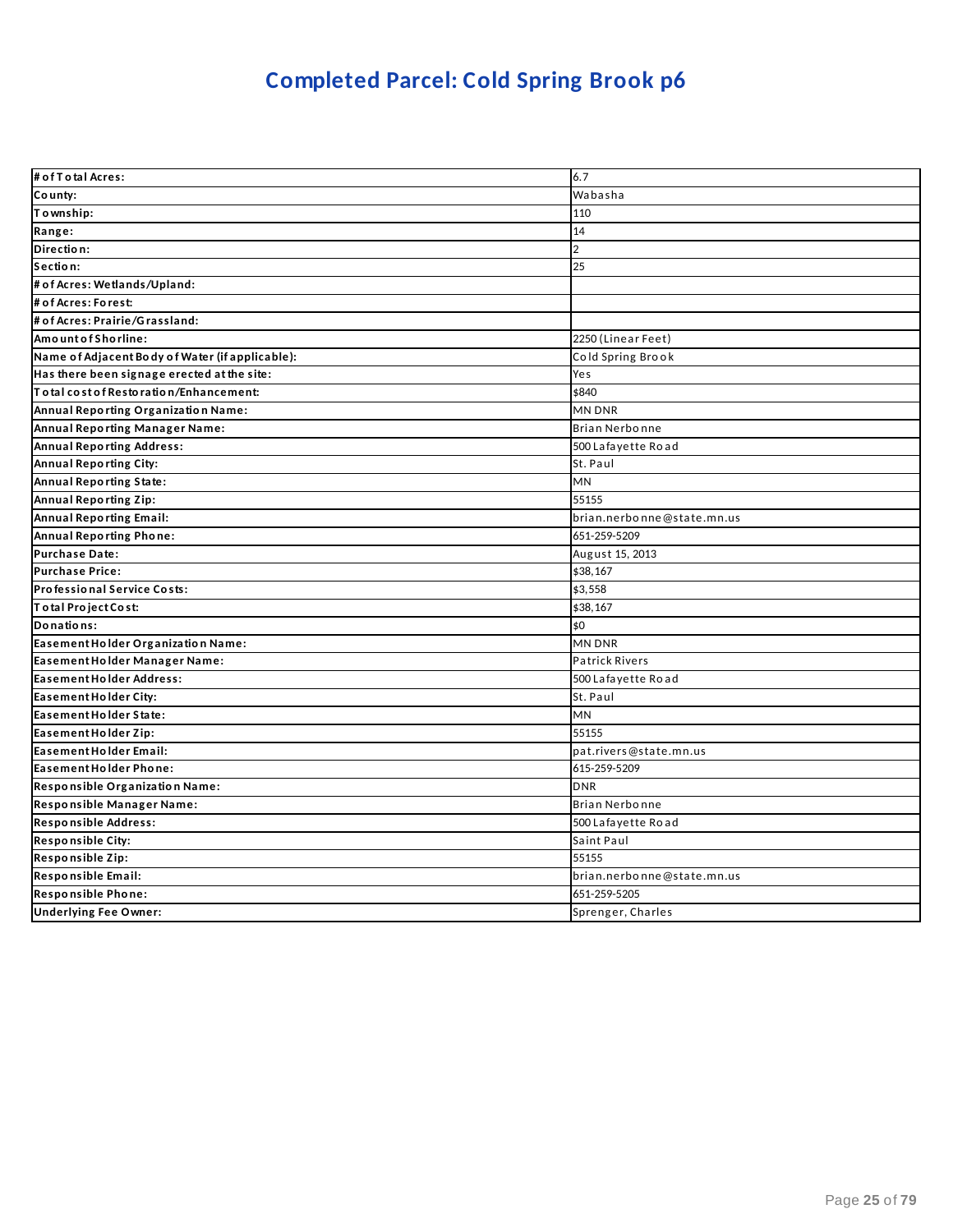# **Completed Parcel: Cold Spring Brook p6**

| # of T o tal Acres:                             | 6.7                        |
|-------------------------------------------------|----------------------------|
| County:                                         | Wabasha                    |
| Township:                                       | 110                        |
| Range:                                          | 14                         |
| Direction:                                      | $\overline{2}$             |
| Section:                                        | 25                         |
| # of Acres: Wetlands/Upland:                    |                            |
| # of Acres: Forest:                             |                            |
| # of Acres: Prairie/Grassland:                  |                            |
| Amount of Shorline:                             | 2250 (Linear Feet)         |
| Name of Adjacent Body of Water (if applicable): | Cold Spring Brook          |
| Has there been signage erected at the site:     | Yes                        |
| To tal cost of Restoration/Enhancement:         | \$840                      |
| Annual Reporting Organization Name:             | <b>MN DNR</b>              |
| Annual Reporting Manager Name:                  | <b>Brian Nerbonne</b>      |
| <b>Annual Reporting Address:</b>                | 500 Lafayette Road         |
| Annual Reporting City:                          | St. Paul                   |
| <b>Annual Reporting State:</b>                  | <b>MN</b>                  |
| <b>Annual Reporting Zip:</b>                    | 55155                      |
| Annual Reporting Email:                         | brian.nerbonne@state.mn.us |
| <b>Annual Reporting Phone:</b>                  | 651-259-5209               |
| <b>Purchase Date:</b>                           | August 15, 2013            |
| <b>Purchase Price:</b>                          | \$38,167                   |
| Professional Service Costs:                     | \$3,558                    |
| Total Project Cost:                             | \$38,167                   |
| Donations:                                      | \$0                        |
| Easement Holder Organization Name:              | <b>MN DNR</b>              |
| Easement Holder Manager Name:                   | <b>Patrick Rivers</b>      |
| Easement Holder Address:                        | 500 Lafayette Road         |
| Easement Holder City:                           | St. Paul                   |
| Easement Holder State:                          | <b>MN</b>                  |
| Easement Holder Zip:                            | 55155                      |
| Easement Holder Email:                          | pat.rivers@state.mn.us     |
| Easement Holder Phone:                          | 615-259-5209               |
| Responsible Organization Name:                  | <b>DNR</b>                 |
| Responsible Manager Name:                       | Brian Nerbonne             |
| <b>Responsible Address:</b>                     | 500 Lafayette Road         |
| <b>Responsible City:</b>                        | Saint Paul                 |
| Responsible Zip:                                | 55155                      |
| Responsible Email:                              | brian.nerbonne@state.mn.us |
| Responsible Phone:                              | 651-259-5205               |
| <b>Underlying Fee Owner:</b>                    | Sprenger, Charles          |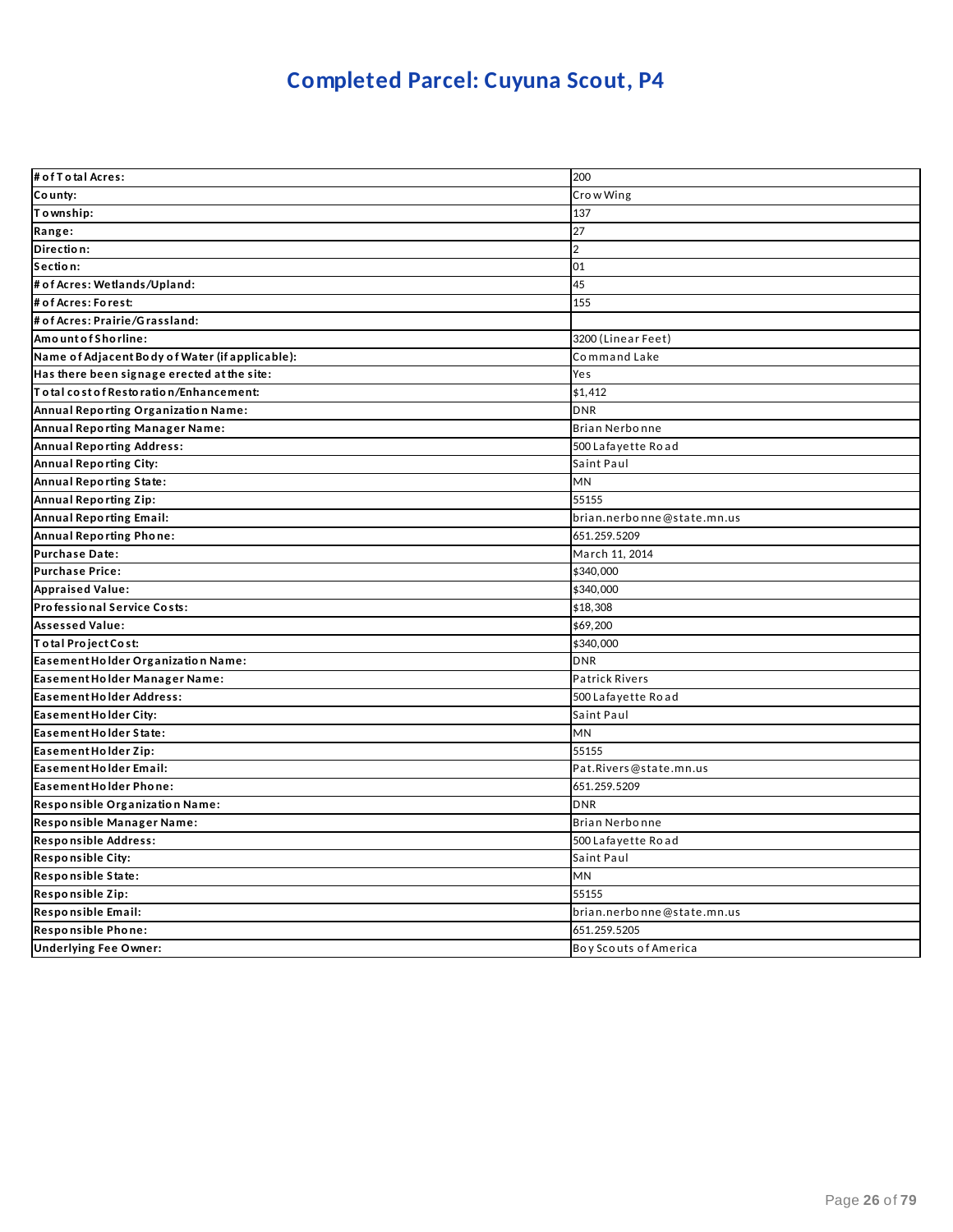# **Completed Parcel: Cuyuna Scout, P4**

| # of T o tal Acres:                             | 200                        |
|-------------------------------------------------|----------------------------|
| County:                                         | Crow Wing                  |
| Township:                                       | 137                        |
| Range:                                          | 27                         |
| Direction:                                      | $\overline{2}$             |
| Section:                                        | 01                         |
| # of Acres: Wetlands/Upland:                    | 45                         |
| # of Acres: Forest:                             | 155                        |
| # of Acres: Prairie/Grassland:                  |                            |
| AmountofShorline:                               | 3200 (Linear Feet)         |
| Name of Adjacent Body of Water (if applicable): | Command Lake               |
| Has there been signage erected at the site:     | Yes                        |
| Total cost of Restoration/Enhancement:          | \$1,412                    |
| Annual Reporting Organization Name:             | <b>DNR</b>                 |
| Annual Reporting Manager Name:                  | Brian Nerbonne             |
| <b>Annual Reporting Address:</b>                | 500 Lafayette Road         |
| <b>Annual Reporting City:</b>                   | Saint Paul                 |
| Annual Reporting State:                         | <b>MN</b>                  |
| Annual Reporting Zip:                           | 55155                      |
| <b>Annual Reporting Email:</b>                  | brian.nerbonne@state.mn.us |
| Annual Reporting Phone:                         | 651.259.5209               |
| Purchase Date:                                  | March 11, 2014             |
| <b>Purchase Price:</b>                          | \$340,000                  |
| <b>Appraised Value:</b>                         | \$340,000                  |
| Professional Service Costs:                     | \$18,308                   |
| <b>Assessed Value:</b>                          | \$69,200                   |
| Total Project Cost:                             | \$340,000                  |
| Easement Holder Organization Name:              | <b>DNR</b>                 |
| Easement Holder Manager Name:                   | <b>Patrick Rivers</b>      |
| Easement Holder Address:                        | 500 Lafayette Road         |
| Easement Holder City:                           | Saint Paul                 |
| Easement Holder State:                          | <b>MN</b>                  |
| Easement Holder Zip:                            | 55155                      |
| Easement Holder Email:                          | Pat.Rivers@state.mn.us     |
| Easement Holder Phone:                          | 651.259.5209               |
| Responsible Organization Name:                  | <b>DNR</b>                 |
| Responsible Manager Name:                       | Brian Nerbonne             |
| Responsible Address:                            | 500 Lafayette Road         |
| <b>Responsible City:</b>                        | Saint Paul                 |
| Responsible State:                              | <b>MN</b>                  |
| Responsible Zip:                                | 55155                      |
| Responsible Email:                              | brian.nerbonne@state.mn.us |
| Responsible Phone:                              | 651.259.5205               |
| <b>Underlying Fee Owner:</b>                    | Boy Scouts of America      |
|                                                 |                            |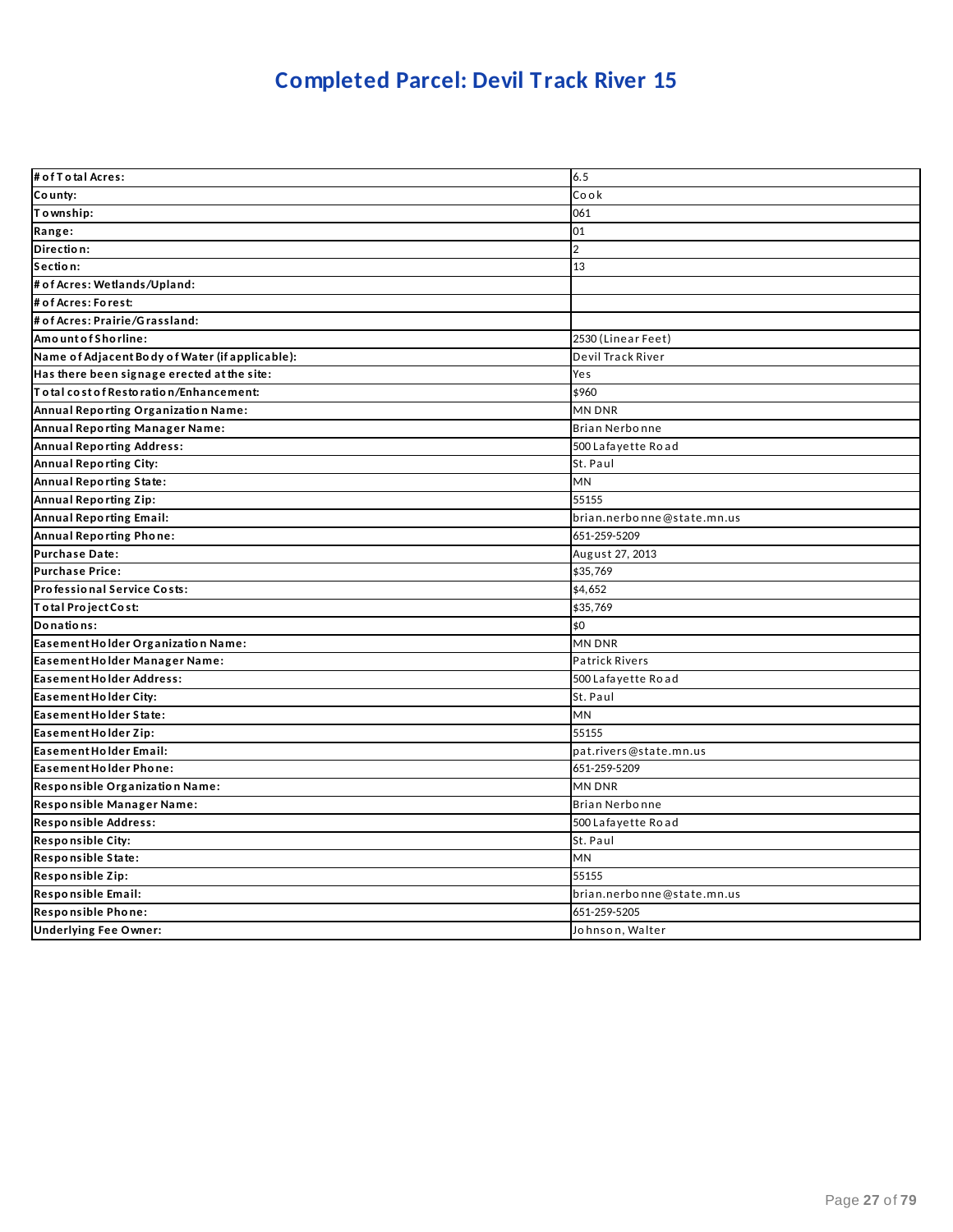# **Completed Parcel: Devil Track River 15**

| # of T o tal Acres:                             | 6.5                        |
|-------------------------------------------------|----------------------------|
| County:                                         | Cook                       |
| Township:                                       | 061                        |
| Range:                                          | 01                         |
| Direction:                                      | $\overline{2}$             |
| Section:                                        | 13                         |
| # of Acres: Wetlands/Upland:                    |                            |
| # of Acres: Forest:                             |                            |
| # of Acres: Prairie/Grassland:                  |                            |
| Amount of Shorline:                             | 2530 (Linear Feet)         |
| Name of Adjacent Body of Water (if applicable): | Devil Track River          |
| Has there been signage erected at the site:     | Yes                        |
| Total cost of Restoration/Enhancement:          | \$960                      |
| Annual Reporting Organization Name:             | MN DNR                     |
| Annual Reporting Manager Name:                  | Brian Nerbonne             |
| <b>Annual Reporting Address:</b>                | 500 Lafayette Road         |
| Annual Reporting City:                          | St. Paul                   |
| <b>Annual Reporting State:</b>                  | <b>MN</b>                  |
| <b>Annual Reporting Zip:</b>                    | 55155                      |
| <b>Annual Reporting Email:</b>                  | brian.nerbonne@state.mn.us |
| Annual Reporting Phone:                         | 651-259-5209               |
| <b>Purchase Date:</b>                           | August 27, 2013            |
| <b>Purchase Price:</b>                          | \$35,769                   |
| Professional Service Costs:                     | \$4,652                    |
| Total Project Cost:                             | \$35,769                   |
| Donations:                                      | \$0                        |
| Easement Holder Organization Name:              | <b>MN DNR</b>              |
| Easement Holder Manager Name:                   | <b>Patrick Rivers</b>      |
| <b>Easement Holder Address:</b>                 | 500 Lafayette Road         |
| Easement Holder City:                           | St. Paul                   |
| Easement Holder State:                          | MN                         |
| Easement Holder Zip:                            | 55155                      |
| Easement Holder Email:                          | pat.rivers@state.mn.us     |
| Easement Holder Phone:                          | 651-259-5209               |
| Responsible Organization Name:                  | <b>MN DNR</b>              |
| Responsible Manager Name:                       | <b>Brian Nerbonne</b>      |
| Responsible Address:                            | 500 Lafayette Road         |
| <b>Responsible City:</b>                        | St. Paul                   |
| Responsible State:                              | MN                         |
| Responsible Zip:                                | 55155                      |
| Responsible Email:                              | brian.nerbonne@state.mn.us |
| Responsible Phone:                              | 651-259-5205               |
| <b>Underlying Fee Owner:</b>                    | Johnson, Walter            |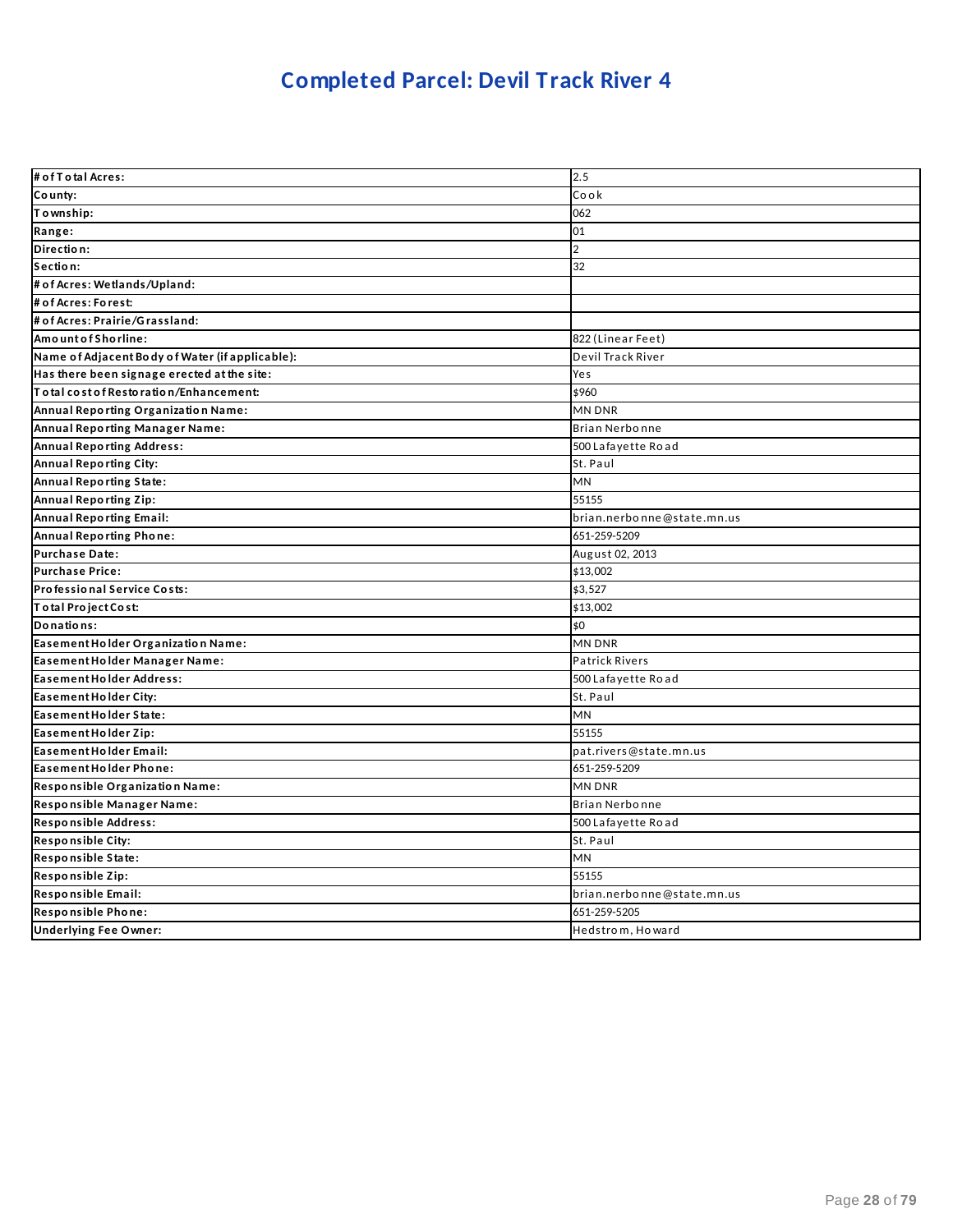# **Completed Parcel: Devil Track River 4**

| # of T o tal Acres:                             | 2.5                        |
|-------------------------------------------------|----------------------------|
| County:                                         | Cook                       |
| Township:                                       | 062                        |
| Range:                                          | 01                         |
| Direction:                                      | $\overline{2}$             |
| Section:                                        | 32                         |
| # of Acres: Wetlands/Upland:                    |                            |
| # of Acres: Forest:                             |                            |
| # of Acres: Prairie/Grassland:                  |                            |
| Amount of Shorline:                             | 822 (Linear Feet)          |
| Name of Adjacent Body of Water (if applicable): | Devil Track River          |
| Has there been signage erected at the site:     | Yes                        |
| Total cost of Restoration/Enhancement:          | \$960                      |
| Annual Reporting Organization Name:             | MN DNR                     |
| Annual Reporting Manager Name:                  | Brian Nerbonne             |
| <b>Annual Reporting Address:</b>                | 500 Lafayette Road         |
| <b>Annual Reporting City:</b>                   | St. Paul                   |
| Annual Reporting State:                         | <b>MN</b>                  |
| Annual Reporting Zip:                           | 55155                      |
| <b>Annual Reporting Email:</b>                  | brian.nerbonne@state.mn.us |
| Annual Reporting Phone:                         | 651-259-5209               |
| Purchase Date:                                  | August 02, 2013            |
| <b>Purchase Price:</b>                          | \$13,002                   |
| Professional Service Costs:                     | \$3,527                    |
| Total Project Cost:                             | \$13,002                   |
| Donations:                                      | \$0                        |
| Easement Holder Organization Name:              | <b>MN DNR</b>              |
| Easement Holder Manager Name:                   | <b>Patrick Rivers</b>      |
| <b>Easement Holder Address:</b>                 | 500 Lafayette Road         |
| Easement Holder City:                           | St. Paul                   |
| Easement Holder State:                          | <b>MN</b>                  |
| Easement Holder Zip:                            | 55155                      |
| Easement Holder Email:                          | pat.rivers@state.mn.us     |
| Easement Holder Phone:                          | 651-259-5209               |
| Responsible Organization Name:                  | <b>MN DNR</b>              |
| Responsible Manager Name:                       | Brian Nerbonne             |
| Responsible Address:                            | 500 Lafayette Road         |
| <b>Responsible City:</b>                        | St. Paul                   |
| Responsible State:                              | <b>MN</b>                  |
| Responsible Zip:                                | 55155                      |
| Responsible Email:                              | brian.nerbonne@state.mn.us |
| Responsible Phone:                              | 651-259-5205               |
| <b>Underlying Fee Owner:</b>                    | Hedstrom, Howard           |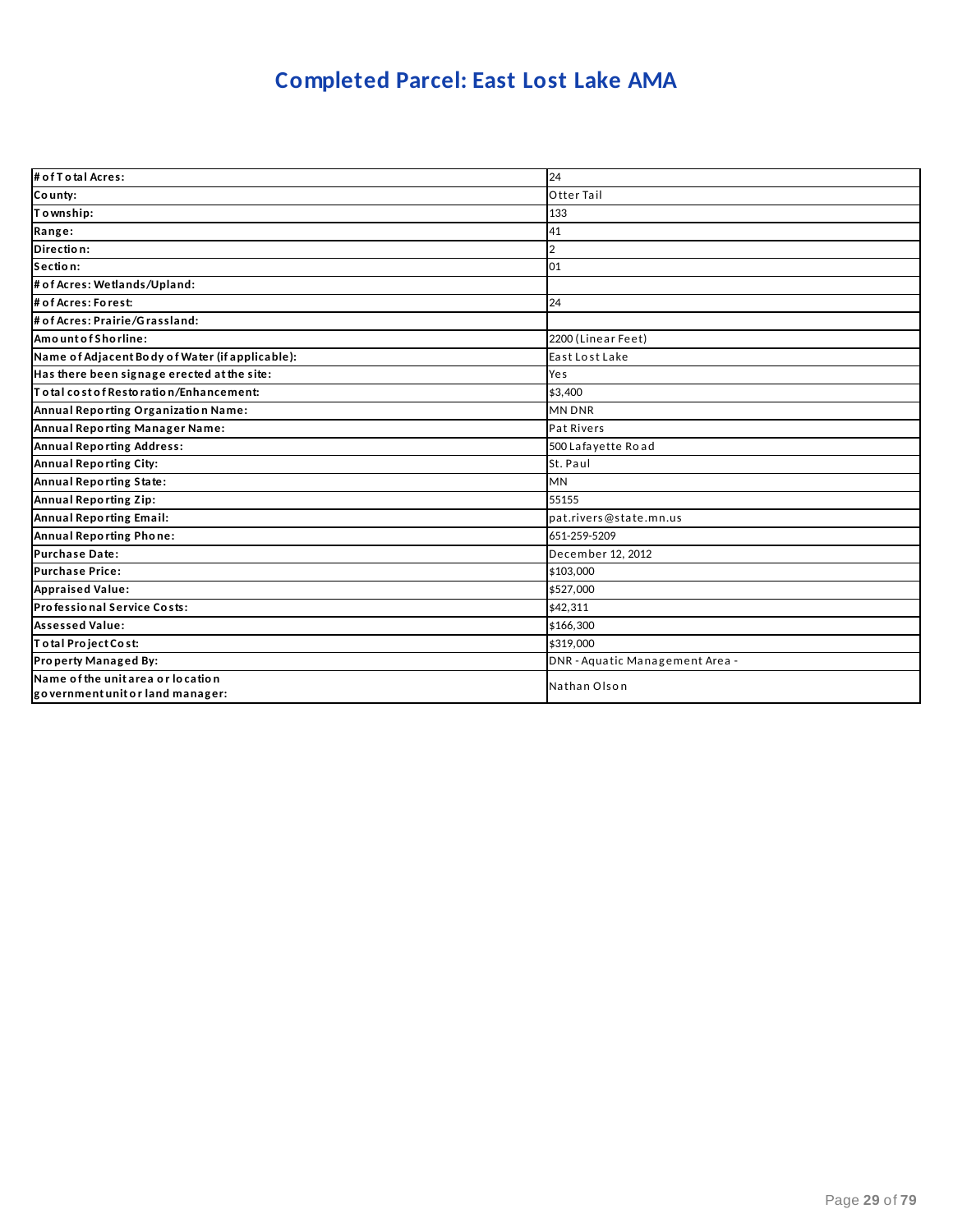# **Completed Parcel: East Lost Lake AMA**

| # of T o tal Acres:                                                   | 24                              |
|-----------------------------------------------------------------------|---------------------------------|
| County:                                                               | Otter Tail                      |
| Township:                                                             | 133                             |
| Range:                                                                | 41                              |
| Direction:                                                            | 2                               |
| Section:                                                              | 01                              |
| # of Acres: Wetlands/Upland:                                          |                                 |
| # of Acres: Forest:                                                   | 24                              |
| # of Acres: Prairie/Grassland:                                        |                                 |
| AmountofShorline:                                                     | 2200 (Linear Feet)              |
| Name of Adjacent Body of Water (if applicable):                       | East Lost Lake                  |
| Has there been signage erected at the site:                           | Yes                             |
| Total cost of Restoration/Enhancement:                                | \$3,400                         |
| Annual Reporting Organization Name:                                   | <b>MN DNR</b>                   |
| Annual Reporting Manager Name:                                        | <b>Pat Rivers</b>               |
| <b>Annual Reporting Address:</b>                                      | 500 Lafayette Road              |
| <b>Annual Reporting City:</b>                                         | St. Paul                        |
| Annual Reporting State:                                               | <b>MN</b>                       |
| <b>Annual Reporting Zip:</b>                                          | 55155                           |
| Annual Reporting Email:                                               | pat.rivers@state.mn.us          |
| <b>Annual Reporting Phone:</b>                                        | 651-259-5209                    |
| <b>Purchase Date:</b>                                                 | December 12, 2012               |
| <b>Purchase Price:</b>                                                | \$103,000                       |
| <b>Appraised Value:</b>                                               | \$527,000                       |
| Professional Service Costs:                                           | \$42.311                        |
| <b>Assessed Value:</b>                                                | \$166,300                       |
| Total Project Cost:                                                   | \$319,000                       |
| Property Managed By:                                                  | DNR - Aquatic Management Area - |
| Name of the unit area or location<br>government unit or land manager: | Nathan Olson                    |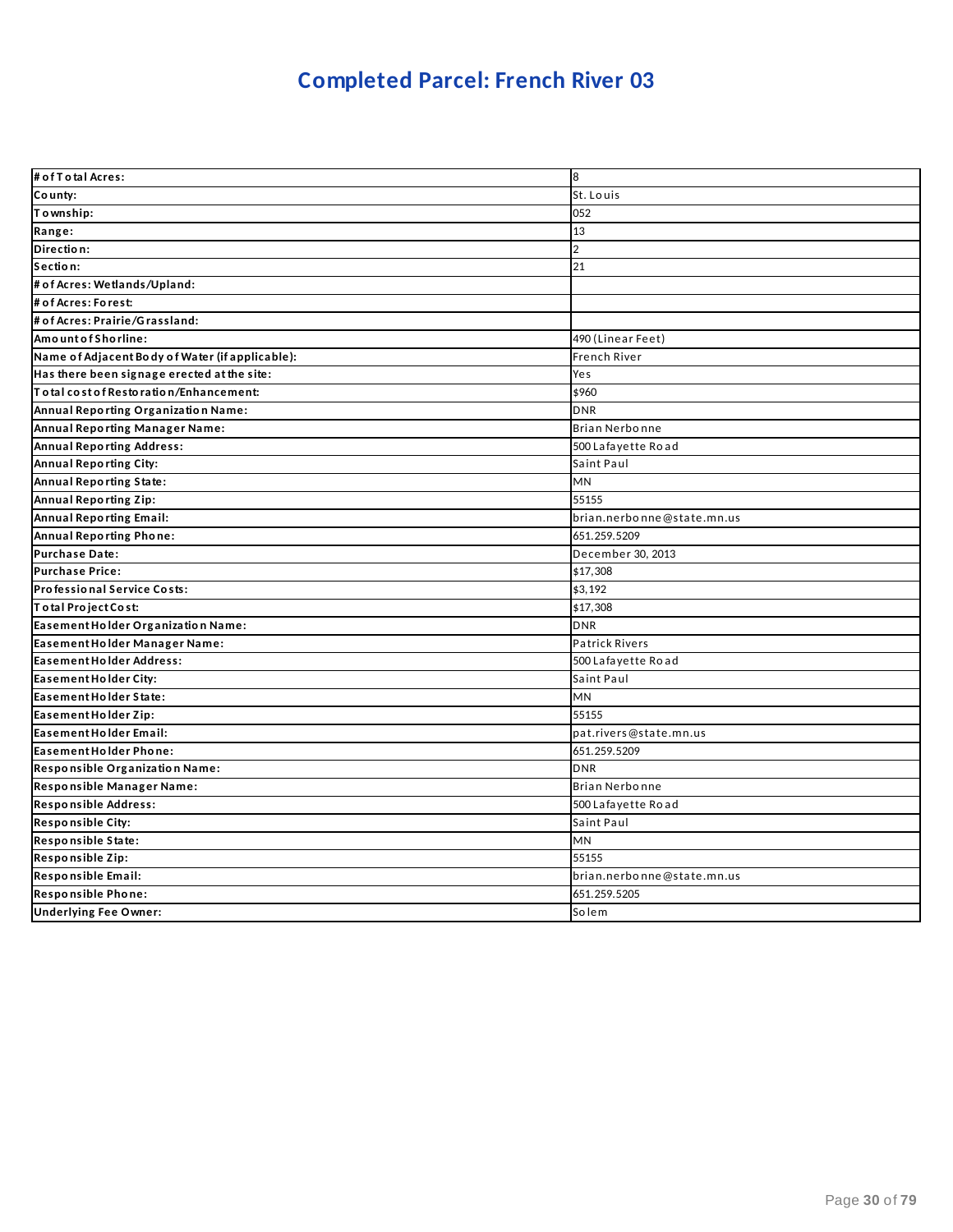# **Completed Parcel: French River 03**

| # of T o tal Acres:                             | 8                          |
|-------------------------------------------------|----------------------------|
| County:                                         | St. Louis                  |
| Township:                                       | 052                        |
| Range:                                          | 13                         |
| Direction:                                      | $\overline{2}$             |
| Section:                                        | 21                         |
| # of Acres: Wetlands/Upland:                    |                            |
| # of Acres: Forest:                             |                            |
| # of Acres: Prairie/Grassland:                  |                            |
| Amount of Shorline:                             | 490 (Linear Feet)          |
| Name of Adjacent Body of Water (if applicable): | French River               |
| Has there been signage erected at the site:     | Yes                        |
| Total cost of Restoration/Enhancement:          | \$960                      |
| Annual Reporting Organization Name:             | <b>DNR</b>                 |
| Annual Reporting Manager Name:                  | Brian Nerbonne             |
| <b>Annual Reporting Address:</b>                | 500 Lafayette Road         |
| <b>Annual Reporting City:</b>                   | Saint Paul                 |
| Annual Reporting State:                         | <b>MN</b>                  |
| <b>Annual Reporting Zip:</b>                    | 55155                      |
| <b>Annual Reporting Email:</b>                  | brian.nerbonne@state.mn.us |
| Annual Reporting Phone:                         | 651.259.5209               |
| <b>Purchase Date:</b>                           | December 30, 2013          |
| <b>Purchase Price:</b>                          | \$17,308                   |
| Professional Service Costs:                     | \$3,192                    |
| Total Project Cost:                             | \$17,308                   |
| Easement Holder Organization Name:              | <b>DNR</b>                 |
| Easement Holder Manager Name:                   | Patrick Rivers             |
| Easement Holder Address:                        | 500 Lafayette Road         |
| Easement Holder City:                           | Saint Paul                 |
| Easement Holder State:                          | MN                         |
| Easement Holder Zip:                            | 55155                      |
| Easement Holder Email:                          | pat.rivers@state.mn.us     |
| Easement Holder Phone:                          | 651.259.5209               |
| Responsible Organization Name:                  | <b>DNR</b>                 |
| Responsible Manager Name:                       | Brian Nerbonne             |
| Responsible Address:                            | 500 Lafayette Road         |
| <b>Responsible City:</b>                        | Saint Paul                 |
| Responsible State:                              | <b>MN</b>                  |
| Responsible Zip:                                | 55155                      |
| Responsible Email:                              | brian.nerbonne@state.mn.us |
| Responsible Phone:                              | 651.259.5205               |
| <b>Underlying Fee Owner:</b>                    | Solem                      |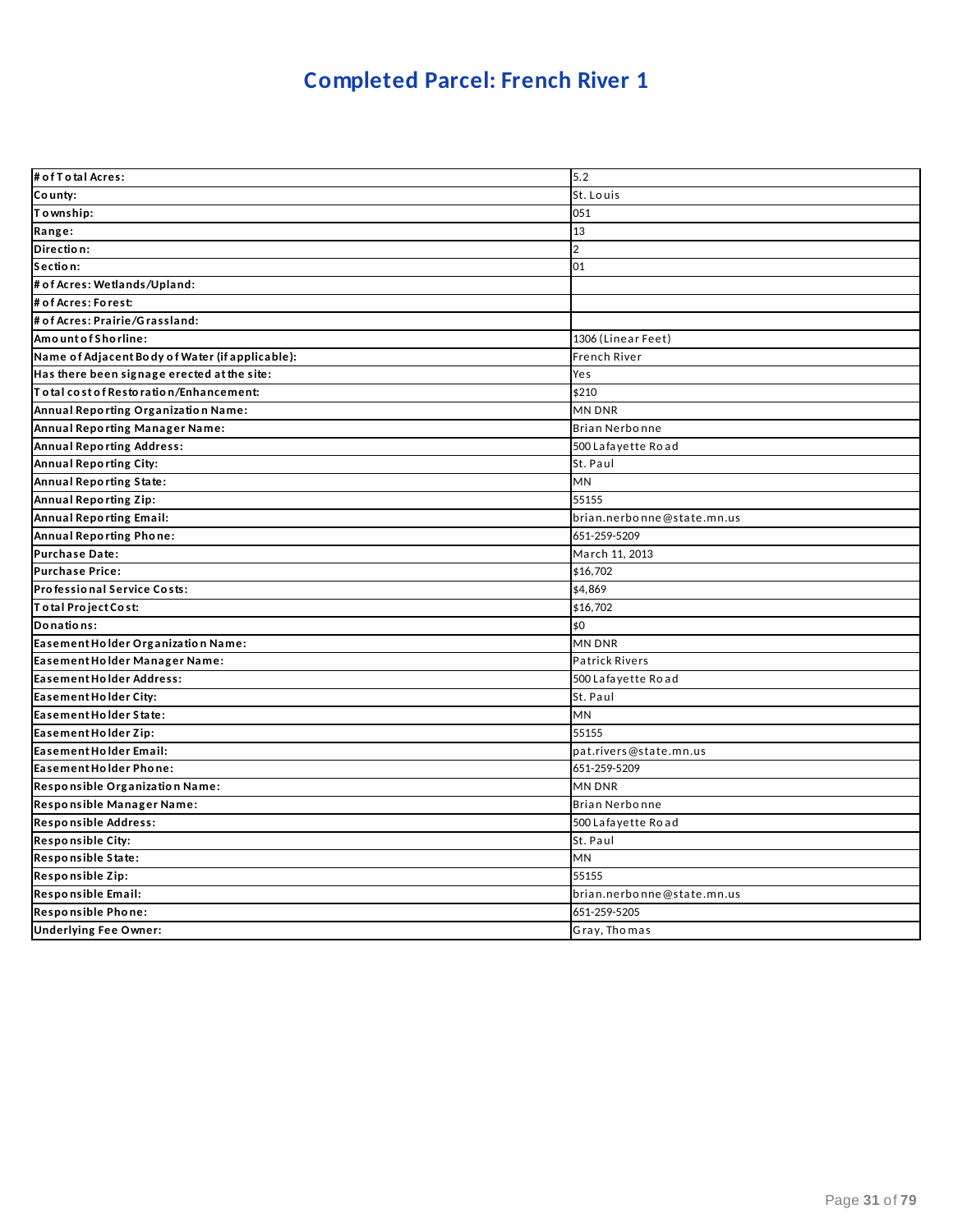# **Completed Parcel: French River 1**

| # of T o tal Acres:                             | 5.2                        |
|-------------------------------------------------|----------------------------|
| County:                                         | St. Louis                  |
| Township:                                       | 051                        |
| Range:                                          | 13                         |
| Direction:                                      | $\overline{2}$             |
| Section:                                        | 01                         |
| # of Acres: Wetlands/Upland:                    |                            |
| # of Acres: Forest:                             |                            |
| # of Acres: Prairie/Grassland:                  |                            |
| Amount of Shorline:                             | 1306 (Linear Feet)         |
| Name of Adjacent Body of Water (if applicable): | <b>French River</b>        |
| Has there been signage erected at the site:     | Yes                        |
| To tal cost of Restoration/Enhancement:         | \$210                      |
| Annual Reporting Organization Name:             | MN DNR                     |
| Annual Reporting Manager Name:                  | Brian Nerbonne             |
| <b>Annual Reporting Address:</b>                | 500 Lafayette Road         |
| Annual Reporting City:                          | St. Paul                   |
| Annual Reporting State:                         | MN                         |
| Annual Reporting Zip:                           | 55155                      |
| <b>Annual Reporting Email:</b>                  | brian.nerbonne@state.mn.us |
| Annual Reporting Phone:                         | 651-259-5209               |
| Purchase Date:                                  | March 11, 2013             |
| <b>Purchase Price:</b>                          | \$16,702                   |
| Professional Service Costs:                     | \$4,869                    |
| Total Project Cost:                             | \$16,702                   |
| Donations:                                      | \$0                        |
| Easement Holder Organization Name:              | <b>MN DNR</b>              |
| Easement Holder Manager Name:                   | <b>Patrick Rivers</b>      |
| Easement Holder Address:                        | 500 Lafayette Road         |
| Easement Holder City:                           | St. Paul                   |
| Easement Holder State:                          | <b>MN</b>                  |
| Easement Holder Zip:                            | 55155                      |
| Easement Holder Email:                          | pat.rivers@state.mn.us     |
| Easement Holder Phone:                          | 651-259-5209               |
| Responsible Organization Name:                  | <b>MN DNR</b>              |
| Responsible Manager Name:                       | Brian Nerbonne             |
| Responsible Address:                            | 500 Lafayette Road         |
| Responsible City:                               | St. Paul                   |
| Responsible State:                              | <b>MN</b>                  |
| Responsible Zip:                                | 55155                      |
| Responsible Email:                              | brian.nerbonne@state.mn.us |
| Responsible Phone:                              | 651-259-5205               |
| <b>Underlying Fee Owner:</b>                    | Gray, Thomas               |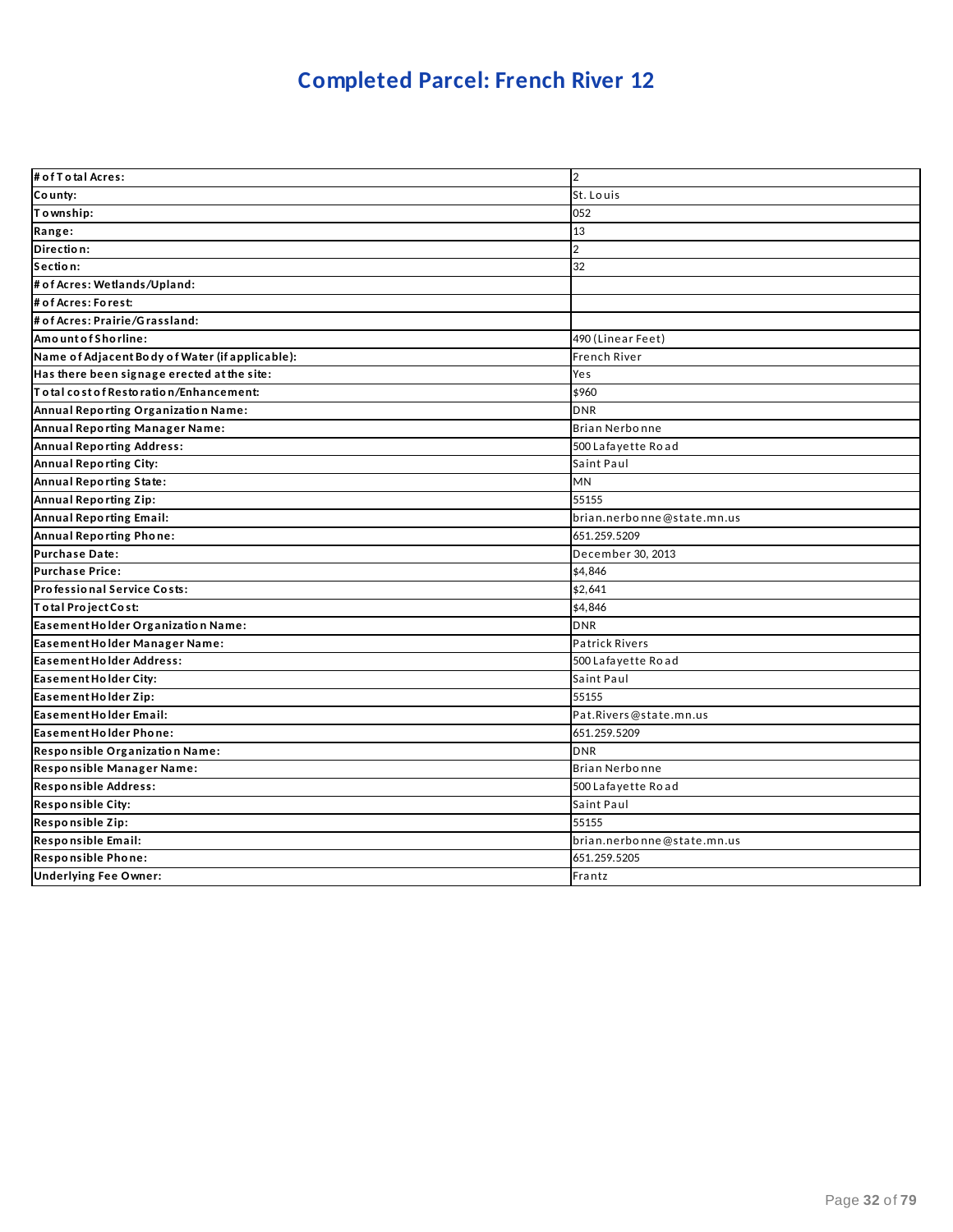# **Completed Parcel: French River 12**

| # of T o tal Acres:                             | $\overline{2}$             |
|-------------------------------------------------|----------------------------|
| County:                                         | St. Louis                  |
| Township:                                       | 052                        |
| Range:                                          | 13                         |
| Direction:                                      | $\overline{2}$             |
| Section:                                        | 32                         |
| # of Acres: Wetlands/Upland:                    |                            |
| # of Acres: Forest:                             |                            |
| # of Acres: Prairie/Grassland:                  |                            |
| Amount of Shorline:                             | 490 (Linear Feet)          |
| Name of Adjacent Body of Water (if applicable): | French River               |
| Has there been signage erected at the site:     | Yes                        |
| To tal cost of Restoration/Enhancement:         | \$960                      |
| Annual Reporting Organization Name:             | <b>DNR</b>                 |
| Annual Reporting Manager Name:                  | Brian Nerbonne             |
| <b>Annual Reporting Address:</b>                | 500 Lafayette Road         |
| Annual Reporting City:                          | Saint Paul                 |
| Annual Reporting State:                         | MN                         |
| Annual Reporting Zip:                           | 55155                      |
| Annual Reporting Email:                         | brian.nerbonne@state.mn.us |
| Annual Reporting Phone:                         | 651.259.5209               |
| <b>Purchase Date:</b>                           | December 30, 2013          |
| <b>Purchase Price:</b>                          | \$4,846                    |
| Professional Service Costs:                     | \$2,641                    |
| Total Project Cost:                             | \$4,846                    |
| Easement Holder Organization Name:              | <b>DNR</b>                 |
| Easement Holder Manager Name:                   | <b>Patrick Rivers</b>      |
| Easement Holder Address:                        | 500 Lafayette Road         |
| Easement Holder City:                           | Saint Paul                 |
| Easement Holder Zip:                            | 55155                      |
| Easement Holder Email:                          | Pat.Rivers@state.mn.us     |
| <b>Easement Holder Phone:</b>                   | 651.259.5209               |
| Responsible Organization Name:                  | <b>DNR</b>                 |
| Responsible Manager Name:                       | Brian Nerbonne             |
| Responsible Address:                            | 500 Lafayette Road         |
| Responsible City:                               | Saint Paul                 |
| Responsible Zip:                                | 55155                      |
| Responsible Email:                              | brian.nerbonne@state.mn.us |
| Responsible Phone:                              | 651.259.5205               |
| <b>Underlying Fee Owner:</b>                    | Frantz                     |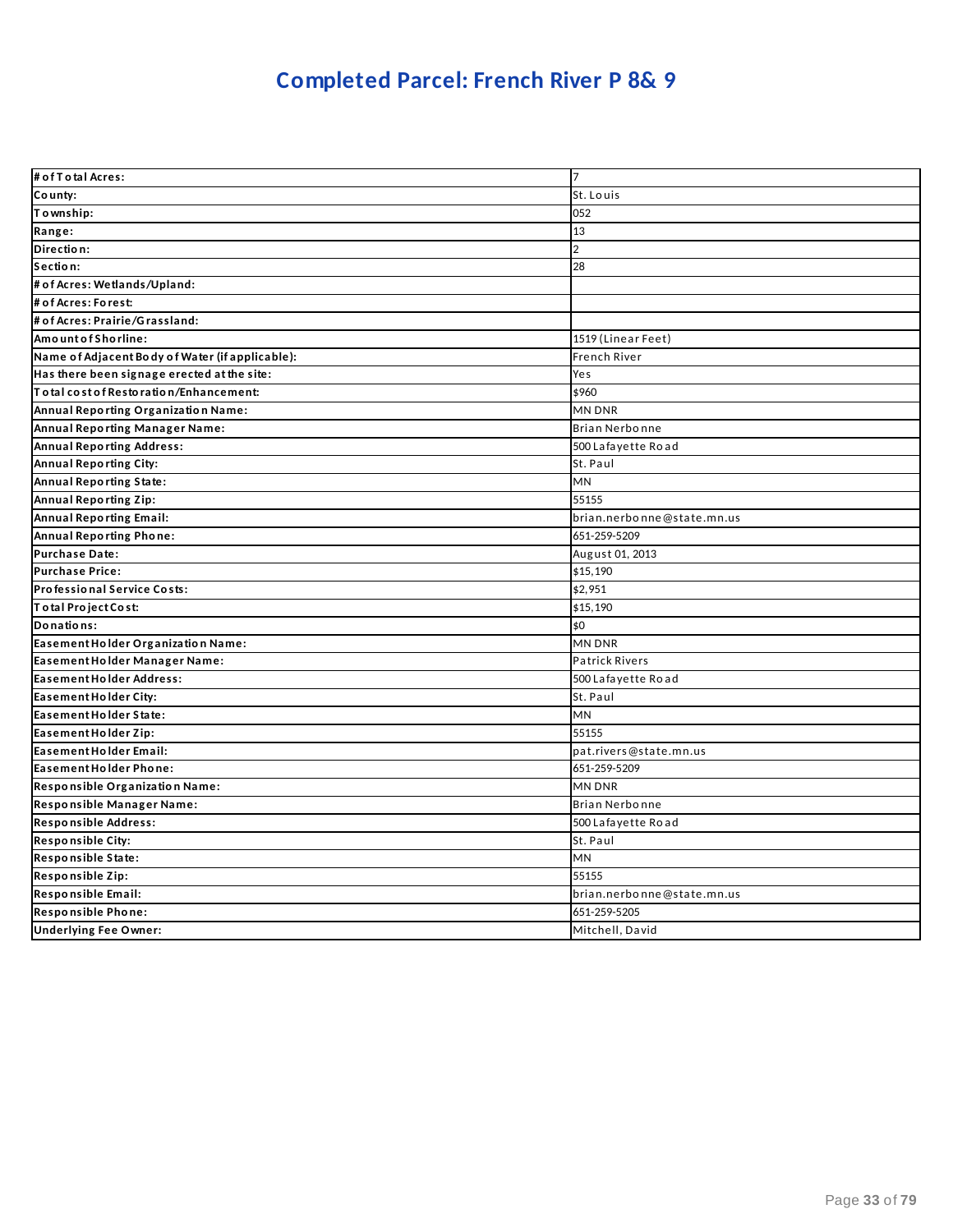# **Completed Parcel: French River P 8& 9**

| # of T otal Acres:                              | 17                         |
|-------------------------------------------------|----------------------------|
| County:                                         | St. Louis                  |
| Township:                                       | 052                        |
| Range:                                          | 13                         |
| Direction:                                      | $\overline{2}$             |
| Section:                                        | 28                         |
| # of Acres: Wetlands/Upland:                    |                            |
| # of Acres: Forest:                             |                            |
| # of Acres: Prairie/Grassland:                  |                            |
| AmountofShorline:                               | 1519 (Linear Feet)         |
| Name of Adjacent Body of Water (if applicable): | <b>French River</b>        |
| Has there been signage erected at the site:     | Yes                        |
| To tal cost of Restoration/Enhancement:         | \$960                      |
| Annual Reporting Organization Name:             | <b>MN DNR</b>              |
| Annual Reporting Manager Name:                  | Brian Nerbonne             |
| <b>Annual Reporting Address:</b>                | 500 Lafayette Road         |
| <b>Annual Reporting City:</b>                   | St. Paul                   |
| Annual Reporting State:                         | MN                         |
| Annual Reporting Zip:                           | 55155                      |
| <b>Annual Reporting Email:</b>                  | brian.nerbonne@state.mn.us |
| Annual Reporting Phone:                         | 651-259-5209               |
| <b>Purchase Date:</b>                           | August 01, 2013            |
| <b>Purchase Price:</b>                          | \$15,190                   |
| Professional Service Costs:                     | \$2,951                    |
| Total Project Cost:                             | \$15,190                   |
| Donations:                                      | \$0                        |
| Easement Holder Organization Name:              | <b>MN DNR</b>              |
| Easement Holder Manager Name:                   | <b>Patrick Rivers</b>      |
| Easement Holder Address:                        | 500 Lafayette Road         |
| Easement Holder City:                           | St. Paul                   |
| Easement Holder State:                          | MN                         |
| Easement Holder Zip:                            | 55155                      |
| Easement Holder Email:                          | pat.rivers@state.mn.us     |
| Easement Holder Phone:                          | 651-259-5209               |
| Responsible Organization Name:                  | <b>MN DNR</b>              |
| Responsible Manager Name:                       | Brian Nerbonne             |
| Responsible Address:                            | 500 Lafayette Road         |
| Responsible City:                               | St. Paul                   |
| Responsible State:                              | <b>MN</b>                  |
| Responsible Zip:                                | 55155                      |
| Responsible Email:                              | brian.nerbonne@state.mn.us |
| Responsible Phone:                              | 651-259-5205               |
| <b>Underlying Fee Owner:</b>                    | Mitchell, David            |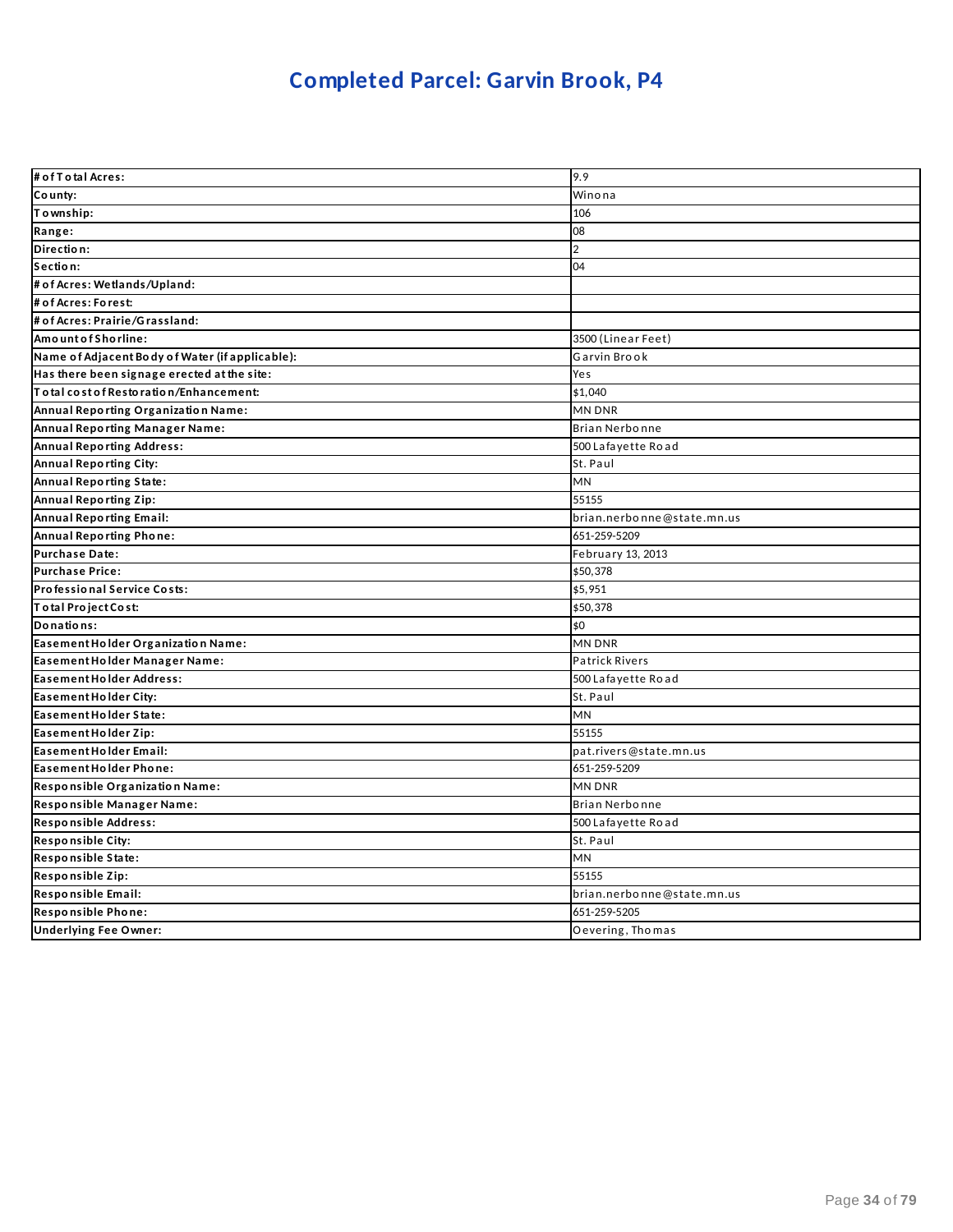# **Completed Parcel: Garvin Brook, P4**

| # of T o tal Acres:                             | 9.9                        |
|-------------------------------------------------|----------------------------|
| County:                                         | Winona                     |
| Township:                                       | 106                        |
| Range:                                          | 08                         |
| Direction:                                      | $\overline{2}$             |
| Section:                                        | 04                         |
| # of Acres: Wetlands/Upland:                    |                            |
| # of Acres: Forest:                             |                            |
| # of Acres: Prairie/Grassland:                  |                            |
| Amount of Shorline:                             | 3500 (Linear Feet)         |
| Name of Adjacent Body of Water (if applicable): | Garvin Brook               |
| Has there been signage erected at the site:     | Yes                        |
| Total cost of Restoration/Enhancement:          | \$1,040                    |
| Annual Reporting Organization Name:             | MN DNR                     |
| Annual Reporting Manager Name:                  | Brian Nerbonne             |
| <b>Annual Reporting Address:</b>                | 500 Lafayette Road         |
| <b>Annual Reporting City:</b>                   | St. Paul                   |
| Annual Reporting State:                         | MN                         |
| Annual Reporting Zip:                           | 55155                      |
| <b>Annual Reporting Email:</b>                  | brian.nerbonne@state.mn.us |
| Annual Reporting Phone:                         | 651-259-5209               |
| <b>Purchase Date:</b>                           | February 13, 2013          |
| <b>Purchase Price:</b>                          | \$50,378                   |
| Professional Service Costs:                     | \$5,951                    |
| Total Project Cost:                             | \$50,378                   |
| Donations:                                      | \$0                        |
| Easement Holder Organization Name:              | <b>MN DNR</b>              |
| Easement Holder Manager Name:                   | <b>Patrick Rivers</b>      |
| Easement Holder Address:                        | 500 Lafayette Road         |
| Easement Holder City:                           | St. Paul                   |
| Easement Holder State:                          | MN                         |
| Easement Holder Zip:                            | 55155                      |
| Easement Holder Email:                          | pat.rivers@state.mn.us     |
| Easement Holder Phone:                          | 651-259-5209               |
| Responsible Organization Name:                  | MN DNR                     |
| Responsible Manager Name:                       | Brian Nerbonne             |
| Responsible Address:                            | 500 Lafayette Road         |
| <b>Responsible City:</b>                        | St. Paul                   |
| Responsible State:                              | MN                         |
| Responsible Zip:                                | 55155                      |
| Responsible Email:                              | brian.nerbonne@state.mn.us |
| Responsible Phone:                              | 651-259-5205               |
| <b>Underlying Fee Owner:</b>                    | Oevering, Thomas           |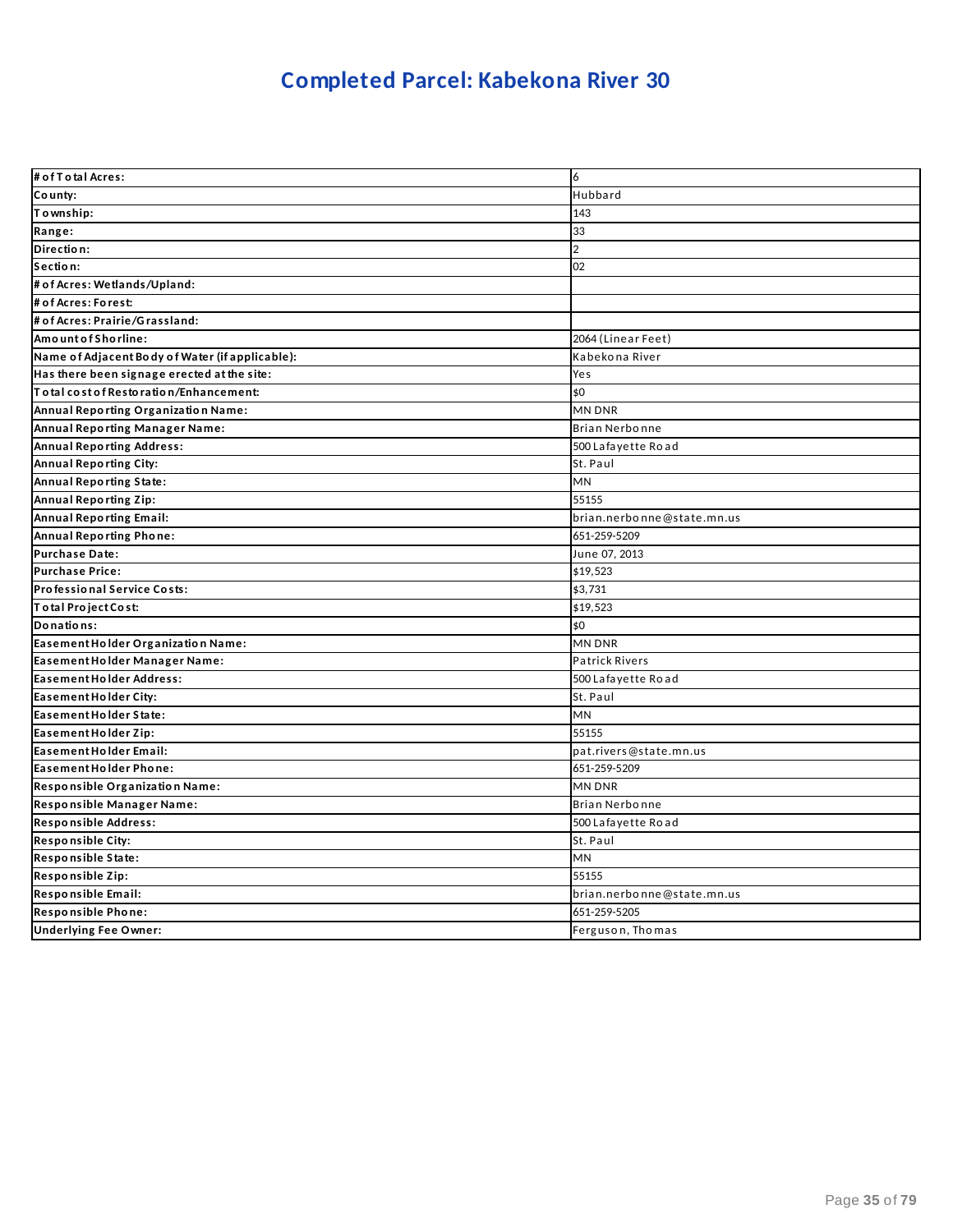# **Completed Parcel: Kabekona River 30**

| # of T o tal Acres:                             | 6                          |
|-------------------------------------------------|----------------------------|
| County:                                         | Hubbard                    |
| Township:                                       | 143                        |
| Range:                                          | 33                         |
| Direction:                                      | $\overline{2}$             |
| Section:                                        | 02                         |
| # of Acres: Wetlands/Upland:                    |                            |
| # of Acres: Forest:                             |                            |
| # of Acres: Prairie/Grassland:                  |                            |
| Amount of Shorline:                             | 2064 (Linear Feet)         |
| Name of Adjacent Body of Water (if applicable): | Kabekona River             |
| Has there been signage erected at the site:     | Yes                        |
| Total cost of Restoration/Enhancement:          | \$0                        |
| Annual Reporting Organization Name:             | <b>MN DNR</b>              |
| Annual Reporting Manager Name:                  | Brian Nerbonne             |
| <b>Annual Reporting Address:</b>                | 500 Lafayette Road         |
| Annual Reporting City:                          | St. Paul                   |
| Annual Reporting State:                         | <b>MN</b>                  |
| Annual Reporting Zip:                           | 55155                      |
| <b>Annual Reporting Email:</b>                  | brian.nerbonne@state.mn.us |
| Annual Reporting Phone:                         | 651-259-5209               |
| Purchase Date:                                  | June 07, 2013              |
| <b>Purchase Price:</b>                          | \$19,523                   |
| Professional Service Costs:                     | \$3,731                    |
| Total Project Cost:                             | \$19,523                   |
| Donations:                                      | \$0                        |
| Easement Holder Organization Name:              | <b>MN DNR</b>              |
| Easement Holder Manager Name:                   | <b>Patrick Rivers</b>      |
| Easement Holder Address:                        | 500 Lafayette Road         |
| Easement Holder City:                           | St. Paul                   |
| Easement Holder State:                          | <b>MN</b>                  |
| Easement Holder Zip:                            | 55155                      |
| Easement Holder Email:                          | pat.rivers@state.mn.us     |
| Easement Holder Phone:                          | 651-259-5209               |
| Responsible Organization Name:                  | <b>MN DNR</b>              |
| Responsible Manager Name:                       | Brian Nerbonne             |
| Responsible Address:                            | 500 Lafayette Road         |
| <b>Responsible City:</b>                        | St. Paul                   |
| Responsible State:                              | <b>MN</b>                  |
| Responsible Zip:                                | 55155                      |
| Responsible Email:                              | brian.nerbonne@state.mn.us |
| Responsible Phone:                              | 651-259-5205               |
| <b>Underlying Fee Owner:</b>                    | Ferguson, Thomas           |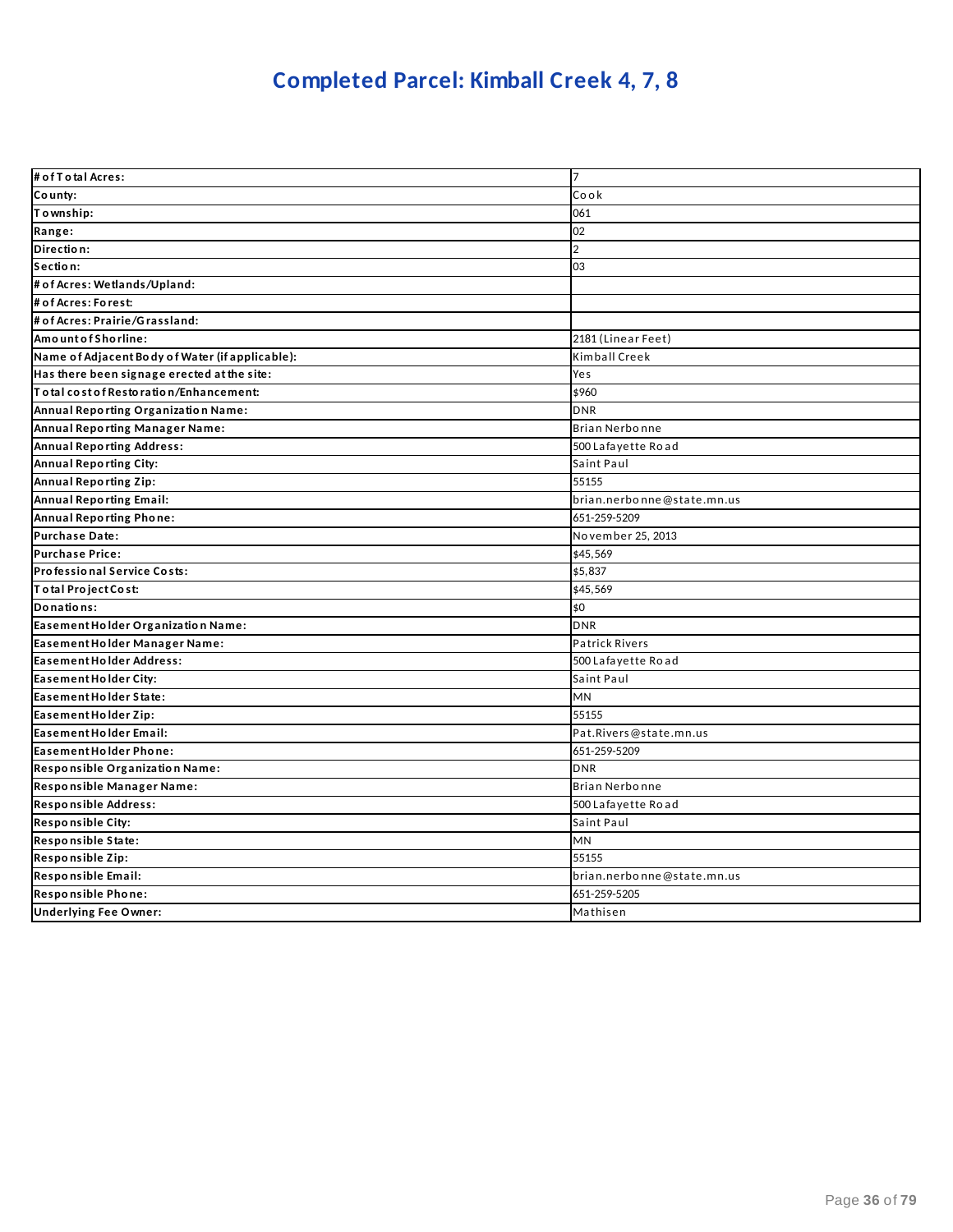# **Completed Parcel: Kimball Creek 4, 7, 8**

| # of T o tal Acres:                             | 17                         |
|-------------------------------------------------|----------------------------|
| County:                                         | Cook                       |
| Township:                                       | 061                        |
| Range:                                          | 02                         |
| Direction:                                      | $\overline{2}$             |
| Section:                                        | 03                         |
| # of Acres: Wetlands/Upland:                    |                            |
| # of Acres: Forest:                             |                            |
| # of Acres: Prairie/Grassland:                  |                            |
| Amount of Shorline:                             | 2181 (Linear Feet)         |
| Name of Adjacent Body of Water (if applicable): | Kimball Creek              |
| Has there been signage erected at the site:     | Yes                        |
| To tal cost of Restoration/Enhancement:         | \$960                      |
| Annual Reporting Organization Name:             | <b>DNR</b>                 |
| <b>Annual Reporting Manager Name:</b>           | Brian Nerbonne             |
| <b>Annual Reporting Address:</b>                | 500 Lafayette Road         |
| Annual Reporting City:                          | Saint Paul                 |
| <b>Annual Reporting Zip:</b>                    | 55155                      |
| <b>Annual Reporting Email:</b>                  | brian.nerbonne@state.mn.us |
| <b>Annual Reporting Phone:</b>                  | 651-259-5209               |
| <b>Purchase Date:</b>                           | November 25, 2013          |
| <b>Purchase Price:</b>                          | \$45,569                   |
| Professional Service Costs:                     | \$5,837                    |
| Total Project Cost:                             | \$45,569                   |
| Donations:                                      | \$0                        |
| Easement Holder Organization Name:              | <b>DNR</b>                 |
| Easement Holder Manager Name:                   | <b>Patrick Rivers</b>      |
| <b>Easement Holder Address:</b>                 | 500 Lafayette Road         |
| Easement Holder City:                           | Saint Paul                 |
| Easement Holder State:                          | MN                         |
| Easement Holder Zip:                            | 55155                      |
| Easement Holder Email:                          | Pat.Rivers@state.mn.us     |
| Easement Holder Phone:                          | 651-259-5209               |
| Responsible Organization Name:                  | <b>DNR</b>                 |
| Responsible Manager Name:                       | Brian Nerbonne             |
| Responsible Address:                            | 500 Lafayette Road         |
| <b>Responsible City:</b>                        | Saint Paul                 |
| Responsible State:                              | MN                         |
| Responsible Zip:                                | 55155                      |
| Responsible Email:                              | brian.nerbonne@state.mn.us |
| Responsible Phone:                              | 651-259-5205               |
| <b>Underlying Fee Owner:</b>                    | Mathisen                   |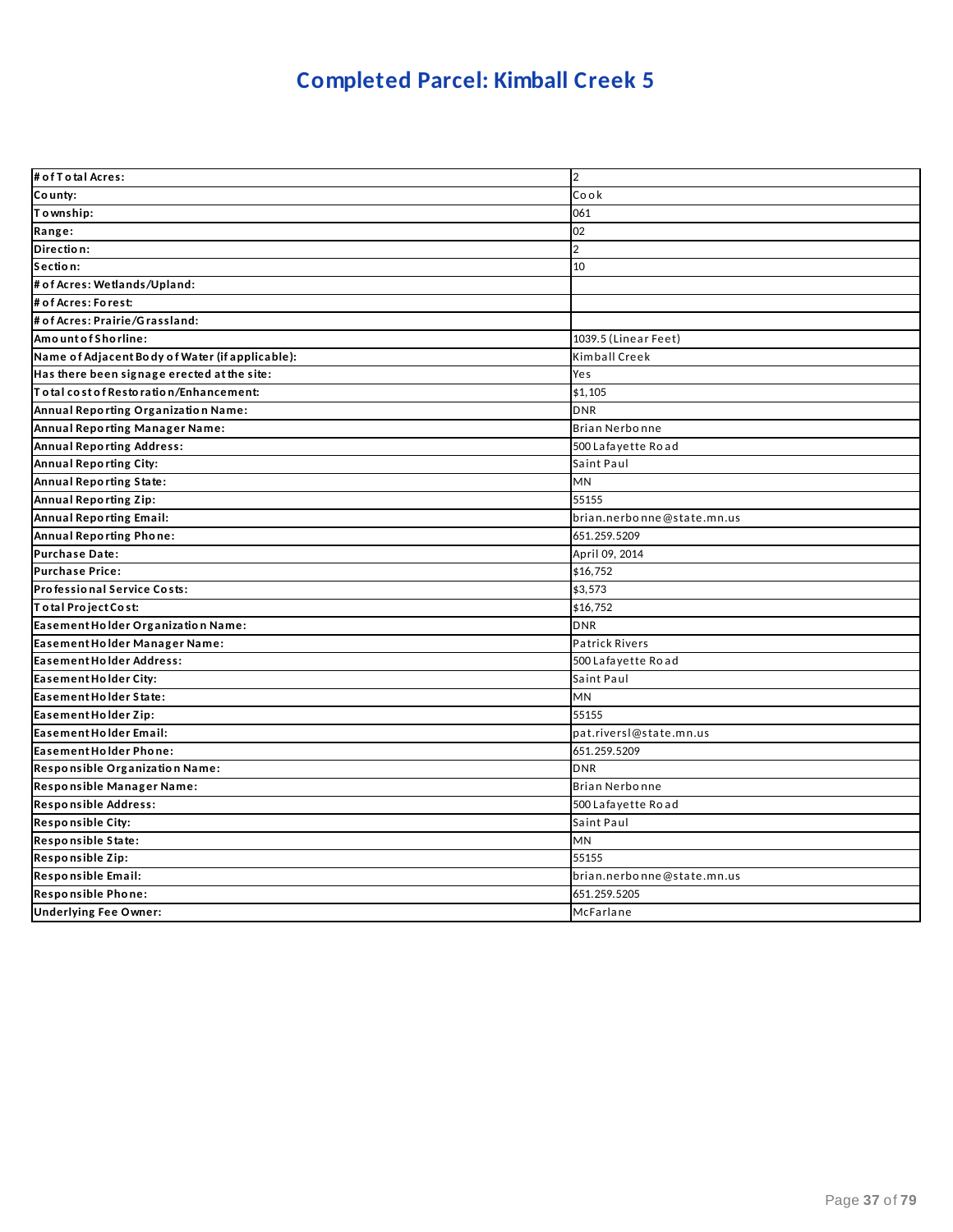### **Completed Parcel: Kimball Creek 5**

| # of T o tal Acres:                             | $\overline{2}$             |
|-------------------------------------------------|----------------------------|
| County:                                         | Cook                       |
| Township:                                       | 061                        |
| Range:                                          | 02                         |
| Direction:                                      | $\overline{2}$             |
| Section:                                        | 10                         |
| # of Acres: Wetlands/Upland:                    |                            |
| # of Acres: Forest:                             |                            |
| # of Acres: Prairie/Grassland:                  |                            |
| Amount of Shorline:                             | 1039.5 (Linear Feet)       |
| Name of Adjacent Body of Water (if applicable): | Kimball Creek              |
| Has there been signage erected at the site:     | Yes                        |
| To tal cost of Restoration/Enhancement:         | \$1,105                    |
| Annual Reporting Organization Name:             | <b>DNR</b>                 |
| Annual Reporting Manager Name:                  | Brian Nerbonne             |
| <b>Annual Reporting Address:</b>                | 500 Lafayette Road         |
| Annual Reporting City:                          | Saint Paul                 |
| Annual Reporting State:                         | <b>MN</b>                  |
| Annual Reporting Zip:                           | 55155                      |
| <b>Annual Reporting Email:</b>                  | brian.nerbonne@state.mn.us |
| Annual Reporting Phone:                         | 651.259.5209               |
| Purchase Date:                                  | April 09, 2014             |
| <b>Purchase Price:</b>                          | \$16,752                   |
| Professional Service Costs:                     | \$3,573                    |
| Total Project Cost:                             | \$16,752                   |
| Easement Holder Organization Name:              | <b>DNR</b>                 |
| Easement Holder Manager Name:                   | <b>Patrick Rivers</b>      |
| Easement Holder Address:                        | 500 Lafayette Road         |
| Easement Holder City:                           | Saint Paul                 |
| Easement Holder State:                          | <b>MN</b>                  |
| Easement Holder Zip:                            | 55155                      |
| Easement Holder Email:                          | pat.riversl@state.mn.us    |
| Easement Holder Phone:                          | 651.259.5209               |
| Responsible Organization Name:                  | <b>DNR</b>                 |
| Responsible Manager Name:                       | Brian Nerbonne             |
| Responsible Address:                            | 500 Lafayette Road         |
| Responsible City:                               | Saint Paul                 |
| Responsible State:                              | MN                         |
| Responsible Zip:                                | 55155                      |
| Responsible Email:                              | brian.nerbonne@state.mn.us |
| Responsible Phone:                              | 651.259.5205               |
| <b>Underlying Fee Owner:</b>                    | McFarlane                  |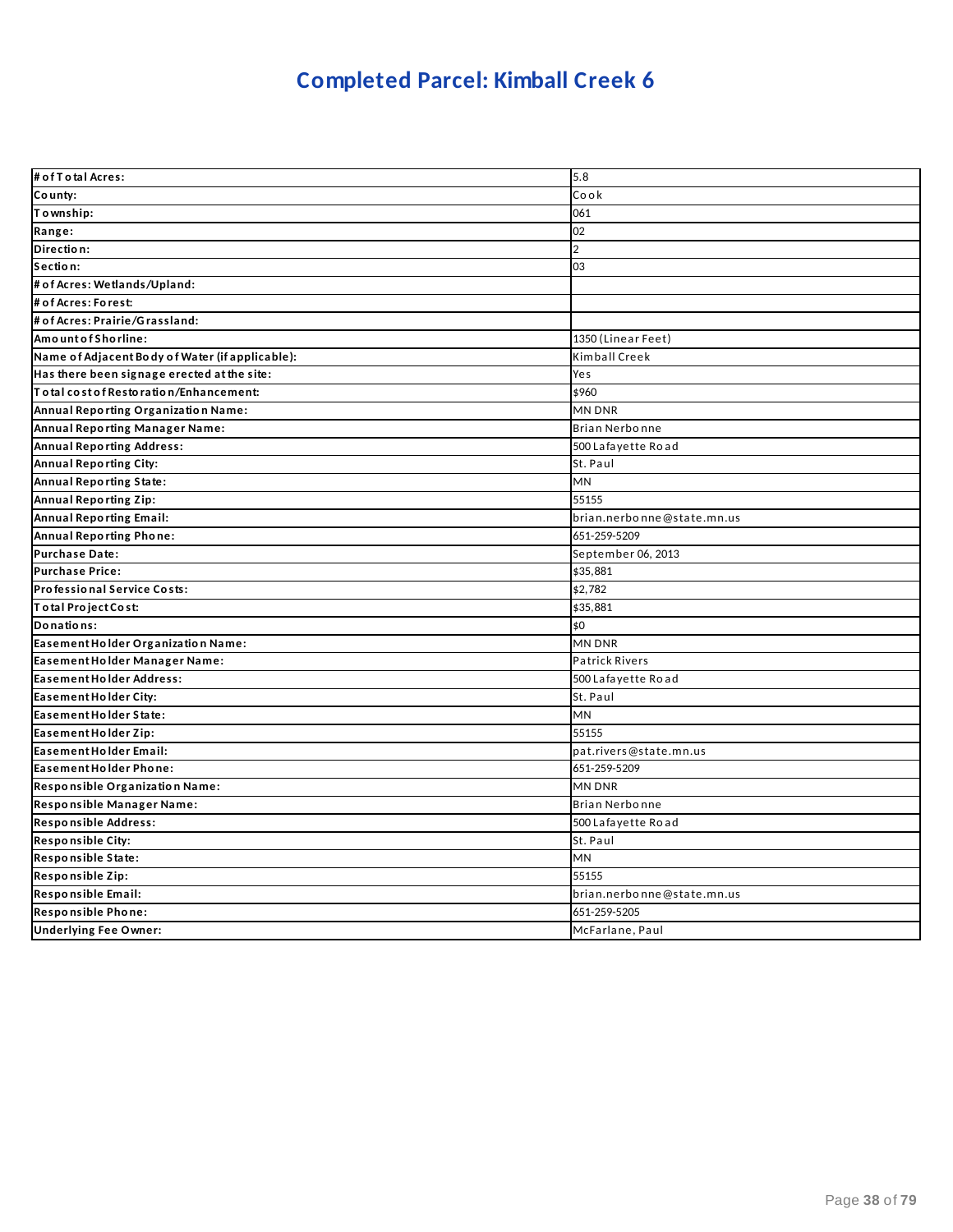### **Completed Parcel: Kimball Creek 6**

| # of T o tal Acres:                             | 5.8                        |
|-------------------------------------------------|----------------------------|
| County:                                         | Cook                       |
| Township:                                       | 061                        |
| Range:                                          | 02                         |
| Direction:                                      | $\overline{2}$             |
| Section:                                        | 03                         |
| # of Acres: Wetlands/Upland:                    |                            |
| # of Acres: Forest:                             |                            |
| # of Acres: Prairie/Grassland:                  |                            |
| Amount of Shorline:                             | 1350 (Linear Feet)         |
| Name of Adjacent Body of Water (if applicable): | Kimball Creek              |
| Has there been signage erected at the site:     | Yes                        |
| Total cost of Restoration/Enhancement:          | \$960                      |
| Annual Reporting Organization Name:             | <b>MN DNR</b>              |
| Annual Reporting Manager Name:                  | Brian Nerbonne             |
| <b>Annual Reporting Address:</b>                | 500 Lafayette Road         |
| Annual Reporting City:                          | St. Paul                   |
| Annual Reporting State:                         | <b>MN</b>                  |
| <b>Annual Reporting Zip:</b>                    | 55155                      |
| <b>Annual Reporting Email:</b>                  | brian.nerbonne@state.mn.us |
| Annual Reporting Phone:                         | 651-259-5209               |
| <b>Purchase Date:</b>                           | September 06, 2013         |
| <b>Purchase Price:</b>                          | \$35,881                   |
| Professional Service Costs:                     | \$2,782                    |
| Total Project Cost:                             | \$35,881                   |
| Donations:                                      | \$0                        |
| Easement Holder Organization Name:              | <b>MN DNR</b>              |
| Easement Holder Manager Name:                   | <b>Patrick Rivers</b>      |
| Easement Holder Address:                        | 500 Lafayette Road         |
| Easement Holder City:                           | St. Paul                   |
| Easement Holder State:                          | MN                         |
| Easement Holder Zip:                            | 55155                      |
| Easement Holder Email:                          | pat.rivers@state.mn.us     |
| Easement Holder Phone:                          | 651-259-5209               |
| Responsible Organization Name:                  | <b>MN DNR</b>              |
| Responsible Manager Name:                       | <b>Brian Nerbonne</b>      |
| Responsible Address:                            | 500 Lafayette Road         |
| <b>Responsible City:</b>                        | St. Paul                   |
| Responsible State:                              | MN                         |
| Responsible Zip:                                | 55155                      |
| Responsible Email:                              | brian.nerbonne@state.mn.us |
| Responsible Phone:                              | 651-259-5205               |
| <b>Underlying Fee Owner:</b>                    | McFarlane, Paul            |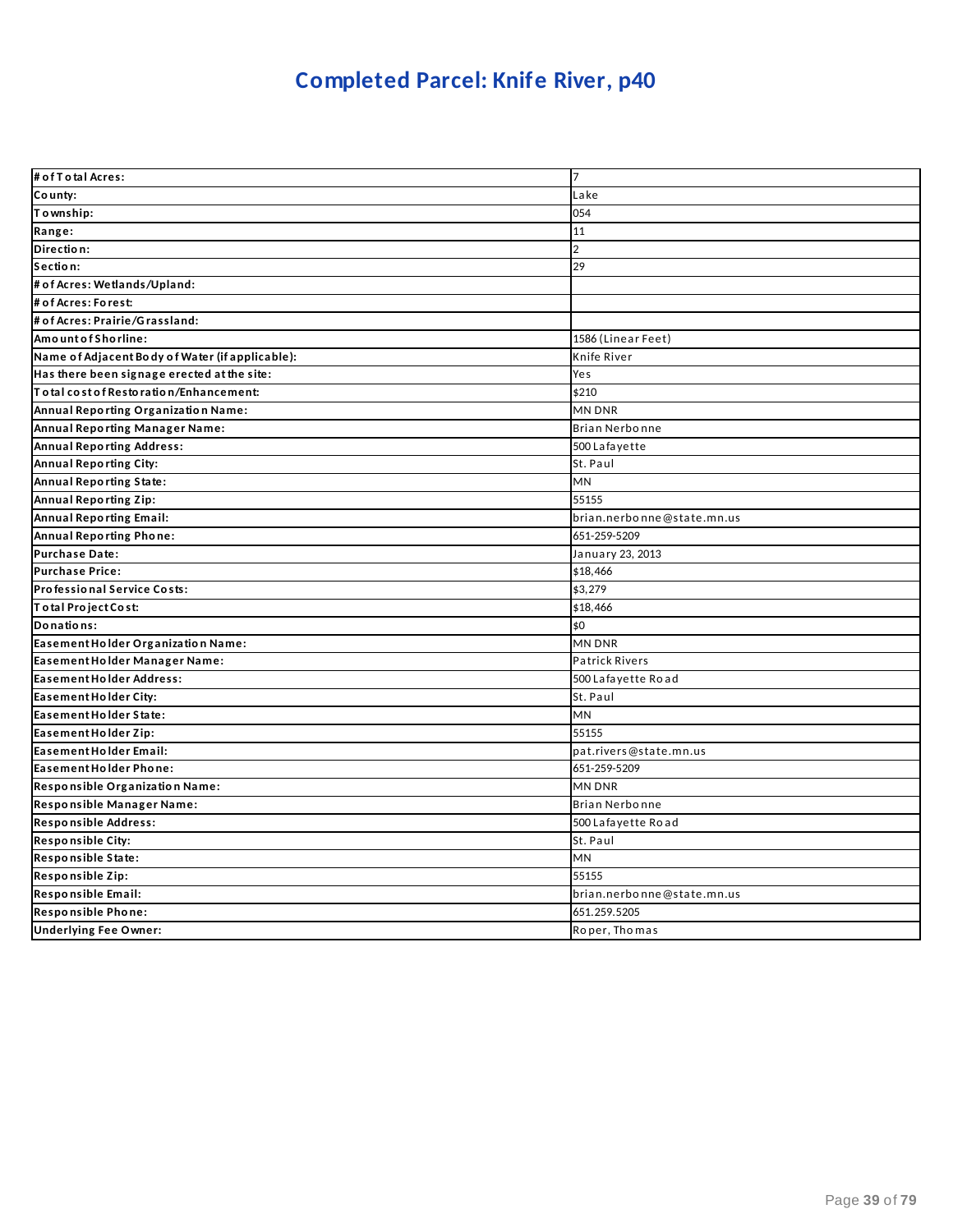### **Completed Parcel: Knife River, p40**

| # of T o tal Acres:                             | $\overline{7}$             |
|-------------------------------------------------|----------------------------|
| County:                                         | Lake                       |
| Township:                                       | 054                        |
| Range:                                          | 11                         |
| Direction:                                      | $\overline{2}$             |
| Section:                                        | 29                         |
| # of Acres: Wetlands/Upland:                    |                            |
| # of Acres: Forest:                             |                            |
| # of Acres: Prairie/Grassland:                  |                            |
| Amount of Shorline:                             | 1586 (Linear Feet)         |
| Name of Adjacent Body of Water (if applicable): | Knife River                |
| Has there been signage erected at the site:     | Yes                        |
| Total cost of Restoration/Enhancement:          | \$210                      |
| Annual Reporting Organization Name:             | MN DNR                     |
| Annual Reporting Manager Name:                  | Brian Nerbonne             |
| <b>Annual Reporting Address:</b>                | 500 Lafayette              |
| Annual Reporting City:                          | St. Paul                   |
| Annual Reporting State:                         | <b>MN</b>                  |
| Annual Reporting Zip:                           | 55155                      |
| <b>Annual Reporting Email:</b>                  | brian.nerbonne@state.mn.us |
| Annual Reporting Phone:                         | 651-259-5209               |
| Purchase Date:                                  | January 23, 2013           |
| Purchase Price:                                 | \$18,466                   |
| Professional Service Costs:                     | \$3,279                    |
| Total Project Cost:                             | \$18,466                   |
| Donations:                                      | \$0                        |
| Easement Holder Organization Name:              | MN DNR                     |
| Easement Holder Manager Name:                   | <b>Patrick Rivers</b>      |
| Easement Holder Address:                        | 500 Lafayette Road         |
| Easement Holder City:                           | St. Paul                   |
| Easement Holder State:                          | MN                         |
| Easement Holder Zip:                            | 55155                      |
| Easement Holder Email:                          | pat.rivers@state.mn.us     |
| Easement Holder Phone:                          | 651-259-5209               |
| Responsible Organization Name:                  | MN DNR                     |
| Responsible Manager Name:                       | Brian Nerbonne             |
| Responsible Address:                            | 500 Lafayette Road         |
| Responsible City:                               | St. Paul                   |
| Responsible State:                              | MN                         |
| Responsible Zip:                                | 55155                      |
| Responsible Email:                              | brian.nerbonne@state.mn.us |
| Responsible Phone:                              | 651.259.5205               |
| <b>Underlying Fee Owner:</b>                    | Roper, Thomas              |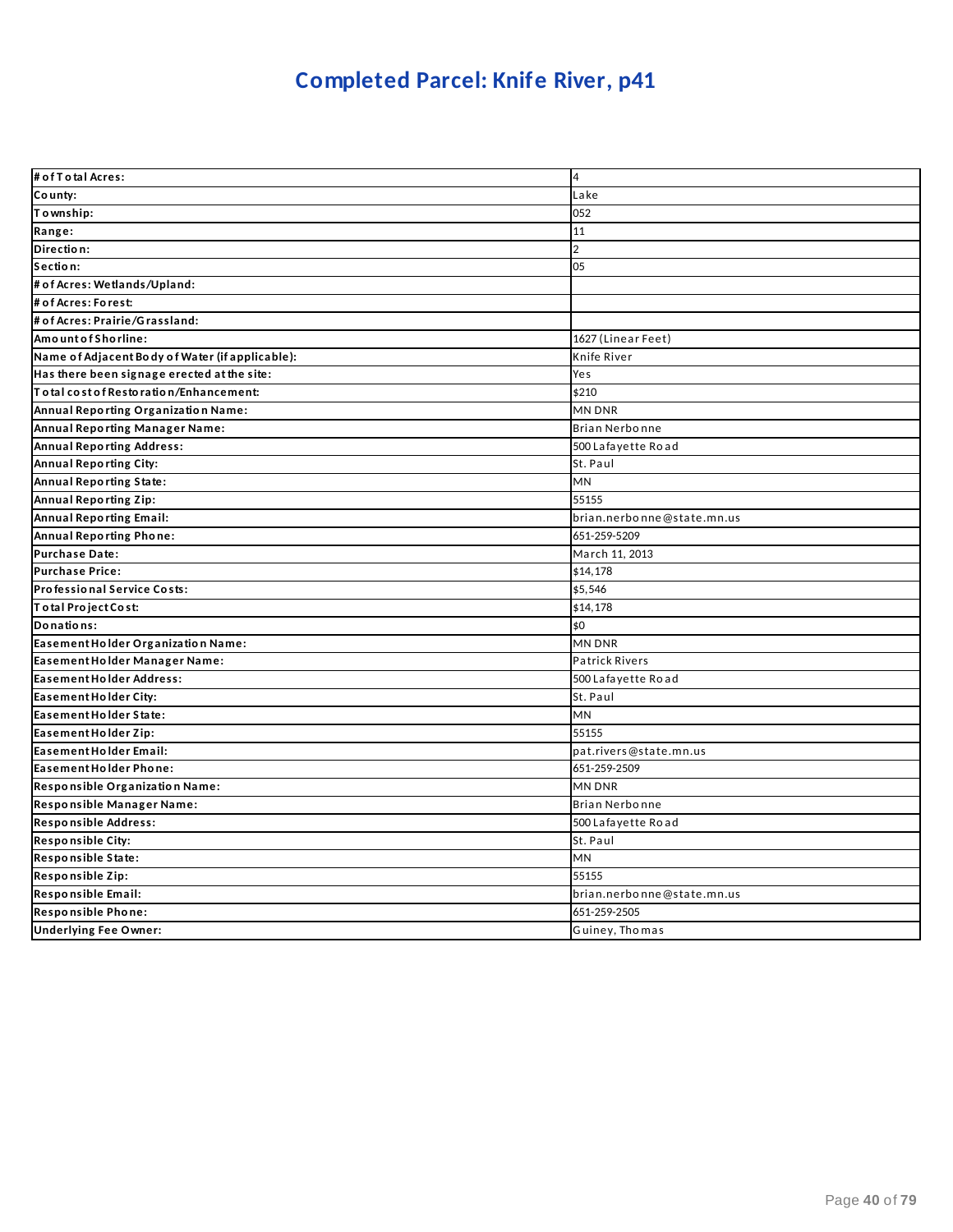### **Completed Parcel: Knife River, p41**

| # of T o tal Acres:                             | 4                          |
|-------------------------------------------------|----------------------------|
| County:                                         | Lake                       |
| Township:                                       | 052                        |
| Range:                                          | 11                         |
| Direction:                                      | $\overline{2}$             |
| Section:                                        | 05                         |
| # of Acres: Wetlands/Upland:                    |                            |
| # of Acres: Forest:                             |                            |
| # of Acres: Prairie/Grassland:                  |                            |
| Amount of Shorline:                             | 1627 (Linear Feet)         |
| Name of Adjacent Body of Water (if applicable): | Knife River                |
| Has there been signage erected at the site:     | Yes                        |
| To tal cost of Restoration/Enhancement:         | \$210                      |
| Annual Reporting Organization Name:             | <b>MN DNR</b>              |
| Annual Reporting Manager Name:                  | Brian Nerbonne             |
| <b>Annual Reporting Address:</b>                | 500 Lafayette Road         |
| Annual Reporting City:                          | St. Paul                   |
| Annual Reporting State:                         | MN                         |
| Annual Reporting Zip:                           | 55155                      |
| <b>Annual Reporting Email:</b>                  | brian.nerbonne@state.mn.us |
| Annual Reporting Phone:                         | 651-259-5209               |
| Purchase Date:                                  | March 11, 2013             |
| Purchase Price:                                 | \$14,178                   |
| Professional Service Costs:                     | \$5,546                    |
| Total Project Cost:                             | \$14,178                   |
| Donations:                                      | \$0                        |
| Easement Holder Organization Name:              | <b>MN DNR</b>              |
| Easement Holder Manager Name:                   | <b>Patrick Rivers</b>      |
| Easement Holder Address:                        | 500 Lafayette Road         |
| Easement Holder City:                           | St. Paul                   |
| Easement Holder State:                          | <b>MN</b>                  |
| Easement Holder Zip:                            | 55155                      |
| Easement Holder Email:                          | pat.rivers@state.mn.us     |
| Easement Holder Phone:                          | 651-259-2509               |
| Responsible Organization Name:                  | <b>MN DNR</b>              |
| Responsible Manager Name:                       | Brian Nerbonne             |
| Responsible Address:                            | 500 Lafayette Road         |
| Responsible City:                               | St. Paul                   |
| Responsible State:                              | <b>MN</b>                  |
| Responsible Zip:                                | 55155                      |
| Responsible Email:                              | brian.nerbonne@state.mn.us |
| Responsible Phone:                              | 651-259-2505               |
| <b>Underlying Fee Owner:</b>                    | Guiney, Thomas             |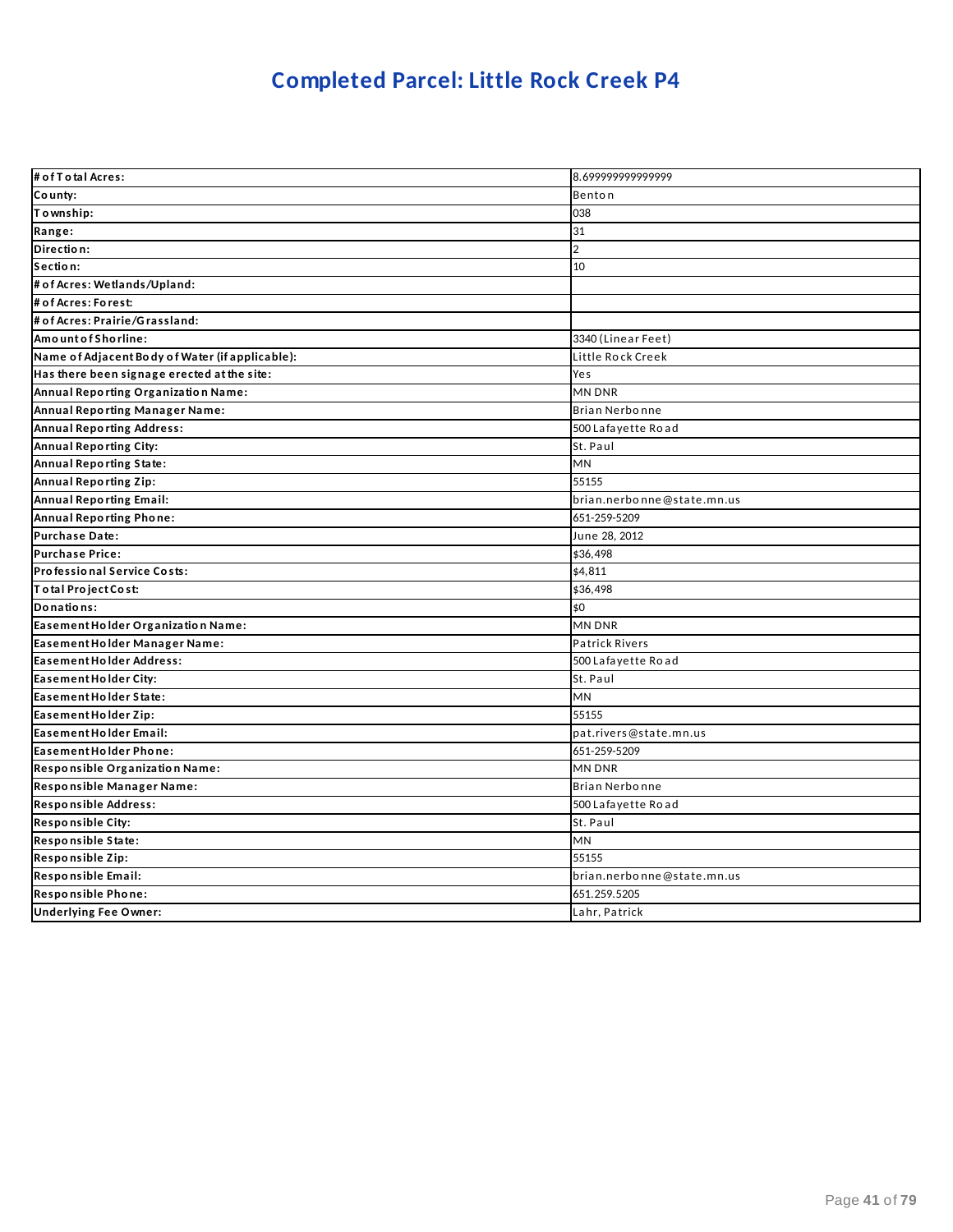### **Completed Parcel: Little Rock Creek P4**

| # of T o tal Acres:                             | 8.699999999999999          |
|-------------------------------------------------|----------------------------|
| County:                                         | Benton                     |
| To wnship:                                      | 038                        |
| Range:                                          | 31                         |
| Direction:                                      | $\overline{2}$             |
| Section:                                        | 10                         |
| # of Acres: Wetlands/Upland:                    |                            |
| # of Acres: Forest:                             |                            |
| # of Acres: Prairie/Grassland:                  |                            |
| Amount of Shorline:                             | 3340 (Linear Feet)         |
| Name of Adjacent Body of Water (if applicable): | Little Rock Creek          |
| Has there been signage erected at the site:     | Yes                        |
| Annual Reporting Organization Name:             | <b>MN DNR</b>              |
| Annual Reporting Manager Name:                  | Brian Nerbonne             |
| Annual Reporting Address:                       | 500 Lafayette Road         |
| Annual Reporting City:                          | St. Paul                   |
| Annual Reporting State:                         | <b>MN</b>                  |
| Annual Reporting Zip:                           | 55155                      |
| <b>Annual Reporting Email:</b>                  | brian.nerbonne@state.mn.us |
| Annual Reporting Phone:                         | 651-259-5209               |
| Purchase Date:                                  | June 28, 2012              |
| <b>Purchase Price:</b>                          | \$36,498                   |
| Professional Service Costs:                     | \$4,811                    |
| Total Project Cost:                             | \$36,498                   |
| Donations:                                      | \$0                        |
| Easement Holder Organization Name:              | <b>MN DNR</b>              |
| Easement Holder Manager Name:                   | <b>Patrick Rivers</b>      |
| Easement Holder Address:                        | 500 Lafayette Road         |
| Easement Holder City:                           | St. Paul                   |
| Easement Holder State:                          | <b>MN</b>                  |
| Easement Holder Zip:                            | 55155                      |
| Easement Holder Email:                          | pat.rivers@state.mn.us     |
| Easement Holder Phone:                          | 651-259-5209               |
| Responsible Organization Name:                  | <b>MN DNR</b>              |
| Responsible Manager Name:                       | Brian Nerbonne             |
| <b>Responsible Address:</b>                     | 500 Lafayette Road         |
| <b>Responsible City:</b>                        | St. Paul                   |
| Responsible State:                              | MN                         |
| Responsible Zip:                                | 55155                      |
| Responsible Email:                              | brian.nerbonne@state.mn.us |
| Responsible Phone:                              | 651.259.5205               |
| <b>Underlying Fee Owner:</b>                    | Lahr, Patrick              |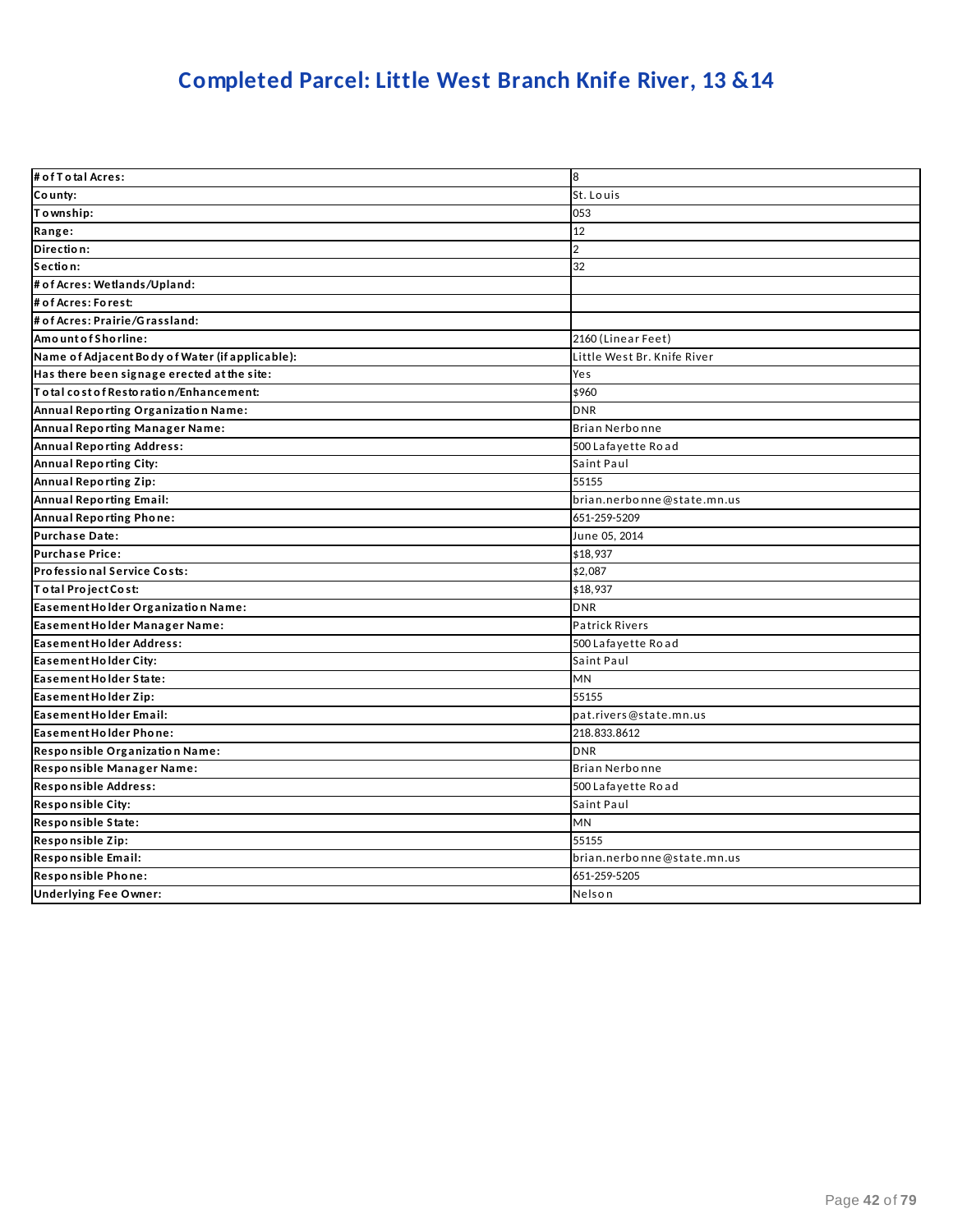### **Completed Parcel: Little West Branch Knife River, 13 &14**

| # of T o tal Acres:                             | 8                           |
|-------------------------------------------------|-----------------------------|
| County:                                         | St. Louis                   |
| Township:                                       | 053                         |
| Range:                                          | 12                          |
| Direction:                                      | $\overline{2}$              |
| Section:                                        | 32                          |
| # of Acres: Wetlands/Upland:                    |                             |
| # of Acres: Forest:                             |                             |
| # of Acres: Prairie/Grassland:                  |                             |
| Amount of Shorline:                             | 2160 (Linear Feet)          |
| Name of Adjacent Body of Water (if applicable): | Little West Br. Knife River |
| Has there been signage erected at the site:     | Yes                         |
| To tal cost of Restoration/Enhancement:         | \$960                       |
| Annual Reporting Organization Name:             | <b>DNR</b>                  |
| Annual Reporting Manager Name:                  | Brian Nerbonne              |
| <b>Annual Reporting Address:</b>                | 500 Lafayette Road          |
| <b>Annual Reporting City:</b>                   | Saint Paul                  |
| <b>Annual Reporting Zip:</b>                    | 55155                       |
| <b>Annual Reporting Email:</b>                  | brian.nerbonne@state.mn.us  |
| Annual Reporting Phone:                         | 651-259-5209                |
| <b>Purchase Date:</b>                           | June 05, 2014               |
| <b>Purchase Price:</b>                          | \$18,937                    |
| Professional Service Costs:                     | \$2,087                     |
| Total Project Cost:                             | \$18,937                    |
| Easement Holder Organization Name:              | <b>DNR</b>                  |
| Easement Holder Manager Name:                   | <b>Patrick Rivers</b>       |
| Easement Holder Address:                        | 500 Lafayette Road          |
| Easement Holder City:                           | Saint Paul                  |
| Easement Holder State:                          | MN                          |
| Easement Holder Zip:                            | 55155                       |
| Easement Holder Email:                          | pat.rivers@state.mn.us      |
| Easement Holder Phone:                          | 218.833.8612                |
| Responsible Organization Name:                  | <b>DNR</b>                  |
| Responsible Manager Name:                       | Brian Nerbonne              |
| Responsible Address:                            | 500 Lafayette Road          |
| <b>Responsible City:</b>                        | Saint Paul                  |
| Responsible State:                              | MN                          |
| Responsible Zip:                                | 55155                       |
| Responsible Email:                              | brian.nerbonne@state.mn.us  |
| Responsible Phone:                              | 651-259-5205                |
| <b>Underlying Fee Owner:</b>                    | Nelson                      |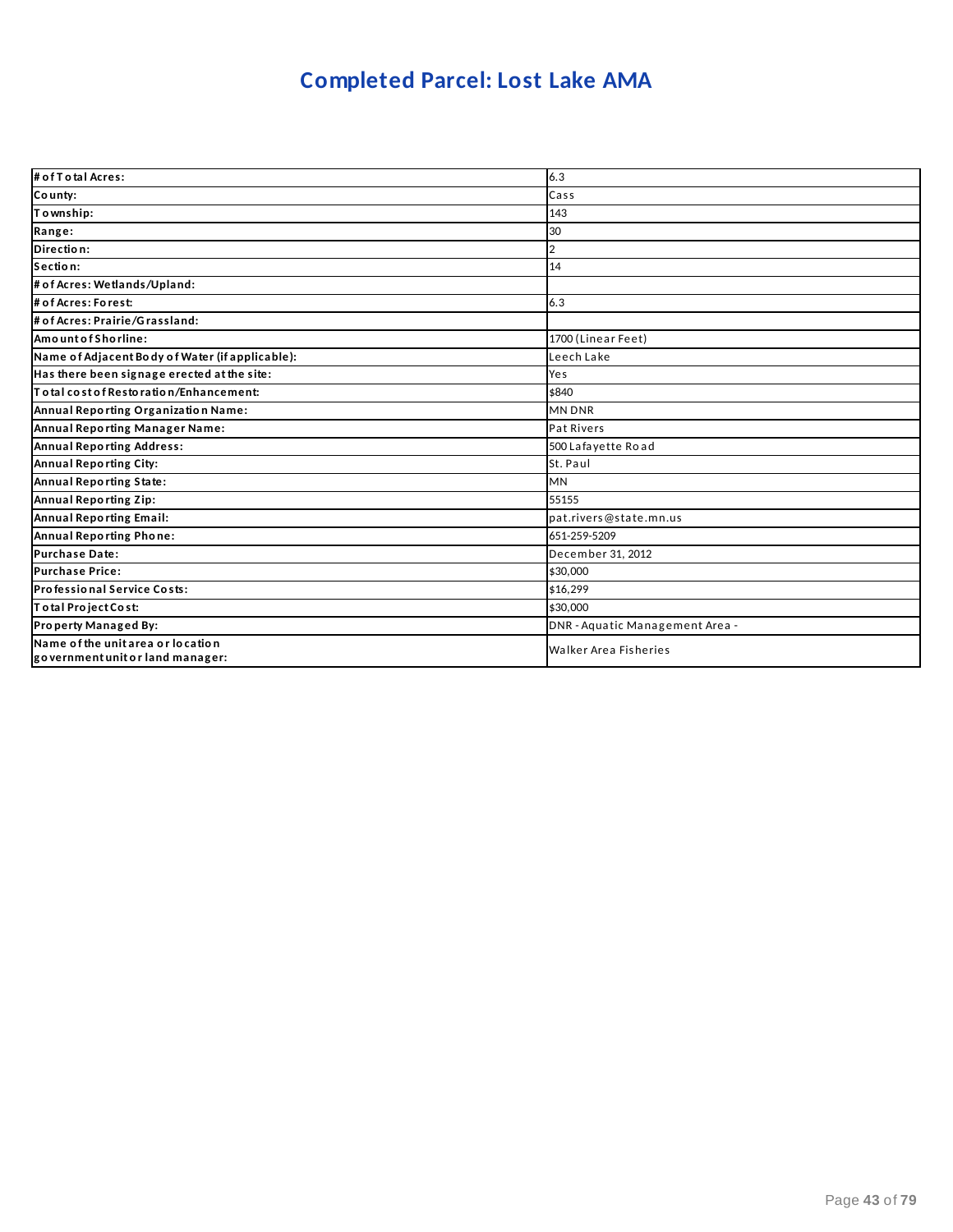### **Completed Parcel: Lost Lake AMA**

| # of T o tal Acres:                                                   | 6.3                             |
|-----------------------------------------------------------------------|---------------------------------|
| County:                                                               | Cass                            |
| Township:                                                             | 143                             |
| Range:                                                                | 30                              |
| Direction:                                                            | 2                               |
| Section:                                                              | 14                              |
| # of Acres: Wetlands/Upland:                                          |                                 |
| # of Acres: Forest:                                                   | 6.3                             |
| # of Acres: Prairie/Grassland:                                        |                                 |
| AmountofShorline:                                                     | 1700 (Linear Feet)              |
| Name of Adjacent Body of Water (if applicable):                       | Leech Lake                      |
| Has there been signage erected at the site:                           | Yes                             |
| Total cost of Restoration/Enhancement:                                | \$840                           |
| Annual Reporting Organization Name:                                   | <b>MN DNR</b>                   |
| Annual Reporting Manager Name:                                        | <b>Pat Rivers</b>               |
| <b>Annual Reporting Address:</b>                                      | 500 Lafayette Road              |
| Annual Reporting City:                                                | St. Paul                        |
| Annual Reporting State:                                               | <b>MN</b>                       |
| Annual Reporting Zip:                                                 | 55155                           |
| Annual Reporting Email:                                               | pat.rivers@state.mn.us          |
| Annual Reporting Phone:                                               | 651-259-5209                    |
| <b>Purchase Date:</b>                                                 | December 31, 2012               |
| <b>Purchase Price:</b>                                                | \$30,000                        |
| Professional Service Costs:                                           | \$16.299                        |
| Total Project Cost:                                                   | \$30,000                        |
| Property Managed By:                                                  | DNR - Aquatic Management Area - |
| Name of the unit area or location<br>government unit or land manager: | <b>Walker Area Fisheries</b>    |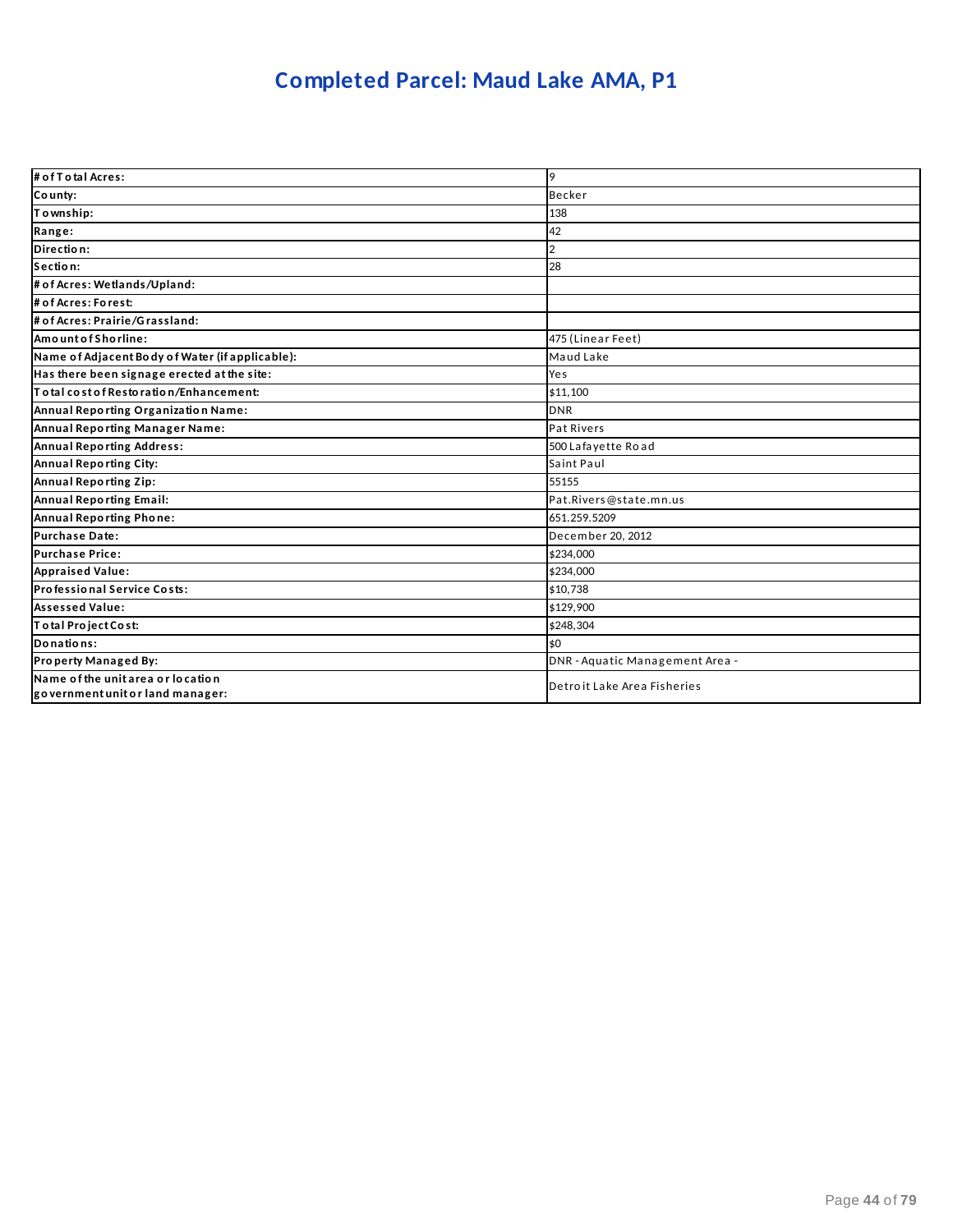### **Completed Parcel: Maud Lake AMA, P1**

| # of T o tal Acres:                                                   | 9                               |
|-----------------------------------------------------------------------|---------------------------------|
| County:                                                               | <b>Becker</b>                   |
| To wnship:                                                            | 138                             |
| Range:                                                                | 42                              |
| Direction:                                                            | 2                               |
| Section:                                                              | 28                              |
| # of Acres: Wetlands/Upland:                                          |                                 |
| # of Acres: Forest:                                                   |                                 |
| # of Acres: Prairie/Grassland:                                        |                                 |
| AmountofShorline:                                                     | 475 (Linear Feet)               |
| Name of Adjacent Body of Water (if applicable):                       | Maud Lake                       |
| Has there been signage erected at the site:                           | Yes                             |
| To tal cost of Restoration/Enhancement:                               | \$11,100                        |
| Annual Reporting Organization Name:                                   | <b>DNR</b>                      |
| Annual Reporting Manager Name:                                        | Pat Rivers                      |
| <b>Annual Reporting Address:</b>                                      | 500 Lafayette Road              |
| Annual Reporting City:                                                | Saint Paul                      |
| Annual Reporting Zip:                                                 | 55155                           |
| Annual Reporting Email:                                               | Pat.Rivers@state.mn.us          |
| Annual Reporting Phone:                                               | 651.259.5209                    |
| <b>Purchase Date:</b>                                                 | December 20, 2012               |
| <b>Purchase Price:</b>                                                | \$234,000                       |
| <b>Appraised Value:</b>                                               | \$234,000                       |
| Professional Service Costs:                                           | \$10,738                        |
| <b>Assessed Value:</b>                                                | \$129.900                       |
| Total Project Cost:                                                   | \$248,304                       |
| Donations:                                                            | \$0                             |
| Property Managed By:                                                  | DNR - Aquatic Management Area - |
| Name of the unit area or location<br>government unit or land manager: | Detroit Lake Area Fisheries     |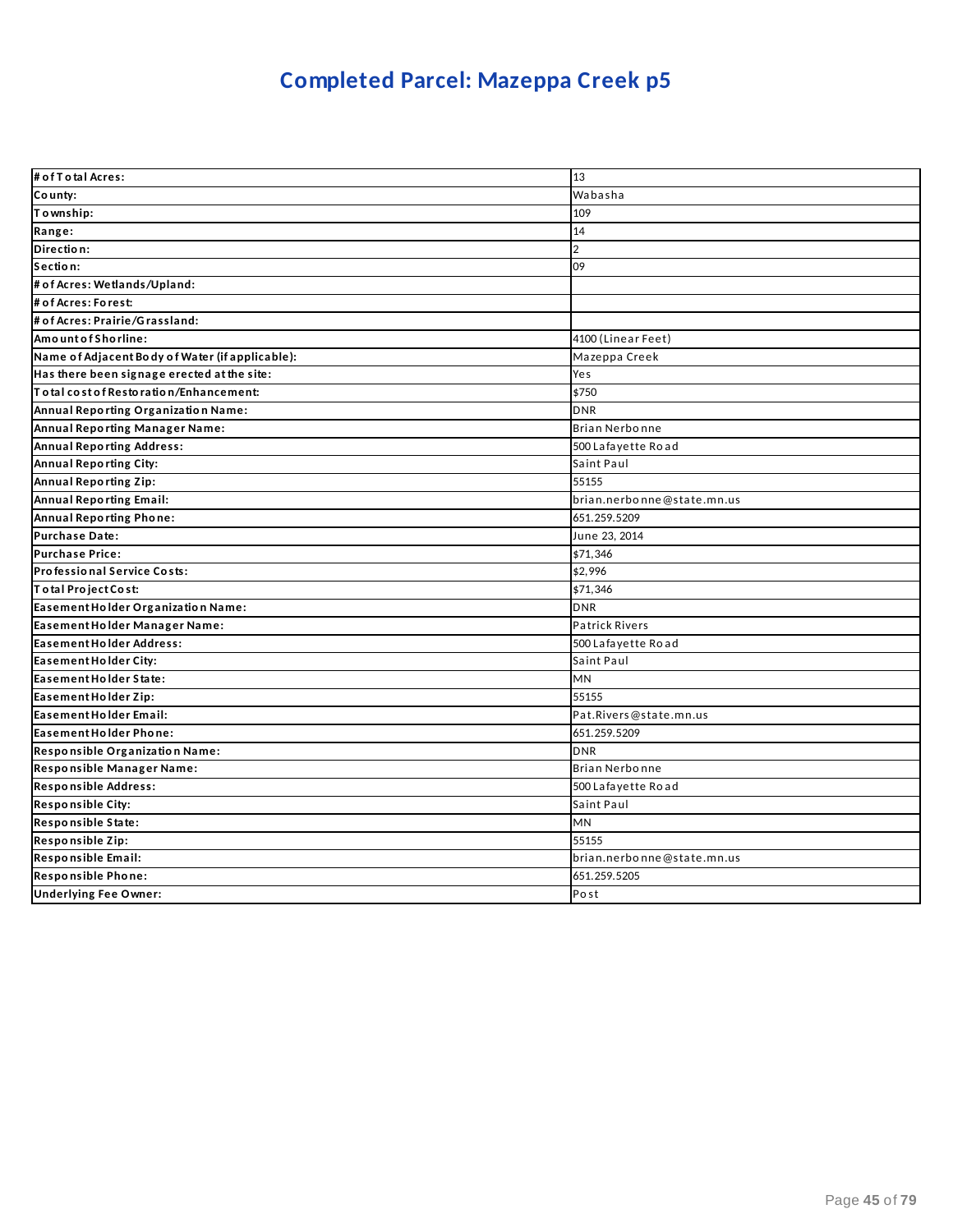# **Completed Parcel: Mazeppa Creek p5**

| # of T o tal Acres:                             | 13                         |
|-------------------------------------------------|----------------------------|
| County:                                         | Wabasha                    |
| Township:                                       | 109                        |
| Range:                                          | 14                         |
| Direction:                                      | $\overline{2}$             |
| Section:                                        | 09                         |
| # of Acres: Wetlands/Upland:                    |                            |
| # of Acres: Forest:                             |                            |
| # of Acres: Prairie/Grassland:                  |                            |
| AmountofShorline:                               | 4100 (Linear Feet)         |
| Name of Adjacent Body of Water (if applicable): | Mazeppa Creek              |
| Has there been signage erected at the site:     | Yes                        |
| lT o tal cost of Restoration/Enhancement:       | \$750                      |
| Annual Reporting Organization Name:             | <b>DNR</b>                 |
| Annual Reporting Manager Name:                  | Brian Nerbonne             |
| <b>Annual Reporting Address:</b>                | 500 Lafayette Road         |
| <b>Annual Reporting City:</b>                   | Saint Paul                 |
| Annual Reporting Zip:                           | 55155                      |
| Annual Reporting Email:                         | brian.nerbonne@state.mn.us |
| Annual Reporting Phone:                         | 651.259.5209               |
| <b>Purchase Date:</b>                           | June 23, 2014              |
| <b>Purchase Price:</b>                          | \$71,346                   |
| Professional Service Costs:                     | \$2,996                    |
| Total Project Cost:                             | \$71,346                   |
| Easement Holder Organization Name:              | <b>DNR</b>                 |
| Easement Holder Manager Name:                   | <b>Patrick Rivers</b>      |
| Easement Holder Address:                        | 500 Lafayette Road         |
| Easement Holder City:                           | Saint Paul                 |
| Easement Holder State:                          | <b>MN</b>                  |
| Easement Holder Zip:                            | 55155                      |
| Easement Holder Email:                          | Pat.Rivers@state.mn.us     |
| Easement Holder Phone:                          | 651.259.5209               |
| Responsible Organization Name:                  | <b>DNR</b>                 |
| Responsible Manager Name:                       | Brian Nerbonne             |
| Responsible Address:                            | 500 Lafayette Road         |
| Responsible City:                               | Saint Paul                 |
| Responsible State:                              | <b>MN</b>                  |
| Responsible Zip:                                | 55155                      |
| Responsible Email:                              | brian.nerbonne@state.mn.us |
| Responsible Phone:                              | 651.259.5205               |
| <b>Underlying Fee Owner:</b>                    | Post                       |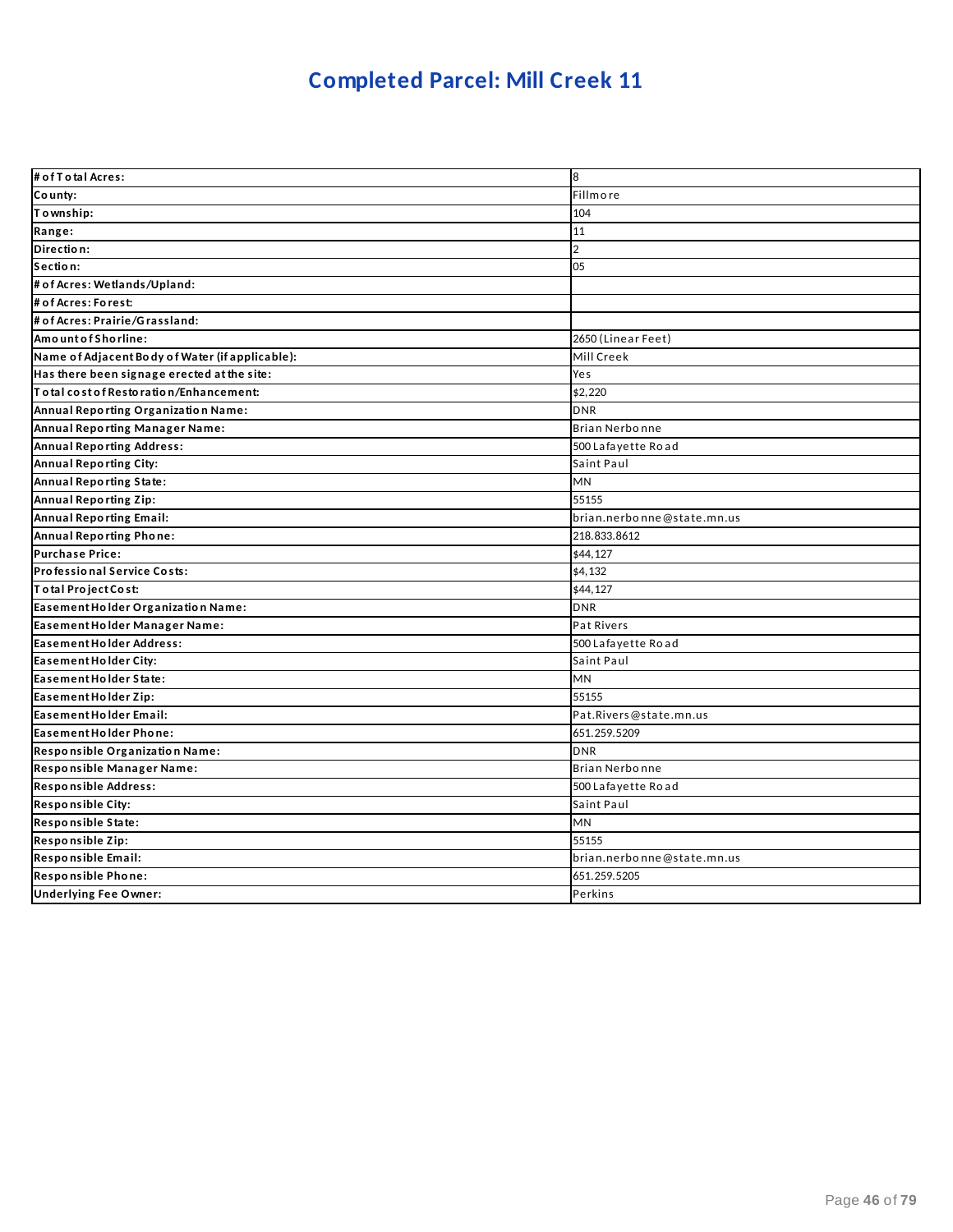### **Completed Parcel: Mill Creek 11**

| # of T otal Acres:                                               | 8                          |
|------------------------------------------------------------------|----------------------------|
| County:                                                          | Fillmore                   |
| Township:                                                        | 104                        |
| Range:                                                           | 11                         |
| Direction:                                                       | $\overline{2}$             |
| Section:                                                         | 05                         |
| # of Acres: Wetlands/Upland:                                     |                            |
| # of Acres: Forest:                                              |                            |
| # of Acres: Prairie/Grassland:                                   |                            |
| Amount of Shorline:                                              | 2650 (Linear Feet)         |
| Name of Adjacent Body of Water (if applicable):                  | Mill Creek                 |
| Has there been signage erected at the site:                      | Yes                        |
| $\overline{\mathsf{T}}$ o tal cost of Resto ratio n/Enhancement: | \$2,220                    |
| Annual Reporting Organization Name:                              | <b>DNR</b>                 |
| Annual Reporting Manager Name:                                   | Brian Nerbonne             |
| <b>Annual Reporting Address:</b>                                 | 500 Lafayette Road         |
| <b>Annual Reporting City:</b>                                    | Saint Paul                 |
| Annual Reporting State:                                          | <b>MN</b>                  |
| Annual Reporting Zip:                                            | 55155                      |
| <b>Annual Reporting Email:</b>                                   | brian.nerbonne@state.mn.us |
| Annual Reporting Phone:                                          | 218.833.8612               |
| <b>Purchase Price:</b>                                           | \$44,127                   |
| Professional Service Costs:                                      | \$4,132                    |
| Total Project Cost:                                              | \$44,127                   |
| Easement Holder Organization Name:                               | <b>DNR</b>                 |
| Easement Holder Manager Name:                                    | Pat Rivers                 |
| Easement Holder Address:                                         | 500 Lafayette Road         |
| Easement Holder City:                                            | Saint Paul                 |
| Easement Holder State:                                           | MN                         |
| Easement Holder Zip:                                             | 55155                      |
| Easement Holder Email:                                           | Pat.Rivers@state.mn.us     |
| Easement Holder Phone:                                           | 651.259.5209               |
| Responsible Organization Name:                                   | <b>DNR</b>                 |
| Responsible Manager Name:                                        | Brian Nerbonne             |
| Responsible Address:                                             | 500 Lafayette Road         |
| Responsible City:                                                | Saint Paul                 |
| Responsible State:                                               | <b>MN</b>                  |
| Responsible Zip:                                                 | 55155                      |
| Responsible Email:                                               | brian.nerbonne@state.mn.us |
| Responsible Phone:                                               | 651.259.5205               |
| <b>Underlying Fee Owner:</b>                                     | Perkins                    |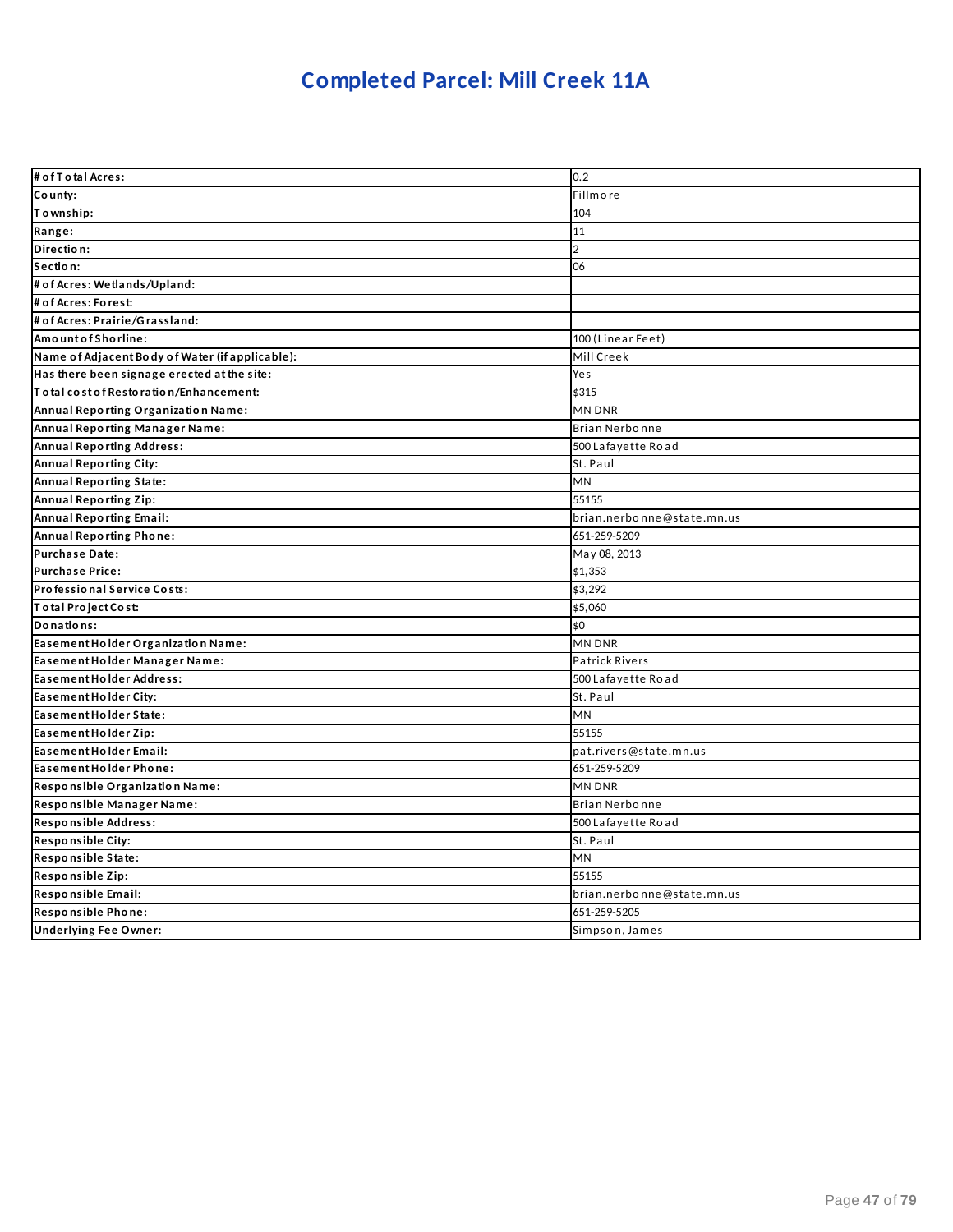### **Completed Parcel: Mill Creek 11A**

| # of T o tal Acres:                             | 0.2                        |
|-------------------------------------------------|----------------------------|
| County:                                         | Fillmore                   |
| Township:                                       | 104                        |
| Range:                                          | 11                         |
| Direction:                                      | $\overline{2}$             |
| Section:                                        | 06                         |
| # of Acres: Wetlands/Upland:                    |                            |
| # of Acres: Forest:                             |                            |
| # of Acres: Prairie/Grassland:                  |                            |
| AmountofShorline:                               | 100 (Linear Feet)          |
| Name of Adjacent Body of Water (if applicable): | Mill Creek                 |
| Has there been signage erected at the site:     | Yes                        |
| Total cost of Restoration/Enhancement:          | \$315                      |
| Annual Reporting Organization Name:             | MN DNR                     |
| Annual Reporting Manager Name:                  | Brian Nerbonne             |
| <b>Annual Reporting Address:</b>                | 500 Lafayette Road         |
| <b>Annual Reporting City:</b>                   | St. Paul                   |
| Annual Reporting State:                         | MN                         |
| Annual Reporting Zip:                           | 55155                      |
| <b>Annual Reporting Email:</b>                  | brian.nerbonne@state.mn.us |
| Annual Reporting Phone:                         | 651-259-5209               |
| <b>Purchase Date:</b>                           | May 08, 2013               |
| <b>Purchase Price:</b>                          | \$1,353                    |
| Professional Service Costs:                     | \$3,292                    |
| Total Project Cost:                             | \$5,060                    |
| Donations:                                      | \$0                        |
| Easement Holder Organization Name:              | <b>MN DNR</b>              |
| Easement Holder Manager Name:                   | <b>Patrick Rivers</b>      |
| Easement Holder Address:                        | 500 Lafayette Road         |
| Easement Holder City:                           | St. Paul                   |
| Easement Holder State:                          | MN                         |
| Easement Holder Zip:                            | 55155                      |
| Easement Holder Email:                          | pat.rivers@state.mn.us     |
| Easement Holder Phone:                          | 651-259-5209               |
| Responsible Organization Name:                  | <b>MN DNR</b>              |
| Responsible Manager Name:                       | Brian Nerbonne             |
| Responsible Address:                            | 500 Lafayette Road         |
| Responsible City:                               | St. Paul                   |
| Responsible State:                              | MN                         |
| Responsible Zip:                                | 55155                      |
| Responsible Email:                              | brian.nerbonne@state.mn.us |
| Responsible Phone:                              | 651-259-5205               |
| <b>Underlying Fee Owner:</b>                    | Simpson, James             |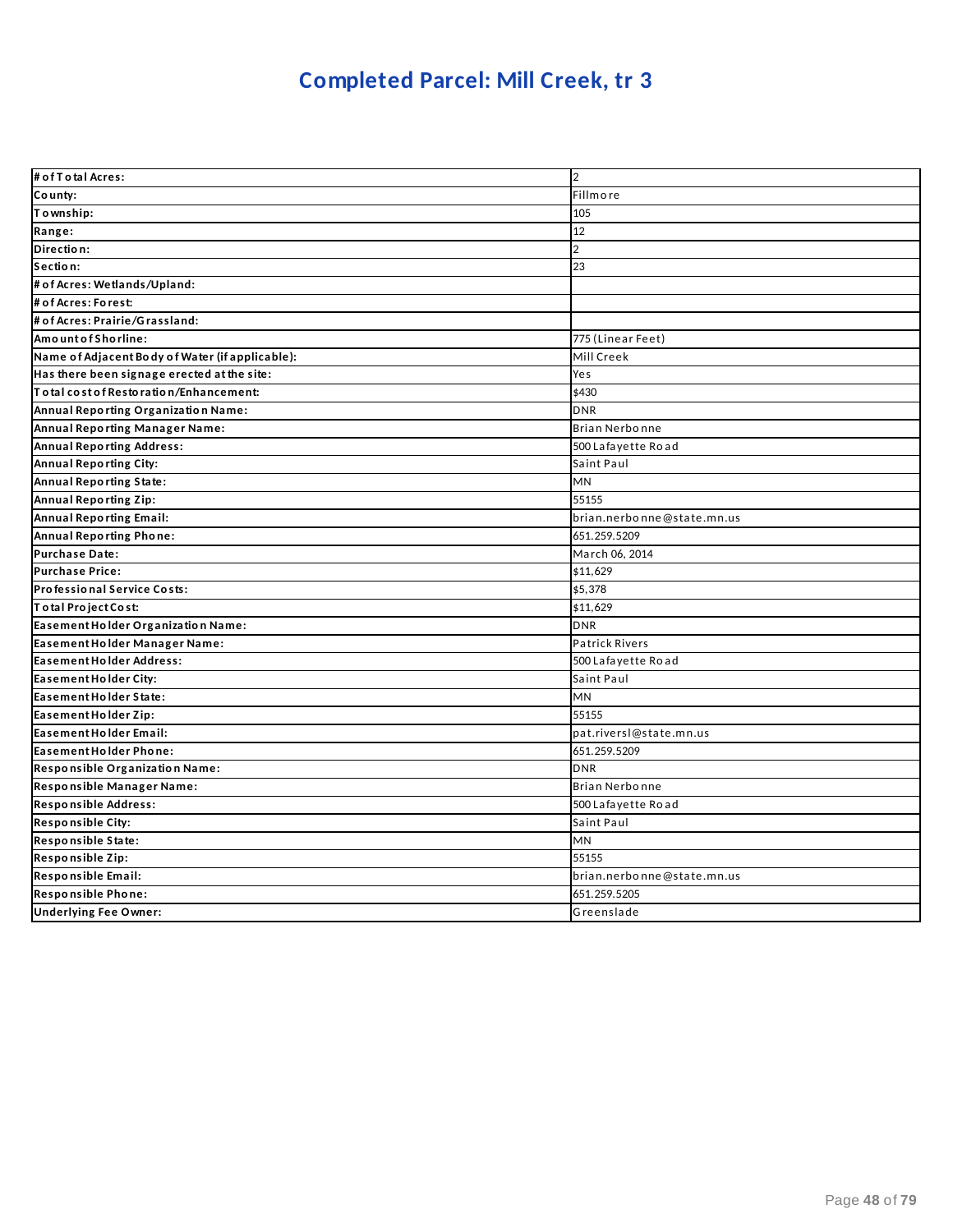### **Completed Parcel: Mill Creek, tr 3**

| # of T o tal Acres:                             | $\overline{2}$             |
|-------------------------------------------------|----------------------------|
| County:                                         | Fillmore                   |
| To wnship:                                      | 105                        |
| Range:                                          | 12                         |
| Direction:                                      | $\overline{2}$             |
| Section:                                        | 23                         |
| # of Acres: Wetlands/Upland:                    |                            |
| # of Acres: Forest:                             |                            |
| # of Acres: Prairie/Grassland:                  |                            |
| Amount of Shorline:                             | 775 (Linear Feet)          |
| Name of Adjacent Body of Water (if applicable): | Mill Creek                 |
| Has there been signage erected at the site:     | Yes                        |
| To tal cost of Restoration/Enhancement:         | \$430                      |
| Annual Reporting Organization Name:             | <b>DNR</b>                 |
| Annual Reporting Manager Name:                  | <b>Brian Nerbonne</b>      |
| Annual Reporting Address:                       | 500 Lafayette Road         |
| <b>Annual Reporting City:</b>                   | Saint Paul                 |
| Annual Reporting State:                         | MN                         |
| Annual Reporting Zip:                           | 55155                      |
| <b>Annual Reporting Email:</b>                  | brian.nerbonne@state.mn.us |
| Annual Reporting Phone:                         | 651.259.5209               |
| <b>Purchase Date:</b>                           | March 06, 2014             |
| <b>Purchase Price:</b>                          | \$11,629                   |
| Professional Service Costs:                     | \$5,378                    |
| Total Project Cost:                             | \$11,629                   |
| Easement Holder Organization Name:              | <b>DNR</b>                 |
| Easement Holder Manager Name:                   | <b>Patrick Rivers</b>      |
| Easement Holder Address:                        | 500 Lafayette Road         |
| Easement Holder City:                           | Saint Paul                 |
| Easement Holder State:                          | MN                         |
| Easement Holder Zip:                            | 55155                      |
| Easement Holder Email:                          | pat.riversl@state.mn.us    |
| <b>Easement Holder Phone:</b>                   | 651.259.5209               |
| Responsible Organization Name:                  | <b>DNR</b>                 |
| Responsible Manager Name:                       | Brian Nerbonne             |
| <b>Responsible Address:</b>                     | 500 Lafayette Road         |
| Responsible City:                               | Saint Paul                 |
| Responsible State:                              | MN                         |
| Responsible Zip:                                | 55155                      |
| Responsible Email:                              | brian.nerbonne@state.mn.us |
| Responsible Phone:                              | 651.259.5205               |
| <b>Underlying Fee Owner:</b>                    | Greenslade                 |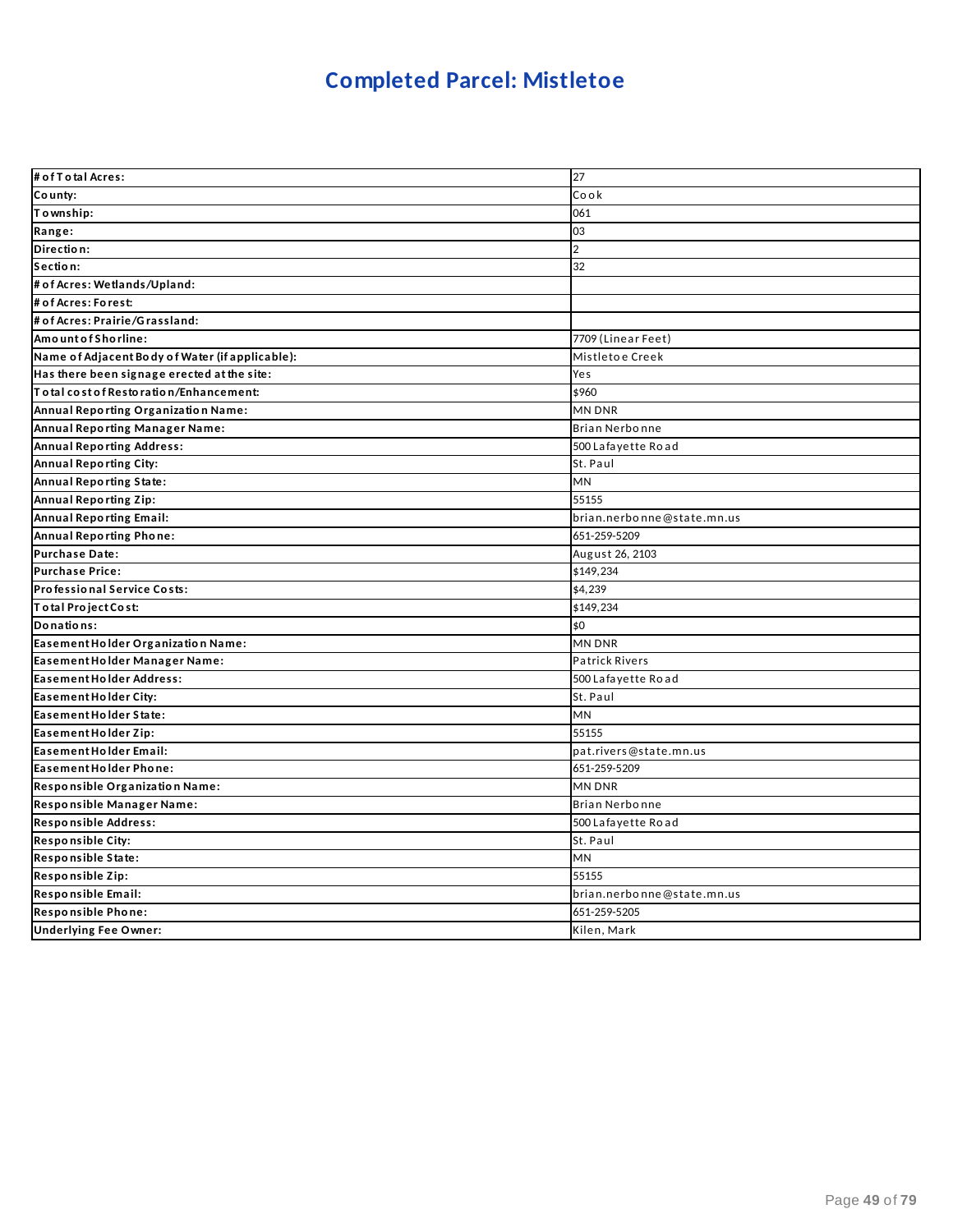### **Completed Parcel: Mistletoe**

| # of T o tal Acres:                             | 27                         |
|-------------------------------------------------|----------------------------|
| County:                                         | Cook                       |
| Township:                                       | 061                        |
| Range:                                          | 03                         |
| Direction:                                      | $\overline{2}$             |
| Section:                                        | 32                         |
| # of Acres: Wetlands/Upland:                    |                            |
| # of Acres: Forest:                             |                            |
| # of Acres: Prairie/Grassland:                  |                            |
| Amount of Shorline:                             | 7709 (Linear Feet)         |
| Name of Adjacent Body of Water (if applicable): | Mistletoe Creek            |
| Has there been signage erected at the site:     | Yes                        |
| Total cost of Restoration/Enhancement:          | \$960                      |
| Annual Reporting Organization Name:             | <b>MN DNR</b>              |
| Annual Reporting Manager Name:                  | Brian Nerbonne             |
| <b>Annual Reporting Address:</b>                | 500 Lafayette Road         |
| Annual Reporting City:                          | St. Paul                   |
| Annual Reporting State:                         | <b>MN</b>                  |
| Annual Reporting Zip:                           | 55155                      |
| <b>Annual Reporting Email:</b>                  | brian.nerbonne@state.mn.us |
| Annual Reporting Phone:                         | 651-259-5209               |
| <b>Purchase Date:</b>                           | August 26, 2103            |
| <b>Purchase Price:</b>                          | \$149,234                  |
| Professional Service Costs:                     | \$4,239                    |
| Total Project Cost:                             | \$149,234                  |
| Donations:                                      | \$0                        |
| Easement Holder Organization Name:              | <b>MN DNR</b>              |
| Easement Holder Manager Name:                   | <b>Patrick Rivers</b>      |
| Easement Holder Address:                        | 500 Lafayette Road         |
| Easement Holder City:                           | St. Paul                   |
| Easement Holder State:                          | MN                         |
| Easement Holder Zip:                            | 55155                      |
| Easement Holder Email:                          | pat.rivers@state.mn.us     |
| Easement Holder Phone:                          | 651-259-5209               |
| Responsible Organization Name:                  | <b>MN DNR</b>              |
| Responsible Manager Name:                       | <b>Brian Nerbonne</b>      |
| Responsible Address:                            | 500 Lafayette Road         |
| Responsible City:                               | St. Paul                   |
| Responsible State:                              | MN                         |
| Responsible Zip:                                | 55155                      |
| Responsible Email:                              | brian.nerbonne@state.mn.us |
| Responsible Phone:                              | 651-259-5205               |
| <b>Underlying Fee Owner:</b>                    | Kilen, Mark                |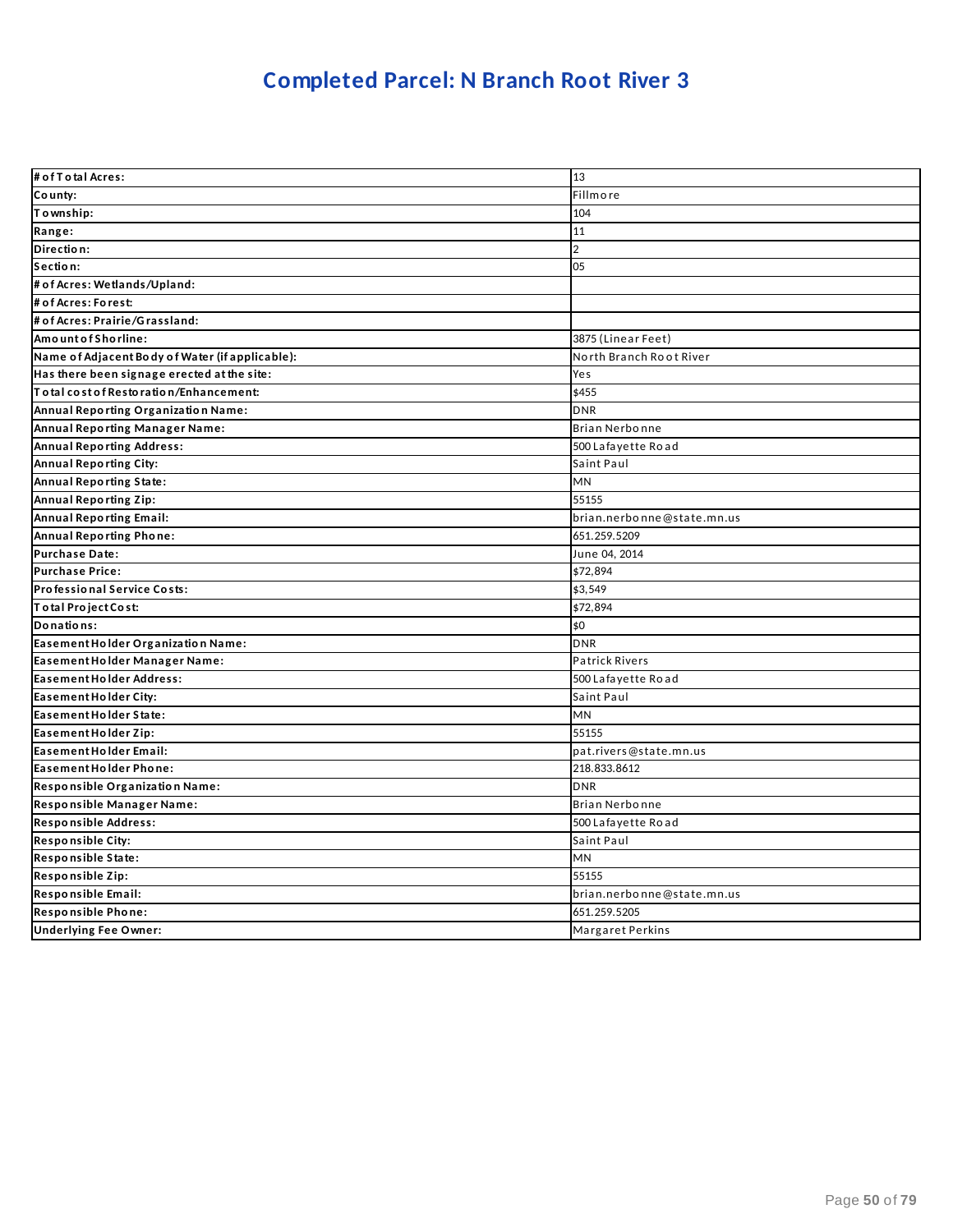### **Completed Parcel: N Branch Root River 3**

| # of T o tal Acres:                             | 13                         |
|-------------------------------------------------|----------------------------|
| County:                                         | <b>Fillmore</b>            |
| Township:                                       | 104                        |
| Range:                                          | 11                         |
| Direction:                                      | $\overline{2}$             |
| Section:                                        | 05                         |
| # of Acres: Wetlands/Upland:                    |                            |
| # of Acres: Forest:                             |                            |
| # of Acres: Prairie/Grassland:                  |                            |
| Amount of Shorline:                             | 3875 (Linear Feet)         |
| Name of Adjacent Body of Water (if applicable): | North Branch Root River    |
| Has there been signage erected at the site:     | Yes                        |
| Total cost of Restoration/Enhancement:          | \$455                      |
| Annual Reporting Organization Name:             | <b>DNR</b>                 |
| Annual Reporting Manager Name:                  | Brian Nerbonne             |
| <b>Annual Reporting Address:</b>                | 500 Lafayette Road         |
| Annual Reporting City:                          | Saint Paul                 |
| <b>Annual Reporting State:</b>                  | <b>MN</b>                  |
| <b>Annual Reporting Zip:</b>                    | 55155                      |
| <b>Annual Reporting Email:</b>                  | brian.nerbonne@state.mn.us |
| Annual Reporting Phone:                         | 651.259.5209               |
| <b>Purchase Date:</b>                           | June 04, 2014              |
| <b>Purchase Price:</b>                          | \$72,894                   |
| Professional Service Costs:                     | \$3,549                    |
| Total Project Cost:                             | \$72,894                   |
| Donations:                                      | \$0                        |
| Easement Holder Organization Name:              | <b>DNR</b>                 |
| Easement Holder Manager Name:                   | <b>Patrick Rivers</b>      |
| <b>Easement Holder Address:</b>                 | 500 Lafayette Road         |
| Easement Holder City:                           | Saint Paul                 |
| Easement Holder State:                          | MN                         |
| Easement Holder Zip:                            | 55155                      |
| Easement Holder Email:                          | pat.rivers@state.mn.us     |
| Easement Holder Phone:                          | 218.833.8612               |
| Responsible Organization Name:                  | <b>DNR</b>                 |
| Responsible Manager Name:                       | <b>Brian Nerbonne</b>      |
| Responsible Address:                            | 500 Lafayette Road         |
| <b>Responsible City:</b>                        | Saint Paul                 |
| Responsible State:                              | MN                         |
| Responsible Zip:                                | 55155                      |
| Responsible Email:                              | brian.nerbonne@state.mn.us |
| Responsible Phone:                              | 651.259.5205               |
| <b>Underlying Fee Owner:</b>                    | Margaret Perkins           |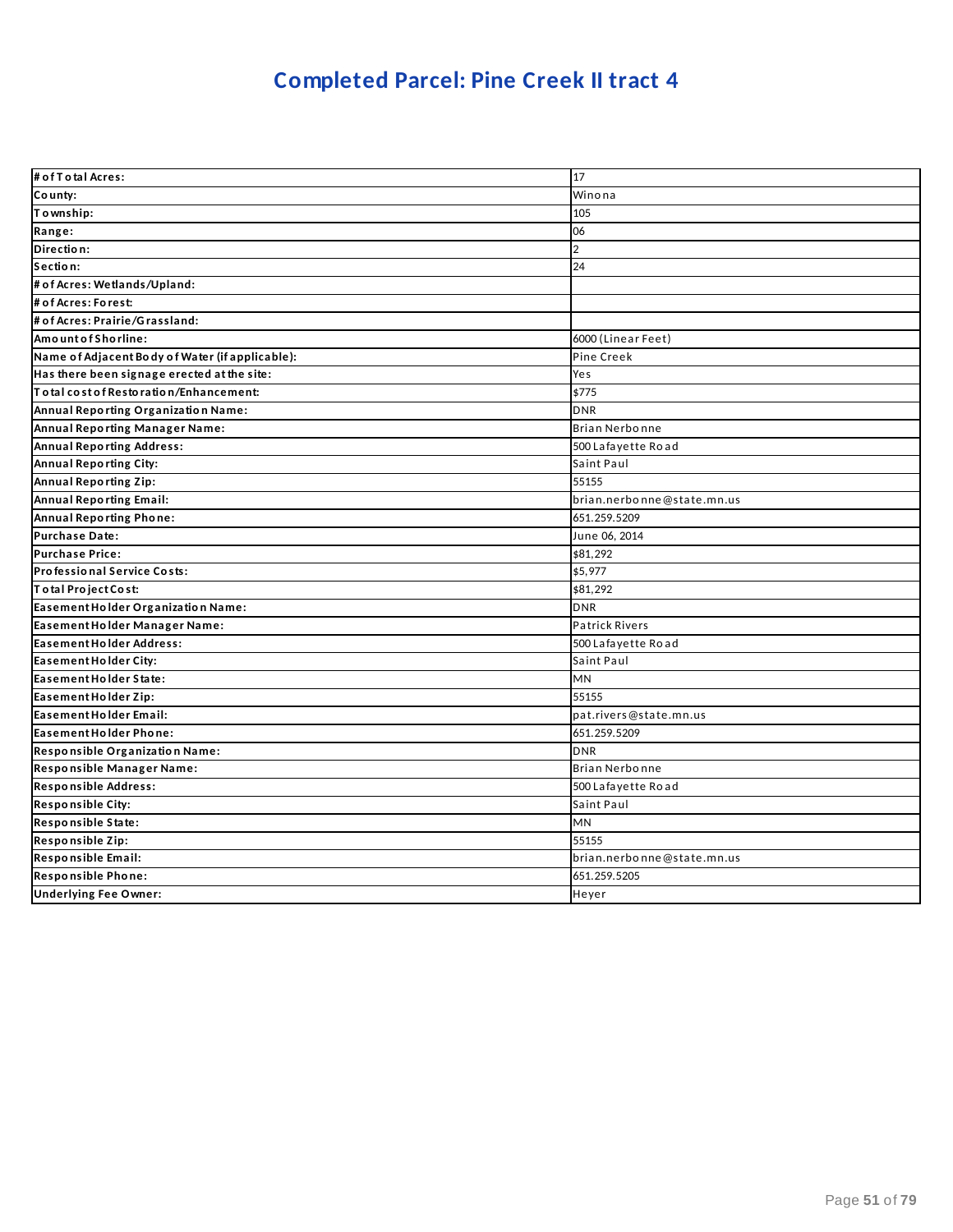### **Completed Parcel: Pine Creek II tract 4**

| # of T o tal Acres:                             | 17                         |
|-------------------------------------------------|----------------------------|
| County:                                         | Winona                     |
| Township:                                       | 105                        |
| Range:                                          | 06                         |
| Direction:                                      | $\overline{2}$             |
| Section:                                        | 24                         |
| # of Acres: Wetlands/Upland:                    |                            |
| # of Acres: Forest:                             |                            |
| # of Acres: Prairie/Grassland:                  |                            |
| Amount of Shorline:                             | 6000 (Linear Feet)         |
| Name of Adjacent Body of Water (if applicable): | Pine Creek                 |
| Has there been signage erected at the site:     | Yes                        |
| To tal cost of Restoration/Enhancement:         | \$775                      |
| Annual Reporting Organization Name:             | <b>DNR</b>                 |
| Annual Reporting Manager Name:                  | Brian Nerbonne             |
| <b>Annual Reporting Address:</b>                | 500 Lafayette Road         |
| Annual Reporting City:                          | Saint Paul                 |
| Annual Reporting Zip:                           | 55155                      |
| <b>Annual Reporting Email:</b>                  | brian.nerbonne@state.mn.us |
| <b>Annual Reporting Phone:</b>                  | 651.259.5209               |
| Purchase Date:                                  | June 06, 2014              |
| <b>Purchase Price:</b>                          | \$81,292                   |
| Professional Service Costs:                     | \$5,977                    |
| Total Project Cost:                             | \$81,292                   |
| Easement Holder Organization Name:              | <b>DNR</b>                 |
| Easement Holder Manager Name:                   | <b>Patrick Rivers</b>      |
| <b>Easement Holder Address:</b>                 | 500 Lafayette Road         |
| Easement Holder City:                           | Saint Paul                 |
| Easement Holder State:                          | MN                         |
| Easement Holder Zip:                            | 55155                      |
| Easement Holder Email:                          | pat.rivers@state.mn.us     |
| Easement Holder Phone:                          | 651.259.5209               |
| Responsible Organization Name:                  | <b>DNR</b>                 |
| Responsible Manager Name:                       | Brian Nerbonne             |
| Responsible Address:                            | 500 Lafayette Road         |
| Responsible City:                               | Saint Paul                 |
| Responsible State:                              | <b>MN</b>                  |
| Responsible Zip:                                | 55155                      |
| Responsible Email:                              | brian.nerbonne@state.mn.us |
| Responsible Phone:                              | 651.259.5205               |
| <b>Underlying Fee Owner:</b>                    | Heyer                      |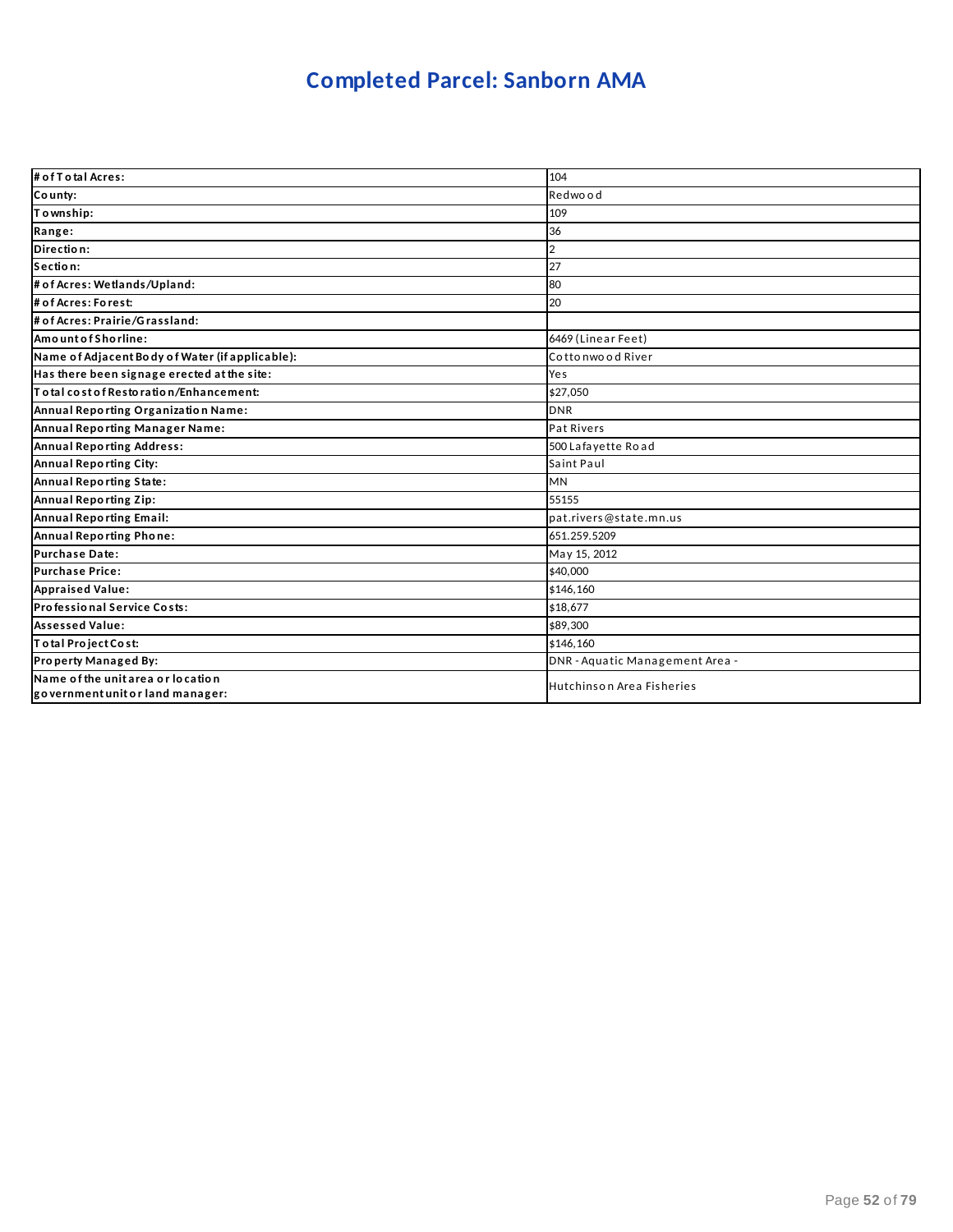### **Completed Parcel: Sanborn AMA**

| # of T o tal Acres:                                                   | 104                             |
|-----------------------------------------------------------------------|---------------------------------|
| County:                                                               | Redwood                         |
| Township:                                                             | 109                             |
| Range:                                                                | 36                              |
| Direction:                                                            | $\overline{\mathbf{c}}$         |
| Section:                                                              | 27                              |
| # of Acres: Wetlands/Upland:                                          | 80                              |
| # of Acres: Forest:                                                   | 20                              |
| # of Acres: Prairie/Grassland:                                        |                                 |
| Amount of Shorline:                                                   | 6469 (Linear Feet)              |
| Name of Adjacent Body of Water (if applicable):                       | Cottonwood River                |
| Has there been signage erected at the site:                           | Yes                             |
| To tal cost of Restoration/Enhancement:                               | \$27,050                        |
| Annual Reporting Organization Name:                                   | <b>DNR</b>                      |
| Annual Reporting Manager Name:                                        | Pat Rivers                      |
| <b>Annual Reporting Address:</b>                                      | 500 Lafayette Road              |
| Annual Reporting City:                                                | Saint Paul                      |
| Annual Reporting State:                                               | <b>MN</b>                       |
| Annual Reporting Zip:                                                 | 55155                           |
| Annual Reporting Email:                                               | pat.rivers@state.mn.us          |
| Annual Reporting Phone:                                               | 651.259.5209                    |
| <b>Purchase Date:</b>                                                 | May 15, 2012                    |
| <b>Purchase Price:</b>                                                | \$40,000                        |
| <b>Appraised Value:</b>                                               | \$146,160                       |
| Professional Service Costs:                                           | \$18,677                        |
| <b>Assessed Value:</b>                                                | \$89,300                        |
| Total Project Cost:                                                   | \$146.160                       |
| Property Managed By:                                                  | DNR - Aquatic Management Area - |
| Name of the unit area or location<br>government unit or land manager: | Hutchinson Area Fisheries       |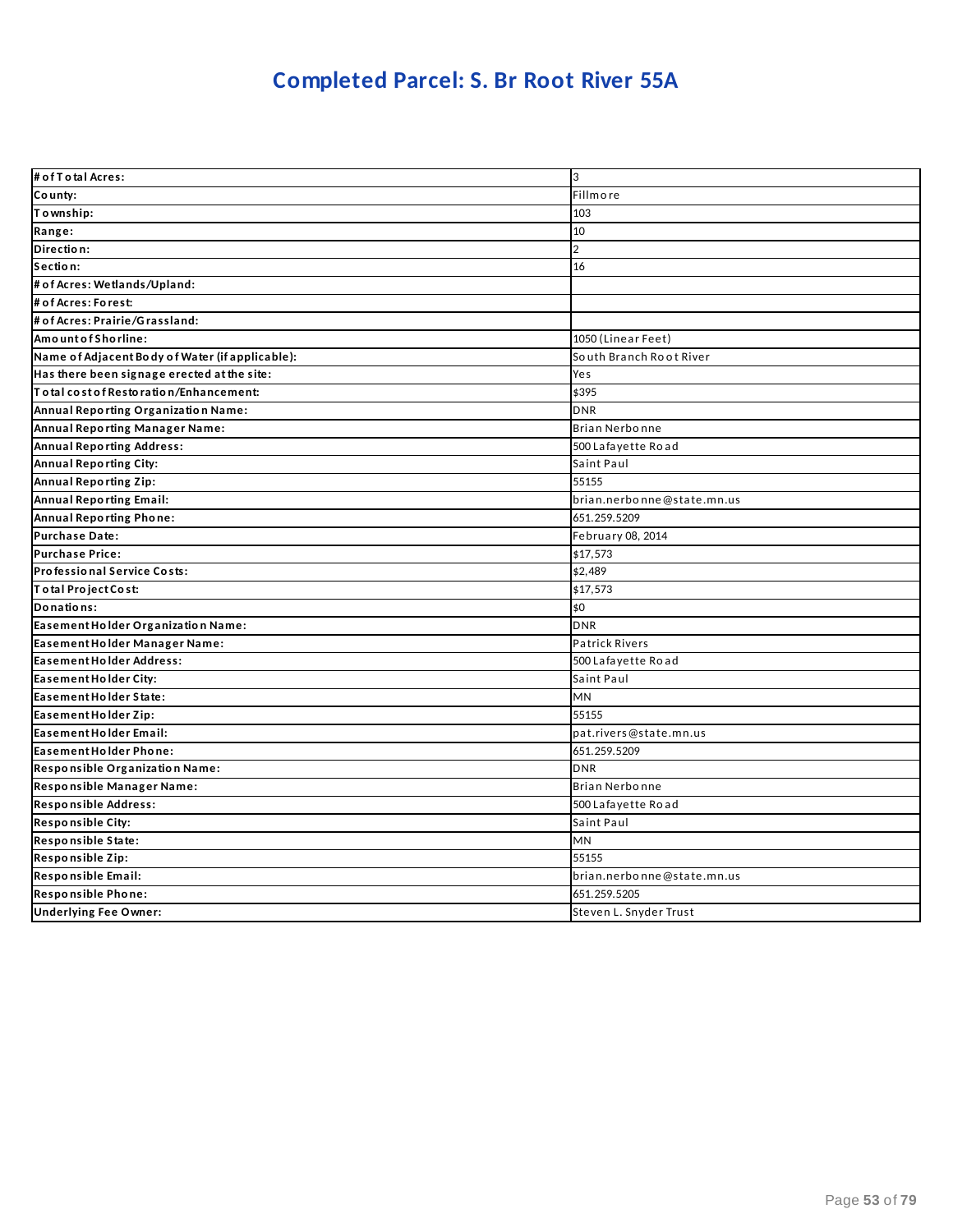### **Completed Parcel: S. Br Root River 55A**

| # of T o tal Acres:                             | 3                          |
|-------------------------------------------------|----------------------------|
| County:                                         | Fillmore                   |
| Township:                                       | 103                        |
| Range:                                          | 10                         |
| Direction:                                      | $\overline{2}$             |
| Section:                                        | 16                         |
| # of Acres: Wetlands/Upland:                    |                            |
| # of Acres: Forest:                             |                            |
| # of Acres: Prairie/Grassland:                  |                            |
| Amount of Shorline:                             | 1050 (Linear Feet)         |
| Name of Adjacent Body of Water (if applicable): | South Branch Root River    |
| Has there been signage erected at the site:     | Yes                        |
| To tal cost of Restoration/Enhancement:         | \$395                      |
| Annual Reporting Organization Name:             | <b>DNR</b>                 |
| Annual Reporting Manager Name:                  | Brian Nerbonne             |
| <b>Annual Reporting Address:</b>                | 500 Lafayette Road         |
| <b>Annual Reporting City:</b>                   | Saint Paul                 |
| Annual Reporting Zip:                           | 55155                      |
| <b>Annual Reporting Email:</b>                  | brian.nerbonne@state.mn.us |
| Annual Reporting Phone:                         | 651.259.5209               |
| <b>Purchase Date:</b>                           | February 08, 2014          |
| <b>Purchase Price:</b>                          | \$17,573                   |
| Professional Service Costs:                     | \$2,489                    |
| To tal Project Cost:                            | \$17,573                   |
| Donations:                                      | \$0                        |
| Easement Holder Organization Name:              | <b>DNR</b>                 |
| Easement Holder Manager Name:                   | <b>Patrick Rivers</b>      |
| Easement Holder Address:                        | 500 Lafayette Road         |
| Easement Holder City:                           | Saint Paul                 |
| Easement Holder State:                          | MN                         |
| Easement Holder Zip:                            | 55155                      |
| Easement Holder Email:                          | pat.rivers@state.mn.us     |
| Easement Holder Phone:                          | 651.259.5209               |
| Responsible Organization Name:                  | <b>DNR</b>                 |
| Responsible Manager Name:                       | Brian Nerbonne             |
| Responsible Address:                            | 500 Lafayette Road         |
| Responsible City:                               | Saint Paul                 |
| Responsible State:                              | <b>MN</b>                  |
| Responsible Zip:                                | 55155                      |
| Responsible Email:                              | brian.nerbonne@state.mn.us |
| Responsible Phone:                              | 651.259.5205               |
| <b>Underlying Fee Owner:</b>                    | Steven L. Snyder Trust     |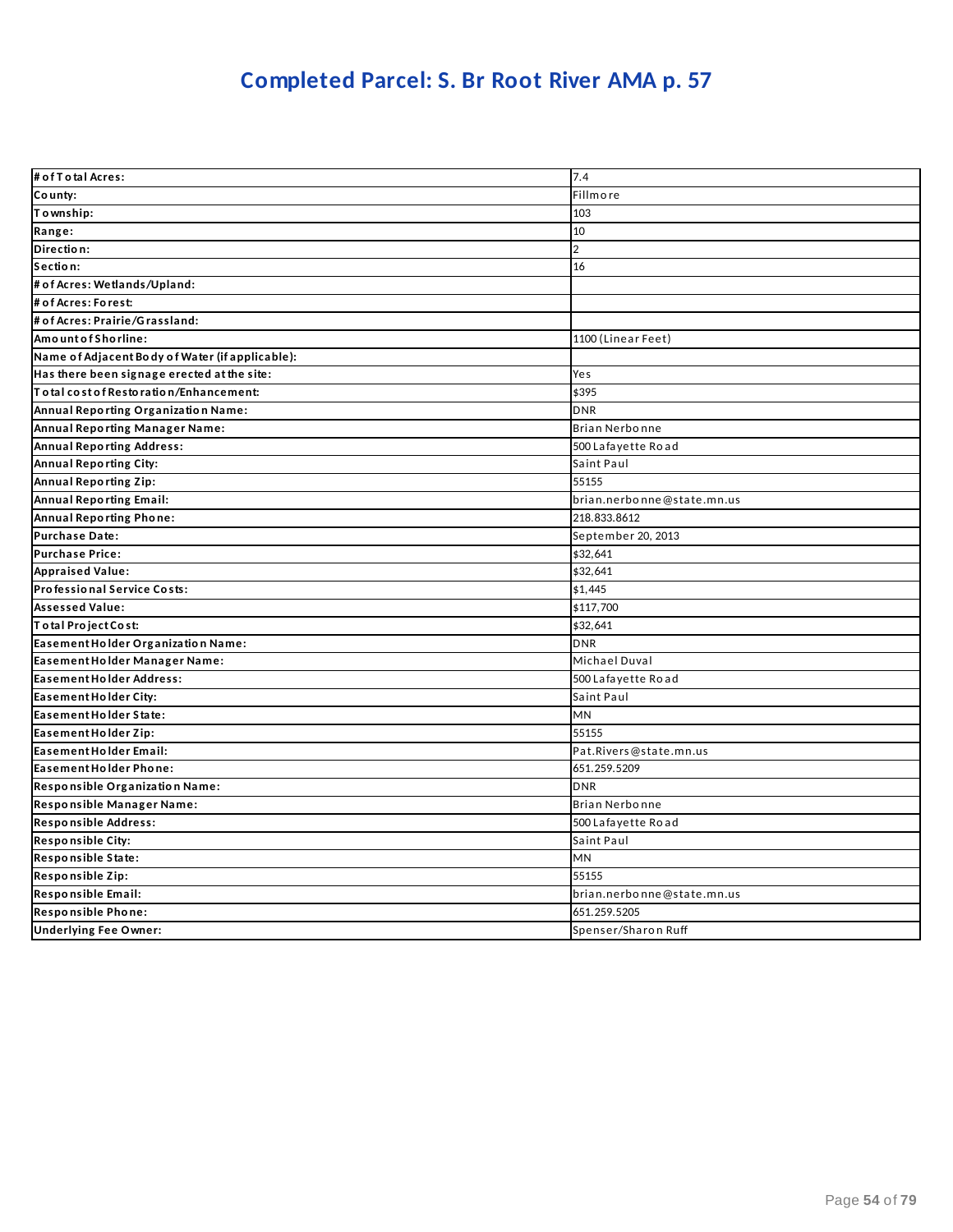### **Completed Parcel: S. Br Root River AMA p. 57**

| # of T o tal Acres:                             | 7.4                        |
|-------------------------------------------------|----------------------------|
| County:                                         | Fillmore                   |
| Township:                                       | 103                        |
| Range:                                          | 10                         |
| Direction:                                      | $\overline{2}$             |
| Section:                                        | 16                         |
| # of Acres: Wetlands/Upland:                    |                            |
| # of Acres: Forest:                             |                            |
| # of Acres: Prairie/Grassland:                  |                            |
| AmountofShorline:                               | 1100 (Linear Feet)         |
| Name of Adjacent Body of Water (if applicable): |                            |
| Has there been signage erected at the site:     | Yes                        |
| To tal cost of Restoration/Enhancement:         | \$395                      |
| Annual Reporting Organization Name:             | <b>DNR</b>                 |
| Annual Reporting Manager Name:                  | Brian Nerbonne             |
| <b>Annual Reporting Address:</b>                | 500 Lafayette Road         |
| <b>Annual Reporting City:</b>                   | Saint Paul                 |
| Annual Reporting Zip:                           | 55155                      |
| <b>Annual Reporting Email:</b>                  | brian.nerbonne@state.mn.us |
| Annual Reporting Phone:                         | 218.833.8612               |
| <b>Purchase Date:</b>                           | September 20, 2013         |
| <b>Purchase Price:</b>                          | \$32,641                   |
| <b>Appraised Value:</b>                         | \$32,641                   |
| Professional Service Costs:                     | \$1,445                    |
| <b>Assessed Value:</b>                          | \$117,700                  |
| Total Project Cost:                             | \$32,641                   |
| Easement Holder Organization Name:              | <b>DNR</b>                 |
| Easement Holder Manager Name:                   | Michael Duval              |
| <b>Easement Holder Address:</b>                 | 500 Lafayette Road         |
| Easement Holder City:                           | Saint Paul                 |
| Easement Holder State:                          | MN                         |
| Easement Holder Zip:                            | 55155                      |
| Easement Holder Email:                          | Pat.Rivers@state.mn.us     |
| Easement Holder Phone:                          | 651.259.5209               |
| Responsible Organization Name:                  | <b>DNR</b>                 |
| Responsible Manager Name:                       | Brian Nerbonne             |
| Responsible Address:                            | 500 Lafayette Road         |
| <b>Responsible City:</b>                        | Saint Paul                 |
| Responsible State:                              | <b>MN</b>                  |
| Responsible Zip:                                | 55155                      |
| Responsible Email:                              | brian.nerbonne@state.mn.us |
| Responsible Phone:                              | 651.259.5205               |
| <b>Underlying Fee Owner:</b>                    | Spenser/Sharon Ruff        |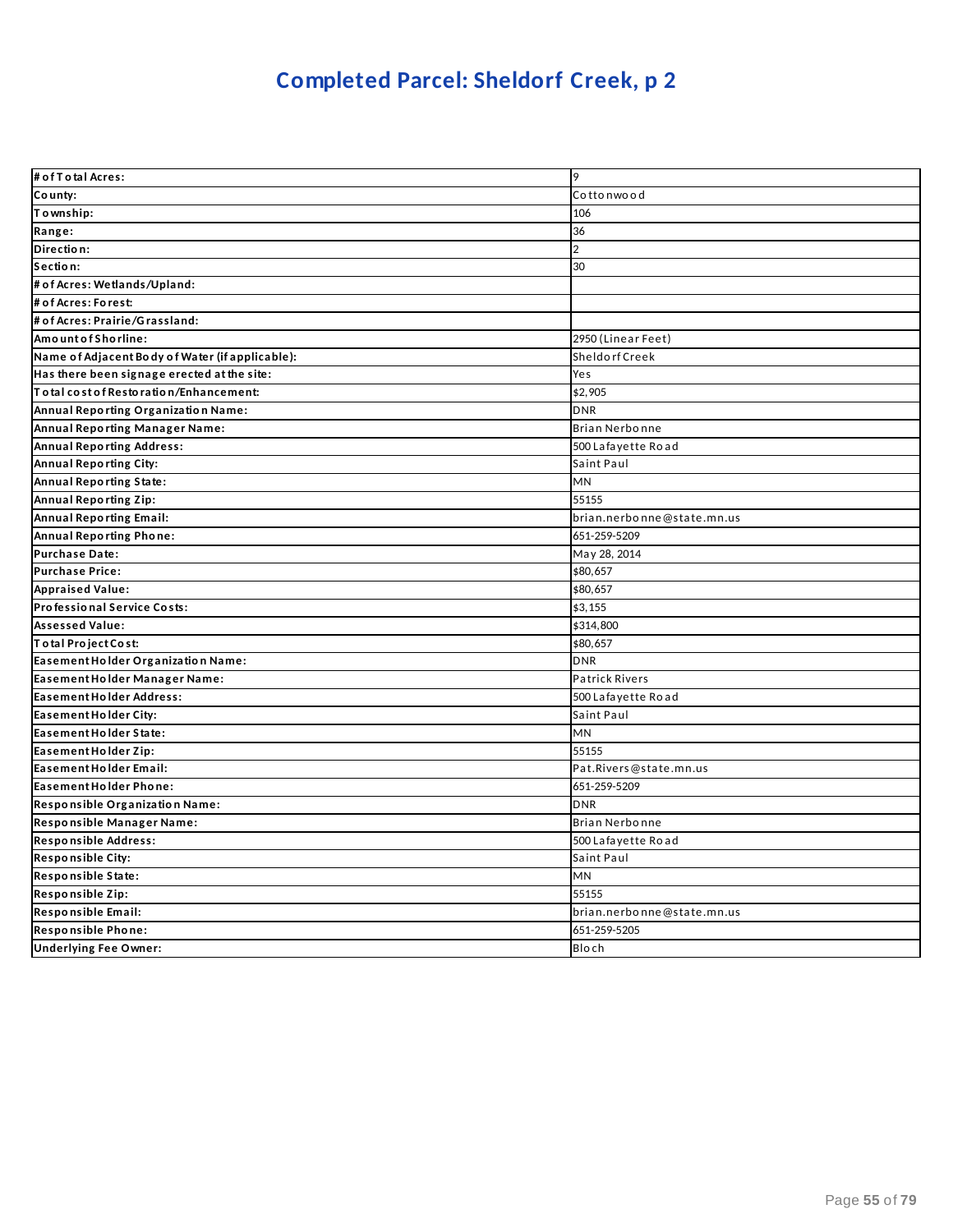## **Completed Parcel: Sheldorf Creek, p 2**

| # of T o tal Acres:                             | 19                         |
|-------------------------------------------------|----------------------------|
| County:                                         | Cottonwood                 |
| Township:                                       | 106                        |
| Range:                                          | 36                         |
| Direction:                                      | $\overline{2}$             |
| Section:                                        | 30                         |
| # of Acres: Wetlands/Upland:                    |                            |
| # of Acres: Forest:                             |                            |
| # of Acres: Prairie/Grassland:                  |                            |
| AmountofShorline:                               | 2950 (Linear Feet)         |
| Name of Adjacent Body of Water (if applicable): | Sheldorf Creek             |
| Has there been signage erected at the site:     | Yes                        |
| To tal cost of Restoration/Enhancement:         | \$2,905                    |
| Annual Reporting Organization Name:             | <b>DNR</b>                 |
| Annual Reporting Manager Name:                  | Brian Nerbonne             |
| Annual Reporting Address:                       | 500 Lafayette Road         |
| <b>Annual Reporting City:</b>                   | Saint Paul                 |
| Annual Reporting State:                         | <b>MN</b>                  |
| Annual Reporting Zip:                           | 55155                      |
| <b>Annual Reporting Email:</b>                  | brian.nerbonne@state.mn.us |
| Annual Reporting Phone:                         | 651-259-5209               |
| Purchase Date:                                  | May 28, 2014               |
| <b>Purchase Price:</b>                          | \$80,657                   |
| <b>Appraised Value:</b>                         | \$80,657                   |
| Professional Service Costs:                     | \$3,155                    |
| <b>Assessed Value:</b>                          | \$314,800                  |
| Total Project Cost:                             | \$80,657                   |
| Easement Holder Organization Name:              | <b>DNR</b>                 |
| Easement Holder Manager Name:                   | <b>Patrick Rivers</b>      |
| Easement Holder Address:                        | 500 Lafayette Road         |
| Easement Holder City:                           | Saint Paul                 |
| Easement Holder State:                          | MN                         |
| Easement Holder Zip:                            | 55155                      |
| Easement Holder Email:                          | Pat.Rivers@state.mn.us     |
| Easement Holder Phone:                          | 651-259-5209               |
| Responsible Organization Name:                  | <b>DNR</b>                 |
| Responsible Manager Name:                       | Brian Nerbonne             |
| Responsible Address:                            | 500 Lafayette Road         |
| <b>Responsible City:</b>                        | Saint Paul                 |
| Responsible State:                              | <b>MN</b>                  |
| Responsible Zip:                                | 55155                      |
| Responsible Email:                              | brian.nerbonne@state.mn.us |
| Responsible Phone:                              | 651-259-5205               |
| <b>Underlying Fee Owner:</b>                    | <b>Bloch</b>               |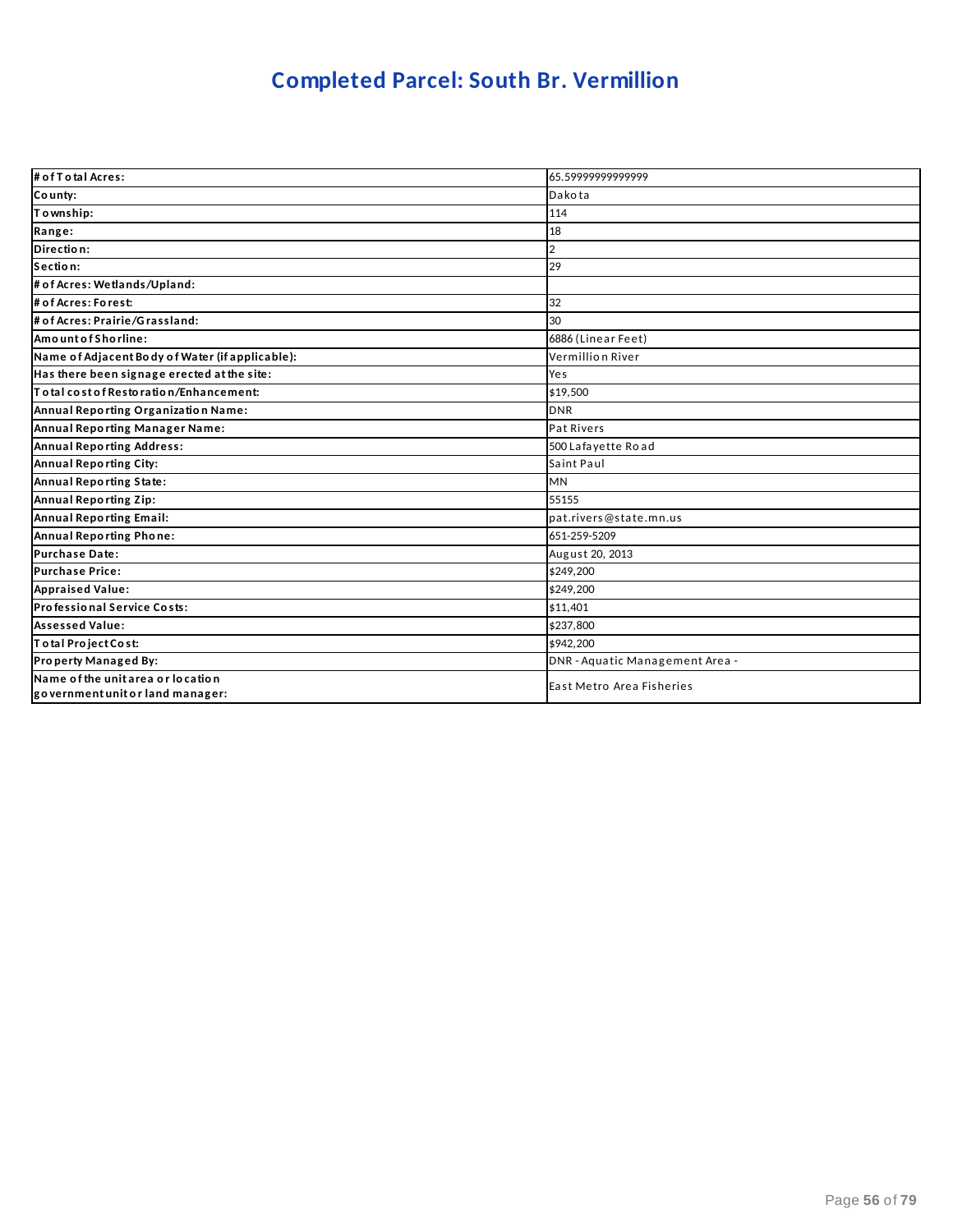### **Completed Parcel: South Br. Vermillion**

| # of T o tal Acres:                                                   | 65.59999999999999               |
|-----------------------------------------------------------------------|---------------------------------|
| County:                                                               | Dakota                          |
| To wnship:                                                            | 114                             |
| Range:                                                                | 18                              |
| Direction:                                                            | 2                               |
| Section:                                                              | 29                              |
| # of Acres: Wetlands/Upland:                                          |                                 |
| # of Acres: Forest:                                                   | 32                              |
| # of Acres: Prairie/Grassland:                                        | 30                              |
| AmountofShorline:                                                     | 6886 (Linear Feet)              |
| Name of Adjacent Body of Water (if applicable):                       | Vermillion River                |
| Has there been signage erected at the site:                           | Yes                             |
| To tal cost of Restoration/Enhancement:                               | \$19,500                        |
| Annual Reporting Organization Name:                                   | <b>DNR</b>                      |
| Annual Reporting Manager Name:                                        | Pat Rivers                      |
| <b>Annual Reporting Address:</b>                                      | 500 Lafayette Road              |
| Annual Reporting City:                                                | Saint Paul                      |
| Annual Reporting State:                                               | <b>MN</b>                       |
| Annual Reporting Zip:                                                 | 55155                           |
| Annual Reporting Email:                                               | pat.rivers@state.mn.us          |
| Annual Reporting Phone:                                               | 651-259-5209                    |
| <b>Purchase Date:</b>                                                 | August 20, 2013                 |
| <b>Purchase Price:</b>                                                | \$249,200                       |
| <b>Appraised Value:</b>                                               | \$249,200                       |
| Professional Service Costs:                                           | \$11,401                        |
| <b>Assessed Value:</b>                                                | \$237,800                       |
| Total Project Cost:                                                   | \$942,200                       |
| Property Managed By:                                                  | DNR - Aquatic Management Area - |
| Name of the unit area or location<br>government unit or land manager: | East Metro Area Fisheries       |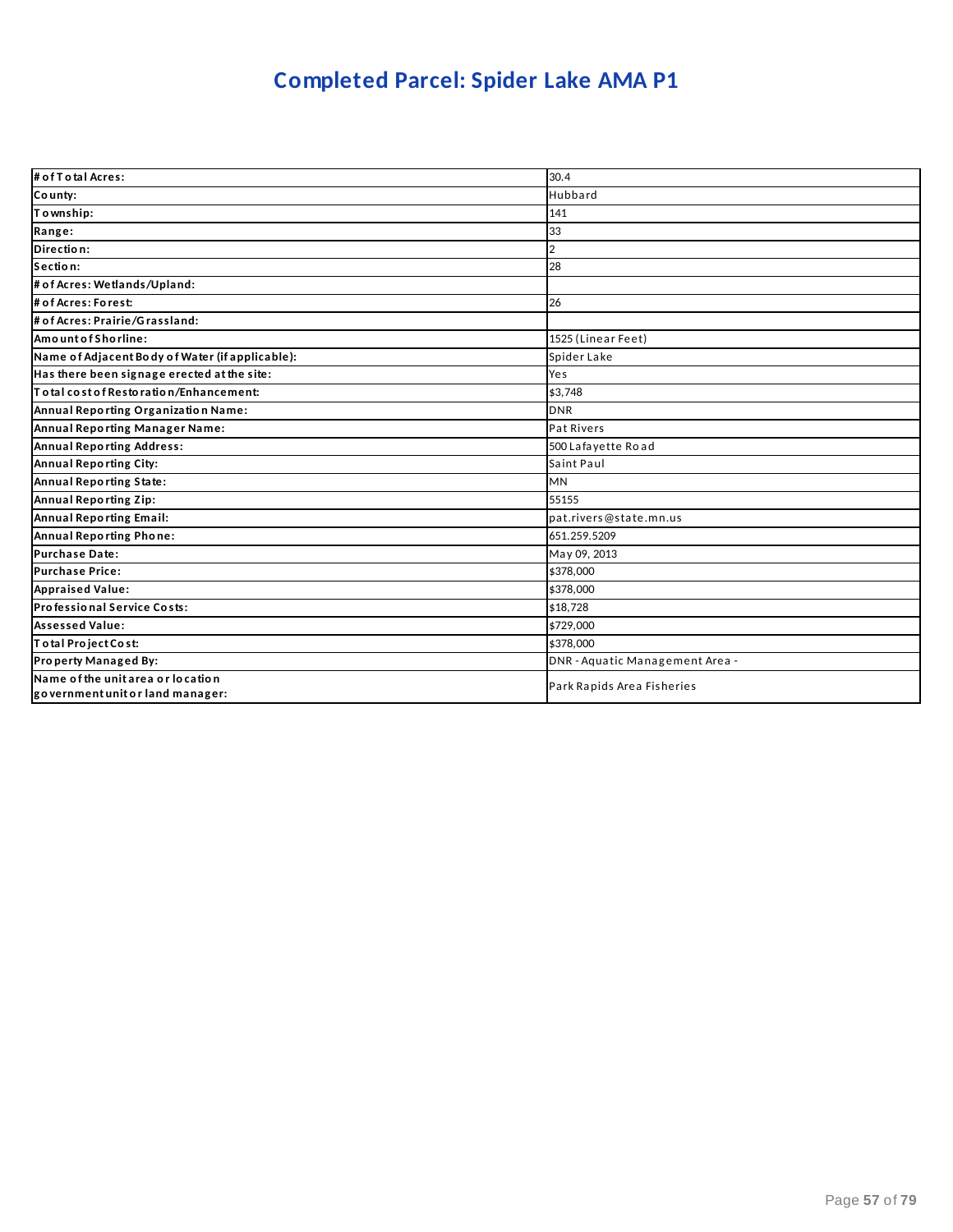## **Completed Parcel: Spider Lake AMA P1**

| # of T o tal Acres:                                                   | 30.4                            |
|-----------------------------------------------------------------------|---------------------------------|
| County:                                                               | Hubbard                         |
| Township:                                                             | 141                             |
| Range:                                                                | 33                              |
| Direction:                                                            | 2                               |
| Section:                                                              | 28                              |
| # of Acres: Wetlands/Upland:                                          |                                 |
| # of Acres: Forest:                                                   | 26                              |
| # of Acres: Prairie/Grassland:                                        |                                 |
| AmountofShorline:                                                     | 1525 (Linear Feet)              |
| Name of Adjacent Body of Water (if applicable):                       | Spider Lake                     |
| Has there been signage erected at the site:                           | Yes                             |
| Total cost of Restoration/Enhancement:                                | \$3.748                         |
| Annual Reporting Organization Name:                                   | <b>DNR</b>                      |
| Annual Reporting Manager Name:                                        | Pat Rivers                      |
| <b>Annual Reporting Address:</b>                                      | 500 Lafayette Road              |
| <b>Annual Reporting City:</b>                                         | Saint Paul                      |
| Annual Reporting State:                                               | <b>MN</b>                       |
| <b>Annual Reporting Zip:</b>                                          | 55155                           |
| Annual Reporting Email:                                               | pat.rivers@state.mn.us          |
| <b>Annual Reporting Phone:</b>                                        | 651.259.5209                    |
| <b>Purchase Date:</b>                                                 | May 09, 2013                    |
| <b>Purchase Price:</b>                                                | \$378,000                       |
| <b>Appraised Value:</b>                                               | \$378,000                       |
| Professional Service Costs:                                           | \$18,728                        |
| <b>Assessed Value:</b>                                                | \$729,000                       |
| Total Project Cost:                                                   | \$378,000                       |
| Property Managed By:                                                  | DNR - Aquatic Management Area - |
| Name of the unit area or location<br>government unit or land manager: | Park Rapids Area Fisheries      |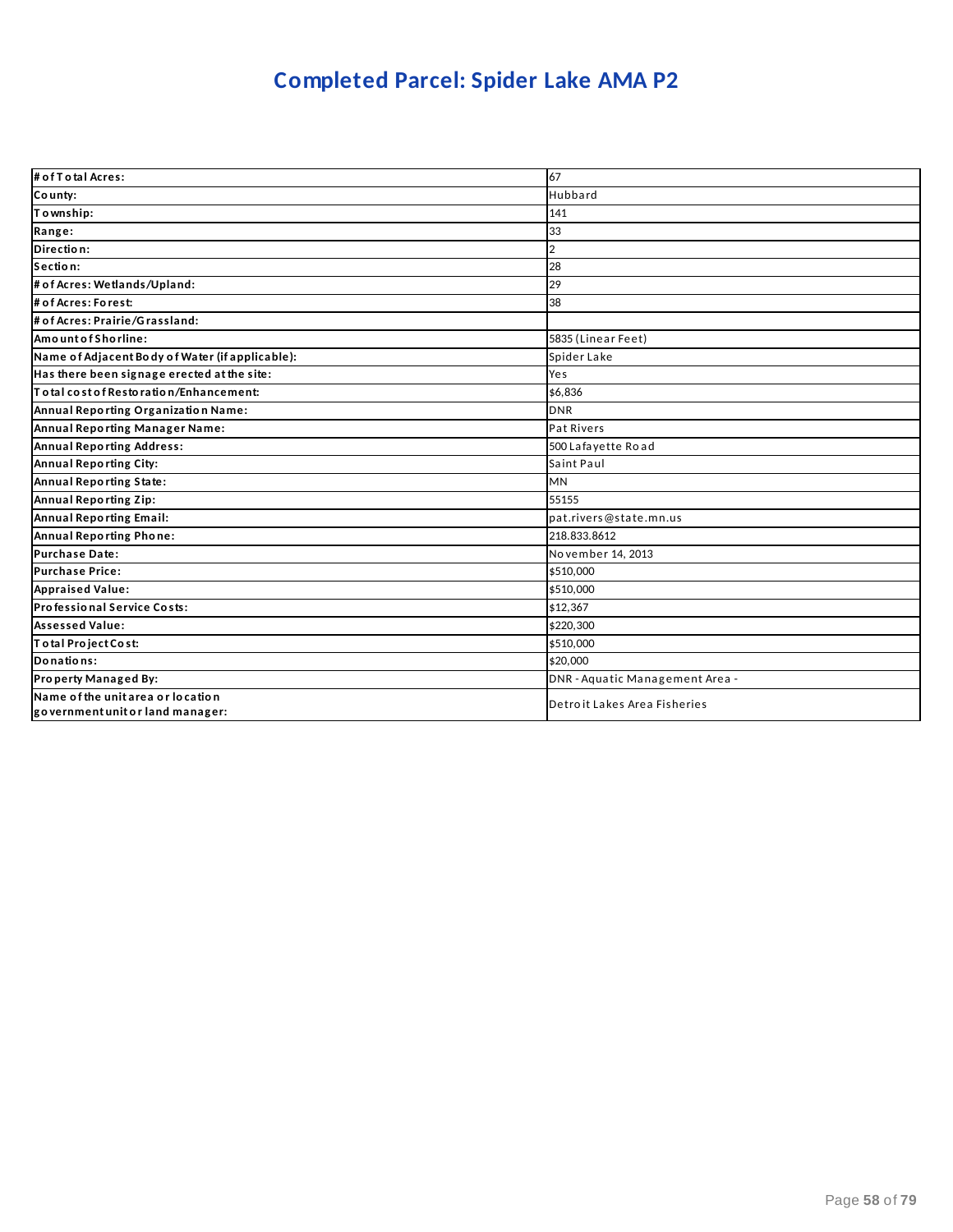## **Completed Parcel: Spider Lake AMA P2**

| # of T o tal Acres:                                                   | 67                              |
|-----------------------------------------------------------------------|---------------------------------|
| County:                                                               | Hubbard                         |
| Township:                                                             | 141                             |
| Range:                                                                | 33                              |
| Direction:                                                            | $\overline{2}$                  |
| Section:                                                              | 28                              |
| # of Acres: Wetlands/Upland:                                          | 29                              |
| # of Acres: Forest:                                                   | 38                              |
| # of Acres: Prairie/Grassland:                                        |                                 |
| Amount of Shorline:                                                   | 5835 (Linear Feet)              |
| Name of Adjacent Body of Water (if applicable):                       | Spider Lake                     |
| Has there been signage erected at the site:                           | Yes                             |
| To tal cost of Restoration/Enhancement:                               | \$6.836                         |
| Annual Reporting Organization Name:                                   | <b>DNR</b>                      |
| Annual Reporting Manager Name:                                        | Pat Rivers                      |
| <b>Annual Reporting Address:</b>                                      | 500 Lafayette Road              |
| <b>Annual Reporting City:</b>                                         | Saint Paul                      |
| Annual Reporting State:                                               | <b>MN</b>                       |
| Annual Reporting Zip:                                                 | 55155                           |
| Annual Reporting Email:                                               | pat.rivers@state.mn.us          |
| Annual Reporting Phone:                                               | 218.833.8612                    |
| <b>Purchase Date:</b>                                                 | November 14, 2013               |
| <b>Purchase Price:</b>                                                | \$510,000                       |
| <b>Appraised Value:</b>                                               | \$510,000                       |
| Professional Service Costs:                                           | \$12,367                        |
| <b>Assessed Value:</b>                                                | \$220,300                       |
| Total Project Cost:                                                   | \$510,000                       |
| Donations:                                                            | \$20,000                        |
| Property Managed By:                                                  | DNR - Aquatic Management Area - |
| Name of the unit area or location<br>government unit or land manager: | Detroit Lakes Area Fisheries    |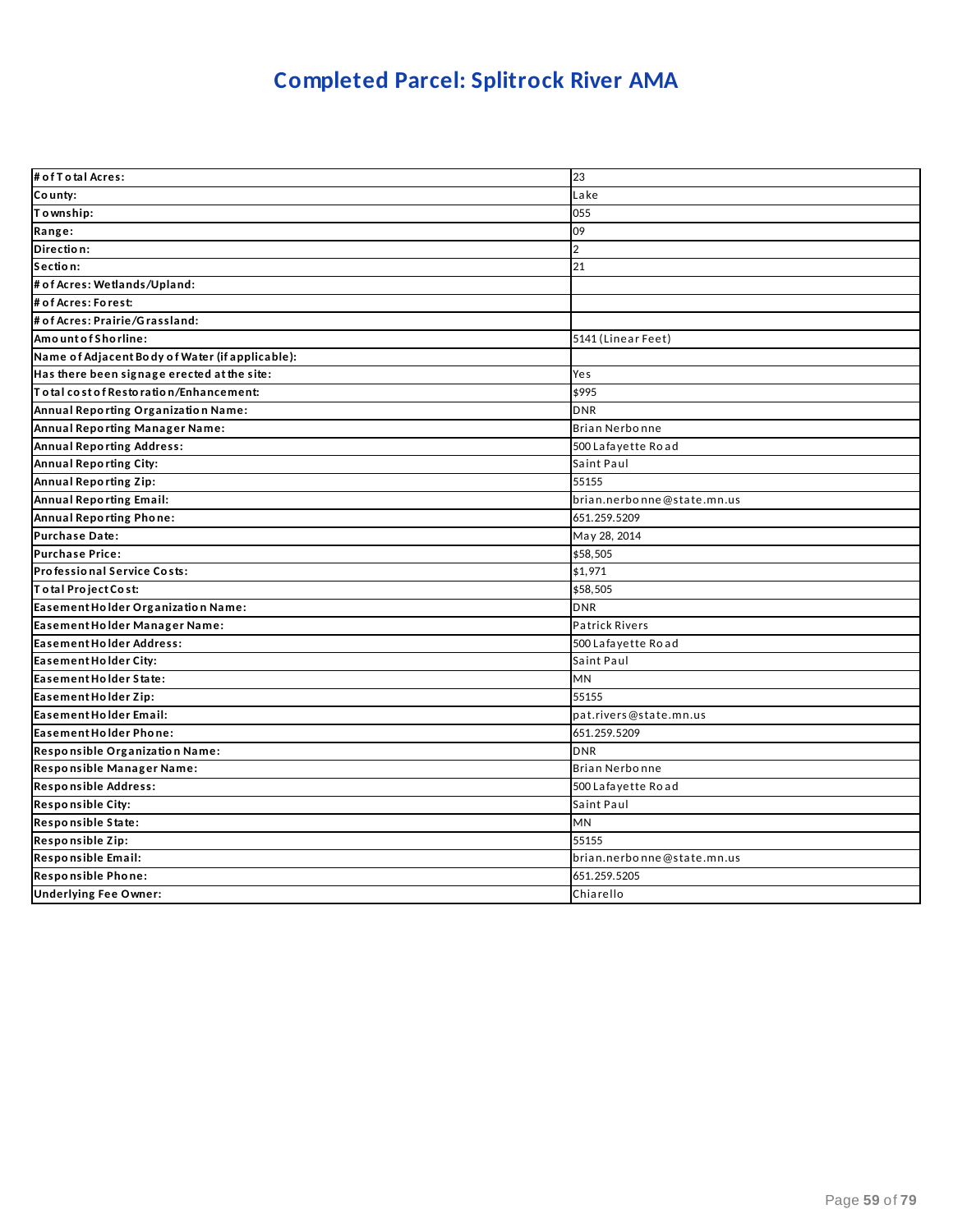## **Completed Parcel: Splitrock River AMA**

| # of T o tal Acres:                                              | 23                         |
|------------------------------------------------------------------|----------------------------|
| County:                                                          | Lake                       |
| Township:                                                        | 055                        |
| Range:                                                           | 09                         |
| Direction:                                                       | $\overline{2}$             |
| Section:                                                         | 21                         |
| # of Acres: Wetlands/Upland:                                     |                            |
| # of Acres: Forest:                                              |                            |
| # of Acres: Prairie/Grassland:                                   |                            |
| Amount of Shorline:                                              | 5141 (Linear Feet)         |
| Name of Adjacent Body of Water (if applicable):                  |                            |
| Has there been signage erected at the site:                      | Yes                        |
| $\overline{\mathsf{T}}$ o tal cost of Resto ratio n/Enhancement: | \$995                      |
| Annual Reporting Organization Name:                              | <b>DNR</b>                 |
| Annual Reporting Manager Name:                                   | Brian Nerbonne             |
| <b>Annual Reporting Address:</b>                                 | 500 Lafayette Road         |
| <b>Annual Reporting City:</b>                                    | Saint Paul                 |
| Annual Reporting Zip:                                            | 55155                      |
| <b>Annual Reporting Email:</b>                                   | brian.nerbonne@state.mn.us |
| Annual Reporting Phone:                                          | 651.259.5209               |
| <b>Purchase Date:</b>                                            | May 28, 2014               |
| <b>Purchase Price:</b>                                           | \$58,505                   |
| Professional Service Costs:                                      | \$1,971                    |
| Total Project Cost:                                              | \$58,505                   |
| Easement Holder Organization Name:                               | <b>DNR</b>                 |
| Easement Holder Manager Name:                                    | Patrick Rivers             |
| Easement Holder Address:                                         | 500 Lafayette Road         |
| Easement Holder City:                                            | Saint Paul                 |
| Easement Holder State:                                           | MN                         |
| Easement Holder Zip:                                             | 55155                      |
| Easement Holder Email:                                           | pat.rivers@state.mn.us     |
| Easement Holder Phone:                                           | 651.259.5209               |
| Responsible Organization Name:                                   | <b>DNR</b>                 |
| Responsible Manager Name:                                        | Brian Nerbonne             |
| Responsible Address:                                             | 500 Lafayette Road         |
| Responsible City:                                                | Saint Paul                 |
| Responsible State:                                               | <b>MN</b>                  |
| Responsible Zip:                                                 | 55155                      |
| Responsible Email:                                               | brian.nerbonne@state.mn.us |
| Responsible Phone:                                               | 651.259.5205               |
| <b>Underlying Fee Owner:</b>                                     | Chiarello                  |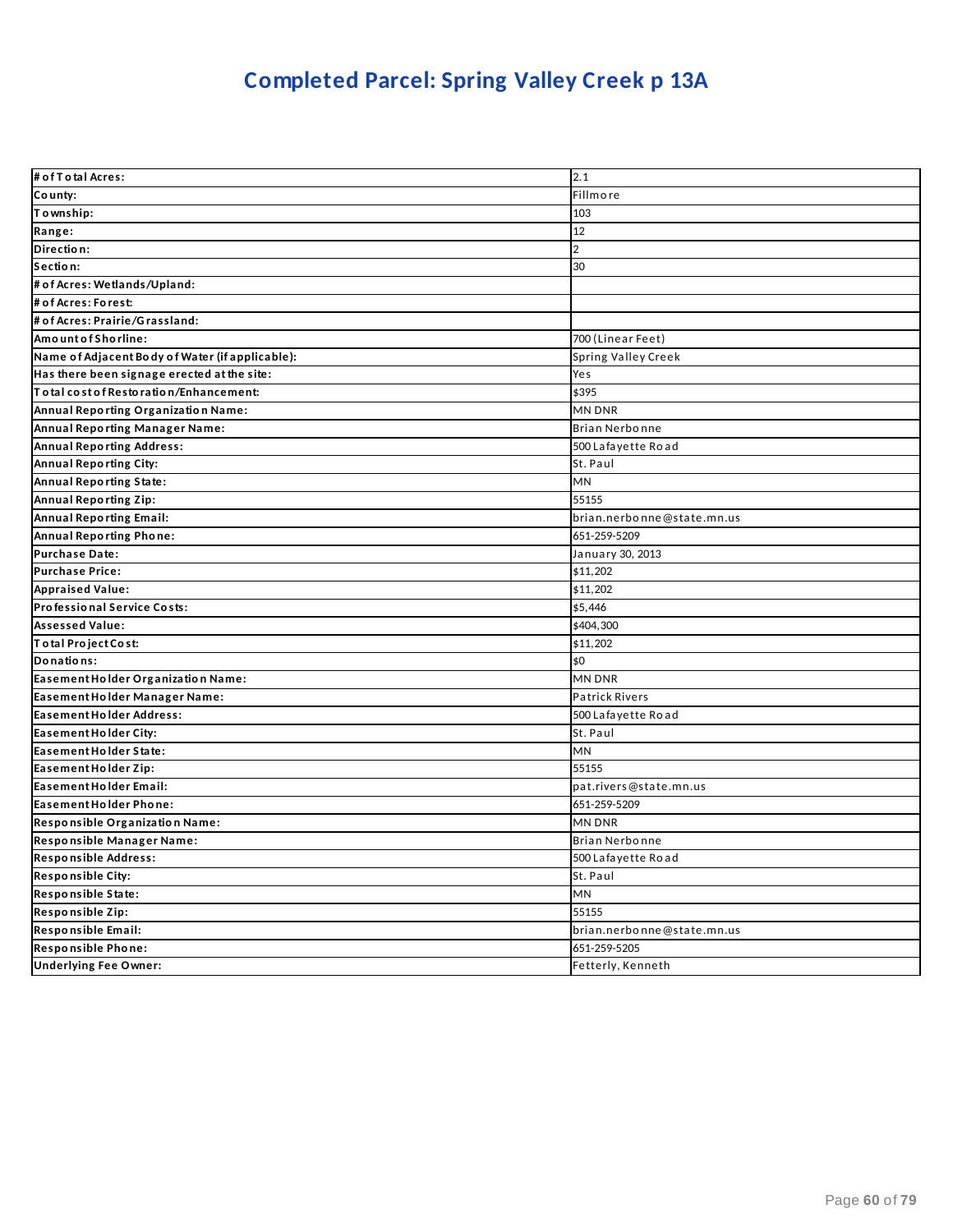# **Completed Parcel: Spring Valley Creek p 13A**

| # of T o tal Acres:                             | 2.1                        |
|-------------------------------------------------|----------------------------|
| County:                                         | Fillmore                   |
| Township:                                       | 103                        |
| Range:                                          | 12                         |
| Direction:                                      | $\overline{2}$             |
| Section:                                        | 30                         |
| # of Acres: Wetlands/Upland:                    |                            |
| # of Acres: Forest:                             |                            |
| # of Acres: Prairie/Grassland:                  |                            |
| Amount of Shorline:                             | 700 (Linear Feet)          |
| Name of Adjacent Body of Water (if applicable): | Spring Valley Creek        |
| Has there been signage erected at the site:     | Yes                        |
| Total cost of Restoration/Enhancement:          | \$395                      |
| Annual Reporting Organization Name:             | <b>MN DNR</b>              |
| Annual Reporting Manager Name:                  | <b>Brian Nerbonne</b>      |
| <b>Annual Reporting Address:</b>                | 500 Lafayette Road         |
| Annual Reporting City:                          | St. Paul                   |
| <b>Annual Reporting State:</b>                  | MN                         |
| <b>Annual Reporting Zip:</b>                    | 55155                      |
| <b>Annual Reporting Email:</b>                  | brian.nerbonne@state.mn.us |
| <b>Annual Reporting Phone:</b>                  | 651-259-5209               |
| <b>Purchase Date:</b>                           | January 30, 2013           |
| <b>Purchase Price:</b>                          | \$11.202                   |
| <b>Appraised Value:</b>                         | \$11,202                   |
| Professional Service Costs:                     | \$5,446                    |
| <b>Assessed Value:</b>                          | \$404,300                  |
| Total Project Cost:                             | \$11,202                   |
| Donations:                                      | \$0                        |
| Easement Holder Organization Name:              | <b>MN DNR</b>              |
| Easement Holder Manager Name:                   | <b>Patrick Rivers</b>      |
| Easement Holder Address:                        | 500 Lafayette Road         |
| Easement Holder City:                           | St. Paul                   |
| Easement Holder State:                          | MN                         |
| Easement Holder Zip:                            | 55155                      |
| Easement Holder Email:                          | pat.rivers@state.mn.us     |
| Easement Holder Phone:                          | 651-259-5209               |
| Responsible Organization Name:                  | <b>MN DNR</b>              |
| Responsible Manager Name:                       | Brian Nerbonne             |
| <b>Responsible Address:</b>                     | 500 Lafayette Road         |
| <b>Responsible City:</b>                        | St. Paul                   |
| Responsible State:                              | MN                         |
| Responsible Zip:                                | 55155                      |
| Responsible Email:                              | brian.nerbonne@state.mn.us |
| Responsible Phone:                              | 651-259-5205               |
| <b>Underlying Fee Owner:</b>                    | Fetterly, Kenneth          |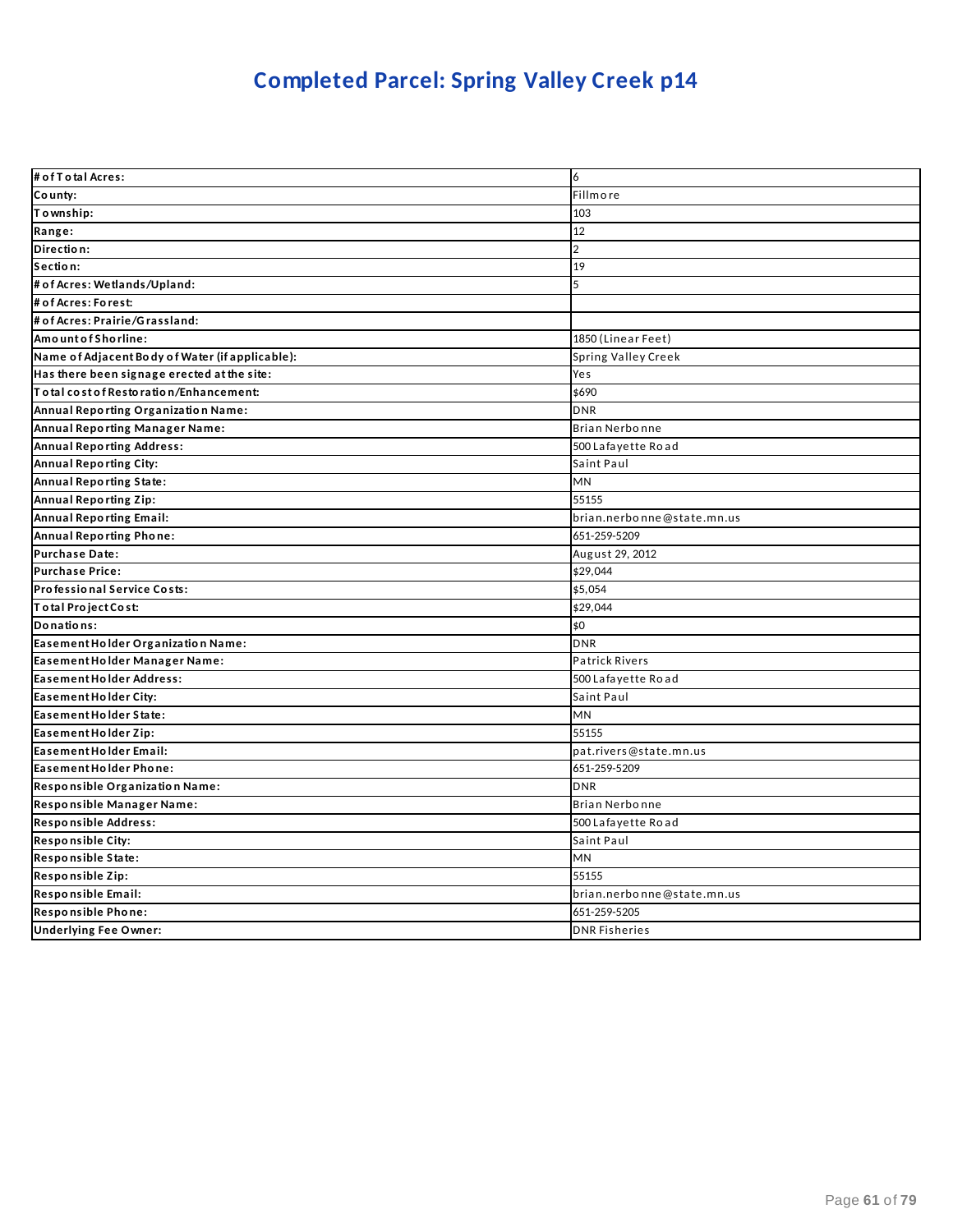# **Completed Parcel: Spring Valley Creek p14**

| # of T o tal Acres:                             | 6                          |
|-------------------------------------------------|----------------------------|
| County:                                         | Fillmore                   |
| Township:                                       | 103                        |
| Range:                                          | 12                         |
| Direction:                                      | $\overline{2}$             |
| Section:                                        | 19                         |
| # of Acres: Wetlands/Upland:                    | 5                          |
| # of Acres: Forest:                             |                            |
| # of Acres: Prairie/Grassland:                  |                            |
| Amount of Shorline:                             | 1850 (Linear Feet)         |
| Name of Adjacent Body of Water (if applicable): | Spring Valley Creek        |
| Has there been signage erected at the site:     | Yes                        |
| Total cost of Restoration/Enhancement:          | \$690                      |
| Annual Reporting Organization Name:             | <b>DNR</b>                 |
| Annual Reporting Manager Name:                  | Brian Nerbonne             |
| <b>Annual Reporting Address:</b>                | 500 Lafayette Road         |
| <b>Annual Reporting City:</b>                   | Saint Paul                 |
| <b>Annual Reporting State:</b>                  | <b>MN</b>                  |
| <b>Annual Reporting Zip:</b>                    | 55155                      |
| <b>Annual Reporting Email:</b>                  | brian.nerbonne@state.mn.us |
| Annual Reporting Phone:                         | 651-259-5209               |
| <b>Purchase Date:</b>                           | August 29, 2012            |
| <b>Purchase Price:</b>                          | \$29,044                   |
| Professional Service Costs:                     | \$5,054                    |
| Total Project Cost:                             | \$29,044                   |
| Donations:                                      | \$0                        |
| Easement Holder Organization Name:              | <b>DNR</b>                 |
| Easement Holder Manager Name:                   | <b>Patrick Rivers</b>      |
| <b>Easement Holder Address:</b>                 | 500 Lafayette Road         |
| Easement Holder City:                           | Saint Paul                 |
| Easement Holder State:                          | MN                         |
| Easement Holder Zip:                            | 55155                      |
| Easement Holder Email:                          | pat.rivers@state.mn.us     |
| Easement Holder Phone:                          | 651-259-5209               |
| Responsible Organization Name:                  | <b>DNR</b>                 |
| Responsible Manager Name:                       | Brian Nerbonne             |
| Responsible Address:                            | 500 Lafayette Road         |
| <b>Responsible City:</b>                        | Saint Paul                 |
| Responsible State:                              | <b>MN</b>                  |
| Responsible Zip:                                | 55155                      |
| Responsible Email:                              | brian.nerbonne@state.mn.us |
| Responsible Phone:                              | 651-259-5205               |
| <b>Underlying Fee Owner:</b>                    | <b>DNR Fisheries</b>       |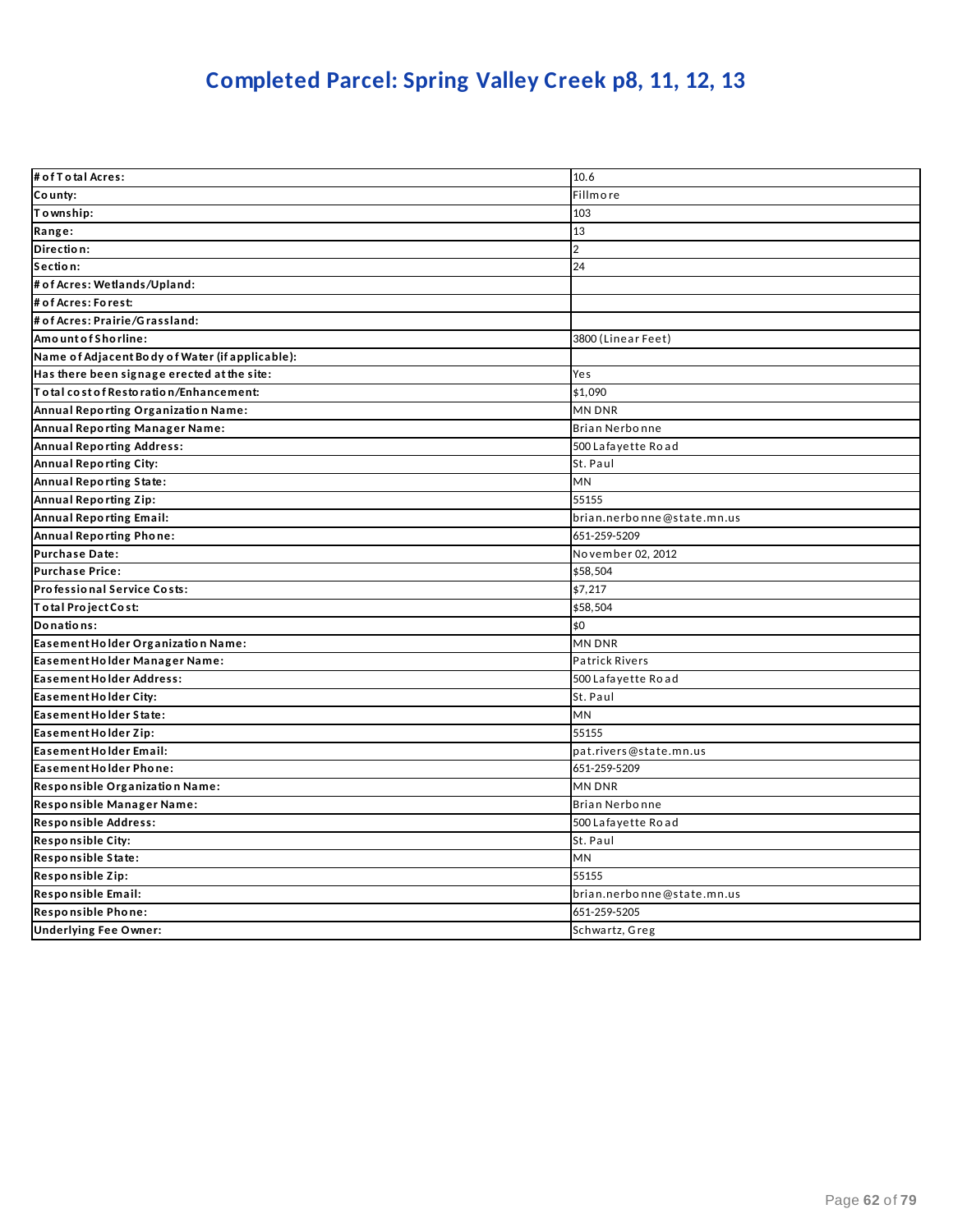## **Completed Parcel: Spring Valley Creek p8, 11, 12, 13**

| # of T o tal Acres:                             | 10.6                       |
|-------------------------------------------------|----------------------------|
| County:                                         | <b>Fillmore</b>            |
| Township:                                       | 103                        |
| Range:                                          | 13                         |
| Direction:                                      | $\overline{2}$             |
| Section:                                        | 24                         |
| # of Acres: Wetlands/Upland:                    |                            |
| # of Acres: Forest:                             |                            |
| # of Acres: Prairie/Grassland:                  |                            |
| AmountofShorline:                               | 3800 (Linear Feet)         |
| Name of Adjacent Body of Water (if applicable): |                            |
| Has there been signage erected at the site:     | Yes                        |
| Total cost of Restoration/Enhancement:          | \$1,090                    |
| Annual Reporting Organization Name:             | MN DNR                     |
| Annual Reporting Manager Name:                  | <b>Brian Nerbonne</b>      |
| <b>Annual Reporting Address:</b>                | 500 Lafayette Road         |
| <b>Annual Reporting City:</b>                   | St. Paul                   |
| <b>Annual Reporting State:</b>                  | MN                         |
| <b>Annual Reporting Zip:</b>                    | 55155                      |
| <b>Annual Reporting Email:</b>                  | brian.nerbonne@state.mn.us |
| <b>Annual Reporting Phone:</b>                  | 651-259-5209               |
| <b>Purchase Date:</b>                           | No vember 02, 2012         |
| <b>Purchase Price:</b>                          | \$58,504                   |
| Professional Service Costs:                     | \$7,217                    |
| Total Project Cost:                             | \$58,504                   |
| Donations:                                      | \$0                        |
| Easement Holder Organization Name:              | MN DNR                     |
| Easement Holder Manager Name:                   | Patrick Rivers             |
| Easement Holder Address:                        | 500 Lafayette Road         |
| Easement Holder City:                           | St. Paul                   |
| Easement Holder State:                          | MN                         |
| Easement Holder Zip:                            | 55155                      |
| Easement Holder Email:                          | pat.rivers@state.mn.us     |
| Easement Holder Phone:                          | 651-259-5209               |
| Responsible Organization Name:                  | <b>MN DNR</b>              |
| Responsible Manager Name:                       | <b>Brian Nerbonne</b>      |
| Responsible Address:                            | 500 Lafayette Road         |
| <b>Responsible City:</b>                        | St. Paul                   |
| Responsible State:                              | MN                         |
| Responsible Zip:                                | 55155                      |
| Responsible Email:                              | brian.nerbonne@state.mn.us |
| Responsible Phone:                              | 651-259-5205               |
| <b>Underlying Fee Owner:</b>                    | Schwartz, Greg             |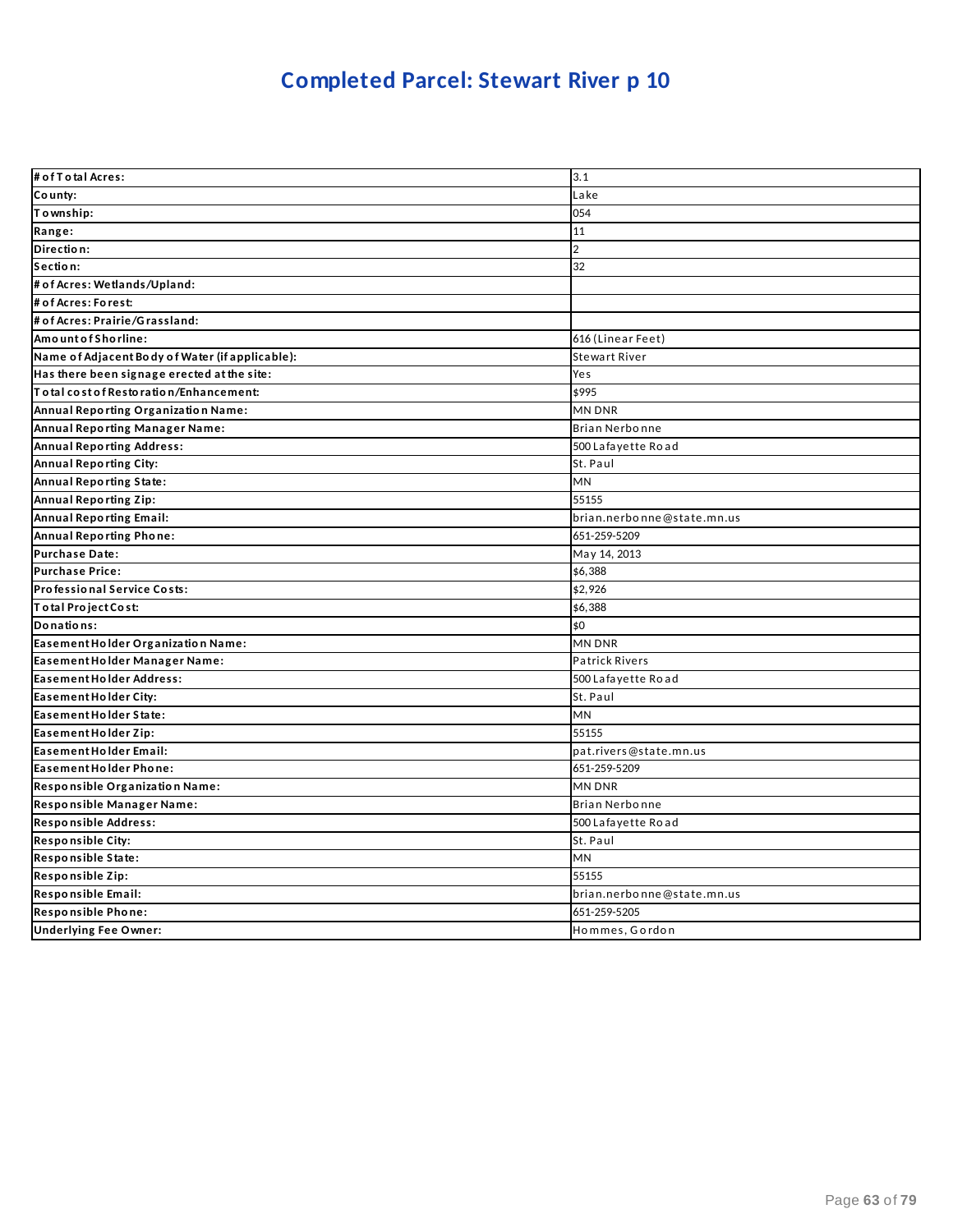| # of T o tal Acres:                             | 3.1                        |
|-------------------------------------------------|----------------------------|
| County:                                         | Lake                       |
| Township:                                       | 054                        |
| Range:                                          | 11                         |
| Direction:                                      | $\overline{2}$             |
| Section:                                        | 32                         |
| # of Acres: Wetlands/Upland:                    |                            |
| # of Acres: Forest:                             |                            |
| # of Acres: Prairie/Grassland:                  |                            |
| Amount of Shorline:                             | 616 (Linear Feet)          |
| Name of Adjacent Body of Water (if applicable): | Stewart River              |
| Has there been signage erected at the site:     | Yes                        |
| Total cost of Restoration/Enhancement:          | \$995                      |
| Annual Reporting Organization Name:             | MN DNR                     |
| Annual Reporting Manager Name:                  | Brian Nerbonne             |
| <b>Annual Reporting Address:</b>                | 500 Lafayette Road         |
| Annual Reporting City:                          | St. Paul                   |
| Annual Reporting State:                         | <b>MN</b>                  |
| Annual Reporting Zip:                           | 55155                      |
| <b>Annual Reporting Email:</b>                  | brian.nerbonne@state.mn.us |
| Annual Reporting Phone:                         | 651-259-5209               |
| <b>Purchase Date:</b>                           | May 14, 2013               |
| <b>Purchase Price:</b>                          | \$6,388                    |
| Professional Service Costs:                     | \$2,926                    |
| Total Project Cost:                             | \$6,388                    |
| Donations:                                      | \$0                        |
| Easement Holder Organization Name:              | MN DNR                     |
| Easement Holder Manager Name:                   | <b>Patrick Rivers</b>      |
| Easement Holder Address:                        | 500 Lafayette Road         |
| Easement Holder City:                           | St. Paul                   |
| Easement Holder State:                          | MN                         |
| Easement Holder Zip:                            | 55155                      |
| Easement Holder Email:                          | pat.rivers@state.mn.us     |
| Easement Holder Phone:                          | 651-259-5209               |
| Responsible Organization Name:                  | MN DNR                     |
| Responsible Manager Name:                       | Brian Nerbonne             |
| Responsible Address:                            | 500 Lafayette Road         |
| <b>Responsible City:</b>                        | St. Paul                   |
| Responsible State:                              | MN                         |
| Responsible Zip:                                | 55155                      |
| Responsible Email:                              | brian.nerbonne@state.mn.us |
| Responsible Phone:                              | 651-259-5205               |
| <b>Underlying Fee Owner:</b>                    | Hommes, Gordon             |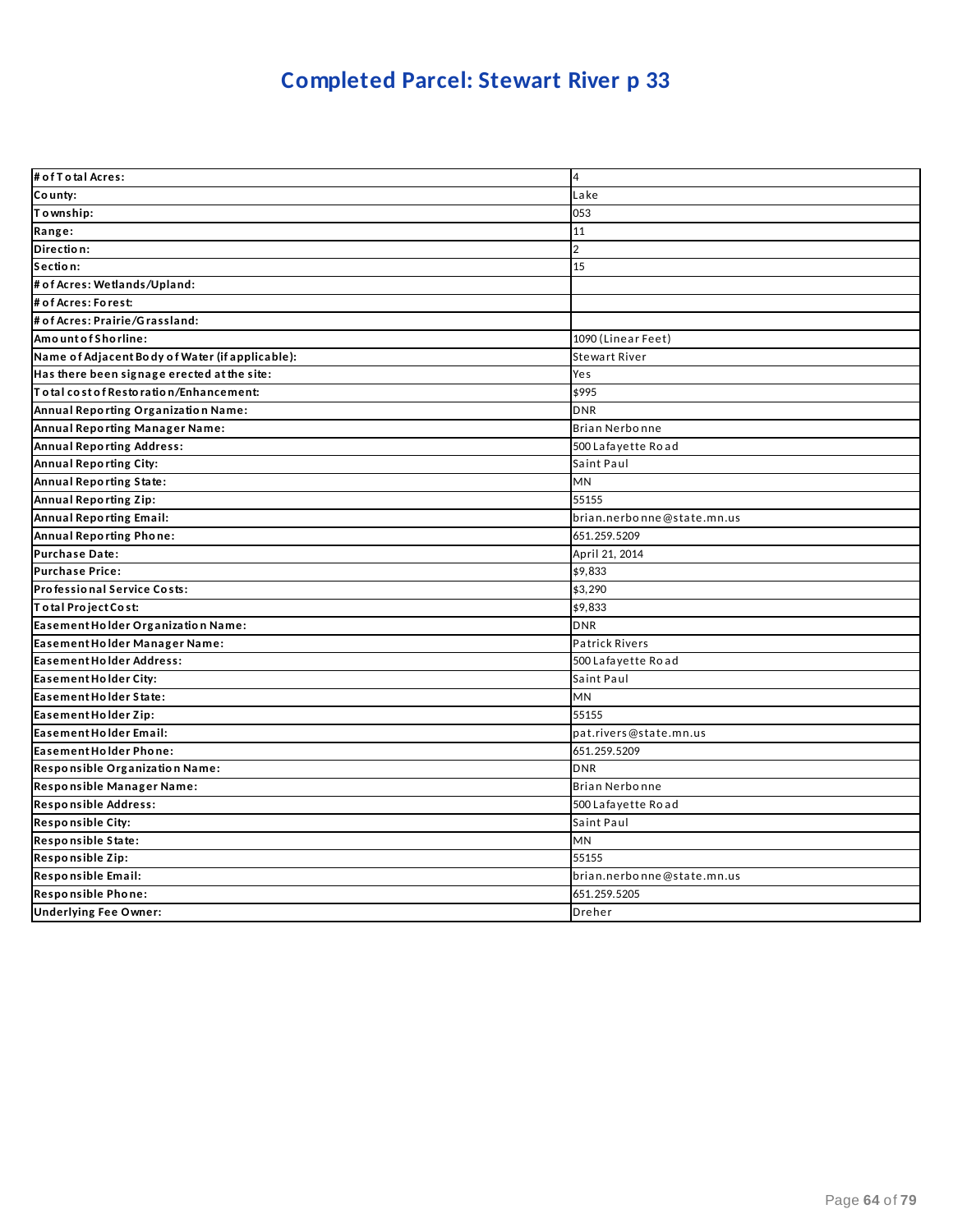| # of T otal Acres:                              | $\overline{4}$             |
|-------------------------------------------------|----------------------------|
| County:                                         | Lake                       |
| To wnship:                                      | 053                        |
| Range:                                          | 11                         |
| Direction:                                      | $\overline{2}$             |
| Section:                                        | 15                         |
| # of Acres: Wetlands/Upland:                    |                            |
| # of Acres: Forest:                             |                            |
| # of Acres: Prairie/Grassland:                  |                            |
| AmountofShorline:                               | 1090 (Linear Feet)         |
| Name of Adjacent Body of Water (if applicable): | Stewart River              |
| Has there been signage erected at the site:     | Yes                        |
| lT o tal cost of Restoration/Enhancement:       | \$995                      |
| Annual Reporting Organization Name:             | <b>DNR</b>                 |
| Annual Reporting Manager Name:                  | Brian Nerbonne             |
| <b>Annual Reporting Address:</b>                | 500 Lafayette Road         |
| Annual Reporting City:                          | Saint Paul                 |
| Annual Reporting State:                         | MN                         |
| Annual Reporting Zip:                           | 55155                      |
| Annual Reporting Email:                         | brian.nerbonne@state.mn.us |
| Annual Reporting Phone:                         | 651.259.5209               |
| Purchase Date:                                  | April 21, 2014             |
| <b>Purchase Price:</b>                          | \$9,833                    |
| Professional Service Costs:                     | \$3,290                    |
| Total Project Cost:                             | \$9,833                    |
| Easement Holder Organization Name:              | <b>DNR</b>                 |
| Easement Holder Manager Name:                   | <b>Patrick Rivers</b>      |
| Easement Holder Address:                        | 500 Lafayette Road         |
| Easement Holder City:                           | Saint Paul                 |
| Easement Holder State:                          | MN                         |
| Easement Holder Zip:                            | 55155                      |
| Easement Holder Email:                          | pat.rivers@state.mn.us     |
| Easement Holder Phone:                          | 651.259.5209               |
| Responsible Organization Name:                  | <b>DNR</b>                 |
| Responsible Manager Name:                       | Brian Nerbonne             |
| Responsible Address:                            | 500 Lafayette Road         |
| Responsible City:                               | Saint Paul                 |
| Responsible State:                              | <b>MN</b>                  |
| Responsible Zip:                                | 55155                      |
| Responsible Email:                              | brian.nerbonne@state.mn.us |
| Responsible Phone:                              | 651.259.5205               |
| <b>Underlying Fee Owner:</b>                    | Dreher                     |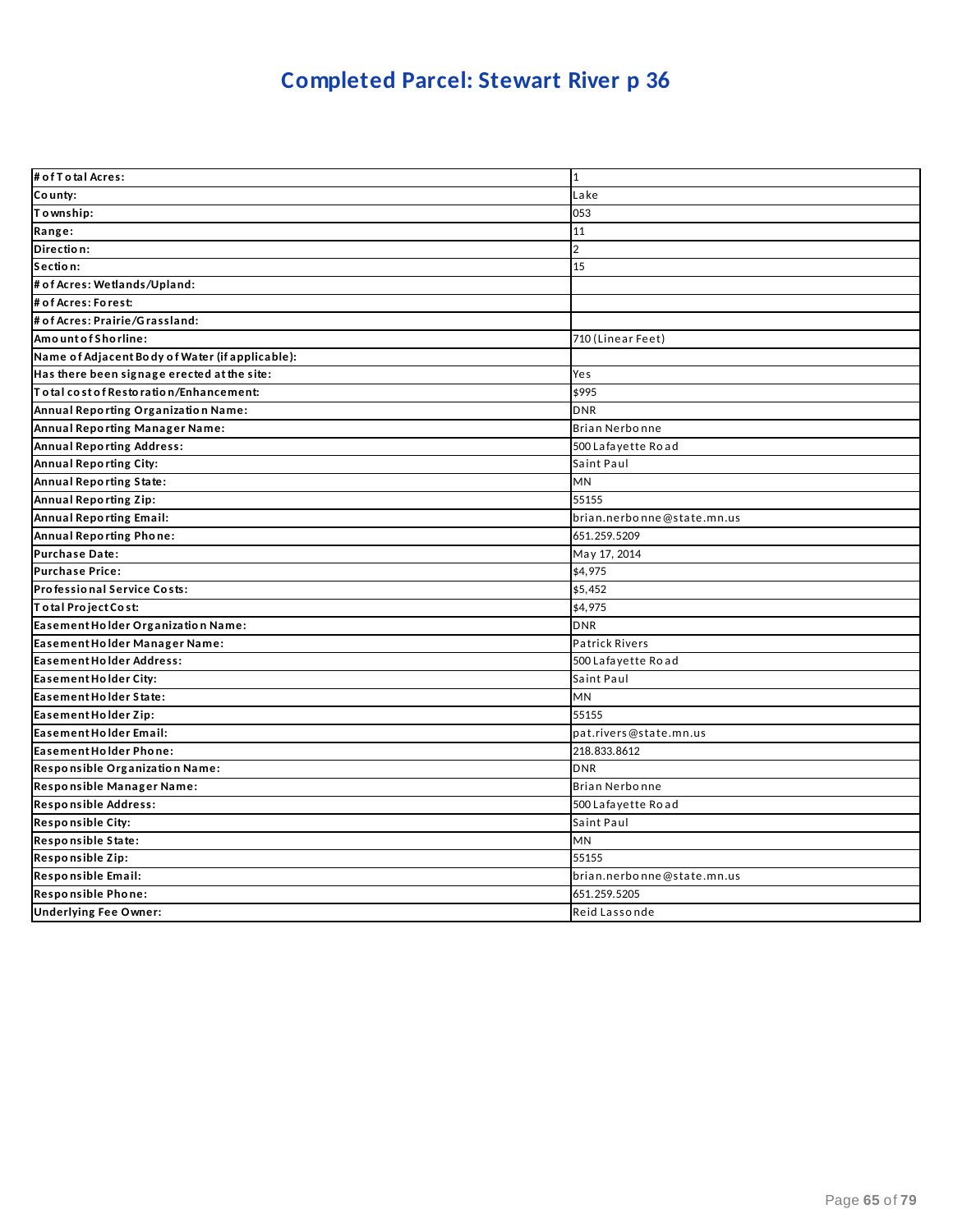| # of T otal Acres:                              | 1                          |
|-------------------------------------------------|----------------------------|
| County:                                         | Lake                       |
| Township:                                       | 053                        |
| Range:                                          | 11                         |
| Direction:                                      | $\overline{2}$             |
| Section:                                        | 15                         |
| # of Acres: Wetlands/Upland:                    |                            |
| # of Acres: Forest:                             |                            |
| # of Acres: Prairie/Grassland:                  |                            |
| AmountofShorline:                               | 710 (Linear Feet)          |
| Name of Adjacent Body of Water (if applicable): |                            |
| Has there been signage erected at the site:     | Yes                        |
| lT o tal cost of Restoration/Enhancement:       | \$995                      |
| Annual Reporting Organization Name:             | <b>DNR</b>                 |
| Annual Reporting Manager Name:                  | Brian Nerbonne             |
| <b>Annual Reporting Address:</b>                | 500 Lafayette Road         |
| Annual Reporting City:                          | Saint Paul                 |
| Annual Reporting State:                         | MN                         |
| Annual Reporting Zip:                           | 55155                      |
| Annual Reporting Email:                         | brian.nerbonne@state.mn.us |
| Annual Reporting Phone:                         | 651.259.5209               |
| Purchase Date:                                  | May 17, 2014               |
| <b>Purchase Price:</b>                          | \$4,975                    |
| Professional Service Costs:                     | \$5,452                    |
| Total Project Cost:                             | \$4,975                    |
| Easement Holder Organization Name:              | <b>DNR</b>                 |
| Easement Holder Manager Name:                   | <b>Patrick Rivers</b>      |
| Easement Holder Address:                        | 500 Lafayette Road         |
| Easement Holder City:                           | Saint Paul                 |
| Easement Holder State:                          | MN                         |
| Easement Holder Zip:                            | 55155                      |
| Easement Holder Email:                          | pat.rivers@state.mn.us     |
| Easement Holder Phone:                          | 218.833.8612               |
| Responsible Organization Name:                  | <b>DNR</b>                 |
| Responsible Manager Name:                       | Brian Nerbonne             |
| Responsible Address:                            | 500 Lafayette Road         |
| Responsible City:                               | Saint Paul                 |
| Responsible State:                              | <b>MN</b>                  |
| Responsible Zip:                                | 55155                      |
| Responsible Email:                              | brian.nerbonne@state.mn.us |
| Responsible Phone:                              | 651.259.5205               |
| <b>Underlying Fee Owner:</b>                    | Reid Lassonde              |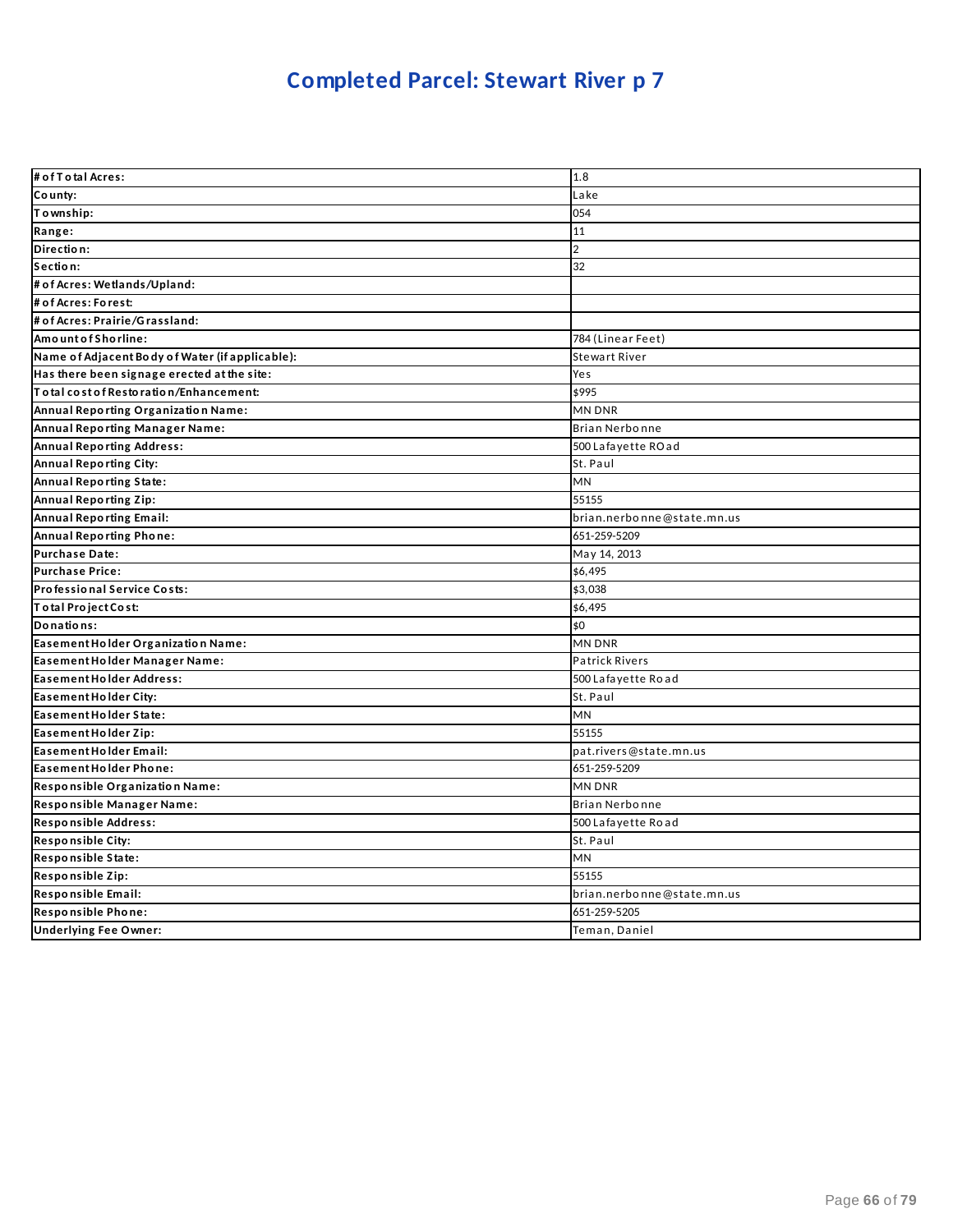| # of T o tal Acres:                             | 1.8                        |
|-------------------------------------------------|----------------------------|
| County:                                         | Lake                       |
| Township:                                       | 054                        |
| Range:                                          | 11                         |
| Direction:                                      | $\overline{2}$             |
| Section:                                        | 32                         |
| # of Acres: Wetlands/Upland:                    |                            |
| # of Acres: Forest:                             |                            |
| # of Acres: Prairie/Grassland:                  |                            |
| Amount of Shorline:                             | 784 (Linear Feet)          |
| Name of Adjacent Body of Water (if applicable): | Stewart River              |
| Has there been signage erected at the site:     | Yes                        |
| Total cost of Restoration/Enhancement:          | \$995                      |
| Annual Reporting Organization Name:             | MN DNR                     |
| Annual Reporting Manager Name:                  | Brian Nerbonne             |
| <b>Annual Reporting Address:</b>                | 500 Lafayette ROad         |
| Annual Reporting City:                          | St. Paul                   |
| Annual Reporting State:                         | <b>MN</b>                  |
| Annual Reporting Zip:                           | 55155                      |
| <b>Annual Reporting Email:</b>                  | brian.nerbonne@state.mn.us |
| Annual Reporting Phone:                         | 651-259-5209               |
| Purchase Date:                                  | May 14, 2013               |
| <b>Purchase Price:</b>                          | \$6,495                    |
| Professional Service Costs:                     | \$3,038                    |
| Total Project Cost:                             | \$6,495                    |
| Donations:                                      | \$0                        |
| Easement Holder Organization Name:              | MN DNR                     |
| Easement Holder Manager Name:                   | Patrick Rivers             |
| Easement Holder Address:                        | 500 Lafayette Road         |
| Easement Holder City:                           | St. Paul                   |
| Easement Holder State:                          | MN                         |
| Easement Holder Zip:                            | 55155                      |
| Easement Holder Email:                          | pat.rivers@state.mn.us     |
| Easement Holder Phone:                          | 651-259-5209               |
| Responsible Organization Name:                  | MN DNR                     |
| Responsible Manager Name:                       | Brian Nerbonne             |
| Responsible Address:                            | 500 Lafayette Road         |
| Responsible City:                               | St. Paul                   |
| Responsible State:                              | MN                         |
| Responsible Zip:                                | 55155                      |
| Responsible Email:                              | brian.nerbonne@state.mn.us |
| Responsible Phone:                              | 651-259-5205               |
| <b>Underlying Fee Owner:</b>                    | Teman, Daniel              |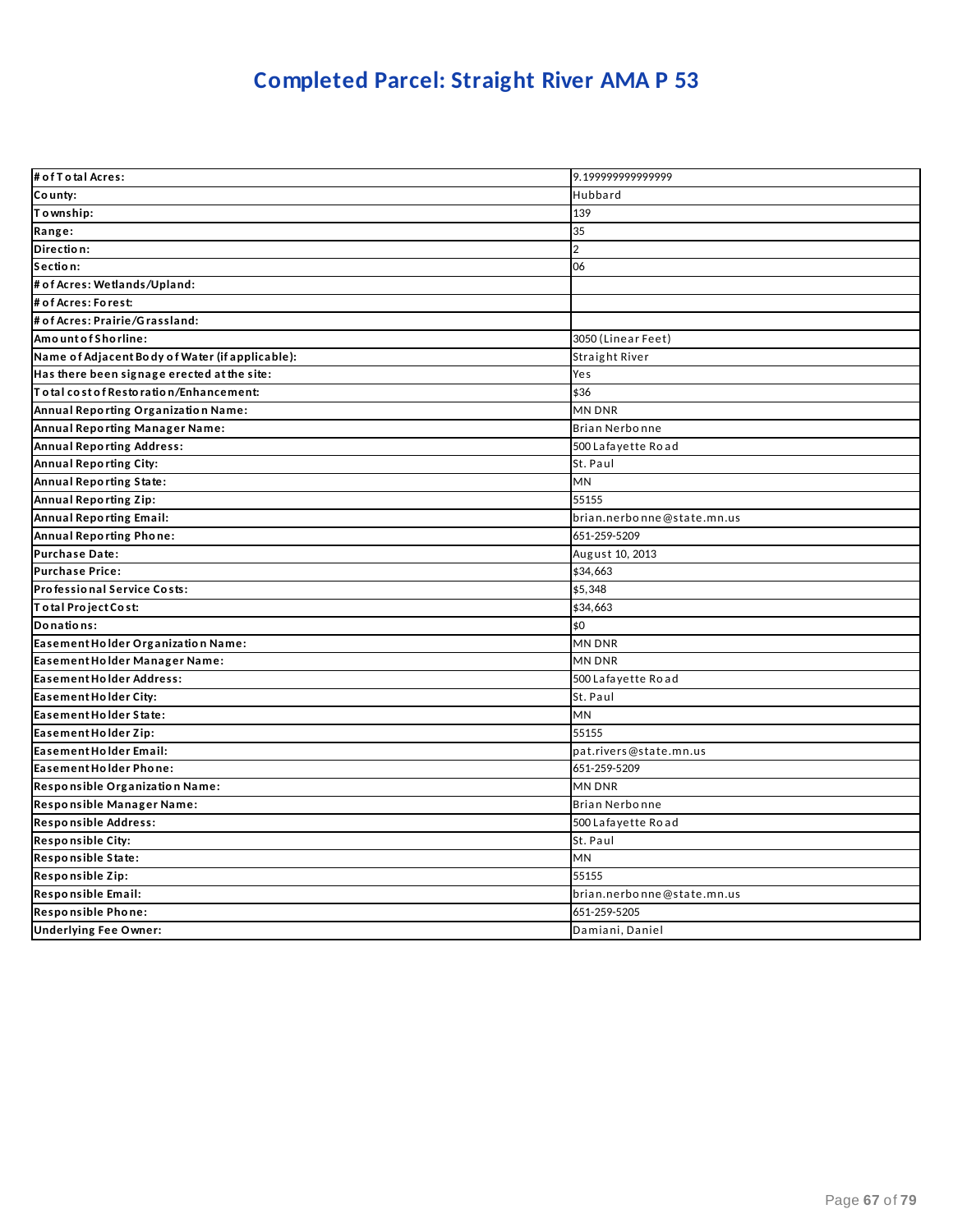## **Completed Parcel: Straight River AMA P 53**

| # of T o tal Acres:                             | 9.199999999999999          |
|-------------------------------------------------|----------------------------|
| County:                                         | Hubbard                    |
| To wnship:                                      | 139                        |
| Range:                                          | 35                         |
| Direction:                                      | $\overline{2}$             |
| Section:                                        | 06                         |
| # of Acres: Wetlands/Upland:                    |                            |
| # of Acres: Forest:                             |                            |
| # of Acres: Prairie/Grassland:                  |                            |
| AmountofShorline:                               | 3050 (Linear Feet)         |
| Name of Adjacent Body of Water (if applicable): | Straight River             |
| Has there been signage erected at the site:     | Yes                        |
| To tal cost of Restoration/Enhancement:         | \$36                       |
| Annual Reporting Organization Name:             | MN DNR                     |
| Annual Reporting Manager Name:                  | Brian Nerbonne             |
| <b>Annual Reporting Address:</b>                | 500 Lafayette Road         |
| <b>Annual Reporting City:</b>                   | St. Paul                   |
| <b>Annual Reporting State:</b>                  | MN                         |
| <b>Annual Reporting Zip:</b>                    | 55155                      |
| <b>Annual Reporting Email:</b>                  | brian.nerbonne@state.mn.us |
| <b>Annual Reporting Phone:</b>                  | 651-259-5209               |
| <b>Purchase Date:</b>                           | August 10, 2013            |
| <b>Purchase Price:</b>                          | \$34,663                   |
| Professional Service Costs:                     | \$5,348                    |
| Total Project Cost:                             | \$34,663                   |
| Donations:                                      | \$0                        |
| Easement Holder Organization Name:              | MN DNR                     |
| Easement Holder Manager Name:                   | MN DNR                     |
| <b>Easement Holder Address:</b>                 | 500 Lafayette Road         |
| Easement Holder City:                           | St. Paul                   |
| Easement Holder State:                          | MN                         |
| Easement Holder Zip:                            | 55155                      |
| Easement Holder Email:                          | pat.rivers@state.mn.us     |
| Easement Holder Phone:                          | 651-259-5209               |
| Responsible Organization Name:                  | MN DNR                     |
| Responsible Manager Name:                       | Brian Nerbonne             |
| Responsible Address:                            | 500 Lafayette Road         |
| <b>Responsible City:</b>                        | St. Paul                   |
| Responsible State:                              | <b>MN</b>                  |
| Responsible Zip:                                | 55155                      |
| Responsible Email:                              | brian.nerbonne@state.mn.us |
| Responsible Phone:                              | 651-259-5205               |
| <b>Underlying Fee Owner:</b>                    | Damiani, Daniel            |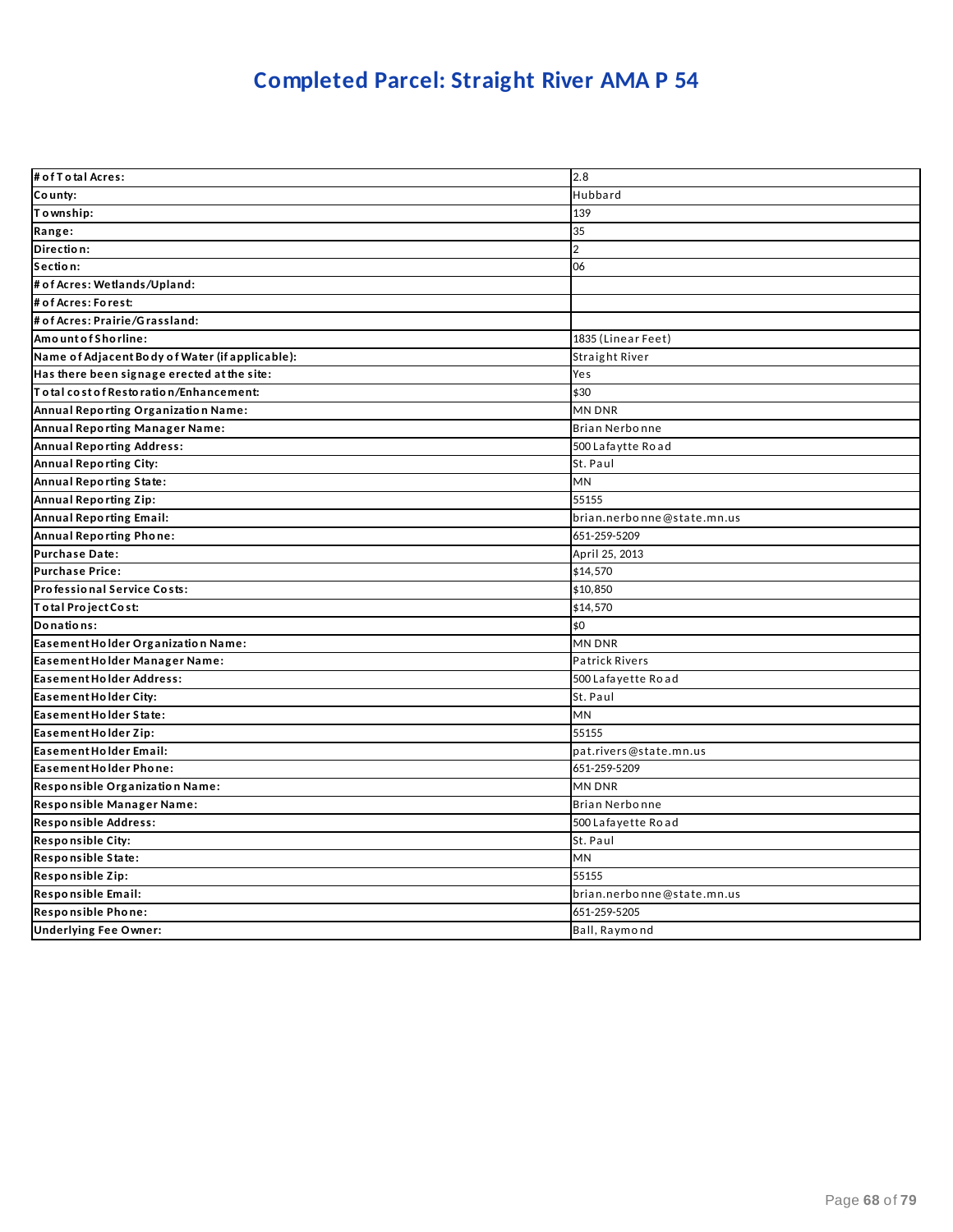## **Completed Parcel: Straight River AMA P 54**

| # of T o tal Acres:                             | 2.8                        |
|-------------------------------------------------|----------------------------|
| County:                                         | Hubbard                    |
| Township:                                       | 139                        |
| Range:                                          | 35                         |
| Direction:                                      | $\overline{2}$             |
| Section:                                        | 06                         |
| # of Acres: Wetlands/Upland:                    |                            |
| # of Acres: Forest:                             |                            |
| # of Acres: Prairie/Grassland:                  |                            |
| Amount of Shorline:                             | 1835 (Linear Feet)         |
| Name of Adjacent Body of Water (if applicable): | Straight River             |
| Has there been signage erected at the site:     | Yes                        |
| Total cost of Restoration/Enhancement:          | \$30                       |
| Annual Reporting Organization Name:             | MN DNR                     |
| Annual Reporting Manager Name:                  | <b>Brian Nerbonne</b>      |
| <b>Annual Reporting Address:</b>                | 500 Lafaytte Road          |
| Annual Reporting City:                          | St. Paul                   |
| <b>Annual Reporting State:</b>                  | <b>MN</b>                  |
| <b>Annual Reporting Zip:</b>                    | 55155                      |
| <b>Annual Reporting Email:</b>                  | brian.nerbonne@state.mn.us |
| Annual Reporting Phone:                         | 651-259-5209               |
| <b>Purchase Date:</b>                           | April 25, 2013             |
| <b>Purchase Price:</b>                          | \$14,570                   |
| Professional Service Costs:                     | \$10,850                   |
| Total Project Cost:                             | \$14,570                   |
| Donations:                                      | \$0                        |
| Easement Holder Organization Name:              | <b>MN DNR</b>              |
| Easement Holder Manager Name:                   | <b>Patrick Rivers</b>      |
| <b>Easement Holder Address:</b>                 | 500 Lafayette Road         |
| Easement Holder City:                           | St. Paul                   |
| Easement Holder State:                          | <b>MN</b>                  |
| Easement Holder Zip:                            | 55155                      |
| Easement Holder Email:                          | pat.rivers@state.mn.us     |
| Easement Holder Phone:                          | 651-259-5209               |
| Responsible Organization Name:                  | MN DNR                     |
| Responsible Manager Name:                       | Brian Nerbonne             |
| Responsible Address:                            | 500 Lafayette Road         |
| <b>Responsible City:</b>                        | St. Paul                   |
| Responsible State:                              | <b>MN</b>                  |
| Responsible Zip:                                | 55155                      |
| Responsible Email:                              | brian.nerbonne@state.mn.us |
| Responsible Phone:                              | 651-259-5205               |
| <b>Underlying Fee Owner:</b>                    | Ball, Raymond              |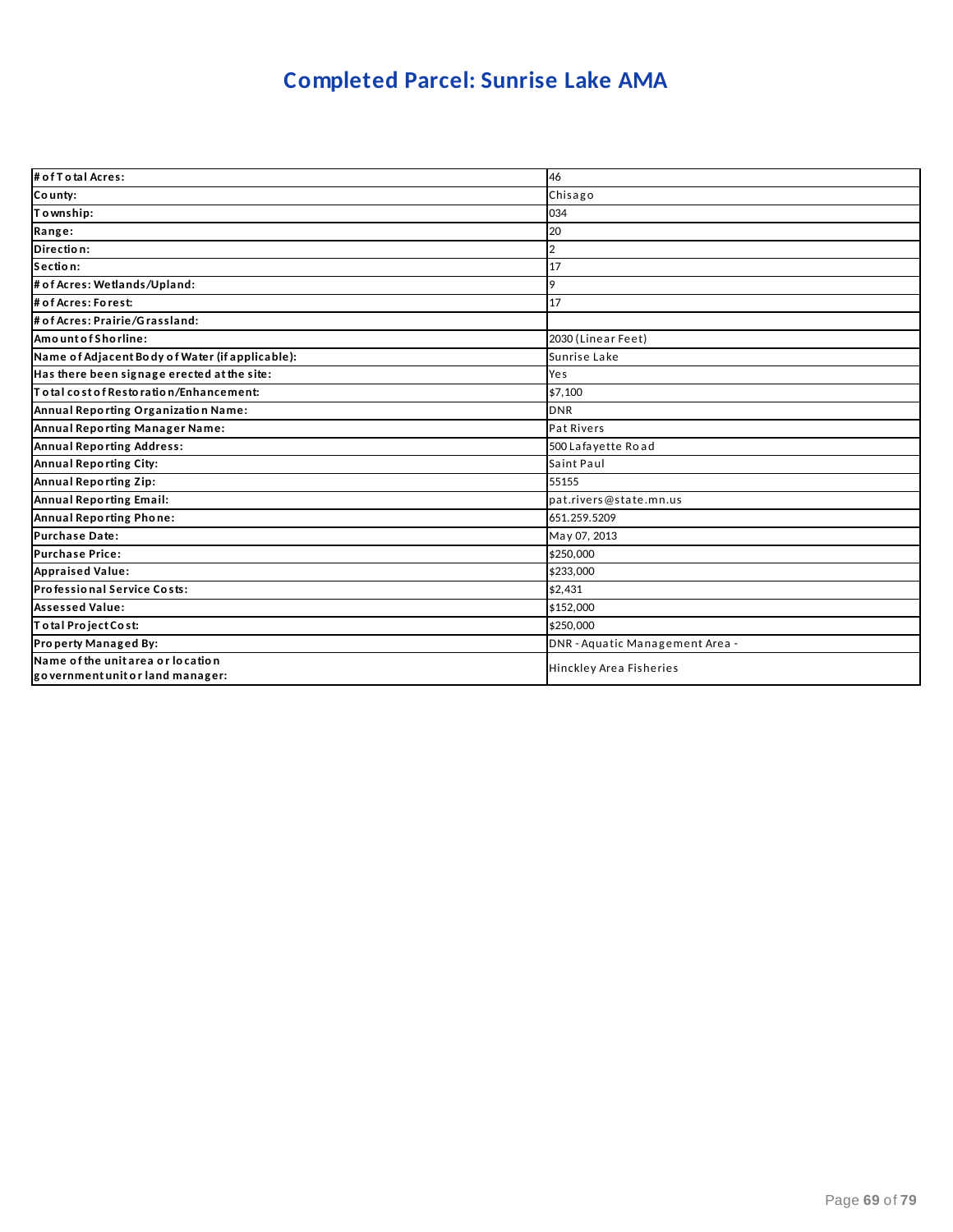### **Completed Parcel: Sunrise Lake AMA**

| # of T o tal Acres:                                                   | 46                              |
|-----------------------------------------------------------------------|---------------------------------|
| County:                                                               | Chisago                         |
| Township:                                                             | 034                             |
| Range:                                                                | 20                              |
| Direction:                                                            | 2                               |
| Section:                                                              | 17                              |
| # of Acres: Wetlands/Upland:                                          | 9                               |
| # of Acres: Forest:                                                   | 17                              |
| # of Acres: Prairie/Grassland:                                        |                                 |
| Amount of Shorline:                                                   | 2030 (Linear Feet)              |
| Name of Adjacent Body of Water (if applicable):                       | Sunrise Lake                    |
| Has there been signage erected at the site:                           | Yes                             |
| Total cost of Restoration/Enhancement:                                | \$7,100                         |
| Annual Reporting Organization Name:                                   | <b>DNR</b>                      |
| Annual Reporting Manager Name:                                        | Pat Rivers                      |
| <b>Annual Reporting Address:</b>                                      | 500 Lafayette Road              |
| Annual Reporting City:                                                | Saint Paul                      |
| Annual Reporting Zip:                                                 | 55155                           |
| Annual Reporting Email:                                               | pat.rivers@state.mn.us          |
| Annual Reporting Phone:                                               | 651.259.5209                    |
| <b>Purchase Date:</b>                                                 | May 07, 2013                    |
| <b>Purchase Price:</b>                                                | \$250,000                       |
| <b>Appraised Value:</b>                                               | \$233,000                       |
| Professional Service Costs:                                           | \$2,431                         |
| <b>Assessed Value:</b>                                                | \$152,000                       |
| Total Project Cost:                                                   | \$250,000                       |
| Property Managed By:                                                  | DNR - Aquatic Management Area - |
| Name of the unit area or location<br>government unit or land manager: | Hinckley Area Fisheries         |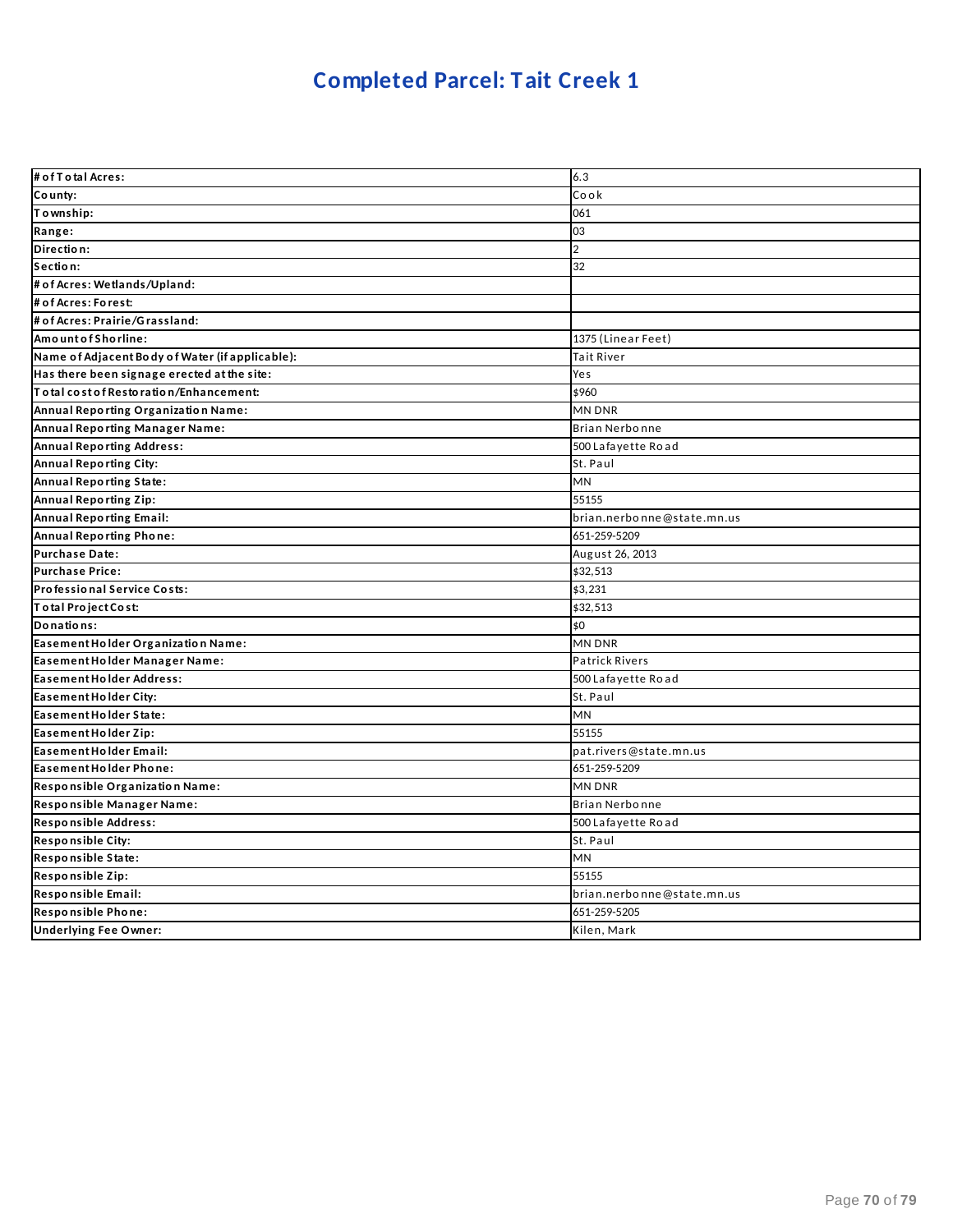### **Completed Parcel: Tait Creek 1**

| # of T o tal Acres:                             | 6.3                        |
|-------------------------------------------------|----------------------------|
| County:                                         | Cook                       |
| Township:                                       | 061                        |
| Range:                                          | 03                         |
| Direction:                                      | $\overline{2}$             |
| Section:                                        | 32                         |
| # of Acres: Wetlands/Upland:                    |                            |
| # of Acres: Forest:                             |                            |
| # of Acres: Prairie/Grassland:                  |                            |
| AmountofShorline:                               | 1375 (Linear Feet)         |
| Name of Adjacent Body of Water (if applicable): | Tait River                 |
| Has there been signage erected at the site:     | Yes                        |
| Total cost of Restoration/Enhancement:          | \$960                      |
| Annual Reporting Organization Name:             | MN DNR                     |
| Annual Reporting Manager Name:                  | Brian Nerbonne             |
| <b>Annual Reporting Address:</b>                | 500 Lafayette Road         |
| Annual Reporting City:                          | St. Paul                   |
| Annual Reporting State:                         | MN                         |
| <b>Annual Reporting Zip:</b>                    | 55155                      |
| <b>Annual Reporting Email:</b>                  | brian.nerbonne@state.mn.us |
| <b>Annual Reporting Phone:</b>                  | 651-259-5209               |
| <b>Purchase Date:</b>                           | August 26, 2013            |
| <b>Purchase Price:</b>                          | \$32,513                   |
| Professional Service Costs:                     | \$3,231                    |
| Total Project Cost:                             | \$32,513                   |
| Donations:                                      | \$0                        |
| Easement Holder Organization Name:              | MN DNR                     |
| Easement Holder Manager Name:                   | <b>Patrick Rivers</b>      |
| Easement Holder Address:                        | 500 Lafayette Road         |
| Easement Holder City:                           | St. Paul                   |
| Easement Holder State:                          | MN                         |
| Easement Holder Zip:                            | 55155                      |
| Easement Holder Email:                          | pat.rivers@state.mn.us     |
| Easement Holder Phone:                          | 651-259-5209               |
| Responsible Organization Name:                  | MN DNR                     |
| Responsible Manager Name:                       | Brian Nerbonne             |
| Responsible Address:                            | 500 Lafayette Road         |
| Responsible City:                               | St. Paul                   |
| Responsible State:                              | MN                         |
| Responsible Zip:                                | 55155                      |
| Responsible Email:                              | brian.nerbonne@state.mn.us |
| Responsible Phone:                              | 651-259-5205               |
| <b>Underlying Fee Owner:</b>                    | Kilen, Mark                |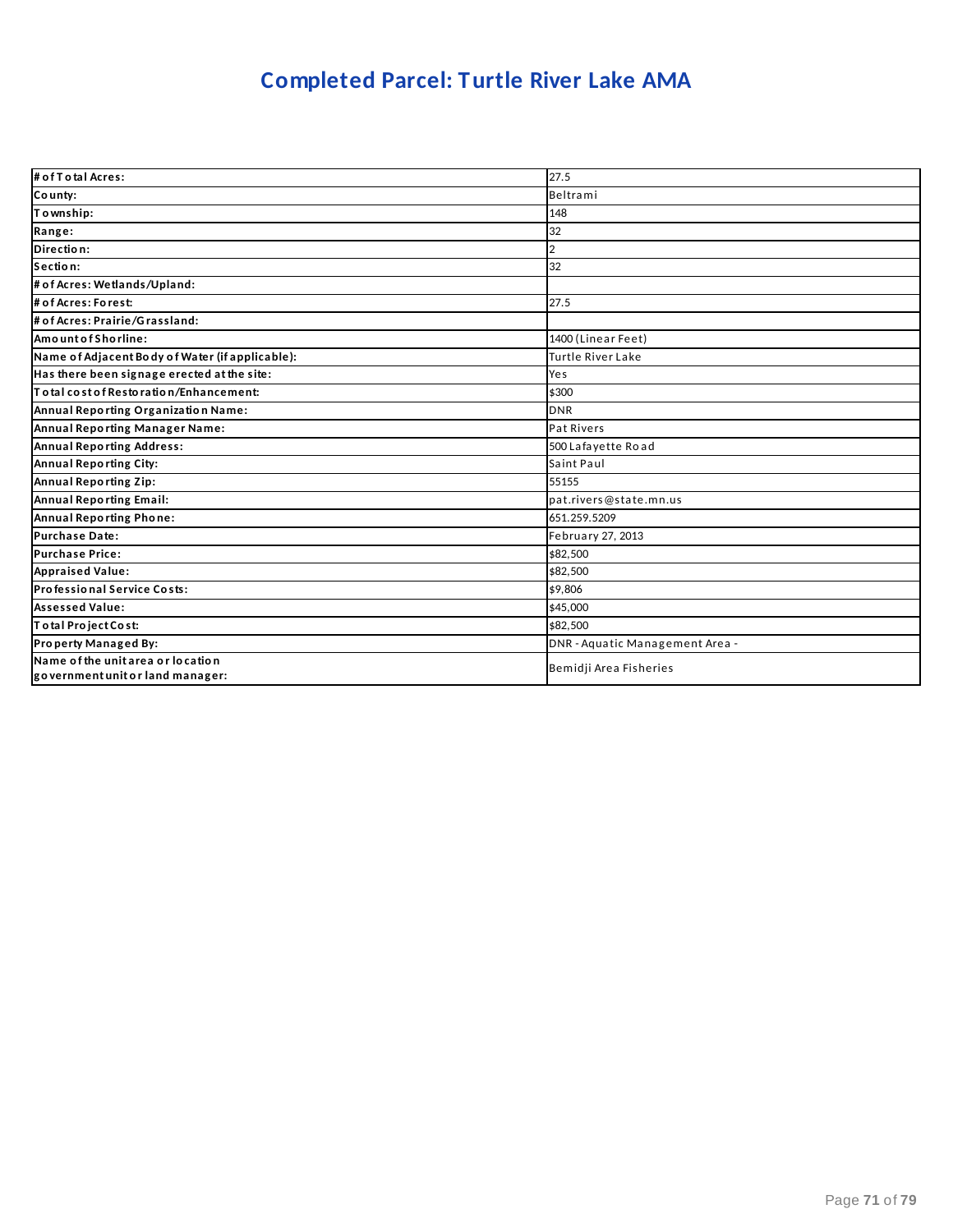### **Completed Parcel: Turtle River Lake AMA**

| # of T o tal Acres:                                                   | 27.5                            |
|-----------------------------------------------------------------------|---------------------------------|
| County:                                                               | Beltrami                        |
| Township:                                                             | 148                             |
| Range:                                                                | 32                              |
| Direction:                                                            | 2                               |
| Section:                                                              | 32                              |
| # of Acres: Wetlands/Upland:                                          |                                 |
| # of Acres: Forest:                                                   | 27.5                            |
| # of Acres: Prairie/Grassland:                                        |                                 |
| Amount of Shorline:                                                   | 1400 (Linear Feet)              |
| Name of Adjacent Body of Water (if applicable):                       | Turtle River Lake               |
| Has there been signage erected at the site:                           | Yes                             |
| To tal cost of Restoration/Enhancement:                               | \$300                           |
| Annual Reporting Organization Name:                                   | <b>DNR</b>                      |
| Annual Reporting Manager Name:                                        | Pat Rivers                      |
| <b>Annual Reporting Address:</b>                                      | 500 Lafayette Road              |
| Annual Reporting City:                                                | Saint Paul                      |
| Annual Reporting Zip:                                                 | 55155                           |
| Annual Reporting Email:                                               | pat.rivers@state.mn.us          |
| Annual Reporting Phone:                                               | 651.259.5209                    |
| <b>Purchase Date:</b>                                                 | February 27, 2013               |
| <b>Purchase Price:</b>                                                | \$82.500                        |
| <b>Appraised Value:</b>                                               | \$82,500                        |
| Professional Service Costs:                                           | \$9,806                         |
| <b>Assessed Value:</b>                                                | \$45,000                        |
| Total Project Cost:                                                   | \$82,500                        |
| Property Managed By:                                                  | DNR - Aquatic Management Area - |
| Name of the unit area or location<br>government unit or land manager: | Bemidji Area Fisheries          |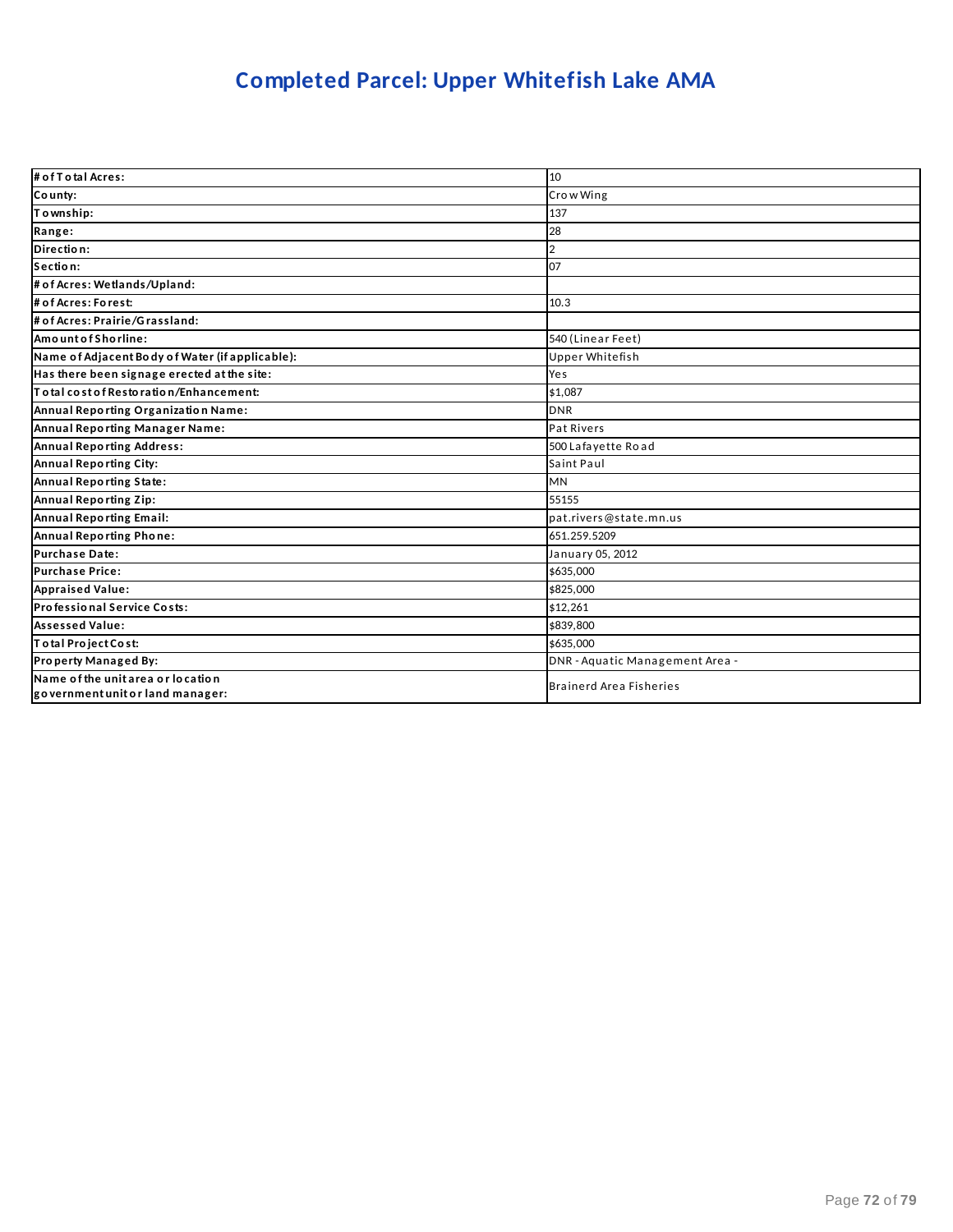### **Completed Parcel: Upper Whitefish Lake AMA**

| # of T o tal Acres:                                                   | 10                              |
|-----------------------------------------------------------------------|---------------------------------|
| County:                                                               | Crow Wing                       |
| To wnship:                                                            | 137                             |
| Range:                                                                | 28                              |
| Direction:                                                            | 2                               |
| Section:                                                              | 07                              |
| # of Acres: Wetlands/Upland:                                          |                                 |
| # of Acres: Forest:                                                   | 10.3                            |
| # of Acres: Prairie/Grassland:                                        |                                 |
| AmountofShorline:                                                     | 540 (Linear Feet)               |
| Name of Adjacent Body of Water (if applicable):                       | <b>Upper Whitefish</b>          |
| Has there been signage erected at the site:                           | Yes                             |
| Total cost of Restoration/Enhancement:                                | \$1,087                         |
| Annual Reporting Organization Name:                                   | <b>DNR</b>                      |
| Annual Reporting Manager Name:                                        | Pat Rivers                      |
| <b>Annual Reporting Address:</b>                                      | 500 Lafayette Road              |
| Annual Reporting City:                                                | Saint Paul                      |
| Annual Reporting State:                                               | <b>MN</b>                       |
| Annual Reporting Zip:                                                 | 55155                           |
| Annual Reporting Email:                                               | pat.rivers@state.mn.us          |
| Annual Reporting Phone:                                               | 651.259.5209                    |
| <b>Purchase Date:</b>                                                 | January 05, 2012                |
| <b>Purchase Price:</b>                                                | \$635,000                       |
| <b>Appraised Value:</b>                                               | \$825,000                       |
| Professional Service Costs:                                           | \$12.261                        |
| <b>Assessed Value:</b>                                                | \$839,800                       |
| Total Project Cost:                                                   | \$635,000                       |
| Property Managed By:                                                  | DNR - Aquatic Management Area - |
| Name of the unit area or location<br>government unit or land manager: | <b>Brainerd Area Fisheries</b>  |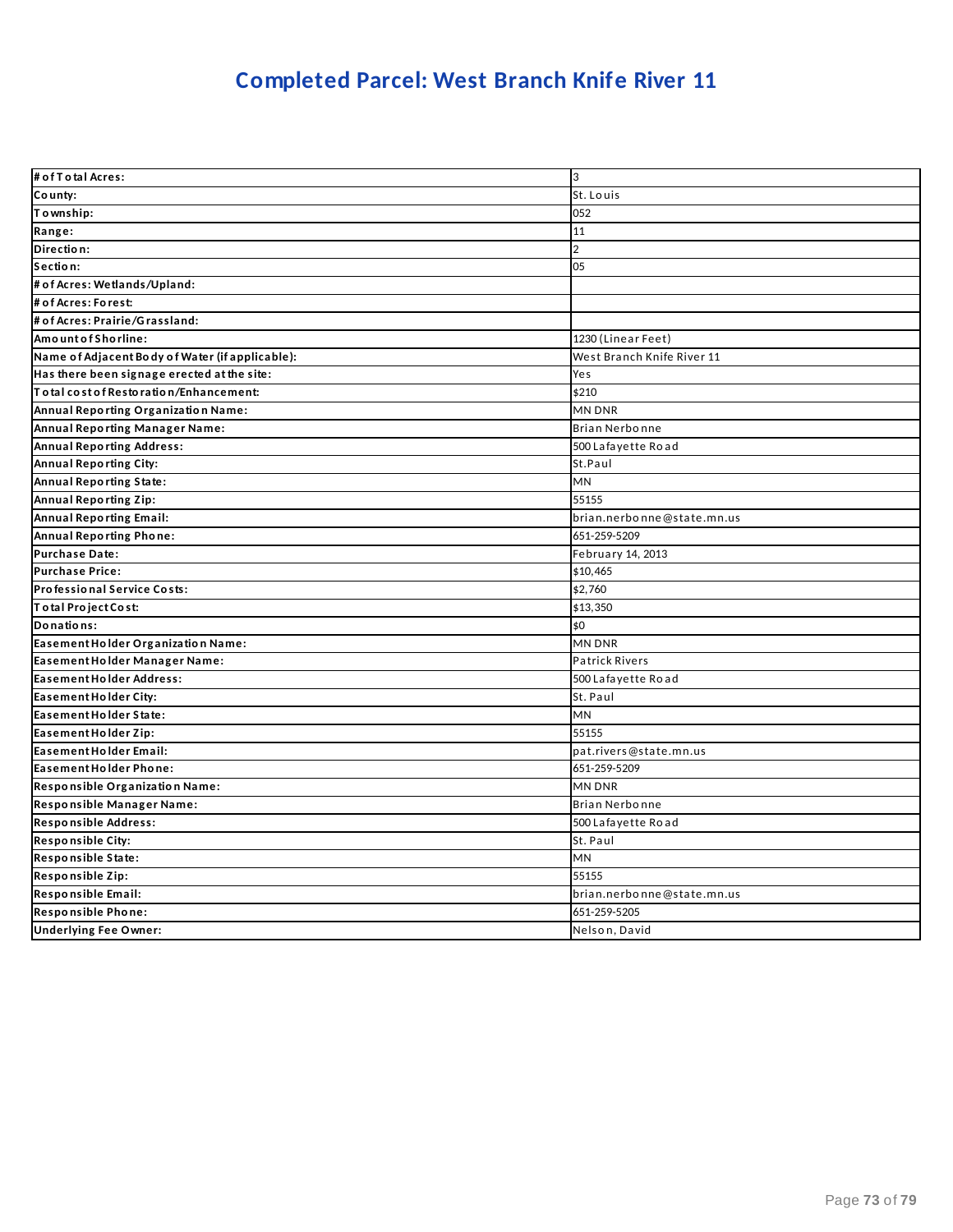# **Completed Parcel: West Branch Knife River 11**

| # of T o tal Acres:                             | 3                          |
|-------------------------------------------------|----------------------------|
| County:                                         | St. Louis                  |
| Township:                                       | 052                        |
| Range:                                          | 11                         |
| Direction:                                      | $\overline{2}$             |
| Section:                                        | 05                         |
| # of Acres: Wetlands/Upland:                    |                            |
| # of Acres: Forest:                             |                            |
| # of Acres: Prairie/Grassland:                  |                            |
| Amount of Shorline:                             | 1230 (Linear Feet)         |
| Name of Adjacent Body of Water (if applicable): | West Branch Knife River 11 |
| Has there been signage erected at the site:     | Yes                        |
| Total cost of Restoration/Enhancement:          | \$210                      |
| Annual Reporting Organization Name:             | MN DNR                     |
| Annual Reporting Manager Name:                  | <b>Brian Nerbonne</b>      |
| <b>Annual Reporting Address:</b>                | 500 Lafayette Road         |
| Annual Reporting City:                          | St.Paul                    |
| <b>Annual Reporting State:</b>                  | <b>MN</b>                  |
| <b>Annual Reporting Zip:</b>                    | 55155                      |
| <b>Annual Reporting Email:</b>                  | brian.nerbonne@state.mn.us |
| Annual Reporting Phone:                         | 651-259-5209               |
| <b>Purchase Date:</b>                           | February 14, 2013          |
| <b>Purchase Price:</b>                          | \$10,465                   |
| Professional Service Costs:                     | \$2,760                    |
| Total Project Cost:                             | \$13,350                   |
| Donations:                                      | \$0                        |
| Easement Holder Organization Name:              | <b>MN DNR</b>              |
| Easement Holder Manager Name:                   | <b>Patrick Rivers</b>      |
| <b>Easement Holder Address:</b>                 | 500 Lafayette Road         |
| Easement Holder City:                           | St. Paul                   |
| Easement Holder State:                          | MN                         |
| Easement Holder Zip:                            | 55155                      |
| Easement Holder Email:                          | pat.rivers@state.mn.us     |
| Easement Holder Phone:                          | 651-259-5209               |
| Responsible Organization Name:                  | <b>MN DNR</b>              |
| Responsible Manager Name:                       | <b>Brian Nerbonne</b>      |
| Responsible Address:                            | 500 Lafayette Road         |
| <b>Responsible City:</b>                        | St. Paul                   |
| Responsible State:                              | MN                         |
| Responsible Zip:                                | 55155                      |
| Responsible Email:                              | brian.nerbonne@state.mn.us |
| Responsible Phone:                              | 651-259-5205               |
| <b>Underlying Fee Owner:</b>                    | Nelson, David              |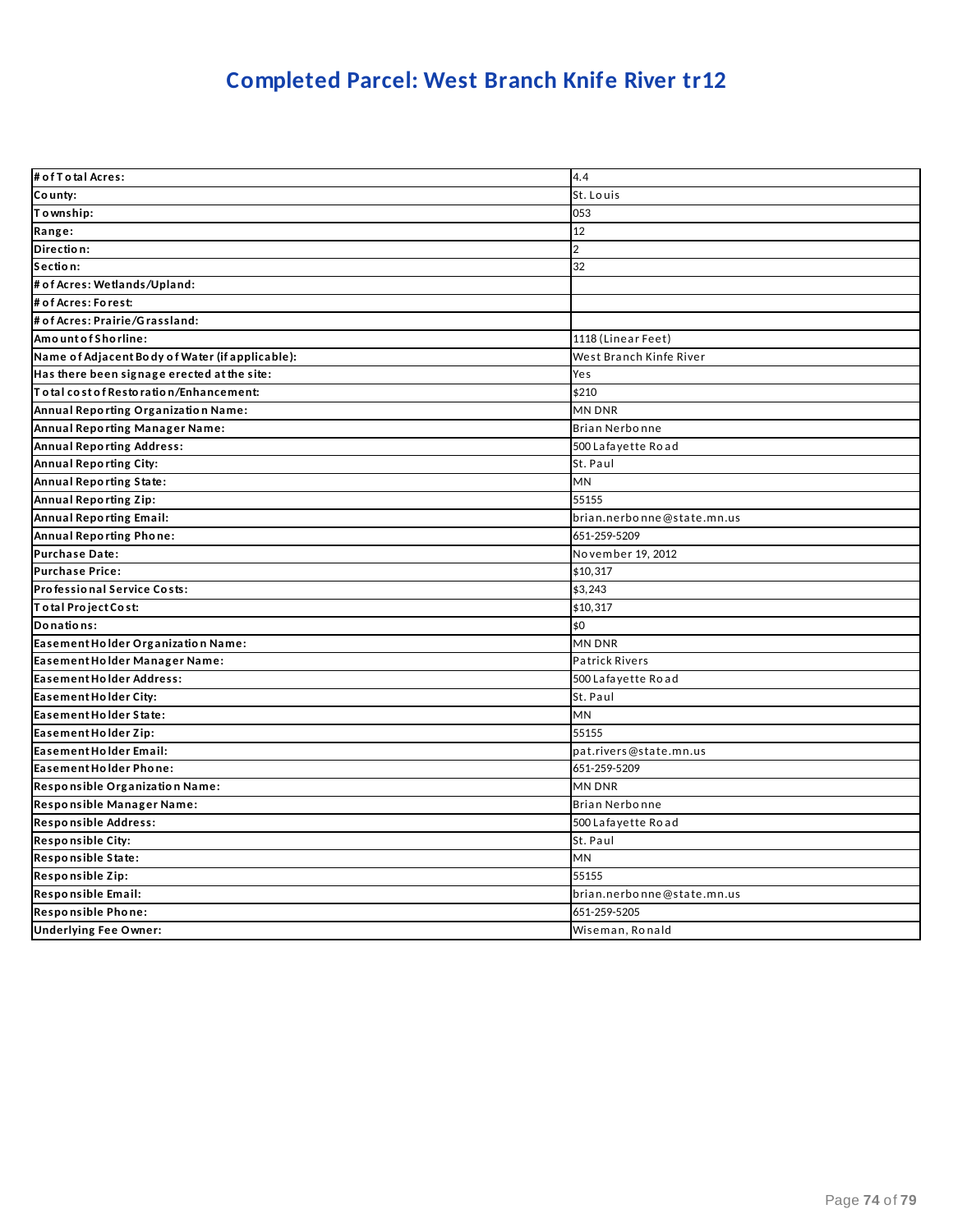## **Completed Parcel: West Branch Knife River tr12**

| # of T o tal Acres:                             | 4.4                        |
|-------------------------------------------------|----------------------------|
| County:                                         | St. Louis                  |
| To wnship:                                      | 053                        |
| Range:                                          | 12                         |
| Direction:                                      | $\overline{2}$             |
| Section:                                        | 32                         |
| # of Acres: Wetlands/Upland:                    |                            |
| # of Acres: Forest:                             |                            |
| # of Acres: Prairie/Grassland:                  |                            |
| AmountofShorline:                               | 1118 (Linear Feet)         |
| Name of Adjacent Body of Water (if applicable): | West Branch Kinfe River    |
| Has there been signage erected at the site:     | Yes                        |
| Total cost of Restoration/Enhancement:          | \$210                      |
| Annual Reporting Organization Name:             | MN DNR                     |
| Annual Reporting Manager Name:                  | Brian Nerbonne             |
| <b>Annual Reporting Address:</b>                | 500 Lafayette Road         |
| <b>Annual Reporting City:</b>                   | St. Paul                   |
| Annual Reporting State:                         | MN                         |
| <b>Annual Reporting Zip:</b>                    | 55155                      |
| <b>Annual Reporting Email:</b>                  | brian.nerbonne@state.mn.us |
| <b>Annual Reporting Phone:</b>                  | 651-259-5209               |
| <b>Purchase Date:</b>                           | November 19, 2012          |
| <b>Purchase Price:</b>                          | \$10,317                   |
| Professional Service Costs:                     | \$3,243                    |
| Total Project Cost:                             | \$10,317                   |
| Donations:                                      | \$0                        |
| Easement Holder Organization Name:              | <b>MN DNR</b>              |
| Easement Holder Manager Name:                   | <b>Patrick Rivers</b>      |
| <b>Easement Holder Address:</b>                 | 500 Lafayette Road         |
| Easement Holder City:                           | St. Paul                   |
| Easement Holder State:                          | MN                         |
| Easement Holder Zip:                            | 55155                      |
| Easement Holder Email:                          | pat.rivers@state.mn.us     |
| Easement Holder Phone:                          | 651-259-5209               |
| Responsible Organization Name:                  | <b>MN DNR</b>              |
| Responsible Manager Name:                       | Brian Nerbonne             |
| Responsible Address:                            | 500 Lafayette Road         |
| <b>Responsible City:</b>                        | St. Paul                   |
| Responsible State:                              | MN                         |
| Responsible Zip:                                | 55155                      |
| Responsible Email:                              | brian.nerbonne@state.mn.us |
| Responsible Phone:                              | 651-259-5205               |
| <b>Underlying Fee Owner:</b>                    | Wiseman, Ronald            |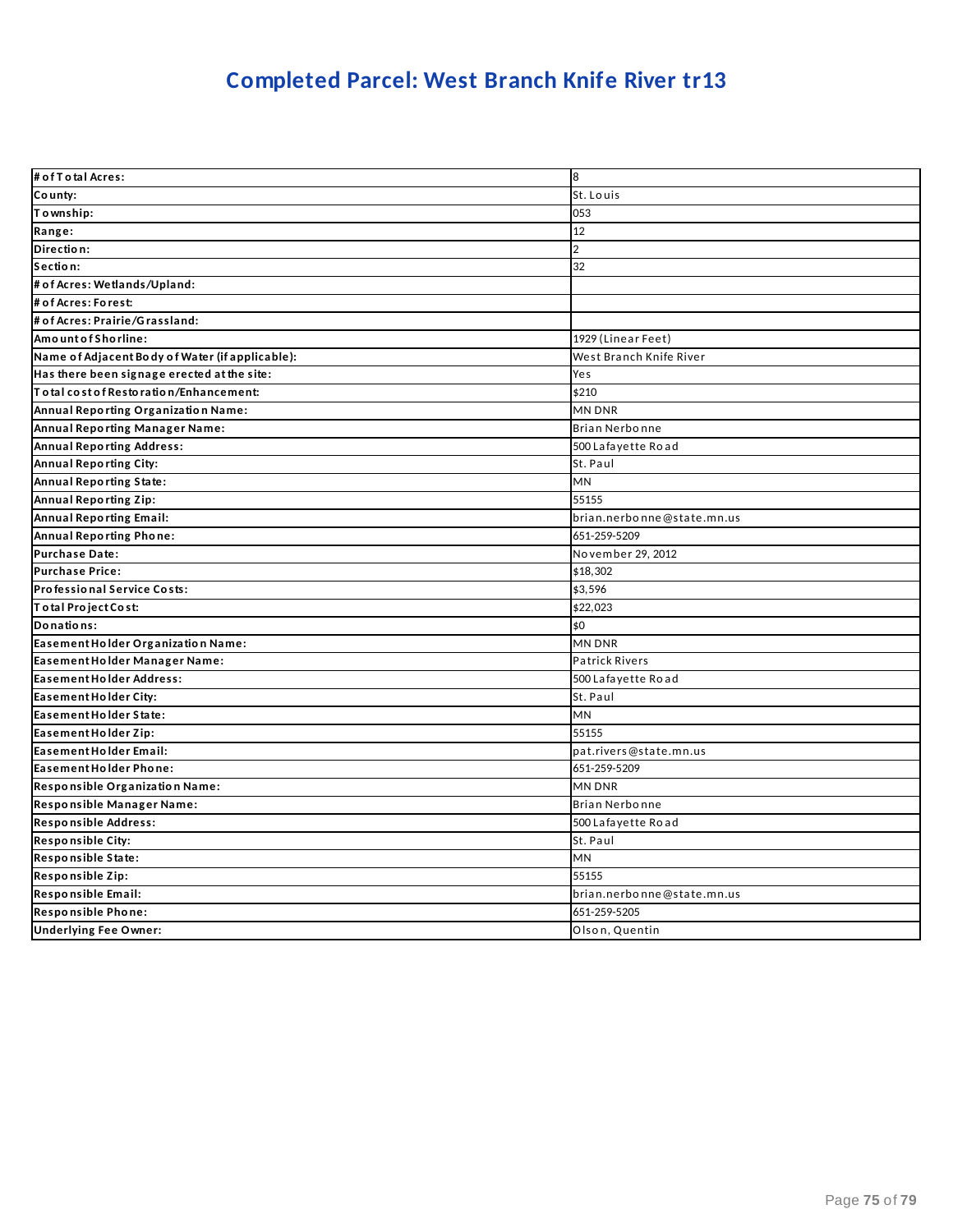## **Completed Parcel: West Branch Knife River tr13**

| # of T o tal Acres:                             | 8                          |
|-------------------------------------------------|----------------------------|
| County:                                         | St. Louis                  |
| Township:                                       | 053                        |
| Range:                                          | 12                         |
| Direction:                                      | $\overline{2}$             |
| Section:                                        | 32                         |
| # of Acres: Wetlands/Upland:                    |                            |
| # of Acres: Forest:                             |                            |
| # of Acres: Prairie/Grassland:                  |                            |
| AmountofShorline:                               | 1929 (Linear Feet)         |
| Name of Adjacent Body of Water (if applicable): | West Branch Knife River    |
| Has there been signage erected at the site:     | Yes                        |
| Total cost of Restoration/Enhancement:          | \$210                      |
| Annual Reporting Organization Name:             | <b>MN DNR</b>              |
| Annual Reporting Manager Name:                  | Brian Nerbonne             |
| <b>Annual Reporting Address:</b>                | 500 Lafayette Road         |
| Annual Reporting City:                          | St. Paul                   |
| Annual Reporting State:                         | MN                         |
| <b>Annual Reporting Zip:</b>                    | 55155                      |
| <b>Annual Reporting Email:</b>                  | brian.nerbonne@state.mn.us |
| Annual Reporting Phone:                         | 651-259-5209               |
| <b>Purchase Date:</b>                           | November 29, 2012          |
| <b>Purchase Price:</b>                          | \$18,302                   |
| Professional Service Costs:                     | \$3,596                    |
| Total Project Cost:                             | \$22,023                   |
| Donations:                                      | \$0                        |
| Easement Holder Organization Name:              | <b>MN DNR</b>              |
| Easement Holder Manager Name:                   | <b>Patrick Rivers</b>      |
| <b>Easement Holder Address:</b>                 | 500 Lafayette Road         |
| Easement Holder City:                           | St. Paul                   |
| Easement Holder State:                          | MN                         |
| Easement Holder Zip:                            | 55155                      |
| Easement Holder Email:                          | pat.rivers@state.mn.us     |
| Easement Holder Phone:                          | 651-259-5209               |
| Responsible Organization Name:                  | <b>MN DNR</b>              |
| Responsible Manager Name:                       | Brian Nerbonne             |
| Responsible Address:                            | 500 Lafayette Road         |
| <b>Responsible City:</b>                        | St. Paul                   |
| Responsible State:                              | MN                         |
| Responsible Zip:                                | 55155                      |
| Responsible Email:                              | brian.nerbonne@state.mn.us |
| Responsible Phone:                              | 651-259-5205               |
| <b>Underlying Fee Owner:</b>                    | Olson, Quentin             |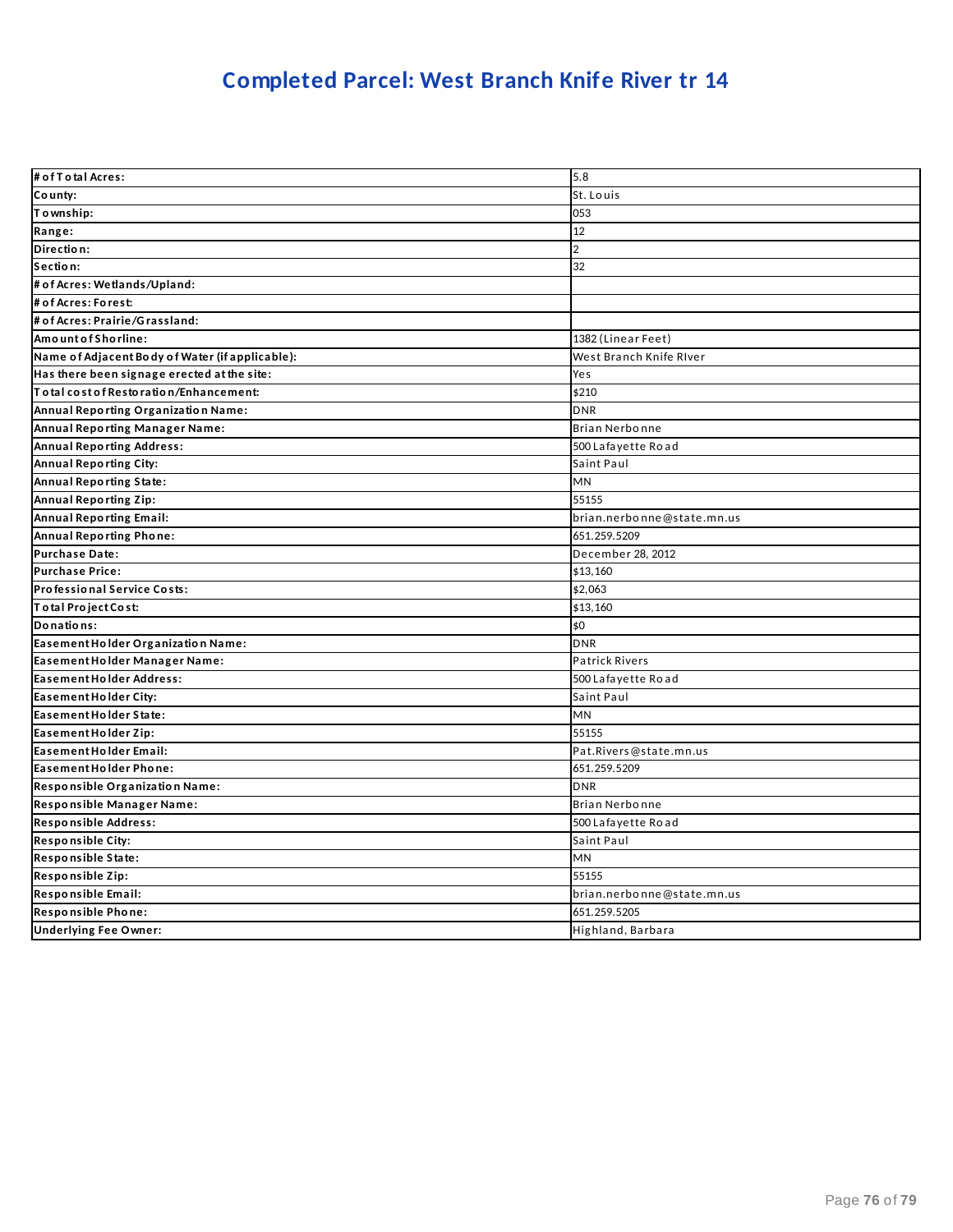### **Completed Parcel: West Branch Knife River tr 14**

| # of T o tal Acres:                             | 5.8                        |
|-------------------------------------------------|----------------------------|
| County:                                         | St. Louis                  |
| Township:                                       | 053                        |
| Range:                                          | 12                         |
| Direction:                                      | $\overline{2}$             |
| Section:                                        | 32                         |
| # of Acres: Wetlands/Upland:                    |                            |
| # of Acres: Forest:                             |                            |
| # of Acres: Prairie/Grassland:                  |                            |
| AmountofShorline:                               | 1382 (Linear Feet)         |
| Name of Adjacent Body of Water (if applicable): | West Branch Knife River    |
| Has there been signage erected at the site:     | Yes                        |
| Total cost of Restoration/Enhancement:          | \$210                      |
| Annual Reporting Organization Name:             | <b>DNR</b>                 |
| Annual Reporting Manager Name:                  | Brian Nerbonne             |
| <b>Annual Reporting Address:</b>                | 500 Lafayette Road         |
| Annual Reporting City:                          | Saint Paul                 |
| Annual Reporting State:                         | MN                         |
| <b>Annual Reporting Zip:</b>                    | 55155                      |
| <b>Annual Reporting Email:</b>                  | brian.nerbonne@state.mn.us |
| Annual Reporting Phone:                         | 651.259.5209               |
| <b>Purchase Date:</b>                           | December 28, 2012          |
| <b>Purchase Price:</b>                          | \$13,160                   |
| Professional Service Costs:                     | \$2,063                    |
| Total Project Cost:                             | \$13,160                   |
| Donations:                                      | \$0                        |
| Easement Holder Organization Name:              | <b>DNR</b>                 |
| Easement Holder Manager Name:                   | <b>Patrick Rivers</b>      |
| <b>Easement Holder Address:</b>                 | 500 Lafayette Road         |
| Easement Holder City:                           | Saint Paul                 |
| Easement Holder State:                          | MN                         |
| Easement Holder Zip:                            | 55155                      |
| Easement Holder Email:                          | Pat.Rivers@state.mn.us     |
| Easement Holder Phone:                          | 651.259.5209               |
| Responsible Organization Name:                  | <b>DNR</b>                 |
| Responsible Manager Name:                       | Brian Nerbonne             |
| Responsible Address:                            | 500 Lafayette Road         |
| <b>Responsible City:</b>                        | Saint Paul                 |
| Responsible State:                              | MN                         |
| Responsible Zip:                                | 55155                      |
| Responsible Email:                              | brian.nerbonne@state.mn.us |
| Responsible Phone:                              | 651.259.5205               |
| <b>Underlying Fee Owner:</b>                    | Highland, Barbara          |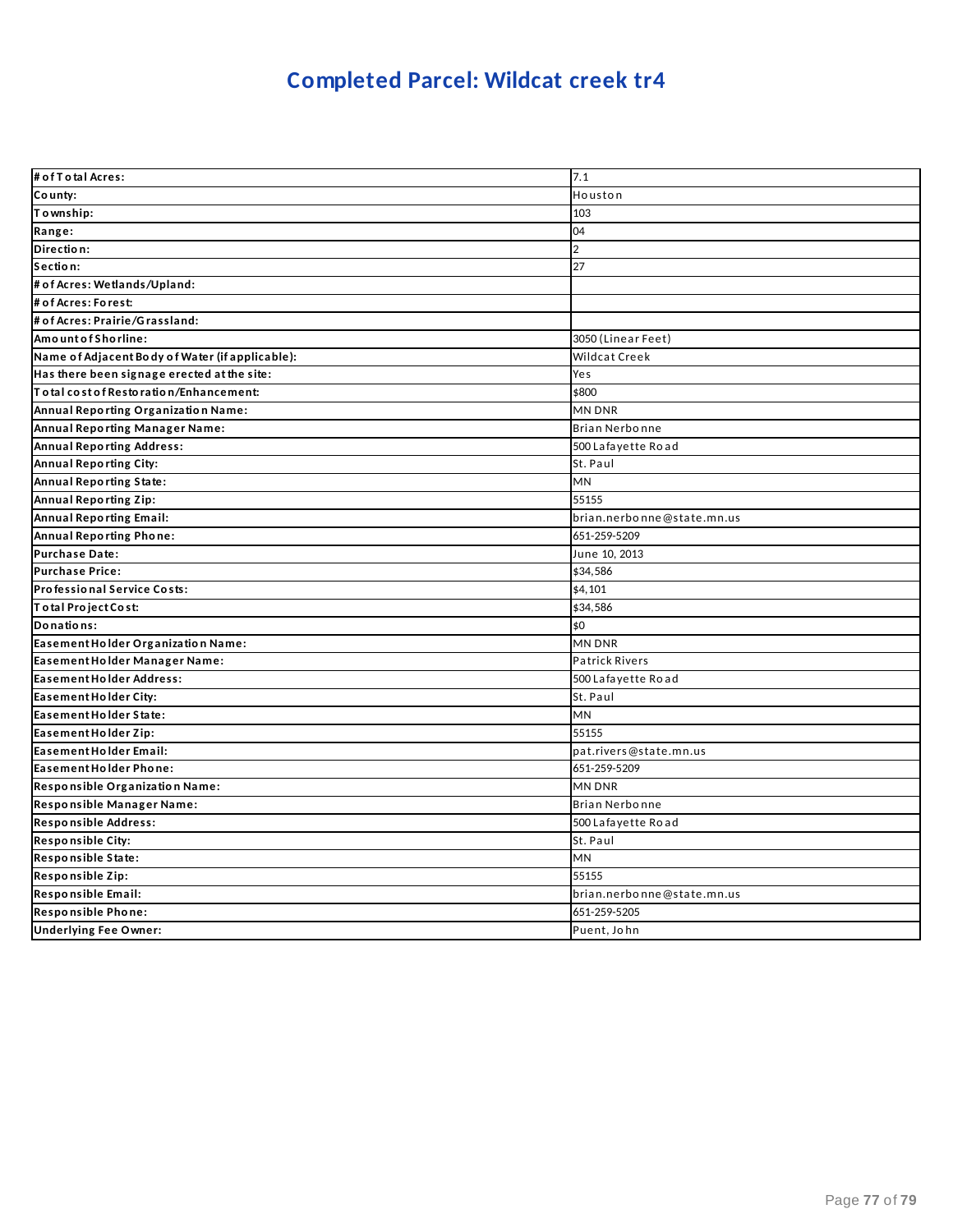## **Completed Parcel: Wildcat creek tr4**

| # of T o tal Acres:                             | 7.1                        |
|-------------------------------------------------|----------------------------|
| County:                                         | Houston                    |
| Township:                                       | 103                        |
| Range:                                          | 04                         |
| Direction:                                      | $\overline{2}$             |
| Section:                                        | 27                         |
| # of Acres: Wetlands/Upland:                    |                            |
| # of Acres: Forest:                             |                            |
| # of Acres: Prairie/Grassland:                  |                            |
| Amount of Shorline:                             | 3050 (Linear Feet)         |
| Name of Adjacent Body of Water (if applicable): | Wildcat Creek              |
| Has there been signage erected at the site:     | Yes                        |
| Total cost of Restoration/Enhancement:          | \$800                      |
| Annual Reporting Organization Name:             | MN DNR                     |
| Annual Reporting Manager Name:                  | Brian Nerbonne             |
| <b>Annual Reporting Address:</b>                | 500 Lafayette Road         |
| Annual Reporting City:                          | St. Paul                   |
| <b>Annual Reporting State:</b>                  | <b>MN</b>                  |
| <b>Annual Reporting Zip:</b>                    | 55155                      |
| <b>Annual Reporting Email:</b>                  | brian.nerbonne@state.mn.us |
| Annual Reporting Phone:                         | 651-259-5209               |
| <b>Purchase Date:</b>                           | June 10, 2013              |
| <b>Purchase Price:</b>                          | \$34,586                   |
| Professional Service Costs:                     | \$4,101                    |
| Total Project Cost:                             | \$34,586                   |
| Donations:                                      | \$0                        |
| Easement Holder Organization Name:              | <b>MN DNR</b>              |
| Easement Holder Manager Name:                   | <b>Patrick Rivers</b>      |
| <b>Easement Holder Address:</b>                 | 500 Lafayette Road         |
| Easement Holder City:                           | St. Paul                   |
| Easement Holder State:                          | MN                         |
| Easement Holder Zip:                            | 55155                      |
| Easement Holder Email:                          | pat.rivers@state.mn.us     |
| Easement Holder Phone:                          | 651-259-5209               |
| Responsible Organization Name:                  | <b>MN DNR</b>              |
| Responsible Manager Name:                       | <b>Brian Nerbonne</b>      |
| Responsible Address:                            | 500 Lafayette Road         |
| <b>Responsible City:</b>                        | St. Paul                   |
| Responsible State:                              | MN                         |
| Responsible Zip:                                | 55155                      |
| Responsible Email:                              | brian.nerbonne@state.mn.us |
| Responsible Phone:                              | 651-259-5205               |
| <b>Underlying Fee Owner:</b>                    | Puent. John                |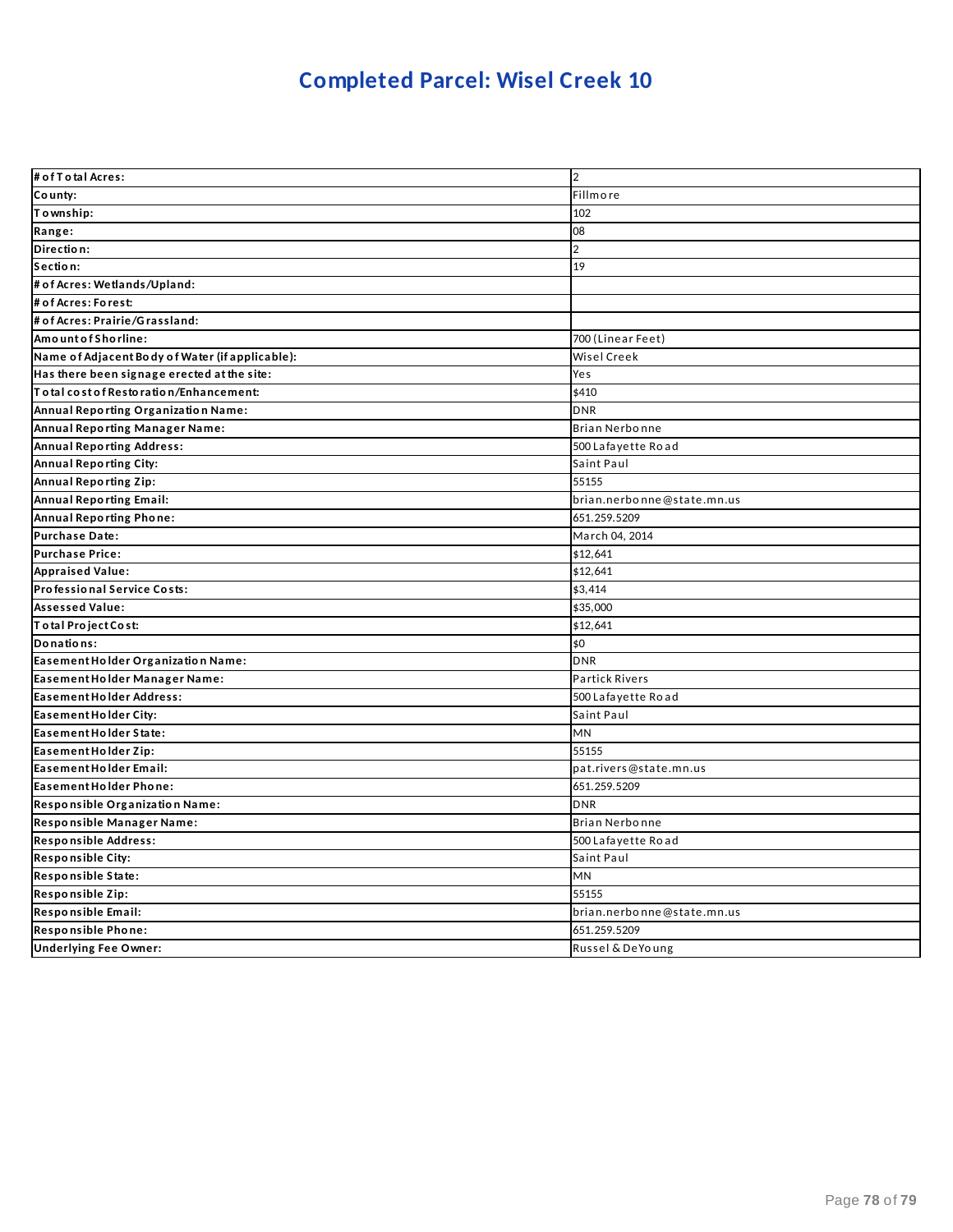## **Completed Parcel: Wisel Creek 10**

| # of T o tal Acres:                             | $\overline{2}$             |
|-------------------------------------------------|----------------------------|
| County:                                         | Fillmore                   |
| Township:                                       | 102                        |
| Range:                                          | 08                         |
| Direction:                                      | $\overline{2}$             |
| Section:                                        | 19                         |
| # of Acres: Wetlands/Upland:                    |                            |
| # of Acres: Forest:                             |                            |
| # of Acres: Prairie/Grassland:                  |                            |
| Amount of Shorline:                             | 700 (Linear Feet)          |
| Name of Adjacent Body of Water (if applicable): | <b>Wisel Creek</b>         |
| Has there been signage erected at the site:     | Yes                        |
| To tal cost of Restoration/Enhancement:         | \$410                      |
| Annual Reporting Organization Name:             | <b>DNR</b>                 |
| Annual Reporting Manager Name:                  | <b>Brian Nerbonne</b>      |
| <b>Annual Reporting Address:</b>                | 500 Lafayette Road         |
| Annual Reporting City:                          | Saint Paul                 |
| Annual Reporting Zip:                           | 55155                      |
| <b>Annual Reporting Email:</b>                  | brian.nerbonne@state.mn.us |
| Annual Reporting Phone:                         | 651.259.5209               |
| Purchase Date:                                  | March 04, 2014             |
| <b>Purchase Price:</b>                          | \$12,641                   |
| <b>Appraised Value:</b>                         | \$12,641                   |
| Professional Service Costs:                     | \$3,414                    |
| <b>Assessed Value:</b>                          | \$35,000                   |
| Total Project Cost:                             | \$12,641                   |
| Donations:                                      | \$0                        |
| Easement Holder Organization Name:              | <b>DNR</b>                 |
| Easement Holder Manager Name:                   | <b>Partick Rivers</b>      |
| <b>Easement Holder Address:</b>                 | 500 Lafayette Road         |
| Easement Holder City:                           | Saint Paul                 |
| Easement Holder State:                          | <b>MN</b>                  |
| Easement Holder Zip:                            | 55155                      |
| Easement Holder Email:                          | pat.rivers@state.mn.us     |
| Easement Holder Phone:                          | 651.259.5209               |
| Responsible Organization Name:                  | <b>DNR</b>                 |
| Responsible Manager Name:                       | Brian Nerbonne             |
| Responsible Address:                            | 500 Lafayette Road         |
| Responsible City:                               | Saint Paul                 |
| Responsible State:                              | MN                         |
| Responsible Zip:                                | 55155                      |
| Responsible Email:                              | brian.nerbonne@state.mn.us |
| Responsible Phone:                              | 651.259.5209               |
| <b>Underlying Fee Owner:</b>                    | Russel & DeYoung           |
|                                                 |                            |